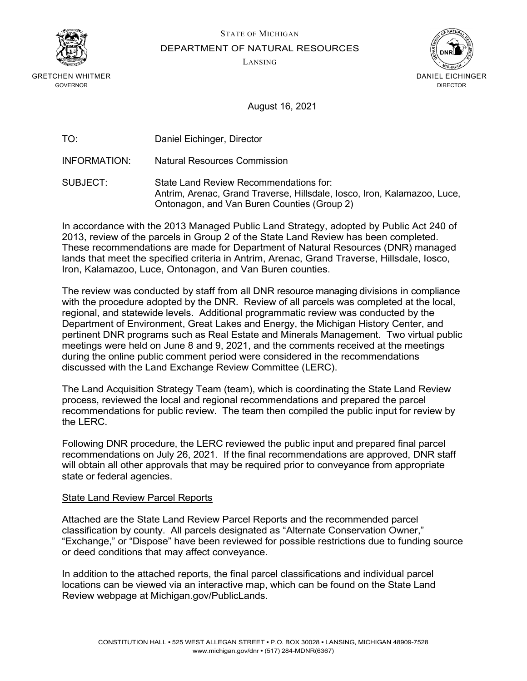

GRETCHEN WHITMER GOVERNOR

STATE OF MICHIGAN

DEPARTMENT OF NATURAL RESOURCES

LANSING



August 16, 2021

INFORMATION: Natural Resources Commission

SUBJECT: State Land Review Recommendations for: Antrim, Arenac, Grand Traverse, Hillsdale, Iosco, Iron, Kalamazoo, Luce, Ontonagon, and Van Buren Counties (Group 2)

In accordance with the 2013 Managed Public Land Strategy, adopted by Public Act 240 of 2013, review of the parcels in Group 2 of the State Land Review has been completed. These recommendations are made for Department of Natural Resources (DNR) managed lands that meet the specified criteria in Antrim, Arenac, Grand Traverse, Hillsdale, Iosco, Iron, Kalamazoo, Luce, Ontonagon, and Van Buren counties.

The review was conducted by staff from all DNR resource managing divisions in compliance with the procedure adopted by the DNR. Review of all parcels was completed at the local, regional, and statewide levels. Additional programmatic review was conducted by the Department of Environment, Great Lakes and Energy, the Michigan History Center, and pertinent DNR programs such as Real Estate and Minerals Management. Two virtual public meetings were held on June 8 and 9, 2021, and the comments received at the meetings during the online public comment period were considered in the recommendations discussed with the Land Exchange Review Committee (LERC).

The Land Acquisition Strategy Team (team), which is coordinating the State Land Review process, reviewed the local and regional recommendations and prepared the parcel recommendations for public review. The team then compiled the public input for review by the LERC.

Following DNR procedure, the LERC reviewed the public input and prepared final parcel recommendations on July 26, 2021. If the final recommendations are approved, DNR staff will obtain all other approvals that may be required prior to conveyance from appropriate state or federal agencies.

#### State Land Review Parcel Reports

Attached are the State Land Review Parcel Reports and the recommended parcel classification by county. All parcels designated as "Alternate Conservation Owner," "Exchange," or "Dispose" have been reviewed for possible restrictions due to funding source or deed conditions that may affect conveyance.

In addition to the attached reports, the final parcel classifications and individual parcel locations can be viewed via an interactive map, which can be found on the State Land Review webpage at [Michigan.gov/PublicLands.](https://www.michigan.gov/dnr/0,4570,7-350-79136_79262---,00.html)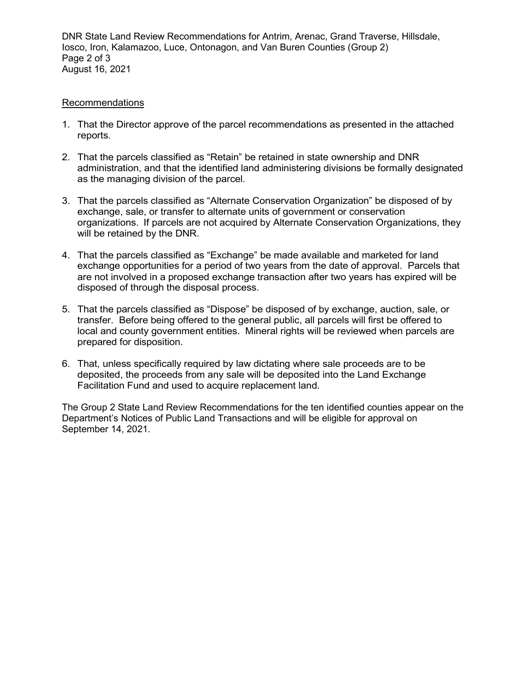DNR State Land Review Recommendations for Antrim, Arenac, Grand Traverse, Hillsdale, Iosco, Iron, Kalamazoo, Luce, Ontonagon, and Van Buren Counties (Group 2) Page 2 of 3 August 16, 2021

#### Recommendations

- 1. That the Director approve of the parcel recommendations as presented in the attached reports.
- 2. That the parcels classified as "Retain" be retained in state ownership and DNR administration, and that the identified land administering divisions be formally designated as the managing division of the parcel.
- 3. That the parcels classified as "Alternate Conservation Organization" be disposed of by exchange, sale, or transfer to alternate units of government or conservation organizations. If parcels are not acquired by Alternate Conservation Organizations, they will be retained by the DNR.
- 4. That the parcels classified as "Exchange" be made available and marketed for land exchange opportunities for a period of two years from the date of approval. Parcels that are not involved in a proposed exchange transaction after two years has expired will be disposed of through the disposal process.
- 5. That the parcels classified as "Dispose" be disposed of by exchange, auction, sale, or transfer. Before being offered to the general public, all parcels will first be offered to local and county government entities. Mineral rights will be reviewed when parcels are prepared for disposition.
- 6. That, unless specifically required by law dictating where sale proceeds are to be deposited, the proceeds from any sale will be deposited into the Land Exchange Facilitation Fund and used to acquire replacement land.

The Group 2 State Land Review Recommendations for the ten identified counties appear on the Department's Notices of Public Land Transactions and will be eligible for approval on September 14, 2021.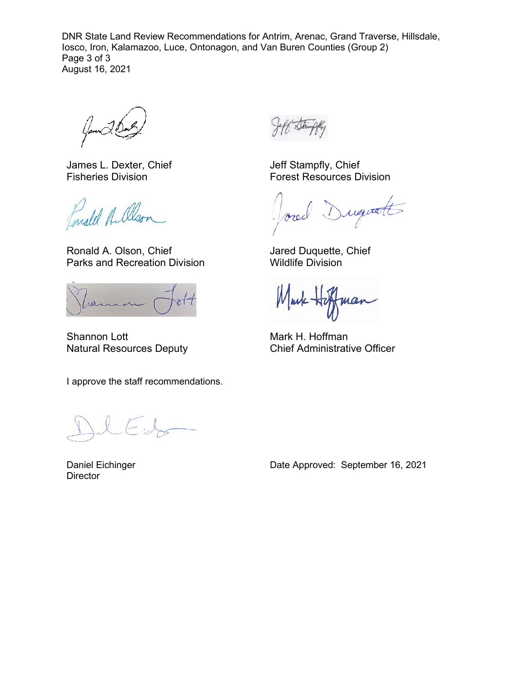DNR State Land Review Recommendations for Antrim, Arenac, Grand Traverse, Hillsdale, Iosco, Iron, Kalamazoo, Luce, Ontonagon, and Van Buren Counties (Group 2) Page 3 of 3 August 16, 2021

Games

James L. Dexter, Chief Fisheries Division

Conald Allson

Ronald A. Olson, Chief Parks and Recreation Division

ram

Shannon Lott Natural Resources Deputy

I approve the staff recommendations.

ر<br>رسم المعند

Daniel Eichinger **Director** 

Jeff Stampfly, Chief Forest Resources Division

Duquatt ored

Jared Duquette, Chief Wildlife Division

Markman

Mark H. Hoffman Chief Administrative Officer

Date Approved: September 16, 2021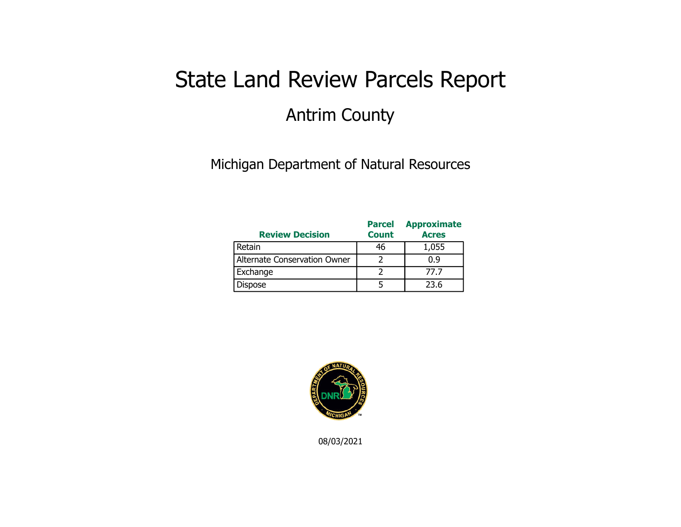## State Land Review Parcels Report Antrim County

Michigan Department of Natural Resources

| <b>Review Decision</b>       | <b>Parcel</b><br><b>Count</b> | <b>Approximate</b><br><b>Acres</b> |
|------------------------------|-------------------------------|------------------------------------|
| Retain                       | 46                            | 1,055                              |
| Alternate Conservation Owner |                               | 0.9                                |
| Exchange                     |                               | 77.7                               |
| Dispose                      |                               | 23.6                               |



08/03/2021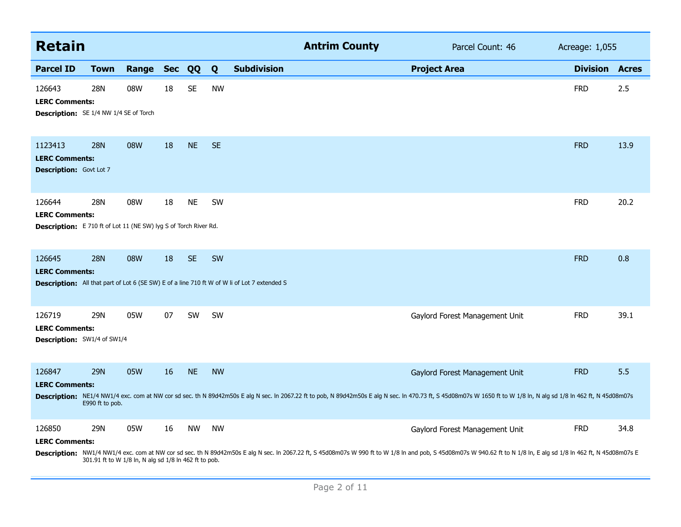| <b>Retain</b>                                                                                              |                                                              |       |            |           |           |                                                                                                     | <b>Antrim County</b> | Parcel Count: 46                                                                                                                                                                                                                                      | Acreage: 1,055  |              |
|------------------------------------------------------------------------------------------------------------|--------------------------------------------------------------|-------|------------|-----------|-----------|-----------------------------------------------------------------------------------------------------|----------------------|-------------------------------------------------------------------------------------------------------------------------------------------------------------------------------------------------------------------------------------------------------|-----------------|--------------|
| <b>Parcel ID</b>                                                                                           | <b>Town</b>                                                  | Range | <b>Sec</b> | QQ        | Q         | <b>Subdivision</b>                                                                                  |                      | <b>Project Area</b>                                                                                                                                                                                                                                   | <b>Division</b> | <b>Acres</b> |
| 126643<br><b>LERC Comments:</b><br><b>Description:</b> SE 1/4 NW 1/4 SE of Torch                           | <b>28N</b>                                                   | 08W   | 18         | <b>SE</b> | <b>NW</b> |                                                                                                     |                      |                                                                                                                                                                                                                                                       | <b>FRD</b>      | 2.5          |
| 1123413<br><b>LERC Comments:</b><br><b>Description: Govt Lot 7</b>                                         | <b>28N</b>                                                   | 08W   | 18         | <b>NE</b> | <b>SE</b> |                                                                                                     |                      |                                                                                                                                                                                                                                                       | <b>FRD</b>      | 13.9         |
| 126644<br><b>LERC Comments:</b><br><b>Description:</b> E 710 ft of Lot 11 (NE SW) lyg S of Torch River Rd. | 28N                                                          | 08W   | 18         | <b>NE</b> | SW        |                                                                                                     |                      |                                                                                                                                                                                                                                                       | <b>FRD</b>      | 20.2         |
| 126645<br><b>LERC Comments:</b>                                                                            | <b>28N</b>                                                   | 08W   | 18         | <b>SE</b> | <b>SW</b> | <b>Description:</b> All that part of Lot 6 (SE SW) E of a line 710 ft W of W li of Lot 7 extended S |                      |                                                                                                                                                                                                                                                       | <b>FRD</b>      | 0.8          |
| 126719<br><b>LERC Comments:</b><br><b>Description:</b> SW1/4 of SW1/4                                      | <b>29N</b>                                                   | 05W   | 07         | <b>SW</b> | <b>SW</b> |                                                                                                     |                      | Gaylord Forest Management Unit                                                                                                                                                                                                                        | <b>FRD</b>      | 39.1         |
| 126847<br><b>LERC Comments:</b>                                                                            | <b>29N</b><br>E990 ft to pob.                                | 05W   | 16         | <b>NE</b> | <b>NW</b> |                                                                                                     |                      | Gaylord Forest Management Unit<br>Description: NE1/4 NW1/4 exc. com at NW cor sd sec. th N 89d42m50s E alg N sec. In 2067.22 ft to pob, N 89d42m50s E alg N sec. In 470.73 ft, S 45d08m07s W 1650 ft to W 1/8 In, N alg sd 1/8 In 462 ft, N 45d08m07s | <b>FRD</b>      | 5.5          |
| 126850<br><b>LERC Comments:</b>                                                                            | 29N<br>301.91 ft to W 1/8 ln, N alg sd 1/8 ln 462 ft to pob. | 05W   | 16         | <b>NW</b> | <b>NW</b> |                                                                                                     |                      | Gaylord Forest Management Unit<br>Description: NW1/4 NW1/4 exc. com at NW cor sd sec. th N 89d42m50s E alg N sec. In 2067.22 ft, S 45d08m07s W 990 ft to W 1/8 In and pob, S 45d08m07s W 940.62 ft to N 1/8 In, E alg sd 1/8 In 462 ft, N 45d08m07s E | <b>FRD</b>      | 34.8         |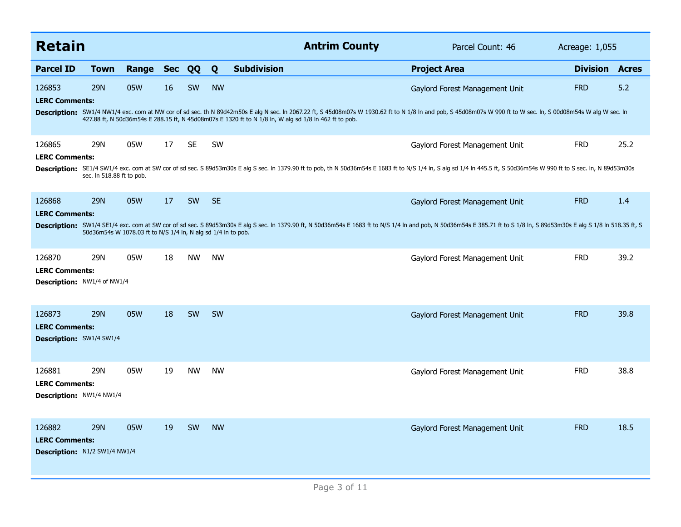| <b>Retain</b>                                                         |                           |                                                               |            |           |           | <b>Antrim County</b>                                                                                                                                                                                                     | Parcel Count: 46               | Acreage: 1,055  |              |
|-----------------------------------------------------------------------|---------------------------|---------------------------------------------------------------|------------|-----------|-----------|--------------------------------------------------------------------------------------------------------------------------------------------------------------------------------------------------------------------------|--------------------------------|-----------------|--------------|
| <b>Parcel ID</b>                                                      | Town                      | Range                                                         | <b>Sec</b> | QQ        | Q         | <b>Subdivision</b>                                                                                                                                                                                                       | <b>Project Area</b>            | <b>Division</b> | <b>Acres</b> |
| 126853<br><b>LERC Comments:</b>                                       | 29N                       | 05W                                                           | 16         | SW        | <b>NW</b> | Description: SW1/4 NW1/4 exc. com at NW cor of sd sec. th N 89d42m50s E alg N sec. In 2067.22 ft, S 45d08m07s W 1930.62 ft to N 1/8 In and pob, S 45d08m07s W 990 ft to W sec. In, S 00d08m54s W alg W sec. In           | Gaylord Forest Management Unit | <b>FRD</b>      | 5.2          |
|                                                                       |                           |                                                               |            |           |           | 427.88 ft, N 50d36m54s E 288.15 ft, N 45d08m07s E 1320 ft to N 1/8 ln, W alg sd 1/8 ln 462 ft to pob.                                                                                                                    |                                |                 |              |
| 126865<br><b>LERC Comments:</b>                                       | 29N                       | 05W                                                           | 17         | <b>SE</b> | <b>SW</b> |                                                                                                                                                                                                                          | Gaylord Forest Management Unit | <b>FRD</b>      | 25.2         |
|                                                                       | sec. In 518.88 ft to pob. |                                                               |            |           |           | Description: SE1/4 SW1/4 exc. com at SW cor of sd sec. S 89d53m30s E alg S sec. In 1379.90 ft to pob, th N 50d36m54s E 1683 ft to N/S 1/4 In, S alg sd 1/4 In 445.5 ft, S 50d36m54s W 990 ft to S sec. In, N 89d53m30s   |                                |                 |              |
| 126868<br><b>LERC Comments:</b>                                       | <b>29N</b>                | 05W                                                           | 17         | SW        | <b>SE</b> |                                                                                                                                                                                                                          | Gaylord Forest Management Unit | <b>FRD</b>      | 1.4          |
|                                                                       |                           | 50d36m54s W 1078.03 ft to N/S 1/4 ln, N alg sd 1/4 ln to pob. |            |           |           | Description: SW1/4 SE1/4 exc. com at SW cor of sd sec. S 89d53m30s E alg S sec. In 1379.90 ft, N 50d36m54s E 1683 ft to N/S 1/4 In and pob, N 50d36m54s E 385.71 ft to S 1/8 In, S 89d53m30s E alg S 1/8 In 518.35 ft, S |                                |                 |              |
| 126870<br><b>LERC Comments:</b><br><b>Description: NW1/4 of NW1/4</b> | 29N                       | 05W                                                           | 18         | <b>NW</b> | <b>NW</b> |                                                                                                                                                                                                                          | Gaylord Forest Management Unit | <b>FRD</b>      | 39.2         |
| 126873<br><b>LERC Comments:</b><br><b>Description: SW1/4 SW1/4</b>    | <b>29N</b>                | 05W                                                           | 18         | SW        | <b>SW</b> |                                                                                                                                                                                                                          | Gaylord Forest Management Unit | <b>FRD</b>      | 39.8         |
| 126881<br><b>LERC Comments:</b><br><b>Description: NW1/4 NW1/4</b>    | 29N                       | 05W                                                           | 19         | <b>NW</b> | <b>NW</b> |                                                                                                                                                                                                                          | Gaylord Forest Management Unit | <b>FRD</b>      | 38.8         |
| 126882<br><b>LERC Comments:</b><br>Description: N1/2 SW1/4 NW1/4      | <b>29N</b>                | 05W                                                           | 19         | SW        | <b>NW</b> |                                                                                                                                                                                                                          | Gaylord Forest Management Unit | <b>FRD</b>      | 18.5         |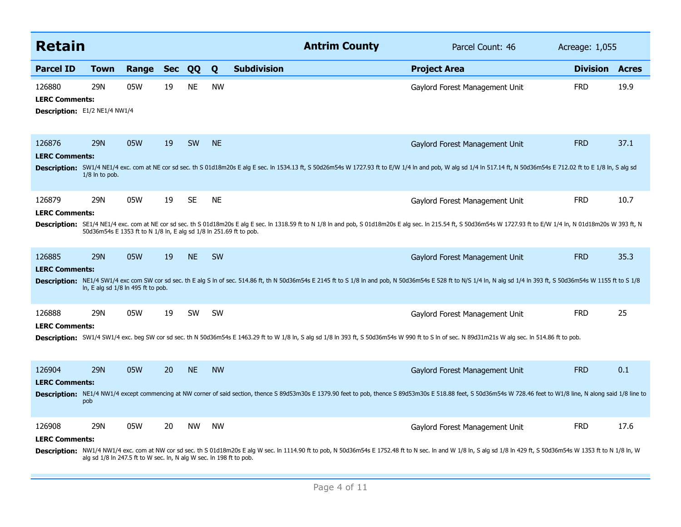| <b>Retain</b>                                                           |                                                                            |       |            |           |           | <b>Antrim County</b>                                                                                                                                                                                                      | Parcel Count: 46               | Acreage: 1,055  |              |
|-------------------------------------------------------------------------|----------------------------------------------------------------------------|-------|------------|-----------|-----------|---------------------------------------------------------------------------------------------------------------------------------------------------------------------------------------------------------------------------|--------------------------------|-----------------|--------------|
| <b>Parcel ID</b>                                                        | <b>Town</b>                                                                | Range | <b>Sec</b> | QQ        | Q         | <b>Subdivision</b>                                                                                                                                                                                                        | <b>Project Area</b>            | <b>Division</b> | <b>Acres</b> |
| 126880<br><b>LERC Comments:</b><br><b>Description:</b> E1/2 NE1/4 NW1/4 | 29N                                                                        | 05W   | 19         | <b>NE</b> | <b>NW</b> |                                                                                                                                                                                                                           | Gaylord Forest Management Unit | <b>FRD</b>      | 19.9         |
| 126876<br><b>LERC Comments:</b>                                         | <b>29N</b><br>$1/8$ ln to pob.                                             | 05W   | 19         | SW        | <b>NE</b> | Description: SW1/4 NE1/4 exc. com at NE cor sd sec. th S 01d18m20s E alg E sec. In 1534.13 ft, S 50d26m54s W 1727.93 ft to E/W 1/4 In and pob, W alg sd 1/4 In 517.14 ft, N 50d36m54s E 712.02 ft to E 1/8 In, S alg sd   | Gaylord Forest Management Unit | <b>FRD</b>      | 37.1         |
| 126879<br><b>LERC Comments:</b>                                         | 29N<br>50d36m54s E 1353 ft to N 1/8 ln, E alg sd 1/8 ln 251.69 ft to pob.  | 05W   | 19         | <b>SE</b> | <b>NE</b> | Description: SE1/4 NE1/4 exc. com at NE cor sd sec. th S 01d18m20s E alg E sec. In 1318.59 ft to N 1/8 In and pob, S 01d18m20s E alg sec. In 215.54 ft, S 50d36m54s W 1727.93 ft to E/W 1/4 In, N 01d18m20s W 393 ft, N   | Gaylord Forest Management Unit | <b>FRD</b>      | 10.7         |
| 126885<br><b>LERC Comments:</b>                                         | <b>29N</b><br>In, E alg sd 1/8 In 495 ft to pob.                           | 05W   | 19         | <b>NE</b> | SW        | Description: NE1/4 SW1/4 exc com SW cor sd sec. th E alg S In of sec. 514.86 ft, th N 50d36m54s E 2145 ft to S 1/8 In and pob, N 50d36m54s E 528 ft to N/S 1/4 In, N alg sd 1/4 In 393 ft, S 50d36m54s W 1155 ft to S 1/8 | Gaylord Forest Management Unit | <b>FRD</b>      | 35.3         |
| 126888<br><b>LERC Comments:</b>                                         | 29N                                                                        | 05W   | 19         | <b>SW</b> | <b>SW</b> | Description: SW1/4 SW1/4 exc. beg SW cor sd sec. th N 50d36m54s E 1463.29 ft to W 1/8 ln, S alg sd 1/8 ln 393 ft, S 50d36m54s W 990 ft to S ln of sec. N 89d31m21s W alg sec. In 514.86 ft to pob.                        | Gaylord Forest Management Unit | <b>FRD</b>      | 25           |
| 126904<br><b>LERC Comments:</b>                                         | <b>29N</b><br>pob                                                          | 05W   | 20         | <b>NE</b> | <b>NW</b> | Description: NE1/4 NW1/4 except commencing at NW corner of said section, thence S 89d53m30s E 1379.90 feet to pob, thence S 89d53m30s E 518.88 feet, S 50d36m54s W 728.46 feet to W1/8 line, N along said 1/8 line to     | Gaylord Forest Management Unit | <b>FRD</b>      | 0.1          |
| 126908<br><b>LERC Comments:</b>                                         | 29N<br>alg sd 1/8 ln 247.5 ft to W sec. ln, N alg W sec. ln 198 ft to pob. | 05W   | 20         | <b>NW</b> | <b>NW</b> | Description: NW1/4 NW1/4 exc. com at NW cor sd sec. th S 01d18m20s E alg W sec. In 1114.90 ft to pob, N 50d36m54s E 1752.48 ft to N sec. In and W 1/8 In, S alg sd 1/8 In 429 ft, S 50d36m54s W 1353 ft to N 1/8 In, W    | Gaylord Forest Management Unit | <b>FRD</b>      | 17.6         |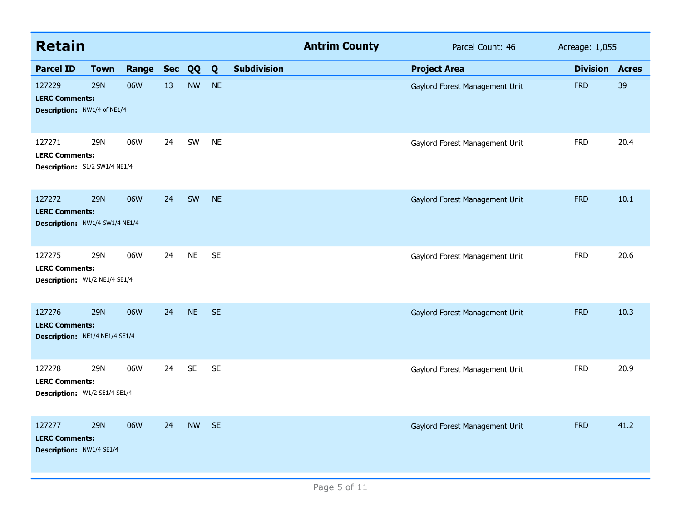| <b>Retain</b>                                                     |             |           |    |           |           |                    | <b>Antrim County</b> | Parcel Count: 46               | Acreage: 1,055  |              |
|-------------------------------------------------------------------|-------------|-----------|----|-----------|-----------|--------------------|----------------------|--------------------------------|-----------------|--------------|
| <b>Parcel ID</b>                                                  | <b>Town</b> | Range Sec |    | QQ        | Q         | <b>Subdivision</b> |                      | <b>Project Area</b>            | <b>Division</b> | <b>Acres</b> |
| 127229<br><b>LERC Comments:</b><br>Description: NW1/4 of NE1/4    | <b>29N</b>  | 06W       | 13 | <b>NW</b> | <b>NE</b> |                    |                      | Gaylord Forest Management Unit | <b>FRD</b>      | 39           |
| 127271<br><b>LERC Comments:</b><br>Description: S1/2 SW1/4 NE1/4  | 29N         | 06W       | 24 | SW        | <b>NE</b> |                    |                      | Gaylord Forest Management Unit | <b>FRD</b>      | 20.4         |
| 127272<br><b>LERC Comments:</b><br>Description: NW1/4 SW1/4 NE1/4 | <b>29N</b>  | 06W       | 24 | SW        | <b>NE</b> |                    |                      | Gaylord Forest Management Unit | <b>FRD</b>      | 10.1         |
| 127275<br><b>LERC Comments:</b><br>Description: W1/2 NE1/4 SE1/4  | 29N         | 06W       | 24 | <b>NE</b> | <b>SE</b> |                    |                      | Gaylord Forest Management Unit | <b>FRD</b>      | 20.6         |
| 127276<br><b>LERC Comments:</b><br>Description: NE1/4 NE1/4 SE1/4 | <b>29N</b>  | 06W       | 24 | <b>NE</b> | <b>SE</b> |                    |                      | Gaylord Forest Management Unit | <b>FRD</b>      | 10.3         |
| 127278<br><b>LERC Comments:</b><br>Description: W1/2 SE1/4 SE1/4  | 29N         | 06W       | 24 | <b>SE</b> | <b>SE</b> |                    |                      | Gaylord Forest Management Unit | <b>FRD</b>      | 20.9         |
| 127277<br><b>LERC Comments:</b><br>Description: NW1/4 SE1/4       | <b>29N</b>  | 06W       | 24 | <b>NW</b> | <b>SE</b> |                    |                      | Gaylord Forest Management Unit | <b>FRD</b>      | 41.2         |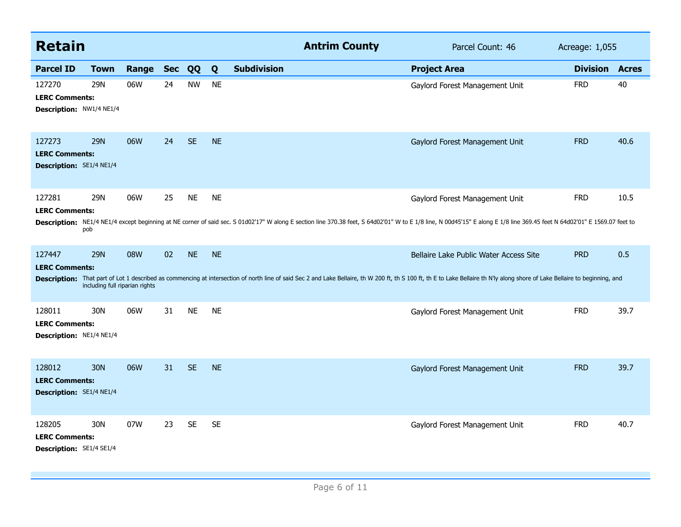| <b>Retain</b>                                                      |                                              |       |            |           |           | <b>Antrim County</b>                                                                                                                                                                                                          | Parcel Count: 46                       | Acreage: 1,055        |      |
|--------------------------------------------------------------------|----------------------------------------------|-------|------------|-----------|-----------|-------------------------------------------------------------------------------------------------------------------------------------------------------------------------------------------------------------------------------|----------------------------------------|-----------------------|------|
| <b>Parcel ID</b>                                                   | <b>Town</b>                                  | Range | <b>Sec</b> | QQ        | Q         | <b>Subdivision</b>                                                                                                                                                                                                            | <b>Project Area</b>                    | <b>Division Acres</b> |      |
| 127270<br><b>LERC Comments:</b><br>Description: NW1/4 NE1/4        | 29N                                          | 06W   | 24         | <b>NW</b> | <b>NE</b> |                                                                                                                                                                                                                               | Gaylord Forest Management Unit         | <b>FRD</b>            | 40   |
| 127273<br><b>LERC Comments:</b><br><b>Description: SE1/4 NE1/4</b> | <b>29N</b>                                   | 06W   | 24         | <b>SE</b> | <b>NE</b> |                                                                                                                                                                                                                               | Gaylord Forest Management Unit         | <b>FRD</b>            | 40.6 |
| 127281<br><b>LERC Comments:</b>                                    | <b>29N</b><br>pob                            | 06W   | 25         | <b>NE</b> | <b>NE</b> | Description: NE1/4 NE1/4 except beginning at NE corner of said sec. S 01d02'17" W along E section line 370.38 feet, S 64d02'01" W to E 1/8 line, N 00d45'15" E along E 1/8 line 369.45 feet N 64d02'01" E 1569.07 feet to     | Gaylord Forest Management Unit         | <b>FRD</b>            | 10.5 |
| 127447<br><b>LERC Comments:</b>                                    | <b>29N</b><br>including full riparian rights | 08W   | 02         | <b>NE</b> | <b>NE</b> | Description: That part of Lot 1 described as commencing at intersection of north line of said Sec 2 and Lake Bellaire, th W 200 ft, th S 100 ft, th E to Lake Bellaire th N'ly along shore of Lake Bellaire to beginning, and | Bellaire Lake Public Water Access Site | <b>PRD</b>            | 0.5  |
| 128011<br><b>LERC Comments:</b><br><b>Description: NE1/4 NE1/4</b> | 30N                                          | 06W   | 31         | <b>NE</b> | <b>NE</b> |                                                                                                                                                                                                                               | Gaylord Forest Management Unit         | <b>FRD</b>            | 39.7 |
| 128012<br><b>LERC Comments:</b><br><b>Description: SE1/4 NE1/4</b> | <b>30N</b>                                   | 06W   | 31         | <b>SE</b> | <b>NE</b> |                                                                                                                                                                                                                               | Gaylord Forest Management Unit         | <b>FRD</b>            | 39.7 |
| 128205<br><b>LERC Comments:</b><br>Description: SE1/4 SE1/4        | 30N                                          | 07W   | 23         | <b>SE</b> | <b>SE</b> |                                                                                                                                                                                                                               | Gaylord Forest Management Unit         | <b>FRD</b>            | 40.7 |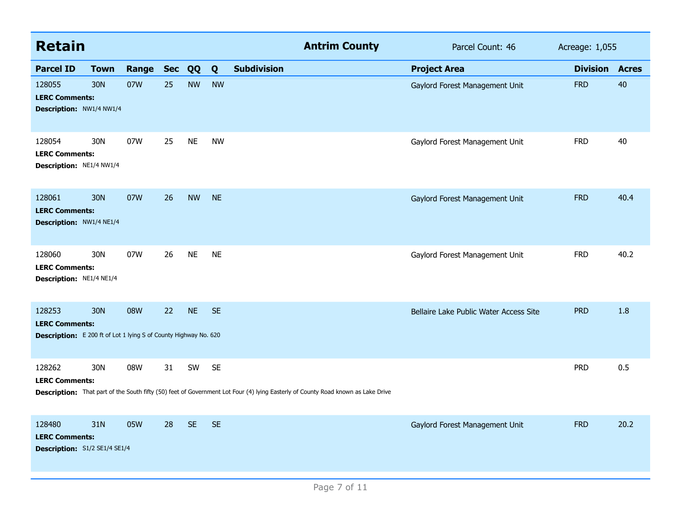| <b>Retain</b>                                                                                              |                 |       |            |           |           |                    | <b>Antrim County</b>                                                                                                             | Parcel Count: 46                       | Acreage: 1,055  |              |
|------------------------------------------------------------------------------------------------------------|-----------------|-------|------------|-----------|-----------|--------------------|----------------------------------------------------------------------------------------------------------------------------------|----------------------------------------|-----------------|--------------|
| <b>Parcel ID</b>                                                                                           | <b>Town</b>     | Range | <b>Sec</b> | QQ        | Q         | <b>Subdivision</b> |                                                                                                                                  | <b>Project Area</b>                    | <b>Division</b> | <b>Acres</b> |
| 128055<br><b>LERC Comments:</b><br>Description: NW1/4 NW1/4                                                | 30N             | 07W   | 25         | <b>NW</b> | <b>NW</b> |                    |                                                                                                                                  | Gaylord Forest Management Unit         | <b>FRD</b>      | 40           |
| 128054<br><b>LERC Comments:</b><br>Description: NE1/4 NW1/4                                                | 30N             | 07W   | 25         | <b>NE</b> | <b>NW</b> |                    |                                                                                                                                  | Gaylord Forest Management Unit         | <b>FRD</b>      | 40           |
| 128061<br><b>LERC Comments:</b><br>Description: NW1/4 NE1/4                                                | 30 <sub>N</sub> | 07W   | 26         | <b>NW</b> | <b>NE</b> |                    |                                                                                                                                  | Gaylord Forest Management Unit         | <b>FRD</b>      | 40.4         |
| 128060<br><b>LERC Comments:</b><br>Description: NE1/4 NE1/4                                                | 30N             | 07W   | 26         | <b>NE</b> | <b>NE</b> |                    |                                                                                                                                  | Gaylord Forest Management Unit         | <b>FRD</b>      | 40.2         |
| 128253<br><b>LERC Comments:</b><br><b>Description:</b> E 200 ft of Lot 1 lying S of County Highway No. 620 | 30N             | 08W   | 22         | <b>NE</b> | <b>SE</b> |                    |                                                                                                                                  | Bellaire Lake Public Water Access Site | <b>PRD</b>      | 1.8          |
| 128262<br><b>LERC Comments:</b>                                                                            | 30N             | 08W   | 31         | SW        | <b>SE</b> |                    | Description: That part of the South fifty (50) feet of Government Lot Four (4) lying Easterly of County Road known as Lake Drive |                                        | <b>PRD</b>      | 0.5          |
| 128480<br><b>LERC Comments:</b><br>Description: S1/2 SE1/4 SE1/4                                           | 31N             | 05W   | 28         | <b>SE</b> | <b>SE</b> |                    |                                                                                                                                  | Gaylord Forest Management Unit         | <b>FRD</b>      | 20.2         |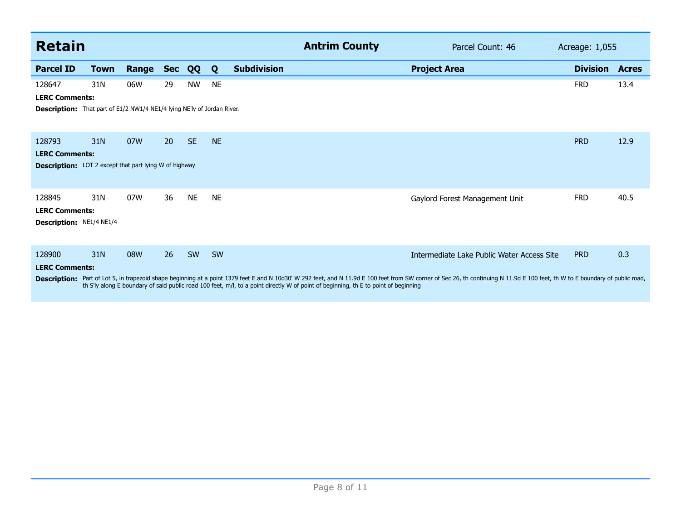| Retain                                                                                                            |      |       |            |           |           |                    | <b>Antrim County</b>                                                                                                                | Parcel Count: 46                                                                                                                                                                                                                                                | Acreage: 1,055  |              |
|-------------------------------------------------------------------------------------------------------------------|------|-------|------------|-----------|-----------|--------------------|-------------------------------------------------------------------------------------------------------------------------------------|-----------------------------------------------------------------------------------------------------------------------------------------------------------------------------------------------------------------------------------------------------------------|-----------------|--------------|
| <b>Parcel ID</b>                                                                                                  | Town | Range | <b>Sec</b> | QQ        | Q         | <b>Subdivision</b> |                                                                                                                                     | <b>Project Area</b>                                                                                                                                                                                                                                             | <b>Division</b> | <b>Acres</b> |
| 128647<br><b>LERC Comments:</b><br><b>Description:</b> That part of E1/2 NW1/4 NE1/4 lying NE'ly of Jordan River. | 31N  | 06W   | 29         | <b>NW</b> | <b>NE</b> |                    |                                                                                                                                     |                                                                                                                                                                                                                                                                 | <b>FRD</b>      | 13.4         |
| 128793<br><b>LERC Comments:</b><br><b>Description:</b> LOT 2 except that part lying W of highway                  | 31N  | 07W   | <b>20</b>  | <b>SE</b> | <b>NE</b> |                    |                                                                                                                                     |                                                                                                                                                                                                                                                                 | <b>PRD</b>      | 12.9         |
| 128845<br><b>LERC Comments:</b><br>Description: NE1/4 NE1/4                                                       | 31N  | 07W   | 36         | <b>NE</b> | <b>NE</b> |                    |                                                                                                                                     | Gaylord Forest Management Unit                                                                                                                                                                                                                                  | <b>FRD</b>      | 40.5         |
| 128900<br><b>LERC Comments:</b><br><b>Description:</b>                                                            | 31N  | 08W   | 26         | SW        | <b>SW</b> |                    | th S'ly along E boundary of said public road 100 feet, m/l, to a point directly W of point of beginning, th E to point of beginning | Intermediate Lake Public Water Access Site<br>Part of Lot 5, in trapezoid shape beginning at a point 1379 feet E and N 10d30' W 292 feet, and N 11.9d E 100 feet from SW corner of Sec 26, th continuing N 11.9d E 100 feet, th W to E boundary of public road, | <b>PRD</b>      | 0.3          |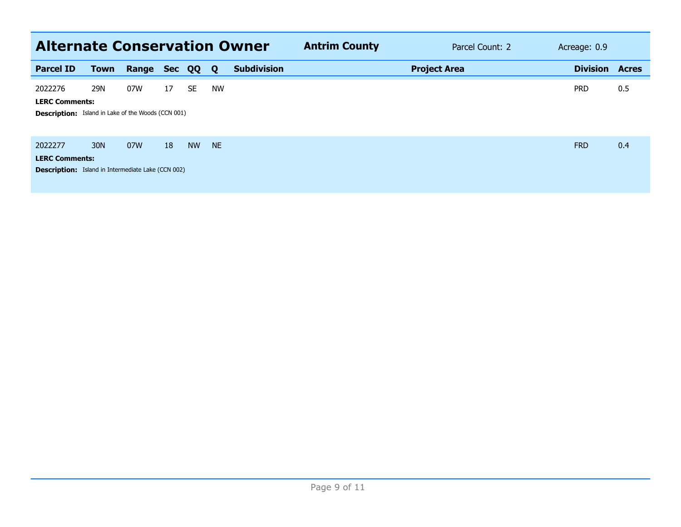| <b>Alternate Conservation Owner</b>                                                           |                 |       |            |           |           |                    | <b>Antrim County</b> |                     | Parcel Count: 2 | Acreage: 0.9    |              |
|-----------------------------------------------------------------------------------------------|-----------------|-------|------------|-----------|-----------|--------------------|----------------------|---------------------|-----------------|-----------------|--------------|
| <b>Parcel ID</b>                                                                              | <b>Town</b>     | Range | <b>Sec</b> | QQ        | <b>O</b>  | <b>Subdivision</b> |                      | <b>Project Area</b> |                 | <b>Division</b> | <b>Acres</b> |
| 2022276<br><b>LERC Comments:</b><br><b>Description:</b> Island in Lake of the Woods (CCN 001) | 29N             | 07W   | 17         | <b>SE</b> | <b>NW</b> |                    |                      |                     |                 | <b>PRD</b>      | 0.5          |
| 2022277<br><b>LERC Comments:</b><br><b>Description:</b> Island in Intermediate Lake (CCN 002) | 30 <sub>N</sub> | 07W   | 18         | <b>NW</b> | <b>NE</b> |                    |                      |                     |                 | <b>FRD</b>      | 0.4          |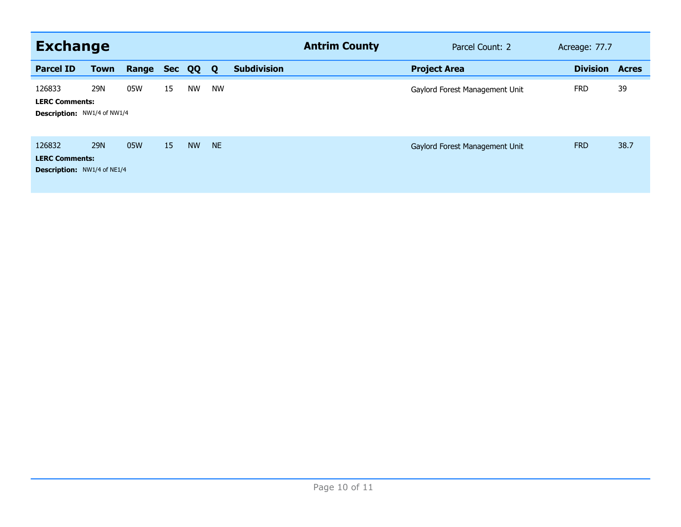| <b>Exchange</b>                                                       |             |       |            |           |           |                    | <b>Antrim County</b> | Parcel Count: 2                | Acreage: 77.7   |              |
|-----------------------------------------------------------------------|-------------|-------|------------|-----------|-----------|--------------------|----------------------|--------------------------------|-----------------|--------------|
| <b>Parcel ID</b>                                                      | <b>Town</b> | Range | <b>Sec</b> | QQ        | Q         | <b>Subdivision</b> |                      | <b>Project Area</b>            | <b>Division</b> | <b>Acres</b> |
| 126833<br><b>LERC Comments:</b><br>Description: NW1/4 of NW1/4        | 29N         | 05W   | 15         | <b>NW</b> | <b>NW</b> |                    |                      | Gaylord Forest Management Unit | <b>FRD</b>      | 39           |
| 126832<br><b>LERC Comments:</b><br><b>Description:</b> NW1/4 of NE1/4 | <b>29N</b>  | 05W   | 15         | <b>NW</b> | <b>NE</b> |                    |                      | Gaylord Forest Management Unit | <b>FRD</b>      | 38.7         |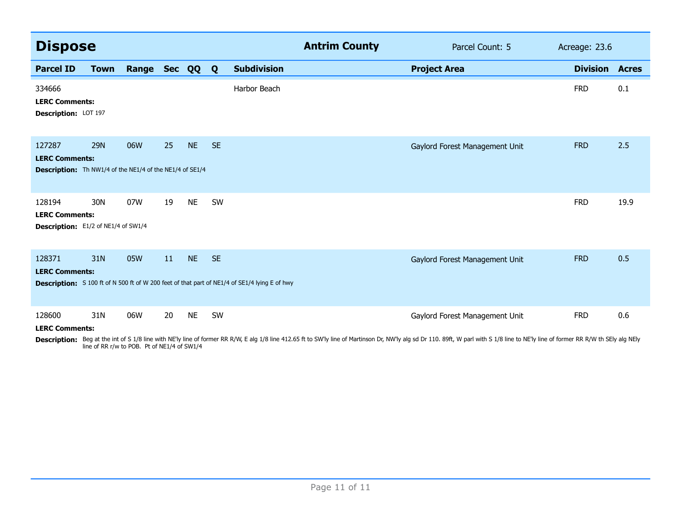| <b>Dispose</b>                                                                                     |             |              |    |           |           | <b>Antrim County</b>                                                                          | Parcel Count: 5                | Acreage: 23.6   |              |
|----------------------------------------------------------------------------------------------------|-------------|--------------|----|-----------|-----------|-----------------------------------------------------------------------------------------------|--------------------------------|-----------------|--------------|
| <b>Parcel ID</b>                                                                                   | <b>Town</b> | Range Sec QQ |    |           | Q         | <b>Subdivision</b>                                                                            | <b>Project Area</b>            | <b>Division</b> | <b>Acres</b> |
| 334666<br><b>LERC Comments:</b><br>Description: LOT 197                                            |             |              |    |           |           | Harbor Beach                                                                                  |                                | <b>FRD</b>      | 0.1          |
| 127287<br><b>LERC Comments:</b><br><b>Description:</b> Th NW1/4 of the NE1/4 of the NE1/4 of SE1/4 | <b>29N</b>  | 06W          | 25 | <b>NE</b> | <b>SE</b> |                                                                                               | Gaylord Forest Management Unit | <b>FRD</b>      | 2.5          |
| 128194<br><b>LERC Comments:</b><br>Description: E1/2 of NE1/4 of SW1/4                             | 30N         | 07W          | 19 | <b>NE</b> | SW        |                                                                                               |                                | <b>FRD</b>      | 19.9         |
| 128371<br><b>LERC Comments:</b>                                                                    | 31N         | 05W          | 11 | <b>NE</b> | <b>SE</b> | Description: S 100 ft of N 500 ft of W 200 feet of that part of NE1/4 of SE1/4 lying E of hwy | Gaylord Forest Management Unit | <b>FRD</b>      | 0.5          |
| 128600<br><b>LERC Comments:</b>                                                                    | 31N         | 06W          | 20 | <b>NE</b> | SW        |                                                                                               | Gaylord Forest Management Unit | <b>FRD</b>      | 0.6          |

**Description:** Beg at the int of S 1/8 line with NE'ly line of former RR R/W, E alg 1/8 line 412.65 ft to SW'ly line of Martinson Dr, NW'ly alg sd Dr 110. 89ft, W parl with S 1/8 line to NE'ly line of former RR R/W th SEly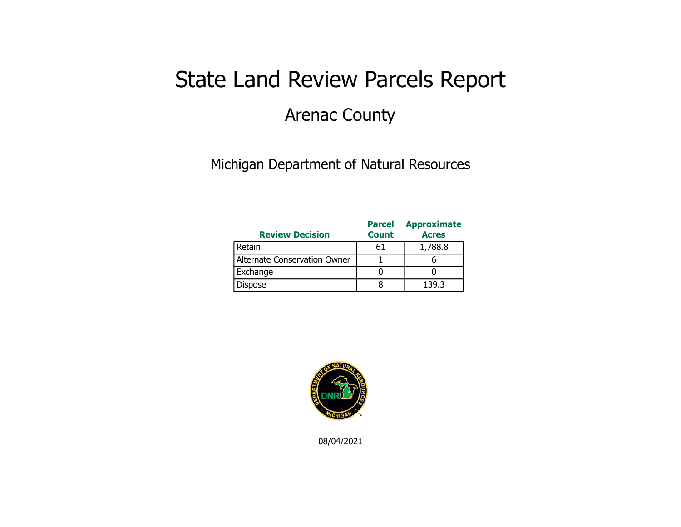### State Land Review Parcels Report Arenac County

### Michigan Department of Natural Resources

| <b>Review Decision</b>       | <b>Parcel</b><br><b>Count</b> | <b>Approximate</b><br><b>Acres</b> |
|------------------------------|-------------------------------|------------------------------------|
| Retain                       | 61                            | 1,788.8                            |
| Alternate Conservation Owner |                               |                                    |
| Exchange                     |                               |                                    |
| Dispose                      |                               | 139.3                              |



08/04/2021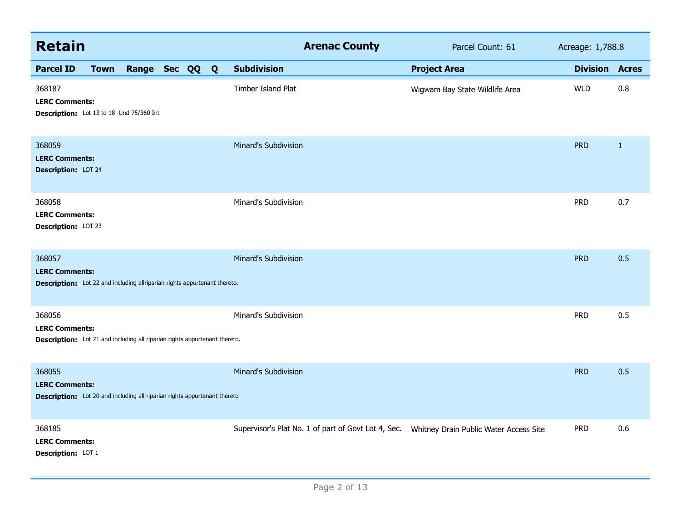| <b>Retain</b>                                                                                                        |             |                |  |                      | <b>Arenac County</b> | Parcel Count: 61                                                                            | Acreage: 1,788.8 |                       |
|----------------------------------------------------------------------------------------------------------------------|-------------|----------------|--|----------------------|----------------------|---------------------------------------------------------------------------------------------|------------------|-----------------------|
| <b>Parcel ID</b>                                                                                                     | <b>Town</b> | Range Sec QQ Q |  | <b>Subdivision</b>   |                      | <b>Project Area</b>                                                                         |                  | <b>Division Acres</b> |
| 368187<br><b>LERC Comments:</b><br>Description: Lot 13 to 18 Und 75/360 Int                                          |             |                |  | Timber Island Plat   |                      | Wigwam Bay State Wildlife Area                                                              | <b>WLD</b>       | 0.8                   |
| 368059<br><b>LERC Comments:</b><br>Description: LOT 24                                                               |             |                |  | Minard's Subdivision |                      |                                                                                             | <b>PRD</b>       | $\mathbf{1}$          |
| 368058<br><b>LERC Comments:</b><br>Description: LOT 23                                                               |             |                |  | Minard's Subdivision |                      |                                                                                             | <b>PRD</b>       | 0.7                   |
| 368057<br><b>LERC Comments:</b><br><b>Description:</b> Lot 22 and including allriparian rights appurtenant thereto.  |             |                |  | Minard's Subdivision |                      |                                                                                             | <b>PRD</b>       | 0.5                   |
| 368056<br><b>LERC Comments:</b><br><b>Description:</b> Lot 21 and including all riparian rights appurtenant thereto. |             |                |  | Minard's Subdivision |                      |                                                                                             | <b>PRD</b>       | 0.5                   |
| 368055<br><b>LERC Comments:</b><br><b>Description:</b> Lot 20 and including all riparian rights appurtenant thereto  |             |                |  | Minard's Subdivision |                      |                                                                                             | <b>PRD</b>       | 0.5                   |
| 368185<br><b>LERC Comments:</b><br>Description: LOT 1                                                                |             |                |  |                      |                      | Supervisor's Plat No. 1 of part of Govt Lot 4, Sec.  Whitney Drain Public Water Access Site | <b>PRD</b>       | 0.6                   |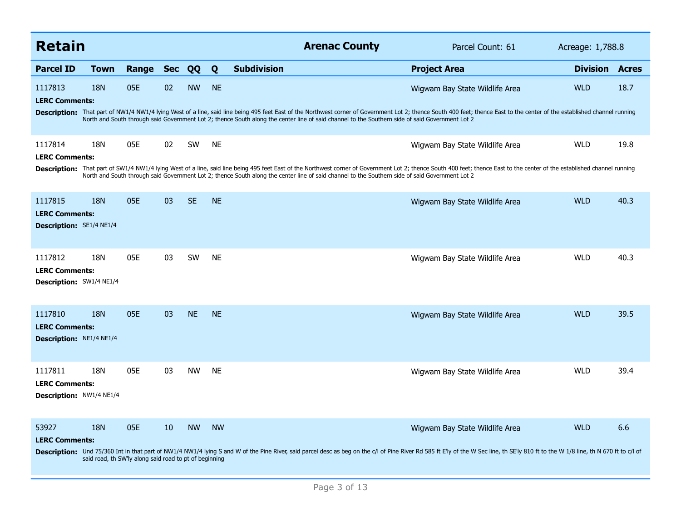| <b>Retain</b>                                                       |            |                                                               |            |           |           |                    | <b>Arenac County</b>                                                                                                                            | Parcel Count: 61                                                                                                                                                                                                                                                | Acreage: 1,788.8 |              |
|---------------------------------------------------------------------|------------|---------------------------------------------------------------|------------|-----------|-----------|--------------------|-------------------------------------------------------------------------------------------------------------------------------------------------|-----------------------------------------------------------------------------------------------------------------------------------------------------------------------------------------------------------------------------------------------------------------|------------------|--------------|
| <b>Parcel ID</b>                                                    | Town       | Range                                                         | <b>Sec</b> | QQ        | Q         | <b>Subdivision</b> |                                                                                                                                                 | <b>Project Area</b>                                                                                                                                                                                                                                             | <b>Division</b>  | <b>Acres</b> |
| 1117813<br><b>LERC Comments:</b>                                    | 18N        | 05E                                                           | 02         | <b>NW</b> | <b>NE</b> |                    |                                                                                                                                                 | Wigwam Bay State Wildlife Area                                                                                                                                                                                                                                  | <b>WLD</b>       | 18.7         |
|                                                                     |            |                                                               |            |           |           |                    | North and South through said Government Lot 2; thence South along the center line of said channel to the Southern side of said Government Lot 2 | Description: That part of NW1/4 NW1/4 lying West of a line, said line being 495 feet East of the Northwest corner of Government Lot 2; thence South 400 feet; thence East to the center of the established channel running                                      |                  |              |
| 1117814                                                             | 18N        | 05E                                                           | 02         | <b>SW</b> | <b>NE</b> |                    |                                                                                                                                                 | Wigwam Bay State Wildlife Area                                                                                                                                                                                                                                  | <b>WLD</b>       | 19.8         |
| <b>LERC Comments:</b>                                               |            |                                                               |            |           |           |                    | North and South through said Government Lot 2; thence South along the center line of said channel to the Southern side of said Government Lot 2 | Description: That part of SW1/4 NW1/4 lying West of a line, said line being 495 feet East of the Northwest corner of Government Lot 2; thence South 400 feet; thence East to the center of the established channel running                                      |                  |              |
| 1117815<br><b>LERC Comments:</b><br><b>Description:</b> SE1/4 NE1/4 | <b>18N</b> | 05E                                                           | 03         | <b>SE</b> | <b>NE</b> |                    |                                                                                                                                                 | Wigwam Bay State Wildlife Area                                                                                                                                                                                                                                  | <b>WLD</b>       | 40.3         |
| 1117812<br><b>LERC Comments:</b><br>Description: SW1/4 NE1/4        | 18N        | 05E                                                           | 03         | SW        | <b>NE</b> |                    |                                                                                                                                                 | Wigwam Bay State Wildlife Area                                                                                                                                                                                                                                  | <b>WLD</b>       | 40.3         |
| 1117810<br><b>LERC Comments:</b><br>Description: NE1/4 NE1/4        | <b>18N</b> | 05E                                                           | 03         | <b>NE</b> | <b>NE</b> |                    |                                                                                                                                                 | Wigwam Bay State Wildlife Area                                                                                                                                                                                                                                  | <b>WLD</b>       | 39.5         |
| 1117811<br><b>LERC Comments:</b><br><b>Description: NW1/4 NE1/4</b> | 18N        | 05E                                                           | 03         | <b>NW</b> | <b>NE</b> |                    |                                                                                                                                                 | Wigwam Bay State Wildlife Area                                                                                                                                                                                                                                  | <b>WLD</b>       | 39.4         |
| 53927<br><b>LERC Comments:</b>                                      | <b>18N</b> | 05E<br>said road, th SW'ly along said road to pt of beginning | 10         | <b>NW</b> | <b>NW</b> |                    |                                                                                                                                                 | Wigwam Bay State Wildlife Area<br>Description: Und 75/360 Int in that part of NW1/4 NW1/4 lying S and W of the Pine River, said parcel desc as beg on the c/l of Pine River Rd 585 ft E'ly of the W Sec line, th SE'ly 810 ft to the W 1/8 line, th N 670 ft to | <b>WLD</b>       | 6.6          |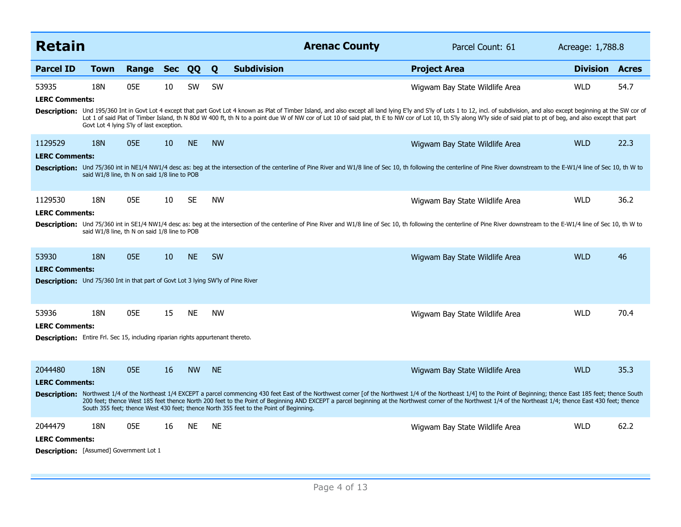| <b>Retain</b>                                                                                                             |                                                            |       |            |           |           | <b>Arenac County</b>                                                                   | Parcel Count: 61                                                                                                                                                                                                                                                                                                                                                                                                                                                                           | Acreage: 1,788.8 |              |
|---------------------------------------------------------------------------------------------------------------------------|------------------------------------------------------------|-------|------------|-----------|-----------|----------------------------------------------------------------------------------------|--------------------------------------------------------------------------------------------------------------------------------------------------------------------------------------------------------------------------------------------------------------------------------------------------------------------------------------------------------------------------------------------------------------------------------------------------------------------------------------------|------------------|--------------|
| <b>Parcel ID</b>                                                                                                          | Town                                                       | Range | <b>Sec</b> | QQ        | Q         | <b>Subdivision</b>                                                                     | <b>Project Area</b>                                                                                                                                                                                                                                                                                                                                                                                                                                                                        | <b>Division</b>  | <b>Acres</b> |
| 53935<br><b>LERC Comments:</b>                                                                                            | 18N<br>Govt Lot 4 lying S'ly of last exception.            | 05E   | 10         | SW        | SW        |                                                                                        | Wigwam Bay State Wildlife Area<br>Description: Und 195/360 Int in Govt Lot 4 except that part Govt Lot 4 known as Plat of Timber Island, and also except all land lying E'ly and S'ly of Lots 1 to 12, incl. of subdivision, and also except beginning at the SW<br>Lot 1 of said Plat of Timber Island, th N 80d W 400 ft, th N to a point due W of NW cor of Lot 10 of said plat, th E to NW cor of Lot 10, th S'ly along W'ly side of said plat to pt of beg, and also except that part | <b>WLD</b>       | 54.7         |
| 1129529<br><b>LERC Comments:</b>                                                                                          | <b>18N</b><br>said W1/8 line, th N on said 1/8 line to POB | 05E   | 10         | <b>NE</b> | <b>NW</b> |                                                                                        | Wigwam Bay State Wildlife Area<br>Description: Und 75/360 int in NE1/4 NW1/4 desc as: beg at the intersection of the centerline of Pine River and W1/8 line of Sec 10, th following the centerline of Pine River downstream to the E-W1/4 line of Sec 10, th W t                                                                                                                                                                                                                           | <b>WLD</b>       | 22.3         |
| 1129530<br><b>LERC Comments:</b>                                                                                          | 18N<br>said W1/8 line, th N on said 1/8 line to POB        | 05E   | 10         | <b>SE</b> | <b>NW</b> |                                                                                        | Wigwam Bay State Wildlife Area<br>Description: Und 75/360 int in SE1/4 NW1/4 desc as: beg at the intersection of the centerline of Pine River and W1/8 line of Sec 10, th following the centerline of Pine River downstream to the E-W1/4 line of Sec 10, th W t                                                                                                                                                                                                                           | <b>WLD</b>       | 36.2         |
| 53930<br><b>LERC Comments:</b><br><b>Description:</b> Und 75/360 Int in that part of Govt Lot 3 lying SW'ly of Pine River | <b>18N</b>                                                 | 05E   | 10         | <b>NE</b> | <b>SW</b> |                                                                                        | Wigwam Bay State Wildlife Area                                                                                                                                                                                                                                                                                                                                                                                                                                                             | <b>WLD</b>       | 46           |
| 53936<br><b>LERC Comments:</b><br><b>Description:</b> Entire Frl. Sec 15, including riparian rights appurtenant thereto.  | 18N                                                        | 05E   | 15         | <b>NE</b> | <b>NW</b> |                                                                                        | Wigwam Bay State Wildlife Area                                                                                                                                                                                                                                                                                                                                                                                                                                                             | <b>WLD</b>       | 70.4         |
| 2044480<br><b>LERC Comments:</b>                                                                                          | <b>18N</b>                                                 | 05E   | 16         | <b>NW</b> | <b>NE</b> | South 355 feet; thence West 430 feet; thence North 355 feet to the Point of Beginning. | Wigwam Bay State Wildlife Area<br>Description: Northwest 1/4 of the Northeast 1/4 EXCEPT a parcel commencing 430 feet East of the Northwest corner [of the Northwest 1/4 of the Northeast 1/4] to the Point of Beginning; thence East 185 feet; thence South<br>200 feet; thence West 185 feet thence North 200 feet to the Point of Beginning AND EXCEPT a parcel beginning at the Northwest corner of the Northwest 1/4 of the Northeast 1/4; thence East 430 feet; thence               | <b>WLD</b>       | 35.3         |
| 2044479<br><b>LERC Comments:</b><br><b>Description:</b> [Assumed] Government Lot 1                                        | 18N                                                        | 05E   | 16         | <b>NE</b> | <b>NE</b> |                                                                                        | Wigwam Bay State Wildlife Area                                                                                                                                                                                                                                                                                                                                                                                                                                                             | <b>WLD</b>       | 62.2         |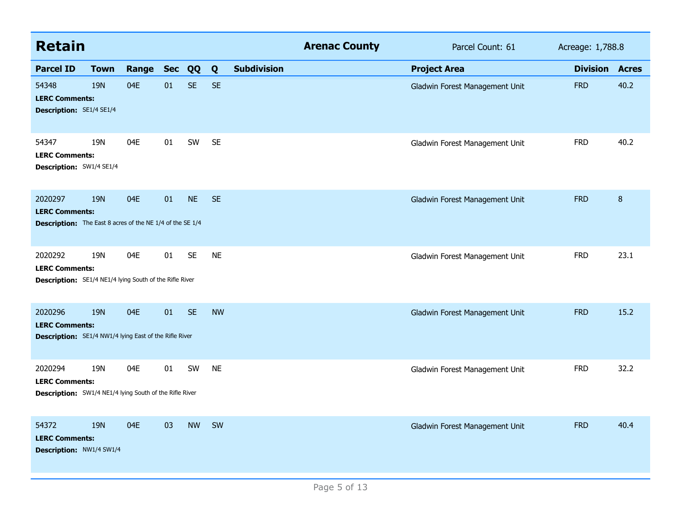| <b>Retain</b>                                                                                        |             |       |            |           |           |                    | <b>Arenac County</b> | Parcel Count: 61               | Acreage: 1,788.8 |                  |
|------------------------------------------------------------------------------------------------------|-------------|-------|------------|-----------|-----------|--------------------|----------------------|--------------------------------|------------------|------------------|
| <b>Parcel ID</b>                                                                                     | <b>Town</b> | Range | <b>Sec</b> | QQ        | Q         | <b>Subdivision</b> |                      | <b>Project Area</b>            | <b>Division</b>  | <b>Acres</b>     |
| 54348<br><b>LERC Comments:</b><br><b>Description: SE1/4 SE1/4</b>                                    | <b>19N</b>  | 04E   | 01         | <b>SE</b> | <b>SE</b> |                    |                      | Gladwin Forest Management Unit | <b>FRD</b>       | 40.2             |
| 54347<br><b>LERC Comments:</b><br><b>Description: SW1/4 SE1/4</b>                                    | 19N         | 04E   | 01         | SW        | <b>SE</b> |                    |                      | Gladwin Forest Management Unit | <b>FRD</b>       | 40.2             |
| 2020297<br><b>LERC Comments:</b><br><b>Description:</b> The East 8 acres of the NE 1/4 of the SE 1/4 | <b>19N</b>  | 04E   | 01         | <b>NE</b> | <b>SE</b> |                    |                      | Gladwin Forest Management Unit | <b>FRD</b>       | $\boldsymbol{8}$ |
| 2020292<br><b>LERC Comments:</b><br><b>Description:</b> SE1/4 NE1/4 lying South of the Rifle River   | 19N         | 04E   | 01         | <b>SE</b> | <b>NE</b> |                    |                      | Gladwin Forest Management Unit | <b>FRD</b>       | 23.1             |
| 2020296<br><b>LERC Comments:</b><br><b>Description:</b> SE1/4 NW1/4 lying East of the Rifle River    | <b>19N</b>  | 04E   | 01         | <b>SE</b> | <b>NW</b> |                    |                      | Gladwin Forest Management Unit | <b>FRD</b>       | 15.2             |
| 2020294<br><b>LERC Comments:</b><br><b>Description:</b> SW1/4 NE1/4 lying South of the Rifle River   | 19N         | 04E   | 01         | SW        | <b>NE</b> |                    |                      | Gladwin Forest Management Unit | <b>FRD</b>       | 32.2             |
| 54372<br><b>LERC Comments:</b><br><b>Description: NW1/4 SW1/4</b>                                    | <b>19N</b>  | 04E   | 03         | <b>NW</b> | <b>SW</b> |                    |                      | Gladwin Forest Management Unit | <b>FRD</b>       | 40.4             |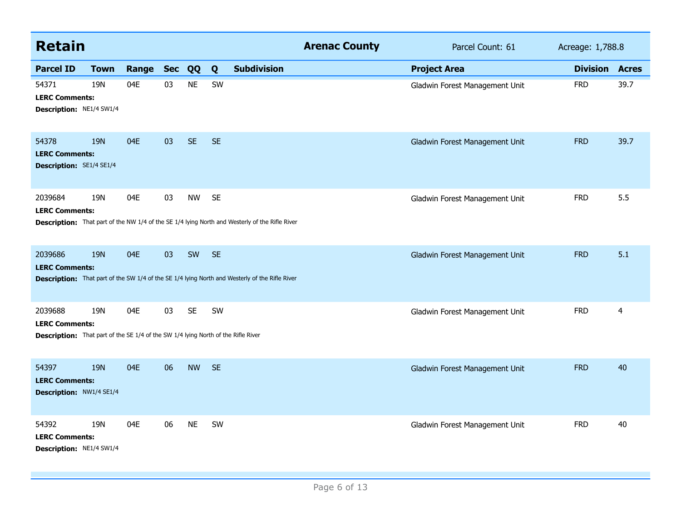| <b>Retain</b>                                                                                                                |             |       |        |           |           |                                                                                                       | <b>Arenac County</b> | Parcel Count: 61               | Acreage: 1,788.8 |              |
|------------------------------------------------------------------------------------------------------------------------------|-------------|-------|--------|-----------|-----------|-------------------------------------------------------------------------------------------------------|----------------------|--------------------------------|------------------|--------------|
| <b>Parcel ID</b>                                                                                                             | <b>Town</b> | Range | Sec QQ |           | Q         | <b>Subdivision</b>                                                                                    |                      | <b>Project Area</b>            | <b>Division</b>  | <b>Acres</b> |
| 54371<br><b>LERC Comments:</b><br>Description: NE1/4 SW1/4                                                                   | 19N         | 04E   | 03     | <b>NE</b> | SW        |                                                                                                       |                      | Gladwin Forest Management Unit | <b>FRD</b>       | 39.7         |
| 54378<br><b>LERC Comments:</b><br><b>Description: SE1/4 SE1/4</b>                                                            | <b>19N</b>  | 04E   | 03     | <b>SE</b> | <b>SE</b> |                                                                                                       |                      | Gladwin Forest Management Unit | <b>FRD</b>       | 39.7         |
| 2039684<br><b>LERC Comments:</b>                                                                                             | 19N         | 04E   | 03     | <b>NW</b> | <b>SE</b> | <b>Description:</b> That part of the NW 1/4 of the SE 1/4 lying North and Westerly of the Rifle River |                      | Gladwin Forest Management Unit | <b>FRD</b>       | 5.5          |
| 2039686<br><b>LERC Comments:</b>                                                                                             | <b>19N</b>  | 04E   | 03     | SW        | <b>SE</b> | <b>Description:</b> That part of the SW 1/4 of the SE 1/4 lying North and Westerly of the Rifle River |                      | Gladwin Forest Management Unit | <b>FRD</b>       | 5.1          |
| 2039688<br><b>LERC Comments:</b><br><b>Description:</b> That part of the SE 1/4 of the SW 1/4 lying North of the Rifle River | 19N         | 04E   | 03     | <b>SE</b> | SW        |                                                                                                       |                      | Gladwin Forest Management Unit | <b>FRD</b>       | 4            |
| 54397<br><b>LERC Comments:</b><br>Description: NW1/4 SE1/4                                                                   | <b>19N</b>  | 04E   | 06     | <b>NW</b> | <b>SE</b> |                                                                                                       |                      | Gladwin Forest Management Unit | <b>FRD</b>       | 40           |
| 54392<br><b>LERC Comments:</b><br>Description: NE1/4 SW1/4                                                                   | 19N         | 04E   | 06     | <b>NE</b> | SW        |                                                                                                       |                      | Gladwin Forest Management Unit | <b>FRD</b>       | 40           |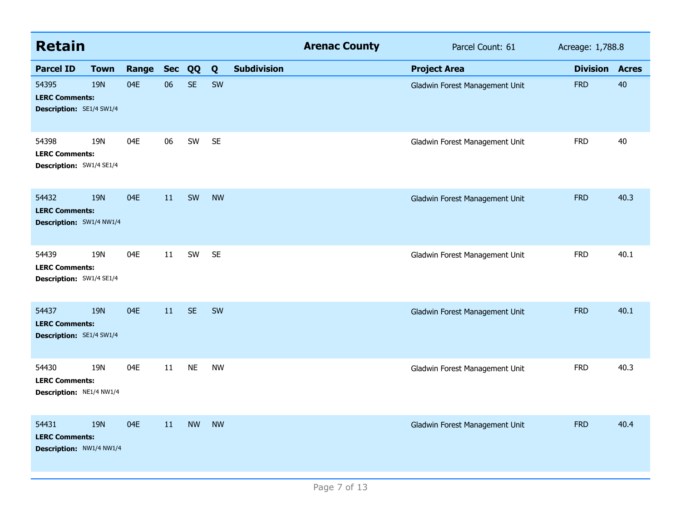| <b>Retain</b>                                                     |             |              |    |           |           |                    | <b>Arenac County</b> | Parcel Count: 61               | Acreage: 1,788.8      |      |  |
|-------------------------------------------------------------------|-------------|--------------|----|-----------|-----------|--------------------|----------------------|--------------------------------|-----------------------|------|--|
| <b>Parcel ID</b>                                                  | <b>Town</b> | Range Sec QQ |    |           | Q         | <b>Subdivision</b> |                      | <b>Project Area</b>            | <b>Division Acres</b> |      |  |
| 54395<br><b>LERC Comments:</b><br><b>Description:</b> SE1/4 SW1/4 | <b>19N</b>  | 04E          | 06 | <b>SE</b> | SW        |                    |                      | Gladwin Forest Management Unit | <b>FRD</b>            | 40   |  |
| 54398<br><b>LERC Comments:</b><br>Description: SW1/4 SE1/4        | 19N         | 04E          | 06 | SW        | <b>SE</b> |                    |                      | Gladwin Forest Management Unit | <b>FRD</b>            | 40   |  |
| 54432<br><b>LERC Comments:</b><br>Description: SW1/4 NW1/4        | <b>19N</b>  | 04E          | 11 | SW        | <b>NW</b> |                    |                      | Gladwin Forest Management Unit | <b>FRD</b>            | 40.3 |  |
| 54439<br><b>LERC Comments:</b><br>Description: SW1/4 SE1/4        | 19N         | 04E          | 11 | SW        | <b>SE</b> |                    |                      | Gladwin Forest Management Unit | <b>FRD</b>            | 40.1 |  |
| 54437<br><b>LERC Comments:</b><br><b>Description: SE1/4 SW1/4</b> | <b>19N</b>  | 04E          | 11 | <b>SE</b> | SW        |                    |                      | Gladwin Forest Management Unit | <b>FRD</b>            | 40.1 |  |
| 54430<br><b>LERC Comments:</b><br>Description: NE1/4 NW1/4        | 19N         | 04E          | 11 | <b>NE</b> | <b>NW</b> |                    |                      | Gladwin Forest Management Unit | <b>FRD</b>            | 40.3 |  |
| 54431<br><b>LERC Comments:</b><br>Description: NW1/4 NW1/4        | <b>19N</b>  | 04E          | 11 | <b>NW</b> | <b>NW</b> |                    |                      | Gladwin Forest Management Unit | <b>FRD</b>            | 40.4 |  |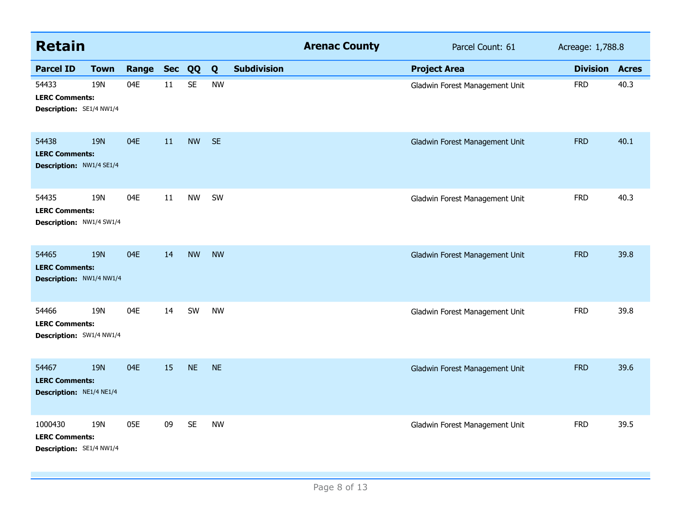| <b>Retain</b>                                                |             |       |            |           |           |                    | <b>Arenac County</b> | Parcel Count: 61               | Acreage: 1,788.8 |              |
|--------------------------------------------------------------|-------------|-------|------------|-----------|-----------|--------------------|----------------------|--------------------------------|------------------|--------------|
| <b>Parcel ID</b>                                             | <b>Town</b> | Range | <b>Sec</b> | QQ        | Q         | <b>Subdivision</b> |                      | <b>Project Area</b>            | <b>Division</b>  | <b>Acres</b> |
| 54433<br><b>LERC Comments:</b><br>Description: SE1/4 NW1/4   | 19N         | 04E   | 11         | <b>SE</b> | <b>NW</b> |                    |                      | Gladwin Forest Management Unit | <b>FRD</b>       | 40.3         |
| 54438<br><b>LERC Comments:</b><br>Description: NW1/4 SE1/4   | <b>19N</b>  | 04E   | 11         | <b>NW</b> | <b>SE</b> |                    |                      | Gladwin Forest Management Unit | <b>FRD</b>       | 40.1         |
| 54435<br><b>LERC Comments:</b><br>Description: NW1/4 SW1/4   | 19N         | 04E   | 11         | <b>NW</b> | SW        |                    |                      | Gladwin Forest Management Unit | <b>FRD</b>       | 40.3         |
| 54465<br><b>LERC Comments:</b><br>Description: NW1/4 NW1/4   | <b>19N</b>  | 04E   | 14         | <b>NW</b> | <b>NW</b> |                    |                      | Gladwin Forest Management Unit | <b>FRD</b>       | 39.8         |
| 54466<br><b>LERC Comments:</b><br>Description: SW1/4 NW1/4   | 19N         | 04E   | 14         | SW        | <b>NW</b> |                    |                      | Gladwin Forest Management Unit | <b>FRD</b>       | 39.8         |
| 54467<br><b>LERC Comments:</b><br>Description: NE1/4 NE1/4   | <b>19N</b>  | 04E   | 15         | <b>NE</b> | <b>NE</b> |                    |                      | Gladwin Forest Management Unit | <b>FRD</b>       | 39.6         |
| 1000430<br><b>LERC Comments:</b><br>Description: SE1/4 NW1/4 | 19N         | 05E   | 09         | <b>SE</b> | <b>NW</b> |                    |                      | Gladwin Forest Management Unit | <b>FRD</b>       | 39.5         |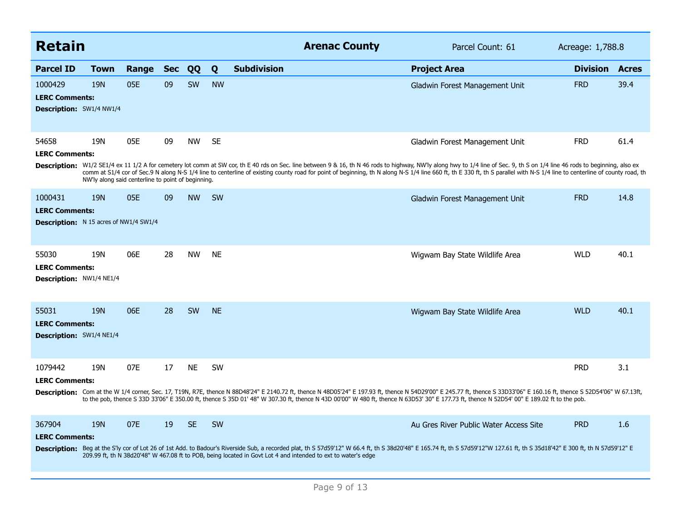| <b>Retain</b>                                                                     |             |                                                           |            |           |           | <b>Arenac County</b>                                                                                                                                                                                                                                                                                                                                                                                                                                       | Parcel Count: 61                       | Acreage: 1,788.8      |      |
|-----------------------------------------------------------------------------------|-------------|-----------------------------------------------------------|------------|-----------|-----------|------------------------------------------------------------------------------------------------------------------------------------------------------------------------------------------------------------------------------------------------------------------------------------------------------------------------------------------------------------------------------------------------------------------------------------------------------------|----------------------------------------|-----------------------|------|
| <b>Parcel ID</b>                                                                  | <b>Town</b> | Range                                                     | <b>Sec</b> | QQ        | Q         | <b>Subdivision</b>                                                                                                                                                                                                                                                                                                                                                                                                                                         | <b>Project Area</b>                    | <b>Division Acres</b> |      |
| 1000429<br><b>LERC Comments:</b><br><b>Description:</b> SW1/4 NW1/4               | <b>19N</b>  | 05E                                                       | 09         | SW        | <b>NW</b> |                                                                                                                                                                                                                                                                                                                                                                                                                                                            | Gladwin Forest Management Unit         | <b>FRD</b>            | 39.4 |
| 54658<br><b>LERC Comments:</b>                                                    | 19N         | 05E<br>NW'ly along said centerline to point of beginning. | 09         | <b>NW</b> | <b>SE</b> | Description: W1/2 SE1/4 ex 11 1/2 A for cemetery lot comm at SW cor, th E 40 rds on Sec. line between 9 & 16, th N 46 rods to highway, NW'ly along hwy to 1/4 line of Sec. 9, th S on 1/4 line 46 rods to beginning, also ex<br>comm at S1/4 cor of Sec.9 N along N-S 1/4 line to centerline of existing county road for point of beginning, th N along N-S 1/4 line 660 ft, th E 330 ft, th S parallel with N-S 1/4 line to centerline of county road, th | Gladwin Forest Management Unit         | <b>FRD</b>            | 61.4 |
| 1000431<br><b>LERC Comments:</b><br><b>Description:</b> N 15 acres of NW1/4 SW1/4 | <b>19N</b>  | 05E                                                       | 09         | <b>NW</b> | <b>SW</b> |                                                                                                                                                                                                                                                                                                                                                                                                                                                            | Gladwin Forest Management Unit         | <b>FRD</b>            | 14.8 |
| 55030<br><b>LERC Comments:</b><br>Description: NW1/4 NE1/4                        | 19N         | 06E                                                       | 28         | <b>NW</b> | <b>NE</b> |                                                                                                                                                                                                                                                                                                                                                                                                                                                            | Wigwam Bay State Wildlife Area         | <b>WLD</b>            | 40.1 |
| 55031<br><b>LERC Comments:</b><br><b>Description:</b> SW1/4 NE1/4                 | <b>19N</b>  | 06E                                                       | 28         | <b>SW</b> | <b>NE</b> |                                                                                                                                                                                                                                                                                                                                                                                                                                                            | Wigwam Bay State Wildlife Area         | <b>WLD</b>            | 40.1 |
| 1079442<br><b>LERC Comments:</b>                                                  | 19N         | 07E                                                       | 17         | <b>NE</b> | <b>SW</b> | Description: Com at the W 1/4 corner, Sec. 17, T19N, R7E, thence N 88D48'24" E 2140.72 ft, thence N 48D05'24" E 197.93 ft, thence N 54D29'00" E 245.77 ft, thence S 33D33'06" E 160.16 ft, thence S 52D54'06" W 67.13ft,<br>to the pob, thence S 33D 33'06" E 350.00 ft, thence S 35D 01' 48" W 307.30 ft, thence N 43D 00'00" W 480 ft, thence N 63D53' 30" E 177.73 ft, thence N 52D54' 00" E 189.02 ft to the pob.                                      |                                        | <b>PRD</b>            | 3.1  |
| 367904<br><b>LERC Comments:</b>                                                   | <b>19N</b>  | 07E                                                       | 19         | <b>SE</b> | SW        | Description: Beg at the S'ly cor of Lot 26 of 1st Add. to Badour's Riverside Sub, a recorded plat, th S 57d59'12" W 66.4 ft, th S 38d20'48" E 165.74 ft, th S 57d59'12"W 127.61 ft, th S 35d18'42" E 300 ft, th N 57d59'12" E<br>209.99 ft, th N 38d20'48" W 467.08 ft to POB, being located in Govt Lot 4 and intended to ext to water's edge                                                                                                             | Au Gres River Public Water Access Site | <b>PRD</b>            | 1.6  |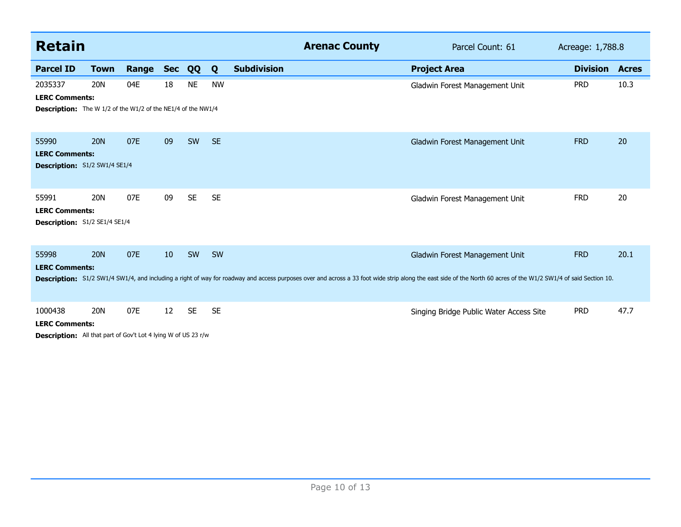| <b>Retain</b>                                                                                             |             |       |            |           |           | <b>Arenac County</b>                                                                                                                                                                                             | Parcel Count: 61                        | Acreage: 1,788.8      |      |
|-----------------------------------------------------------------------------------------------------------|-------------|-------|------------|-----------|-----------|------------------------------------------------------------------------------------------------------------------------------------------------------------------------------------------------------------------|-----------------------------------------|-----------------------|------|
| <b>Parcel ID</b>                                                                                          | <b>Town</b> | Range | <b>Sec</b> | QQ        | Q         | <b>Subdivision</b>                                                                                                                                                                                               | <b>Project Area</b>                     | <b>Division Acres</b> |      |
| 2035337<br><b>LERC Comments:</b><br><b>Description:</b> The W 1/2 of the W1/2 of the NE1/4 of the NW1/4   | 20N         | 04E   | 18         | <b>NE</b> | <b>NW</b> |                                                                                                                                                                                                                  | Gladwin Forest Management Unit          | <b>PRD</b>            | 10.3 |
| 55990<br><b>LERC Comments:</b><br>Description: S1/2 SW1/4 SE1/4                                           | <b>20N</b>  | 07E   | 09         | SW        | <b>SE</b> |                                                                                                                                                                                                                  | Gladwin Forest Management Unit          | <b>FRD</b>            | 20   |
| 55991<br><b>LERC Comments:</b><br>Description: S1/2 SE1/4 SE1/4                                           | <b>20N</b>  | 07E   | 09         | <b>SE</b> | <b>SE</b> |                                                                                                                                                                                                                  | Gladwin Forest Management Unit          | <b>FRD</b>            | 20   |
| 55998<br><b>LERC Comments:</b>                                                                            | <b>20N</b>  | 07E   | 10         | SW        | SW        | Description: S1/2 SW1/4 SW1/4, and including a right of way for roadway and access purposes over and across a 33 foot wide strip along the east side of the North 60 acres of the W1/2 SW1/4 of said Section 10. | Gladwin Forest Management Unit          | <b>FRD</b>            | 20.1 |
| 1000438<br><b>LERC Comments:</b><br><b>Description:</b> All that part of Gov't Lot 4 lying W of US 23 r/w | <b>20N</b>  | 07E   | 12         | <b>SE</b> | <b>SE</b> |                                                                                                                                                                                                                  | Singing Bridge Public Water Access Site | <b>PRD</b>            | 47.7 |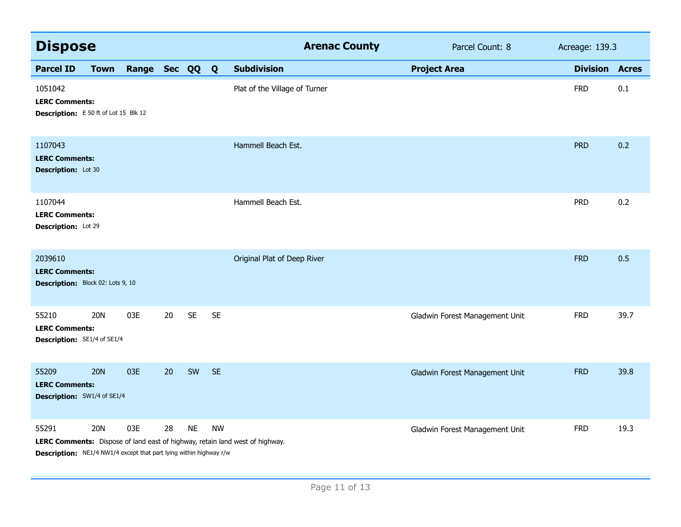| <b>Dispose</b>                                                                     |             |                |    |           |           | <b>Arenac County</b>                                                         | Parcel Count: 8                | Acreage: 139.3        |      |
|------------------------------------------------------------------------------------|-------------|----------------|----|-----------|-----------|------------------------------------------------------------------------------|--------------------------------|-----------------------|------|
| <b>Parcel ID</b>                                                                   | <b>Town</b> | Range Sec QQ Q |    |           |           | <b>Subdivision</b>                                                           | <b>Project Area</b>            | <b>Division Acres</b> |      |
| 1051042<br><b>LERC Comments:</b><br>Description: E 50 ft of Lot 15 Blk 12          |             |                |    |           |           | Plat of the Village of Turner                                                |                                | <b>FRD</b>            | 0.1  |
| 1107043<br><b>LERC Comments:</b><br>Description: Lot 30                            |             |                |    |           |           | Hammell Beach Est.                                                           |                                | <b>PRD</b>            | 0.2  |
| 1107044<br><b>LERC Comments:</b><br>Description: Lot 29                            |             |                |    |           |           | Hammell Beach Est.                                                           |                                | <b>PRD</b>            | 0.2  |
| 2039610<br><b>LERC Comments:</b><br>Description: Block 02: Lots 9, 10              |             |                |    |           |           | Original Plat of Deep River                                                  |                                | <b>FRD</b>            | 0.5  |
| 55210<br><b>LERC Comments:</b><br>Description: SE1/4 of SE1/4                      | <b>20N</b>  | 03E            | 20 | <b>SE</b> | <b>SE</b> |                                                                              | Gladwin Forest Management Unit | <b>FRD</b>            | 39.7 |
| 55209<br><b>LERC Comments:</b><br><b>Description:</b> SW1/4 of SE1/4               | <b>20N</b>  | 03E            | 20 | SW        | <b>SE</b> |                                                                              | Gladwin Forest Management Unit | <b>FRD</b>            | 39.8 |
| 55291<br><b>Description:</b> NE1/4 NW1/4 except that part lying within highway r/w | <b>20N</b>  | 03E            | 28 | <b>NE</b> | <b>NW</b> | LERC Comments: Dispose of land east of highway, retain land west of highway. | Gladwin Forest Management Unit | <b>FRD</b>            | 19.3 |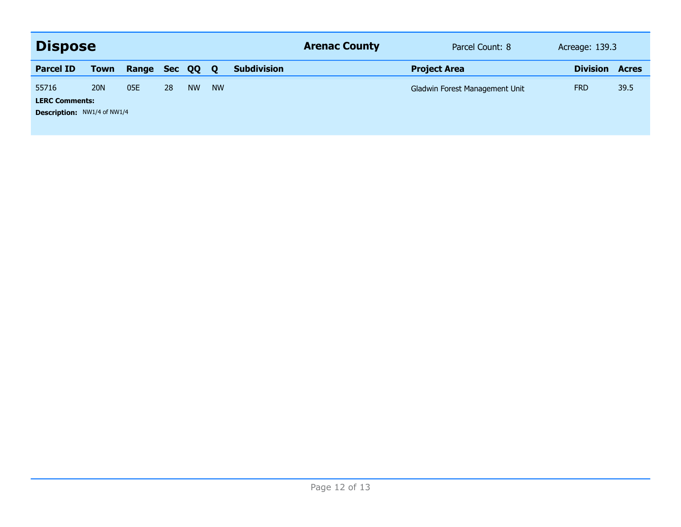| <b>Dispose</b>                     |             |       |            |           |             |                    | <b>Arenac County</b> | Parcel Count: 8                | Acreage: 139.3  |              |
|------------------------------------|-------------|-------|------------|-----------|-------------|--------------------|----------------------|--------------------------------|-----------------|--------------|
| <b>Parcel ID</b>                   | <b>Town</b> | Range | <b>Sec</b> | QQ        | $\mathbf 0$ | <b>Subdivision</b> |                      | <b>Project Area</b>            | <b>Division</b> | <b>Acres</b> |
| 55716                              | <b>20N</b>  | 05E   | 28         | <b>NW</b> | <b>NW</b>   |                    |                      | Gladwin Forest Management Unit | <b>FRD</b>      | 39.5         |
| <b>LERC Comments:</b>              |             |       |            |           |             |                    |                      |                                |                 |              |
| <b>Description: NW1/4 of NW1/4</b> |             |       |            |           |             |                    |                      |                                |                 |              |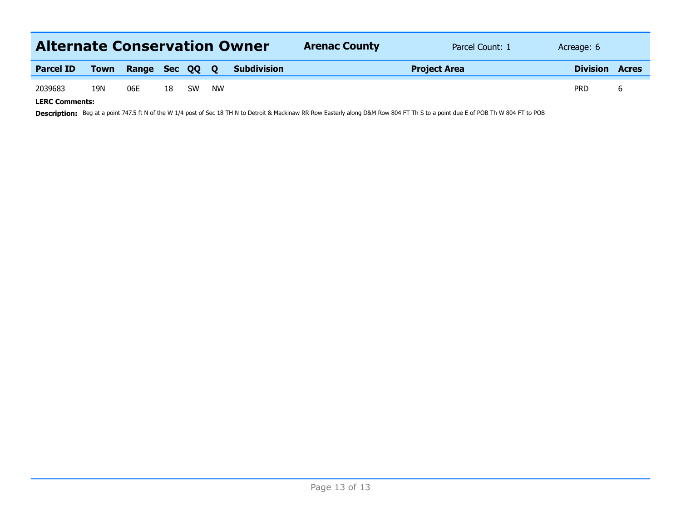| <b>Alternate Conservation Owner</b> |             |                |    |           |    |                    | <b>Arenac County</b> | Parcel Count: 1 | Acreage: 6   |  |
|-------------------------------------|-------------|----------------|----|-----------|----|--------------------|----------------------|-----------------|--------------|--|
| <b>Parcel ID</b>                    | <b>Town</b> | Range Sec QQ Q |    |           |    | <b>Subdivision</b> | <b>Project Area</b>  | <b>Division</b> | <b>Acres</b> |  |
| 2039683                             | 19N         | 06E            | 18 | <b>SW</b> | NW |                    |                      |                 | <b>PRD</b>   |  |
| I F B C C                           |             |                |    |           |    |                    |                      |                 |              |  |

**LERC Comments:**

Description: Beg at a point 747.5 ft N of the W 1/4 post of Sec 18 TH N to Detroit & Mackinaw RR Row Easterly along D&M Row 804 FT Th S to a point due E of POB Th W 804 FT to POB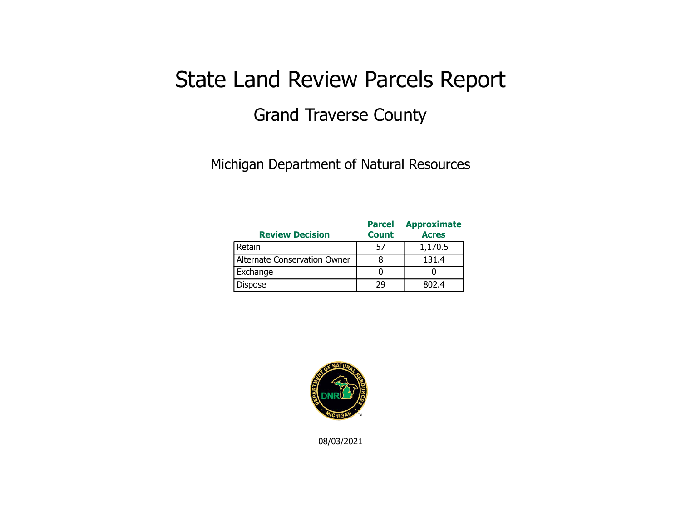# State Land Review Parcels Report Grand Traverse County

Michigan Department of Natural Resources

| <b>Review Decision</b>       | <b>Parcel</b><br><b>Count</b> | <b>Approximate</b><br><b>Acres</b> |
|------------------------------|-------------------------------|------------------------------------|
| Retain                       | 57                            | 1,170.5                            |
| Alternate Conservation Owner |                               | 131.4                              |
| Exchange                     |                               |                                    |
| <b>Dispose</b>               | 29                            | 802.4                              |



08/03/2021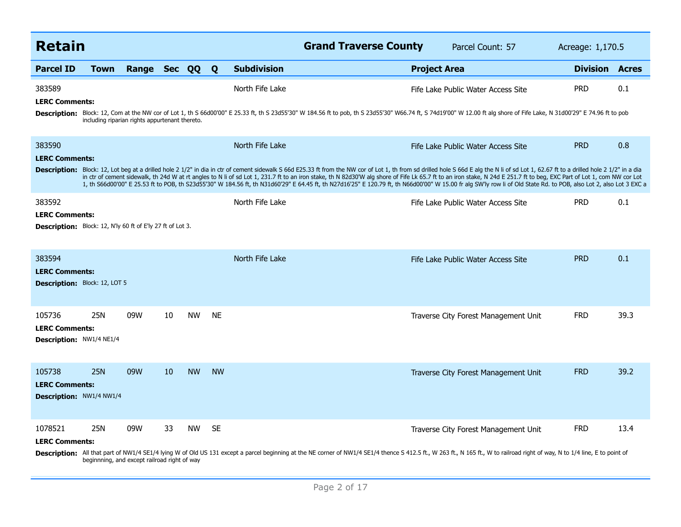| <b>Retain</b>                        |                                                                                                                                                                                                                                                                                                                                                                                                                                                                                                                                                                                                                                                                                  |                                                |    |           |              |                    | <b>Grand Traverse County</b>                                                                                                                                                                                                 |                     | Parcel Count: 57                     | Acreage: 1,170.5 |              |  |
|--------------------------------------|----------------------------------------------------------------------------------------------------------------------------------------------------------------------------------------------------------------------------------------------------------------------------------------------------------------------------------------------------------------------------------------------------------------------------------------------------------------------------------------------------------------------------------------------------------------------------------------------------------------------------------------------------------------------------------|------------------------------------------------|----|-----------|--------------|--------------------|------------------------------------------------------------------------------------------------------------------------------------------------------------------------------------------------------------------------------|---------------------|--------------------------------------|------------------|--------------|--|
| <b>Parcel ID</b>                     | <b>Town</b>                                                                                                                                                                                                                                                                                                                                                                                                                                                                                                                                                                                                                                                                      | Range Sec QQ                                   |    |           | $\mathbf{Q}$ | <b>Subdivision</b> |                                                                                                                                                                                                                              | <b>Project Area</b> |                                      | <b>Division</b>  | <b>Acres</b> |  |
| 383589<br><b>LERC Comments:</b>      |                                                                                                                                                                                                                                                                                                                                                                                                                                                                                                                                                                                                                                                                                  |                                                |    |           |              | North Fife Lake    |                                                                                                                                                                                                                              |                     | Fife Lake Public Water Access Site   | <b>PRD</b>       | 0.1          |  |
|                                      |                                                                                                                                                                                                                                                                                                                                                                                                                                                                                                                                                                                                                                                                                  | including riparian rights appurtenant thereto. |    |           |              |                    | Description: Block: 12, Com at the NW cor of Lot 1, th S 66d00'00" E 25.33 ft, th S 23d55'30" W 184.56 ft to pob, th S 23d55'30" W66.74 ft, S 74d19'00" W 12.00 ft alg shore of Fife Lake, N 31d00'29" E 74.96 ft to pob     |                     |                                      |                  |              |  |
| 383590<br><b>LERC Comments:</b>      |                                                                                                                                                                                                                                                                                                                                                                                                                                                                                                                                                                                                                                                                                  |                                                |    |           |              | North Fife Lake    |                                                                                                                                                                                                                              |                     | Fife Lake Public Water Access Site   | <b>PRD</b>       | 0.8          |  |
|                                      | Description: Block: 12, Lot beg at a drilled hole 2 1/2" in dia in ctr of cement sidewalk S 66d E25.33 ft from the NW cor of Lot 1, th from sd drilled hole S 66d E alg the N li of sd Lot 1, 62.67 ft to a drilled hole 2 1/2<br>in ctr of cement sidewalk, th 24d W at rt angles to N li of sd Lot 1, 231.7 ft to an iron stake, th N 82d30'W alg shore of Fife Lk 65.7 ft to an iron stake, N 24d E 251.7 ft to beg, EXC Part of Lot 1, com NW cor Lot<br>1, th S66d00'00" E 25.53 ft to POB, th S23d55'30" W 184.56 ft, th N31d60'29" E 64.45 ft, th N27d16'25" E 120.79 ft, th N66d00'00" W 15.00 fr alg SW'ly row li of Old State Rd. to POB, also Lot 2, also Lot 3 EXC a |                                                |    |           |              |                    |                                                                                                                                                                                                                              |                     |                                      |                  |              |  |
| 383592<br><b>LERC Comments:</b>      |                                                                                                                                                                                                                                                                                                                                                                                                                                                                                                                                                                                                                                                                                  |                                                |    |           |              | North Fife Lake    |                                                                                                                                                                                                                              |                     | Fife Lake Public Water Access Site   | <b>PRD</b>       | 0.1          |  |
|                                      | <b>Description:</b> Block: 12, N'ly 60 ft of E'ly 27 ft of Lot 3.                                                                                                                                                                                                                                                                                                                                                                                                                                                                                                                                                                                                                |                                                |    |           |              |                    |                                                                                                                                                                                                                              |                     |                                      |                  |              |  |
| 383594<br><b>LERC Comments:</b>      |                                                                                                                                                                                                                                                                                                                                                                                                                                                                                                                                                                                                                                                                                  |                                                |    |           |              | North Fife Lake    |                                                                                                                                                                                                                              |                     | Fife Lake Public Water Access Site   | <b>PRD</b>       | 0.1          |  |
| <b>Description:</b> Block: 12, LOT 5 |                                                                                                                                                                                                                                                                                                                                                                                                                                                                                                                                                                                                                                                                                  |                                                |    |           |              |                    |                                                                                                                                                                                                                              |                     |                                      |                  |              |  |
| 105736<br><b>LERC Comments:</b>      | <b>25N</b>                                                                                                                                                                                                                                                                                                                                                                                                                                                                                                                                                                                                                                                                       | 09W                                            | 10 | <b>NW</b> | <b>NE</b>    |                    |                                                                                                                                                                                                                              |                     | Traverse City Forest Management Unit | <b>FRD</b>       | 39.3         |  |
| <b>Description: NW1/4 NE1/4</b>      |                                                                                                                                                                                                                                                                                                                                                                                                                                                                                                                                                                                                                                                                                  |                                                |    |           |              |                    |                                                                                                                                                                                                                              |                     |                                      |                  |              |  |
| 105738<br><b>LERC Comments:</b>      | <b>25N</b>                                                                                                                                                                                                                                                                                                                                                                                                                                                                                                                                                                                                                                                                       | 09W                                            | 10 | <b>NW</b> | <b>NW</b>    |                    |                                                                                                                                                                                                                              |                     | Traverse City Forest Management Unit | <b>FRD</b>       | 39.2         |  |
| <b>Description: NW1/4 NW1/4</b>      |                                                                                                                                                                                                                                                                                                                                                                                                                                                                                                                                                                                                                                                                                  |                                                |    |           |              |                    |                                                                                                                                                                                                                              |                     |                                      |                  |              |  |
| 1078521<br><b>LERC Comments:</b>     | <b>25N</b>                                                                                                                                                                                                                                                                                                                                                                                                                                                                                                                                                                                                                                                                       | 09W                                            | 33 | <b>NW</b> | <b>SE</b>    |                    |                                                                                                                                                                                                                              |                     | Traverse City Forest Management Unit | <b>FRD</b>       | 13.4         |  |
|                                      |                                                                                                                                                                                                                                                                                                                                                                                                                                                                                                                                                                                                                                                                                  | beginnning, and except railroad right of way   |    |           |              |                    | Description: All that part of NW1/4 SE1/4 lying W of Old US 131 except a parcel beginning at the NE corner of NW1/4 SE1/4 thence S 412.5 ft., W 263 ft., N 165 ft., W to railroad right of way, N to 1/4 line, E to point of |                     |                                      |                  |              |  |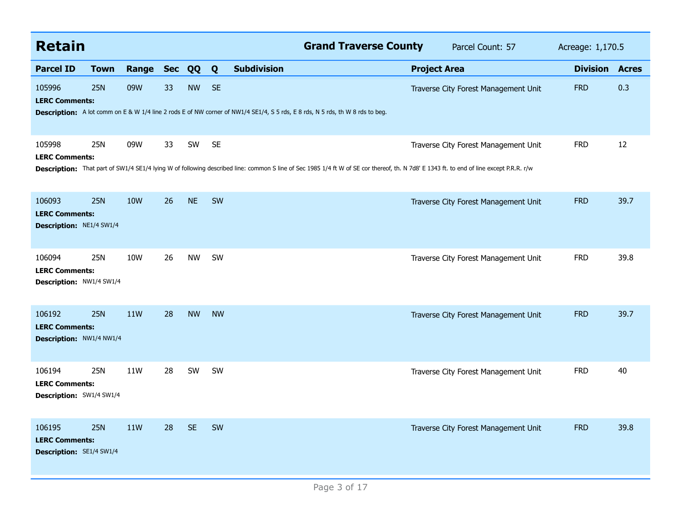| <b>Retain</b>                                                      |             |                  |    |           |           | <b>Grand Traverse County</b>                                                                                                                                                            |                     | Parcel Count: 57                     | Acreage: 1,170.5 |              |
|--------------------------------------------------------------------|-------------|------------------|----|-----------|-----------|-----------------------------------------------------------------------------------------------------------------------------------------------------------------------------------------|---------------------|--------------------------------------|------------------|--------------|
| <b>Parcel ID</b>                                                   | <b>Town</b> | <b>Range Sec</b> |    | QQ        | Q         | <b>Subdivision</b>                                                                                                                                                                      | <b>Project Area</b> |                                      | <b>Division</b>  | <b>Acres</b> |
| 105996<br><b>LERC Comments:</b>                                    | 25N         | 09W              | 33 | <b>NW</b> | <b>SE</b> | Description: A lot comm on E & W 1/4 line 2 rods E of NW corner of NW1/4 SE1/4, S 5 rds, E 8 rds, N 5 rds, th W 8 rds to beg.                                                           |                     | Traverse City Forest Management Unit | <b>FRD</b>       | 0.3          |
| 105998<br><b>LERC Comments:</b>                                    | 25N         | 09W              | 33 | SW        | <b>SE</b> | Description: That part of SW1/4 SE1/4 lying W of following described line: common S line of Sec 1985 1/4 ft W of SE cor thereof, th. N 7d8' E 1343 ft. to end of line except P.R.R. r/w |                     | Traverse City Forest Management Unit | <b>FRD</b>       | 12           |
| 106093<br><b>LERC Comments:</b><br>Description: NE1/4 SW1/4        | <b>25N</b>  | <b>10W</b>       | 26 | <b>NE</b> | SW        |                                                                                                                                                                                         |                     | Traverse City Forest Management Unit | <b>FRD</b>       | 39.7         |
| 106094<br><b>LERC Comments:</b><br>Description: NW1/4 SW1/4        | 25N         | 10W              | 26 | <b>NW</b> | SW        |                                                                                                                                                                                         |                     | Traverse City Forest Management Unit | <b>FRD</b>       | 39.8         |
| 106192<br><b>LERC Comments:</b><br>Description: NW1/4 NW1/4        | <b>25N</b>  | 11W              | 28 | <b>NW</b> | <b>NW</b> |                                                                                                                                                                                         |                     | Traverse City Forest Management Unit | <b>FRD</b>       | 39.7         |
| 106194<br><b>LERC Comments:</b><br>Description: SW1/4 SW1/4        | 25N         | 11W              | 28 | SW        | SW        |                                                                                                                                                                                         |                     | Traverse City Forest Management Unit | <b>FRD</b>       | 40           |
| 106195<br><b>LERC Comments:</b><br><b>Description: SE1/4 SW1/4</b> | <b>25N</b>  | 11W              | 28 | <b>SE</b> | <b>SW</b> |                                                                                                                                                                                         |                     | Traverse City Forest Management Unit | <b>FRD</b>       | 39.8         |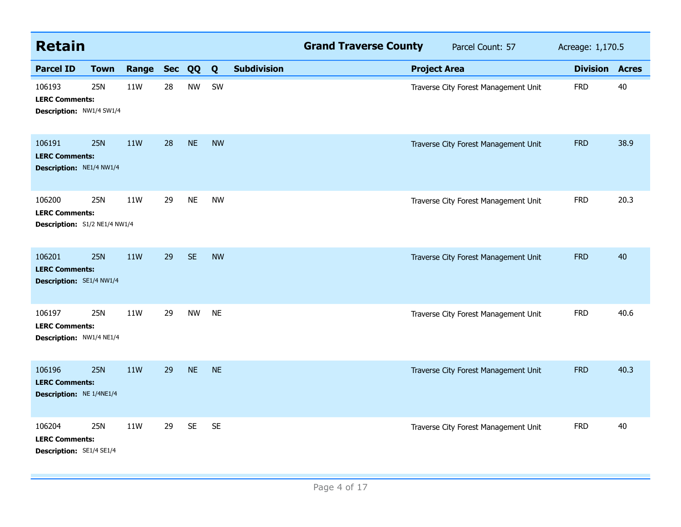| <b>Retain</b>                                                    |             |            |            |           |           |                    | <b>Grand Traverse County</b> |                     | Parcel Count: 57                     | Acreage: 1,170.5 |              |
|------------------------------------------------------------------|-------------|------------|------------|-----------|-----------|--------------------|------------------------------|---------------------|--------------------------------------|------------------|--------------|
| <b>Parcel ID</b>                                                 | <b>Town</b> | Range      | <b>Sec</b> | QQ        | Q         | <b>Subdivision</b> |                              | <b>Project Area</b> |                                      | <b>Division</b>  | <b>Acres</b> |
| 106193<br><b>LERC Comments:</b><br>Description: NW1/4 SW1/4      | <b>25N</b>  | 11W        | 28         | <b>NW</b> | SW        |                    |                              |                     | Traverse City Forest Management Unit | <b>FRD</b>       | 40           |
| 106191<br><b>LERC Comments:</b><br>Description: NE1/4 NW1/4      | <b>25N</b>  | 11W        | 28         | <b>NE</b> | <b>NW</b> |                    |                              |                     | Traverse City Forest Management Unit | <b>FRD</b>       | 38.9         |
| 106200<br><b>LERC Comments:</b><br>Description: S1/2 NE1/4 NW1/4 | <b>25N</b>  | 11W        | 29         | <b>NE</b> | <b>NW</b> |                    |                              |                     | Traverse City Forest Management Unit | <b>FRD</b>       | 20.3         |
| 106201<br><b>LERC Comments:</b><br>Description: SE1/4 NW1/4      | 25N         | <b>11W</b> | 29         | <b>SE</b> | <b>NW</b> |                    |                              |                     | Traverse City Forest Management Unit | <b>FRD</b>       | 40           |
| 106197<br><b>LERC Comments:</b><br>Description: NW1/4 NE1/4      | <b>25N</b>  | 11W        | 29         | <b>NW</b> | <b>NE</b> |                    |                              |                     | Traverse City Forest Management Unit | <b>FRD</b>       | 40.6         |
| 106196<br><b>LERC Comments:</b><br>Description: NE 1/4NE1/4      | <b>25N</b>  | <b>11W</b> | 29         | <b>NE</b> | <b>NE</b> |                    |                              |                     | Traverse City Forest Management Unit | <b>FRD</b>       | 40.3         |
| 106204<br><b>LERC Comments:</b><br>Description: SE1/4 SE1/4      | <b>25N</b>  | 11W        | 29         | <b>SE</b> | <b>SE</b> |                    |                              |                     | Traverse City Forest Management Unit | <b>FRD</b>       | 40           |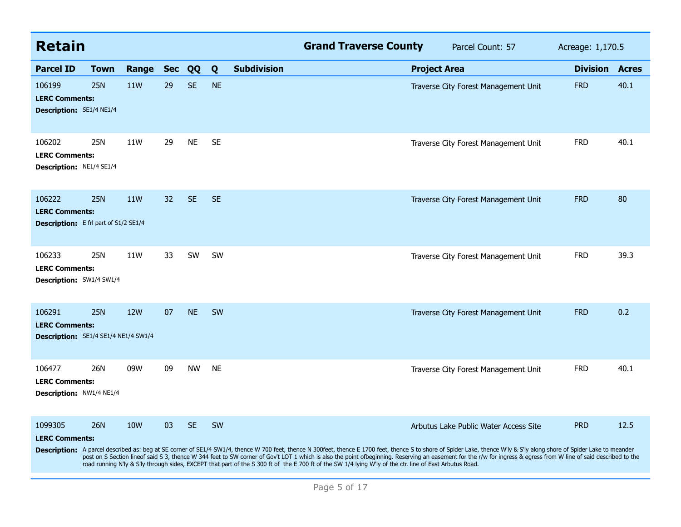| <b>Retain</b>                                                                   |             |            |                 |           |                         | <b>Grand Traverse County</b>                                                                                                                                                                                                                                                                                                                                                                                                                                                                                                                                                                              | Parcel Count: 57                      | Acreage: 1,170.5 |              |
|---------------------------------------------------------------------------------|-------------|------------|-----------------|-----------|-------------------------|-----------------------------------------------------------------------------------------------------------------------------------------------------------------------------------------------------------------------------------------------------------------------------------------------------------------------------------------------------------------------------------------------------------------------------------------------------------------------------------------------------------------------------------------------------------------------------------------------------------|---------------------------------------|------------------|--------------|
| <b>Parcel ID</b>                                                                | <b>Town</b> | Range      | <b>Sec</b>      | QQ        | <b>Subdivision</b><br>Q |                                                                                                                                                                                                                                                                                                                                                                                                                                                                                                                                                                                                           | <b>Project Area</b>                   | <b>Division</b>  | <b>Acres</b> |
| 106199<br><b>LERC Comments:</b><br>Description: SE1/4 NE1/4                     | <b>25N</b>  | 11W        | 29              | <b>SE</b> | <b>NE</b>               |                                                                                                                                                                                                                                                                                                                                                                                                                                                                                                                                                                                                           | Traverse City Forest Management Unit  | <b>FRD</b>       | 40.1         |
| 106202<br><b>LERC Comments:</b><br><b>Description: NE1/4 SE1/4</b>              | 25N         | 11W        | 29              | <b>NE</b> | <b>SE</b>               |                                                                                                                                                                                                                                                                                                                                                                                                                                                                                                                                                                                                           | Traverse City Forest Management Unit  | <b>FRD</b>       | 40.1         |
| 106222<br><b>LERC Comments:</b><br><b>Description:</b> E frl part of S1/2 SE1/4 | <b>25N</b>  | 11W        | 32 <sup>2</sup> | <b>SE</b> | <b>SE</b>               |                                                                                                                                                                                                                                                                                                                                                                                                                                                                                                                                                                                                           | Traverse City Forest Management Unit  | <b>FRD</b>       | 80           |
| 106233<br><b>LERC Comments:</b><br><b>Description:</b> SW1/4 SW1/4              | 25N         | 11W        | 33              | SW        | SW                      |                                                                                                                                                                                                                                                                                                                                                                                                                                                                                                                                                                                                           | Traverse City Forest Management Unit  | <b>FRD</b>       | 39.3         |
| 106291<br><b>LERC Comments:</b><br>Description: SE1/4 SE1/4 NE1/4 SW1/4         | <b>25N</b>  | 12W        | 07              | <b>NE</b> | SW                      |                                                                                                                                                                                                                                                                                                                                                                                                                                                                                                                                                                                                           | Traverse City Forest Management Unit  | <b>FRD</b>       | 0.2          |
| 106477<br><b>LERC Comments:</b><br>Description: NW1/4 NE1/4                     | 26N         | 09W        | 09              | <b>NW</b> | <b>NE</b>               |                                                                                                                                                                                                                                                                                                                                                                                                                                                                                                                                                                                                           | Traverse City Forest Management Unit  | <b>FRD</b>       | 40.1         |
| 1099305<br><b>LERC Comments:</b>                                                | <b>26N</b>  | <b>10W</b> | 03              | <b>SE</b> | <b>SW</b>               | Description: A parcel described as: beg at SE corner of SE1/4 SW1/4, thence W 700 feet, thence N 300feet, thence E 1700 feet, thence S to shore of Spider Lake, thence W'ly & S'ly along shore of Spider Lake to meander<br>post on S Section lineof said S 3, thence W 344 feet to SW corner of Gov't LOT 1 which is also the point ofbeginning. Reserving an easement for the r/w for ingress & egress from W line of said described to the<br>road running N'ly & S'ly through sides, EXCEPT that part of the S 300 ft of the E 700 ft of the SW 1/4 lying W'ly of the ctr. line of East Arbutus Road. | Arbutus Lake Public Water Access Site | <b>PRD</b>       | 12.5         |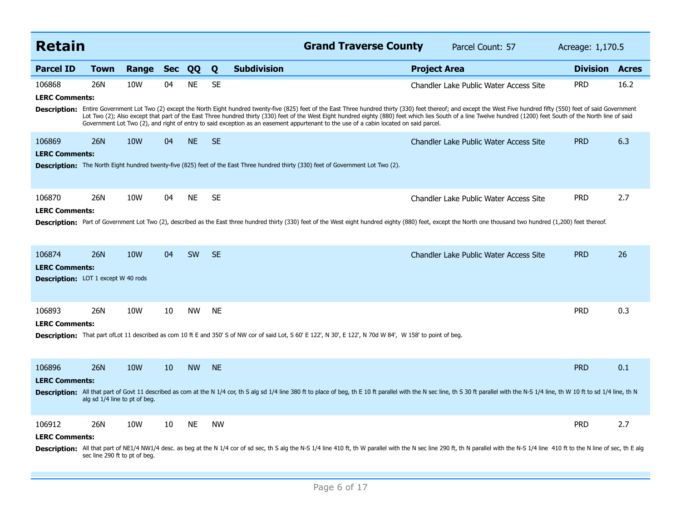| <b>Retain</b>                                                                 |                                             |            |            |           |           |                    | <b>Grand Traverse County</b>                                                                                                                                         |                     | Parcel Count: 57                                                                                                                                                                                                                                                                                                                                                                                                                                                                         | Acreage: 1,170.5 |              |
|-------------------------------------------------------------------------------|---------------------------------------------|------------|------------|-----------|-----------|--------------------|----------------------------------------------------------------------------------------------------------------------------------------------------------------------|---------------------|------------------------------------------------------------------------------------------------------------------------------------------------------------------------------------------------------------------------------------------------------------------------------------------------------------------------------------------------------------------------------------------------------------------------------------------------------------------------------------------|------------------|--------------|
| <b>Parcel ID</b>                                                              | <b>Town</b>                                 | Range      | <b>Sec</b> | QQ        | Q         | <b>Subdivision</b> |                                                                                                                                                                      | <b>Project Area</b> |                                                                                                                                                                                                                                                                                                                                                                                                                                                                                          | <b>Division</b>  | <b>Acres</b> |
| 106868<br><b>LERC Comments:</b>                                               | 26N                                         | 10W        | 04         | <b>NE</b> | <b>SE</b> |                    | Government Lot Two (2), and right of entry to said exception as an easement appurtenant to the use of a cabin located on said parcel.                                |                     | Chandler Lake Public Water Access Site<br>Description: Entire Government Lot Two (2) except the North Eight hundred twenty-five (825) feet of the East Three hundred thirty (330) feet thereof; and except the West Five hundred fifty (550) feet of said Government<br>Lot Two (2); Also except that part of the East Three hundred thirty (330) feet of the West Eight hundred eighty (880) feet which lies South of a line Twelve hundred (1200) feet South of the North line of said | <b>PRD</b>       | 16.2         |
| 106869<br><b>LERC Comments:</b>                                               | <b>26N</b>                                  | <b>10W</b> | 04         | <b>NE</b> | <b>SE</b> |                    | <b>Description:</b> The North Eight hundred twenty-five (825) feet of the East Three hundred thirty (330) feet of Government Lot Two (2).                            |                     | <b>Chandler Lake Public Water Access Site</b>                                                                                                                                                                                                                                                                                                                                                                                                                                            | <b>PRD</b>       | 6.3          |
| 106870<br><b>LERC Comments:</b>                                               | 26N                                         | 10W        | 04         | <b>NE</b> | <b>SE</b> |                    |                                                                                                                                                                      |                     | Chandler Lake Public Water Access Site<br>Description: Part of Government Lot Two (2), described as the East three hundred thirty (330) feet of the West eight hundred eighty (880) feet, except the North one thousand two hundred (1,200) feet thereof.                                                                                                                                                                                                                                | <b>PRD</b>       | 2.7          |
| 106874<br><b>LERC Comments:</b><br><b>Description:</b> LOT 1 except W 40 rods | 26N                                         | 10W        | 04         | <b>SW</b> | <b>SE</b> |                    |                                                                                                                                                                      |                     | Chandler Lake Public Water Access Site                                                                                                                                                                                                                                                                                                                                                                                                                                                   | <b>PRD</b>       | 26           |
| 106893<br><b>LERC Comments:</b>                                               | 26N                                         | 10W        | 10         | <b>NW</b> | <b>NE</b> |                    | <b>Description:</b> That part of Lot 11 described as com 10 ft E and 350' S of NW cor of said Lot, S 60' E 122', N 30', E 122', N 70d W 84', W 158' to point of beg. |                     |                                                                                                                                                                                                                                                                                                                                                                                                                                                                                          | <b>PRD</b>       | 0.3          |
| 106896<br><b>LERC Comments:</b>                                               | <b>26N</b><br>alg sd 1/4 line to pt of beg. | 10W        | 10         | <b>NW</b> | <b>NE</b> |                    |                                                                                                                                                                      |                     | Description: All that part of Govt 11 described as com at the N 1/4 cor, th S alg sd 1/4 line 380 ft to place of beg, th E 10 ft parallel with the N sc line, th S 30 ft parallel with the N-S 1/4 line, th W 10 ft to sd 1/4                                                                                                                                                                                                                                                            | <b>PRD</b>       | 0.1          |
| 106912<br><b>LERC Comments:</b>                                               | 26N<br>sec line 290 ft to pt of beg.        | 10W        | 10         | <b>NE</b> | <b>NW</b> |                    |                                                                                                                                                                      |                     | Description: All that part of NE1/4 NW1/4 desc. as beg at the N 1/4 cor of sd sec, th S alg the N-S 1/4 line 410 ft, th W parallel with the N sec line 290 ft, th N parallel with the N-S 1/4 line 410 ft to the N line of sec                                                                                                                                                                                                                                                           | <b>PRD</b>       | 2.7          |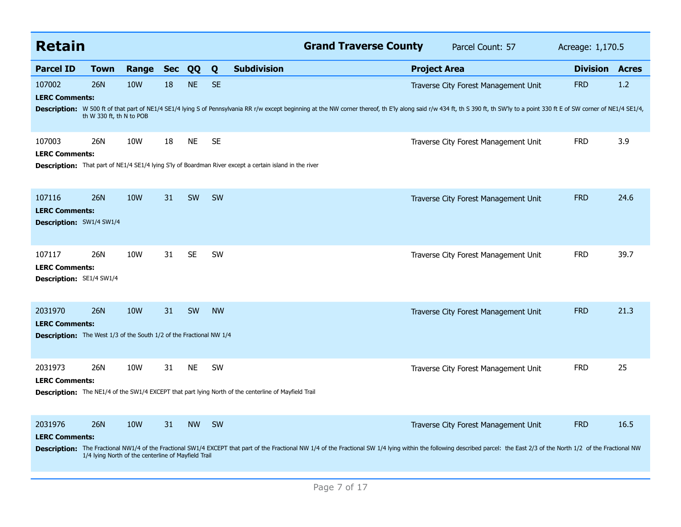| <b>Retain</b>                                                              |                                                     |            |            |           |           | <b>Grand Traverse County</b><br>Parcel Count: 57                                                                                                                                                                                                                       | Acreage: 1,170.5 |              |
|----------------------------------------------------------------------------|-----------------------------------------------------|------------|------------|-----------|-----------|------------------------------------------------------------------------------------------------------------------------------------------------------------------------------------------------------------------------------------------------------------------------|------------------|--------------|
| <b>Parcel ID</b>                                                           | <b>Town</b>                                         | Range      | <b>Sec</b> | QQ        | Q         | <b>Subdivision</b><br><b>Project Area</b>                                                                                                                                                                                                                              | <b>Division</b>  | <b>Acres</b> |
| 107002<br><b>LERC Comments:</b>                                            | <b>26N</b>                                          | <b>10W</b> | 18         | <b>NE</b> | <b>SE</b> | Traverse City Forest Management Unit<br>Description: W 500 ft of that part of NE1/4 SE1/4 lying S of Pennsylvania RR r/w except beginning at the NW corner thereof, th E'ly along said r/w 434 ft, th S 390 ft, th SW'ly to a point 330 ft E of SW corner of NE1/4 SE1 | <b>FRD</b>       | 1.2          |
|                                                                            | th W 330 ft, th N to POB                            |            |            |           |           |                                                                                                                                                                                                                                                                        |                  |              |
| 107003<br><b>LERC Comments:</b>                                            | 26N                                                 | 10W        | 18         | <b>NE</b> | <b>SE</b> | Traverse City Forest Management Unit                                                                                                                                                                                                                                   | <b>FRD</b>       | 3.9          |
|                                                                            |                                                     |            |            |           |           | Description: That part of NE1/4 SE1/4 lying S'ly of Boardman River except a certain island in the river                                                                                                                                                                |                  |              |
| 107116<br><b>LERC Comments:</b>                                            | <b>26N</b>                                          | <b>10W</b> | 31         | SW        | SW        | Traverse City Forest Management Unit                                                                                                                                                                                                                                   | <b>FRD</b>       | 24.6         |
| <b>Description: SW1/4 SW1/4</b>                                            |                                                     |            |            |           |           |                                                                                                                                                                                                                                                                        |                  |              |
| 107117<br><b>LERC Comments:</b>                                            | 26N                                                 | 10W        | 31         | <b>SE</b> | <b>SW</b> | Traverse City Forest Management Unit                                                                                                                                                                                                                                   | <b>FRD</b>       | 39.7         |
| <b>Description: SE1/4 SW1/4</b>                                            |                                                     |            |            |           |           |                                                                                                                                                                                                                                                                        |                  |              |
| 2031970<br><b>LERC Comments:</b>                                           | <b>26N</b>                                          | <b>10W</b> | 31         | SW        | <b>NW</b> | Traverse City Forest Management Unit                                                                                                                                                                                                                                   | <b>FRD</b>       | 21.3         |
| <b>Description:</b> The West 1/3 of the South 1/2 of the Fractional NW 1/4 |                                                     |            |            |           |           |                                                                                                                                                                                                                                                                        |                  |              |
| 2031973<br><b>LERC Comments:</b>                                           | 26N                                                 | 10W        | 31         | <b>NE</b> | SW        | Traverse City Forest Management Unit                                                                                                                                                                                                                                   | <b>FRD</b>       | 25           |
|                                                                            |                                                     |            |            |           |           | <b>Description:</b> The NE1/4 of the SW1/4 EXCEPT that part lying North of the centerline of Mayfield Trail                                                                                                                                                            |                  |              |
| 2031976                                                                    | <b>26N</b>                                          | <b>10W</b> | 31         | <b>NW</b> | <b>SW</b> | Traverse City Forest Management Unit                                                                                                                                                                                                                                   | <b>FRD</b>       | 16.5         |
| <b>LERC Comments:</b>                                                      |                                                     |            |            |           |           | Description: The Fractional NW1/4 of the Fractional SW1/4 EXCEPT that part of the Fractional NW 1/4 of the Fractional SW 1/4 lying within the following described parcel: the East 2/3 of the North 1/2 of the Fractional NW                                           |                  |              |
|                                                                            | 1/4 lying North of the centerline of Mayfield Trail |            |            |           |           |                                                                                                                                                                                                                                                                        |                  |              |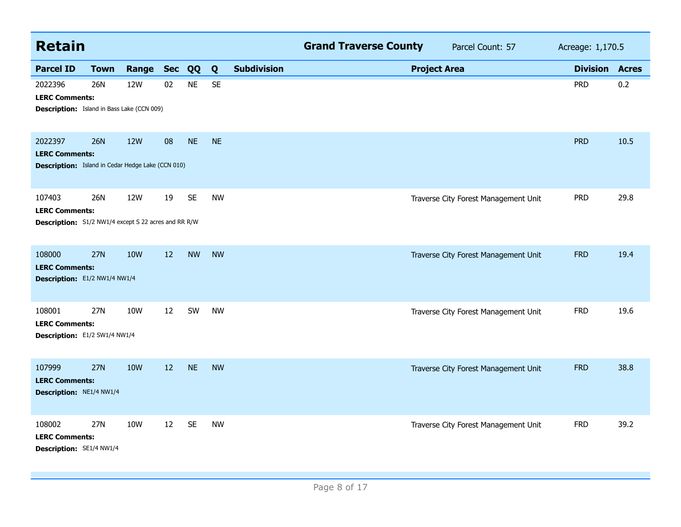| <b>Retain</b>                                                                                  |             |            |            |           |           |                    | <b>Grand Traverse County</b> |                     | Parcel Count: 57                     | Acreage: 1,170.5 |              |
|------------------------------------------------------------------------------------------------|-------------|------------|------------|-----------|-----------|--------------------|------------------------------|---------------------|--------------------------------------|------------------|--------------|
| <b>Parcel ID</b>                                                                               | <b>Town</b> | Range      | <b>Sec</b> | QQ        | Q         | <b>Subdivision</b> |                              | <b>Project Area</b> |                                      | <b>Division</b>  | <b>Acres</b> |
| 2022396<br><b>LERC Comments:</b><br><b>Description:</b> Island in Bass Lake (CCN 009)          | <b>26N</b>  | 12W        | 02         | <b>NE</b> | <b>SE</b> |                    |                              |                     |                                      | <b>PRD</b>       | 0.2          |
| 2022397<br><b>LERC Comments:</b><br><b>Description:</b> Island in Cedar Hedge Lake (CCN 010)   | <b>26N</b>  | <b>12W</b> | 08         | <b>NE</b> | <b>NE</b> |                    |                              |                     |                                      | <b>PRD</b>       | 10.5         |
| 107403<br><b>LERC Comments:</b><br><b>Description:</b> S1/2 NW1/4 except S 22 acres and RR R/W | 26N         | 12W        | 19         | <b>SE</b> | <b>NW</b> |                    |                              |                     | Traverse City Forest Management Unit | <b>PRD</b>       | 29.8         |
| 108000<br><b>LERC Comments:</b><br>Description: E1/2 NW1/4 NW1/4                               | 27N         | <b>10W</b> | 12         | <b>NW</b> | <b>NW</b> |                    |                              |                     | Traverse City Forest Management Unit | <b>FRD</b>       | 19.4         |
| 108001<br><b>LERC Comments:</b><br>Description: E1/2 SW1/4 NW1/4                               | 27N         | 10W        | 12         | SW        | <b>NW</b> |                    |                              |                     | Traverse City Forest Management Unit | <b>FRD</b>       | 19.6         |
| 107999<br><b>LERC Comments:</b><br>Description: NE1/4 NW1/4                                    | 27N         | <b>10W</b> | 12         | <b>NE</b> | <b>NW</b> |                    |                              |                     | Traverse City Forest Management Unit | <b>FRD</b>       | 38.8         |
| 108002<br><b>LERC Comments:</b><br>Description: SE1/4 NW1/4                                    | 27N         | 10W        | 12         | <b>SE</b> | <b>NW</b> |                    |                              |                     | Traverse City Forest Management Unit | <b>FRD</b>       | 39.2         |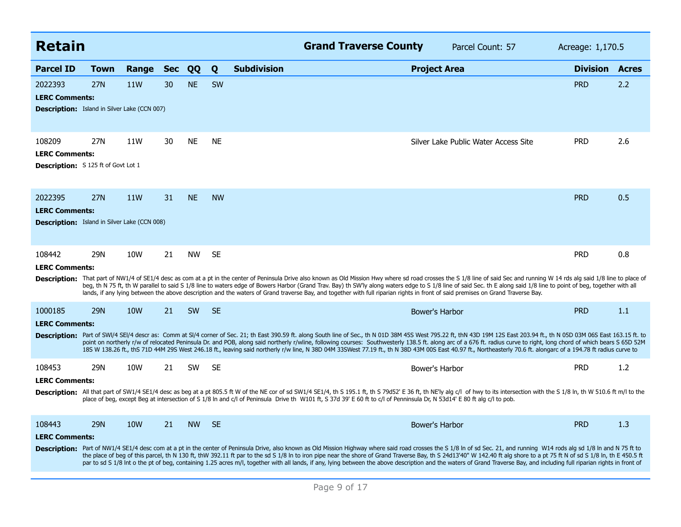| <b>Retain</b>                                                                           |             |            |            |           |           |                    | <b>Grand Traverse County</b>                                                                                                                                                    |                       | Parcel Count: 57                                                                                                                                                                                                                                                                                                                                                                                                                                                                                                                                                                                                                                                                     | Acreage: 1,170.5 |              |
|-----------------------------------------------------------------------------------------|-------------|------------|------------|-----------|-----------|--------------------|---------------------------------------------------------------------------------------------------------------------------------------------------------------------------------|-----------------------|--------------------------------------------------------------------------------------------------------------------------------------------------------------------------------------------------------------------------------------------------------------------------------------------------------------------------------------------------------------------------------------------------------------------------------------------------------------------------------------------------------------------------------------------------------------------------------------------------------------------------------------------------------------------------------------|------------------|--------------|
| <b>Parcel ID</b>                                                                        | <b>Town</b> | Range      | <b>Sec</b> | QQ        | Q         | <b>Subdivision</b> |                                                                                                                                                                                 | <b>Project Area</b>   |                                                                                                                                                                                                                                                                                                                                                                                                                                                                                                                                                                                                                                                                                      | <b>Division</b>  | <b>Acres</b> |
| 2022393<br><b>LERC Comments:</b><br><b>Description:</b> Island in Silver Lake (CCN 007) | <b>27N</b>  | 11W        | 30         | <b>NE</b> | <b>SW</b> |                    |                                                                                                                                                                                 |                       |                                                                                                                                                                                                                                                                                                                                                                                                                                                                                                                                                                                                                                                                                      | <b>PRD</b>       | 2.2          |
| 108209<br><b>LERC Comments:</b><br><b>Description:</b> S 125 ft of Govt Lot 1           | 27N         | 11W        | 30         | <b>NE</b> | <b>NE</b> |                    |                                                                                                                                                                                 |                       | Silver Lake Public Water Access Site                                                                                                                                                                                                                                                                                                                                                                                                                                                                                                                                                                                                                                                 | <b>PRD</b>       | 2.6          |
| 2022395<br><b>LERC Comments:</b><br><b>Description:</b> Island in Silver Lake (CCN 008) | <b>27N</b>  | 11W        | 31         | <b>NE</b> | <b>NW</b> |                    |                                                                                                                                                                                 |                       |                                                                                                                                                                                                                                                                                                                                                                                                                                                                                                                                                                                                                                                                                      | <b>PRD</b>       | 0.5          |
| 108442<br><b>LERC Comments:</b>                                                         | <b>29N</b>  | 10W        | 21         | <b>NW</b> | <b>SE</b> |                    | lands, if any lying between the above description and the waters of Grand traverse Bay, and together with full riparian rights in front of said premises on Grand Traverse Bay. |                       | Description: That part of NW1/4 of SE1/4 desc as com at a pt in the center of Peninsula Drive also known as Old Mission Hwy where sd road crosses the S 1/8 line of said Sec and running W 14 rds alg said 1/8 line to place o<br>beg, th N 75 ft, th W parallel to said S 1/8 line to waters edge of Bowers Harbor (Grand Trav. Bay) th SW'ly along waters edge to S 1/8 line of said Sec. th E along said 1/8 line to point of beg, together with all                                                                                                                                                                                                                              | <b>PRD</b>       | 0.8          |
| 1000185<br><b>LERC Comments:</b>                                                        | <b>29N</b>  | <b>10W</b> | 21         | <b>SW</b> | <b>SE</b> |                    |                                                                                                                                                                                 | <b>Bower's Harbor</b> | Description: Part of SWI/4 SEI/4 descr as: Comm at SI/4 corner of Sec. 21; th East 390.59 ft. along South line of Sec., th N 01D 38M 45S West 795.22 ft, thN 43D 19M 12S East 203.94 ft., th N 05D 03M 06S East 163.15 ft. to<br>point on northerly r/w of relocated Peninsula Dr. and POB, along said northerly r/wline, following courses: Southwesterly 138.5 ft. along arc of a 676 ft. radius curve to right, long chord of which bears S 65D 52M<br>185 W 138.26 ft., thS 71D 44M 29S West 246.18 ft., leaving said northerly r/w line, N 38D 04M 33SWest 77.19 ft., th N 38D 43M 00S East 40.97 ft., Northeasterly 70.6 ft. alongarc of a 194.78 ft radius curve to           | <b>PRD</b>       | 1.1          |
| 108453<br><b>LERC Comments:</b>                                                         | 29N         | 10W        | 21         | <b>SW</b> | <b>SE</b> |                    | place of beg, except Beg at intersection of S 1/8 In and c/l of Peninsula Drive th W101 ft, S 37d 39' E 60 ft to c/l of Penninsula Dr, N 53d14' E 80 ft alg c/l to pob.         | Bower's Harbor        | Description: All that part of SW1/4 SE1/4 desc as beg at a pt 805.5 ft W of the NE cor of sd SW1/4 SE1/4, th S 195.1 ft, th S 79d52' E 36 ft, th NE'ly alg c/l of hwy to its intersection with the S 1/8 ln, th W 510.6 ft m/l                                                                                                                                                                                                                                                                                                                                                                                                                                                       | <b>PRD</b>       | 1.2          |
| 108443<br><b>LERC Comments:</b>                                                         | <b>29N</b>  | <b>10W</b> | 21         | <b>NW</b> | <b>SE</b> |                    |                                                                                                                                                                                 | Bower's Harbor        | Description: Part of NW1/4 SE1/4 desc com at a pt in the center of Peninsula Drive, also known as Old Mission Highway where said road crosses the S 1/8 In of sd Sec. 21, and running W14 rods alg sd 1/8 In and N 75 ft to<br>the place of beg of this parcel, th N 130 ft, thW 392.11 ft par to the sd S 1/8 In to iron pipe near the shore of Grand Traverse Bay, th S 24d13'40" W 142.40 ft alg shore to a pt 75 ft N of sd S 1/8 In, th E 450.5 ft<br>par to sd S 1/8 Int o the pt of beg, containing 1.25 acres m/l, together with all lands, if any, lying between the above description and the waters of Grand Traverse Bay, and including full riparian rights in front of | <b>PRD</b>       | 1.3          |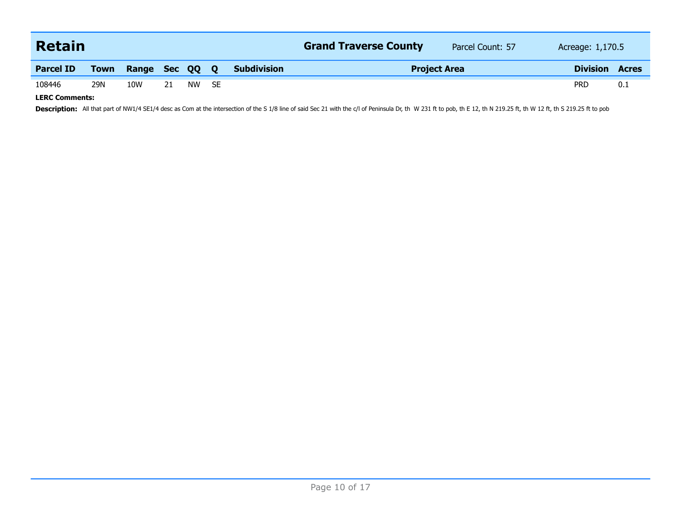| Retain           |     |                     |    |    |      |                    | <b>Grand Traverse County</b> | Parcel Count: 57<br>Acreage: 1,170.5 |            |                 |              |
|------------------|-----|---------------------|----|----|------|--------------------|------------------------------|--------------------------------------|------------|-----------------|--------------|
| <b>Parcel ID</b> |     | Town Range Sec QQ Q |    |    |      | <b>Subdivision</b> |                              | <b>Project Area</b>                  |            | <b>Division</b> | <b>Acres</b> |
| 108446           | 29N | 10W                 | 21 | NW | - SE |                    |                              |                                      | <b>PRD</b> |                 | 0.1          |

**LERC Comments:**

Description: All that part of NW1/4 SE1/4 desc as Com at the intersection of the S 1/8 line of said Sec 21 with the c/l of Peninsula Dr, th W 231 ft to pob, th E 12, th N 219.25 ft, th W 12 ft, th S 219.25 ft to pob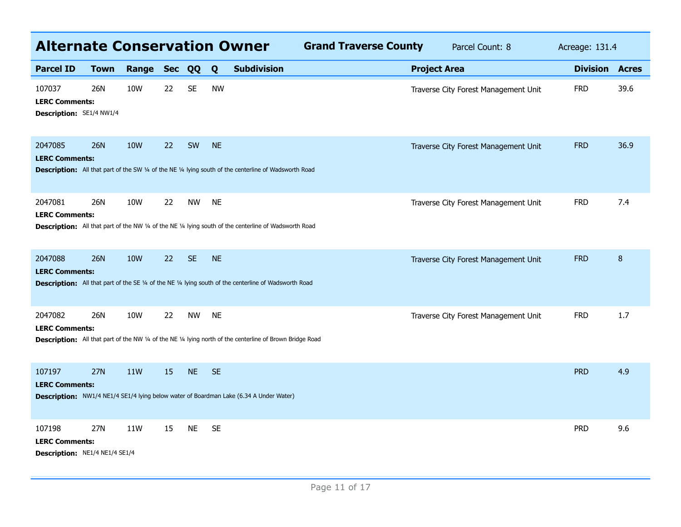| <b>Alternate Conservation Owner</b><br><b>Grand Traverse County</b><br>Parcel Count: 8<br>Acreage: 131.4 |             |                 |        |           |           |                                                                                                               |  |                     |                                      |                       |      |
|----------------------------------------------------------------------------------------------------------|-------------|-----------------|--------|-----------|-----------|---------------------------------------------------------------------------------------------------------------|--|---------------------|--------------------------------------|-----------------------|------|
| <b>Parcel ID</b>                                                                                         | <b>Town</b> | Range           | Sec QQ |           | Q         | <b>Subdivision</b>                                                                                            |  | <b>Project Area</b> |                                      | <b>Division Acres</b> |      |
| 107037<br><b>LERC Comments:</b><br>Description: SE1/4 NW1/4                                              | 26N         | 10W             | 22     | <b>SE</b> | <b>NW</b> |                                                                                                               |  |                     | Traverse City Forest Management Unit | <b>FRD</b>            | 39.6 |
| 2047085<br><b>LERC Comments:</b>                                                                         | <b>26N</b>  | <b>10W</b>      | 22     | SW        | <b>NE</b> | Description: All that part of the SW 1/4 of the NE 1/4 lying south of the centerline of Wadsworth Road        |  |                     | Traverse City Forest Management Unit | <b>FRD</b>            | 36.9 |
| 2047081<br><b>LERC Comments:</b>                                                                         | 26N         | 10 <sub>W</sub> | 22     | <b>NW</b> | <b>NE</b> | <b>Description:</b> All that part of the NW 1/4 of the NE 1/4 lying south of the centerline of Wadsworth Road |  |                     | Traverse City Forest Management Unit | <b>FRD</b>            | 7.4  |
| 2047088<br><b>LERC Comments:</b>                                                                         | <b>26N</b>  | <b>10W</b>      | 22     | <b>SE</b> | <b>NE</b> | <b>Description:</b> All that part of the SE 1/4 of the NE 1/4 lying south of the centerline of Wadsworth Road |  |                     | Traverse City Forest Management Unit | <b>FRD</b>            | 8    |
| 2047082<br><b>LERC Comments:</b>                                                                         | 26N         | 10W             | 22     | <b>NW</b> | <b>NE</b> | Description: All that part of the NW 1/4 of the NE 1/4 lying north of the centerline of Brown Bridge Road     |  |                     | Traverse City Forest Management Unit | <b>FRD</b>            | 1.7  |
| 107197<br><b>LERC Comments:</b>                                                                          | <b>27N</b>  | <b>11W</b>      | 15     | <b>NE</b> | <b>SE</b> | Description: NW1/4 NE1/4 SE1/4 lying below water of Boardman Lake (6.34 A Under Water)                        |  |                     |                                      | <b>PRD</b>            | 4.9  |
| 107198<br><b>LERC Comments:</b><br><b>Description: NE1/4 NE1/4 SE1/4</b>                                 | 27N         | 11W             | 15     | <b>NE</b> | <b>SE</b> |                                                                                                               |  |                     |                                      | <b>PRD</b>            | 9.6  |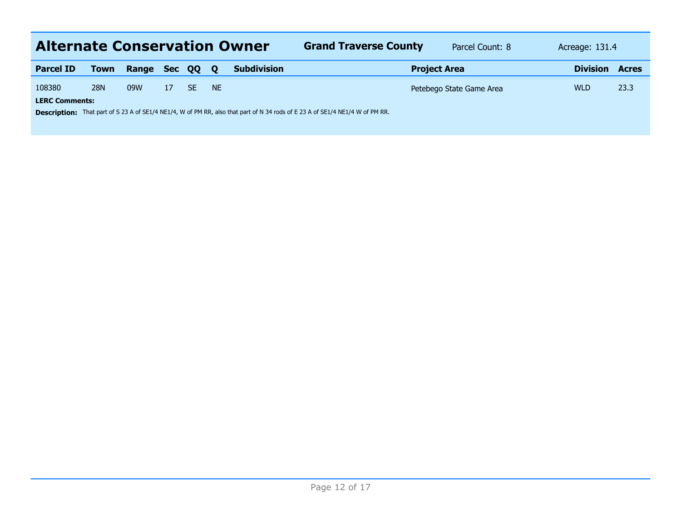| <b>Alternate Conservation Owner</b> |                                                                                                                                      |              |    |     |              |                    | <b>Grand Traverse County</b> | Parcel Count: 8          | Acreage: 131.4  |              |  |  |
|-------------------------------------|--------------------------------------------------------------------------------------------------------------------------------------|--------------|----|-----|--------------|--------------------|------------------------------|--------------------------|-----------------|--------------|--|--|
| <b>Parcel ID</b>                    | <b>Town</b>                                                                                                                          | Range Sec QQ |    |     | $\mathbf{o}$ | <b>Subdivision</b> | <b>Project Area</b>          |                          | <b>Division</b> | <b>Acres</b> |  |  |
| 108380                              | <b>28N</b>                                                                                                                           | 09W          | 17 | SF. | <b>NE</b>    |                    |                              | Petebego State Game Area | <b>WLD</b>      | 23.3         |  |  |
| <b>LERC Comments:</b>               |                                                                                                                                      |              |    |     |              |                    |                              |                          |                 |              |  |  |
|                                     | <b>Description:</b> That part of S 23 A of SE1/4 NE1/4, W of PM RR, also that part of N 34 rods of E 23 A of SE1/4 NE1/4 W of PM RR. |              |    |     |              |                    |                              |                          |                 |              |  |  |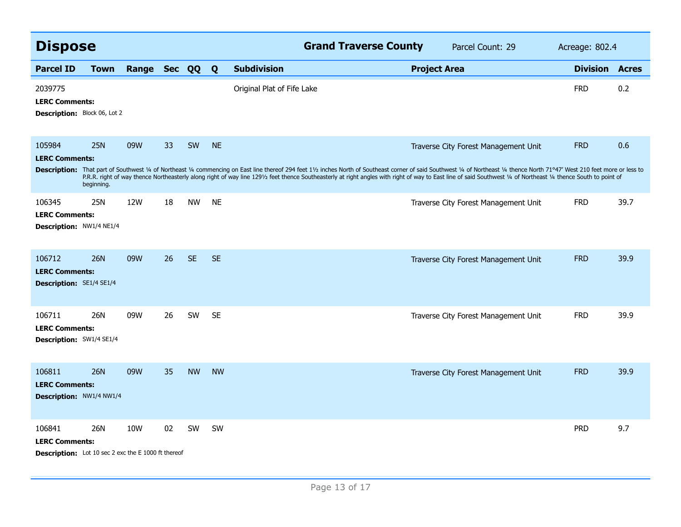|                                                                                               | <b>Dispose</b><br>Range Sec QQ |     |    |           |           |                            | <b>Grand Traverse County</b> |                     | Parcel Count: 29                                                                                                                                                                                                                                                                                                                                                                                                                                                                          | Acreage: 802.4  |              |
|-----------------------------------------------------------------------------------------------|--------------------------------|-----|----|-----------|-----------|----------------------------|------------------------------|---------------------|-------------------------------------------------------------------------------------------------------------------------------------------------------------------------------------------------------------------------------------------------------------------------------------------------------------------------------------------------------------------------------------------------------------------------------------------------------------------------------------------|-----------------|--------------|
| <b>Parcel ID</b>                                                                              | <b>Town</b>                    |     |    |           | Q         | <b>Subdivision</b>         |                              | <b>Project Area</b> |                                                                                                                                                                                                                                                                                                                                                                                                                                                                                           | <b>Division</b> | <b>Acres</b> |
| 2039775<br><b>LERC Comments:</b><br>Description: Block 06, Lot 2                              |                                |     |    |           |           | Original Plat of Fife Lake |                              |                     |                                                                                                                                                                                                                                                                                                                                                                                                                                                                                           | <b>FRD</b>      | 0.2          |
| 105984<br><b>LERC Comments:</b>                                                               | <b>25N</b><br>beginning.       | 09W | 33 | SW        | <b>NE</b> |                            |                              |                     | Traverse City Forest Management Unit<br>Description: That part of Southwest 1/4 of Northeast 1/4 commencing on East line thereof 294 feet 11/2 inches North of Southeast corner of said Southwest 1/4 of Northeast 1/4 thence North 71°47' West 210 feet more or less<br>P.R.R. right of way thence Northeasterly along right of way line 1291/2 feet thence Southeasterly at right angles with right of way to East line of said Southwest 1/4 of Northeast 1/4 thence South to point of | <b>FRD</b>      | 0.6          |
| 106345<br><b>LERC Comments:</b><br>Description: NW1/4 NE1/4                                   | 25N                            | 12W | 18 | <b>NW</b> | <b>NE</b> |                            |                              |                     | Traverse City Forest Management Unit                                                                                                                                                                                                                                                                                                                                                                                                                                                      | <b>FRD</b>      | 39.7         |
| 106712<br><b>LERC Comments:</b><br><b>Description: SE1/4 SE1/4</b>                            | <b>26N</b>                     | 09W | 26 | <b>SE</b> | <b>SE</b> |                            |                              |                     | Traverse City Forest Management Unit                                                                                                                                                                                                                                                                                                                                                                                                                                                      | <b>FRD</b>      | 39.9         |
| 106711<br><b>LERC Comments:</b><br><b>Description: SW1/4 SE1/4</b>                            | 26N                            | 09W | 26 | SW        | <b>SE</b> |                            |                              |                     | Traverse City Forest Management Unit                                                                                                                                                                                                                                                                                                                                                                                                                                                      | <b>FRD</b>      | 39.9         |
| 106811<br><b>LERC Comments:</b><br><b>Description: NW1/4 NW1/4</b>                            | <b>26N</b>                     | 09W | 35 | <b>NW</b> | <b>NW</b> |                            |                              |                     | Traverse City Forest Management Unit                                                                                                                                                                                                                                                                                                                                                                                                                                                      | <b>FRD</b>      | 39.9         |
| 106841<br><b>LERC Comments:</b><br><b>Description:</b> Lot 10 sec 2 exc the E 1000 ft thereof | 26N                            | 10W | 02 | SW        | SW        |                            |                              |                     |                                                                                                                                                                                                                                                                                                                                                                                                                                                                                           | <b>PRD</b>      | 9.7          |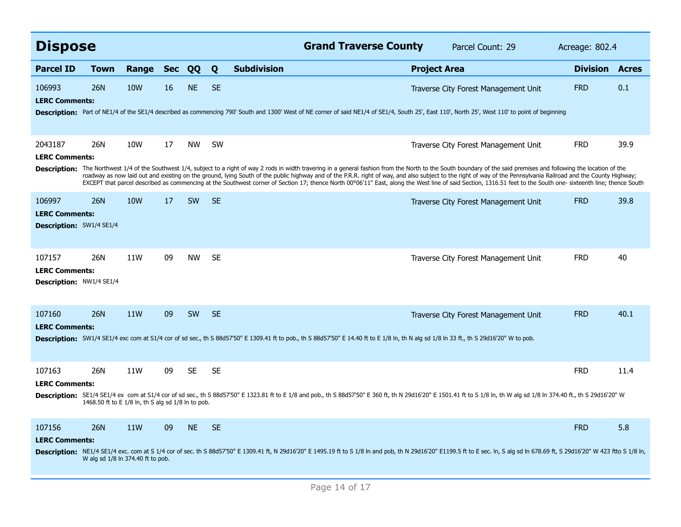| <b>Dispose</b>                                                     |             |                                                           |            |           |           |                    | <b>Grand Traverse County</b>                                                                                                                                                             |                     | Parcel Count: 29                                                                                                                                                                                                                                                                                                                                                                                                                                                                                                                                                                                                                                                                                        | Acreage: 802.4  |              |
|--------------------------------------------------------------------|-------------|-----------------------------------------------------------|------------|-----------|-----------|--------------------|------------------------------------------------------------------------------------------------------------------------------------------------------------------------------------------|---------------------|---------------------------------------------------------------------------------------------------------------------------------------------------------------------------------------------------------------------------------------------------------------------------------------------------------------------------------------------------------------------------------------------------------------------------------------------------------------------------------------------------------------------------------------------------------------------------------------------------------------------------------------------------------------------------------------------------------|-----------------|--------------|
| <b>Parcel ID</b>                                                   | <b>Town</b> | Range                                                     | <b>Sec</b> | QQ        | Q         | <b>Subdivision</b> |                                                                                                                                                                                          | <b>Project Area</b> |                                                                                                                                                                                                                                                                                                                                                                                                                                                                                                                                                                                                                                                                                                         | <b>Division</b> | <b>Acres</b> |
| 106993<br><b>LERC Comments:</b>                                    | 26N         | <b>10W</b>                                                | 16         | <b>NE</b> | <b>SE</b> |                    |                                                                                                                                                                                          |                     | Traverse City Forest Management Unit<br>Description: Part of NE1/4 of the SE1/4 described as commencing 790' South and 1300' West of NE corner of said NE1/4 of SE1/4, South 25', East 110', North 25', West 110' to point of beginning                                                                                                                                                                                                                                                                                                                                                                                                                                                                 | <b>FRD</b>      | 0.1          |
| 2043187<br><b>LERC Comments:</b>                                   | 26N         | 10W                                                       | 17         | <b>NW</b> | <b>SW</b> |                    |                                                                                                                                                                                          |                     | Traverse City Forest Management Unit<br>Description: The Northwest 1/4 of the Southwest 1/4, subject to a right of way 2 rods in width travering in a general fashion from the North to the South boundary of the said premises and following the location of the<br>roadway as now laid out and existing on the ground, lying South of the public highway and of the P.R.R. right of way, and also subject to the right of way of the Pennsylvania Railroad and the County Highway;<br>EXCEPT that parcel described as commencing at the Southwest corner of Section 17; thence North 00°06'11" East, along the West line of said Section, 1316.51 feet to the South one- sixteenth line; thence South | <b>FRD</b>      | 39.9         |
| 106997<br><b>LERC Comments:</b><br><b>Description: SW1/4 SE1/4</b> | 26N         | <b>10W</b>                                                | 17         | <b>SW</b> | <b>SE</b> |                    |                                                                                                                                                                                          |                     | Traverse City Forest Management Unit                                                                                                                                                                                                                                                                                                                                                                                                                                                                                                                                                                                                                                                                    | <b>FRD</b>      | 39.8         |
| 107157<br><b>LERC Comments:</b><br><b>Description: NW1/4 SE1/4</b> | 26N         | 11W                                                       | 09         | <b>NW</b> | <b>SE</b> |                    |                                                                                                                                                                                          |                     | Traverse City Forest Management Unit                                                                                                                                                                                                                                                                                                                                                                                                                                                                                                                                                                                                                                                                    | <b>FRD</b>      | 40           |
| 107160<br><b>LERC Comments:</b>                                    | <b>26N</b>  | <b>11W</b>                                                | 09         | <b>SW</b> | <b>SE</b> |                    | Description: SW1/4 SE1/4 exc com at S1/4 cor of sd sec., th S 88d57'50" E 1309.41 ft to pob., th S 88d57'50" E 14.40 ft to E 1/8 ln, th N alg sd 1/8 ln 33 ft., th S 29d16'20" W to pob. |                     | Traverse City Forest Management Unit                                                                                                                                                                                                                                                                                                                                                                                                                                                                                                                                                                                                                                                                    | <b>FRD</b>      | 40.1         |
| 107163<br><b>LERC Comments:</b>                                    | 26N         | 11W<br>1468.50 ft to E 1/8 ln, th S alg sd 1/8 ln to pob. | 09         | <b>SE</b> | <b>SE</b> |                    |                                                                                                                                                                                          |                     | Description: SE1/4 SE1/4 ex com at S1/4 cor of sd sec., th S 88d57'50" E 1323.81 ft to E 1/8 and pob., th S 88d57'50" E 360 ft, th N 29d16'20" E 1501.41 ft to S 1/8 ln, th W alg sd 1/8 ln 374.40 ft., th S 29d16'20" W                                                                                                                                                                                                                                                                                                                                                                                                                                                                                | <b>FRD</b>      | 11.4         |
| 107156<br><b>LERC Comments:</b>                                    | 26N         | <b>11W</b><br>W alg sd 1/8 ln 374.40 ft to pob.           | 09         | <b>NE</b> | <b>SE</b> |                    |                                                                                                                                                                                          |                     | Description: NE1/4 SE1/4 exc. com at S 1/4 cor of sec. th S 88d57'50" E 1309.41 ft, N 29d16'20" E 1495.19 ft to S 1/8 In and pob, th N 29d16'20" E1199.5 ft to E sec. In, S alg sd In 678.69 ft, S 29d16'20" W 423 ftto S 1/8                                                                                                                                                                                                                                                                                                                                                                                                                                                                           | <b>FRD</b>      | 5.8          |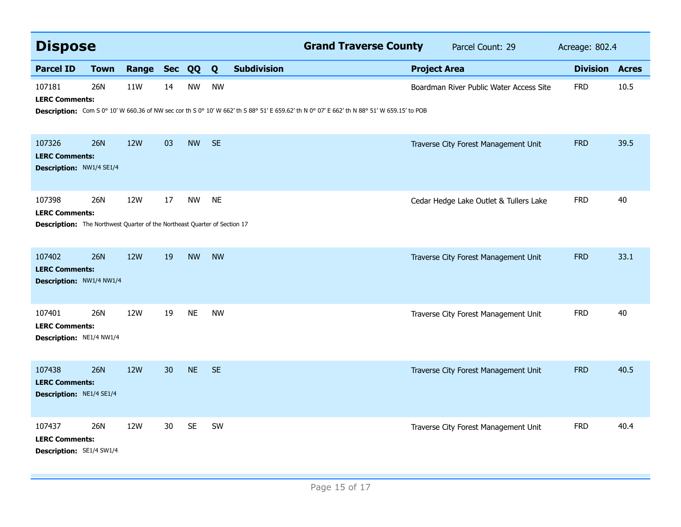|                                                                                                                     | <b>Dispose</b> |            |                 |           |           |                    | <b>Grand Traverse County</b>                                                                                                                |                     | Parcel Count: 29                        | Acreage: 802.4  |              |
|---------------------------------------------------------------------------------------------------------------------|----------------|------------|-----------------|-----------|-----------|--------------------|---------------------------------------------------------------------------------------------------------------------------------------------|---------------------|-----------------------------------------|-----------------|--------------|
| <b>Parcel ID</b>                                                                                                    | <b>Town</b>    | Range      | Sec QQ          |           | Q         | <b>Subdivision</b> |                                                                                                                                             | <b>Project Area</b> |                                         | <b>Division</b> | <b>Acres</b> |
| 107181<br><b>LERC Comments:</b>                                                                                     | 26N            | 11W        | 14              | <b>NW</b> | <b>NW</b> |                    | Description: Com S 0° 10' W 660.36 of NW sec cor th S 0° 10' W 662' th S 88° 51' E 659.62' th N 0° 07' E 662' th N 88° 51' W 659.15' to POB |                     | Boardman River Public Water Access Site | <b>FRD</b>      | 10.5         |
| 107326<br><b>LERC Comments:</b><br><b>Description: NW1/4 SE1/4</b>                                                  | <b>26N</b>     | <b>12W</b> | 03              | <b>NW</b> | <b>SE</b> |                    |                                                                                                                                             |                     | Traverse City Forest Management Unit    | <b>FRD</b>      | 39.5         |
| 107398<br><b>LERC Comments:</b><br><b>Description:</b> The Northwest Quarter of the Northeast Quarter of Section 17 | 26N            | 12W        | 17              | <b>NW</b> | <b>NE</b> |                    |                                                                                                                                             |                     | Cedar Hedge Lake Outlet & Tullers Lake  | <b>FRD</b>      | 40           |
| 107402<br><b>LERC Comments:</b><br>Description: NW1/4 NW1/4                                                         | <b>26N</b>     | <b>12W</b> | 19              | <b>NW</b> | <b>NW</b> |                    |                                                                                                                                             |                     | Traverse City Forest Management Unit    | <b>FRD</b>      | 33.1         |
| 107401<br><b>LERC Comments:</b><br>Description: NE1/4 NW1/4                                                         | 26N            | 12W        | 19              | <b>NE</b> | <b>NW</b> |                    |                                                                                                                                             |                     | Traverse City Forest Management Unit    | <b>FRD</b>      | 40           |
| 107438<br><b>LERC Comments:</b><br>Description: NE1/4 SE1/4                                                         | <b>26N</b>     | <b>12W</b> | 30 <sup>°</sup> | <b>NE</b> | <b>SE</b> |                    |                                                                                                                                             |                     | Traverse City Forest Management Unit    | <b>FRD</b>      | 40.5         |
| 107437<br><b>LERC Comments:</b><br>Description: SE1/4 SW1/4                                                         | <b>26N</b>     | 12W        | 30              | <b>SE</b> | SW        |                    |                                                                                                                                             |                     | Traverse City Forest Management Unit    | <b>FRD</b>      | 40.4         |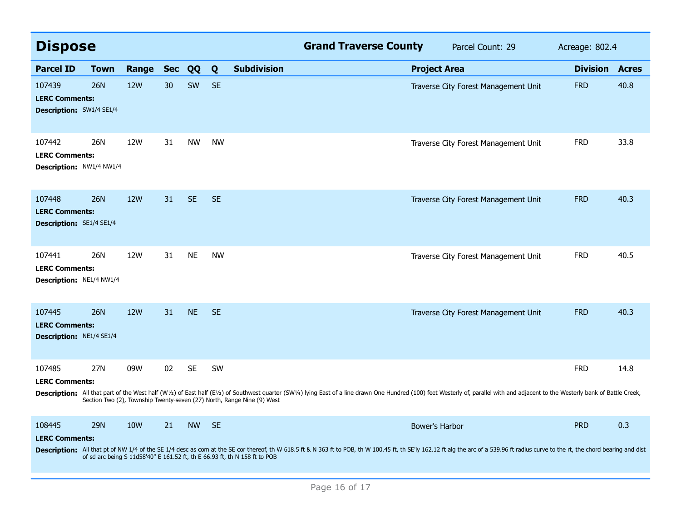| <b>Dispose</b>                                                     |             |            |            |           |           |                                                                            | <b>Grand Traverse County</b> |                     | Parcel Count: 29                                                                                                                                                                                                               | Acreage: 802.4  |              |
|--------------------------------------------------------------------|-------------|------------|------------|-----------|-----------|----------------------------------------------------------------------------|------------------------------|---------------------|--------------------------------------------------------------------------------------------------------------------------------------------------------------------------------------------------------------------------------|-----------------|--------------|
| <b>Parcel ID</b>                                                   | <b>Town</b> | Range      | <b>Sec</b> | QQ        | Q         | <b>Subdivision</b>                                                         |                              | <b>Project Area</b> |                                                                                                                                                                                                                                | <b>Division</b> | <b>Acres</b> |
| 107439<br><b>LERC Comments:</b><br><b>Description:</b> SW1/4 SE1/4 | <b>26N</b>  | <b>12W</b> | 30         | <b>SW</b> | <b>SE</b> |                                                                            |                              |                     | Traverse City Forest Management Unit                                                                                                                                                                                           | <b>FRD</b>      | 40.8         |
| 107442<br><b>LERC Comments:</b><br>Description: NW1/4 NW1/4        | 26N         | 12W        | 31         | <b>NW</b> | <b>NW</b> |                                                                            |                              |                     | Traverse City Forest Management Unit                                                                                                                                                                                           | <b>FRD</b>      | 33.8         |
| 107448<br><b>LERC Comments:</b><br><b>Description: SE1/4 SE1/4</b> | <b>26N</b>  | 12W        | 31         | <b>SE</b> | <b>SE</b> |                                                                            |                              |                     | Traverse City Forest Management Unit                                                                                                                                                                                           | <b>FRD</b>      | 40.3         |
| 107441<br><b>LERC Comments:</b><br>Description: NE1/4 NW1/4        | 26N         | 12W        | 31         | <b>NE</b> | <b>NW</b> |                                                                            |                              |                     | Traverse City Forest Management Unit                                                                                                                                                                                           | <b>FRD</b>      | 40.5         |
| 107445<br><b>LERC Comments:</b><br><b>Description: NE1/4 SE1/4</b> | 26N         | <b>12W</b> | 31         | <b>NE</b> | <b>SE</b> |                                                                            |                              |                     | Traverse City Forest Management Unit                                                                                                                                                                                           | <b>FRD</b>      | 40.3         |
| 107485<br><b>LERC Comments:</b>                                    | 27N         | 09W        | 02         | <b>SE</b> | SW        | Section Two (2), Township Twenty-seven (27) North, Range Nine (9) West     |                              |                     | Description: All that part of the West half (W1/2) of East half (E1/2) of Southwest quarter (SW1/4) lying East of a line drawn One Hundred (100) feet Westerly of, parallel with and adjacent to the Westerly bank of Battle C | <b>FRD</b>      | 14.8         |
| 108445<br><b>LERC Comments:</b>                                    | <b>29N</b>  | 10W        | 21         | <b>NW</b> | <b>SE</b> | of sd arc being S 11d58'40" E 161.52 ft, th E 66.93 ft, th N 158 ft to POB |                              | Bower's Harbor      | Description: All that pt of NW 1/4 of the SE 1/4 desc as com at the SE cor thereof, th W 618.5 ft & N 363 ft to POB, th W 100.45 ft, th SE'ly 162.12 ft alg the arc of a 539.96 ft radius curve to the rt, the chord bearing a | <b>PRD</b>      | 0.3          |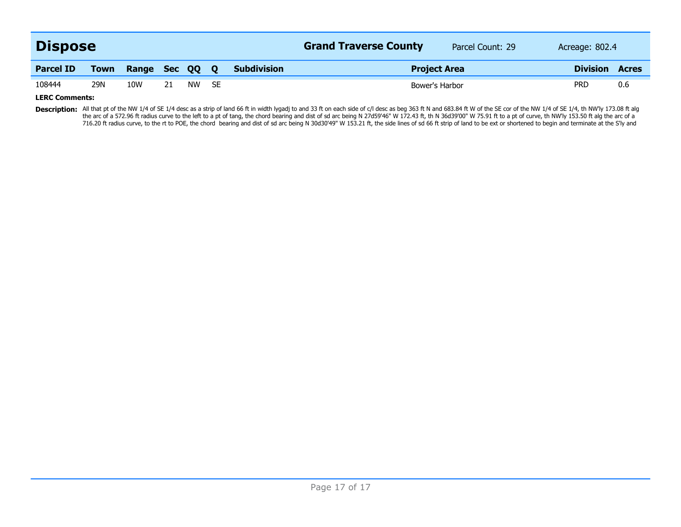| <b>Dispose</b>   |             |                |    |       |  |                    | <b>Grand Traverse County</b> | Parcel Count: 29 | Acreage: 802.4  |              |
|------------------|-------------|----------------|----|-------|--|--------------------|------------------------------|------------------|-----------------|--------------|
| <b>Parcel ID</b> | <b>Town</b> | Range Sec QQ Q |    |       |  | <b>Subdivision</b> | <b>Project Area</b>          |                  | <b>Division</b> | <b>Acres</b> |
| 108444           | 29N         | 10W            | 21 | NW SE |  |                    | Bower's Harbor               |                  | <b>PRD</b>      | 0.6          |
| .                |             |                |    |       |  |                    |                              |                  |                 |              |

**LERC Comments:**

Description: All that pt of the NW 1/4 of SE 1/4 desc as a strip of land 66 ft in width lygadj to and 33 ft on each side of c/l desc as beg 363 ft N and 683.84 ft W of the SE cor of the NW 1/4 of SE 1/4, th NW'ly 173.08 ft 716.20 ft radius curve, to the rt to POE, the chord bearing and dist of sd arc being N 30d30'49" W 153.21 ft, the side lines of sd 66 ft strip of land to be ext or shortened to begin and terminate at the S'ly and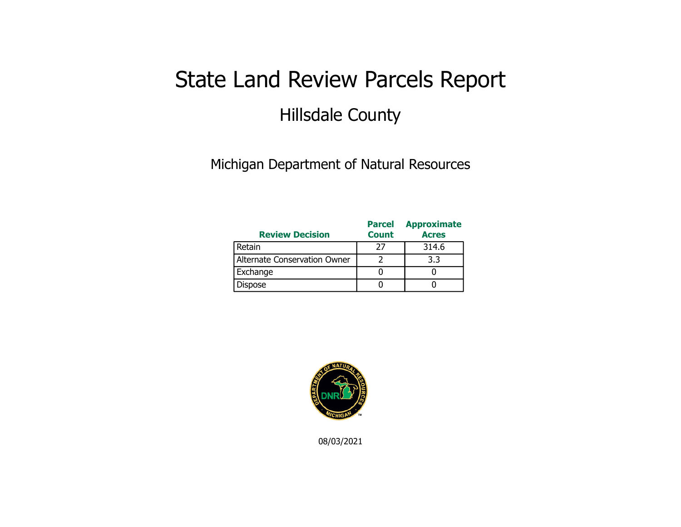## State Land Review Parcels Report Hillsdale County

Michigan Department of Natural Resources

| <b>Review Decision</b>       | <b>Parcel</b><br><b>Count</b> | <b>Approximate</b><br><b>Acres</b> |
|------------------------------|-------------------------------|------------------------------------|
| Retain                       | 77                            | 314.6                              |
| Alternate Conservation Owner |                               | 3.3                                |
| Exchange                     |                               |                                    |
| <b>Dispose</b>               |                               |                                    |



08/03/2021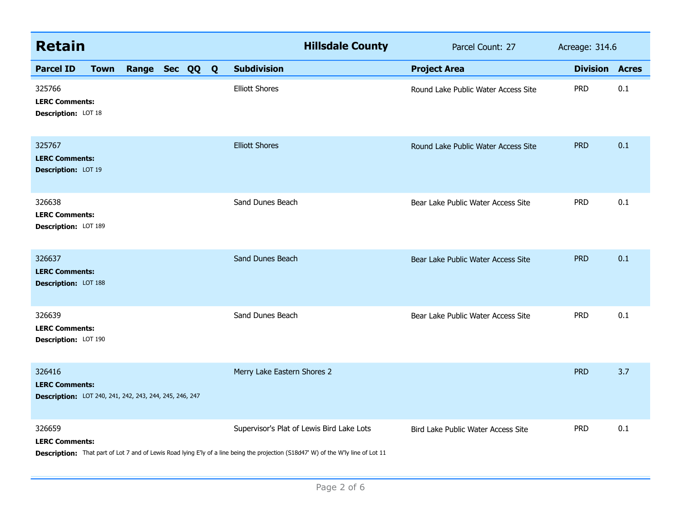| <b>Retain</b>                                                                              |             |              |  |              |                             | <b>Hillsdale County</b>                                                                                                                                                         | Parcel Count: 27                    | Acreage: 314.6 |                       |
|--------------------------------------------------------------------------------------------|-------------|--------------|--|--------------|-----------------------------|---------------------------------------------------------------------------------------------------------------------------------------------------------------------------------|-------------------------------------|----------------|-----------------------|
| <b>Parcel ID</b>                                                                           | <b>Town</b> | Range Sec QQ |  | $\mathbf{Q}$ | <b>Subdivision</b>          |                                                                                                                                                                                 | <b>Project Area</b>                 |                | <b>Division Acres</b> |
| 325766<br><b>LERC Comments:</b><br>Description: LOT 18                                     |             |              |  |              | <b>Elliott Shores</b>       |                                                                                                                                                                                 | Round Lake Public Water Access Site | <b>PRD</b>     | 0.1                   |
| 325767<br><b>LERC Comments:</b><br>Description: LOT 19                                     |             |              |  |              | <b>Elliott Shores</b>       |                                                                                                                                                                                 | Round Lake Public Water Access Site | <b>PRD</b>     | 0.1                   |
| 326638<br><b>LERC Comments:</b><br>Description: LOT 189                                    |             |              |  |              | Sand Dunes Beach            |                                                                                                                                                                                 | Bear Lake Public Water Access Site  | <b>PRD</b>     | 0.1                   |
| 326637<br><b>LERC Comments:</b><br>Description: LOT 188                                    |             |              |  |              | Sand Dunes Beach            |                                                                                                                                                                                 | Bear Lake Public Water Access Site  | <b>PRD</b>     | 0.1                   |
| 326639<br><b>LERC Comments:</b><br>Description: LOT 190                                    |             |              |  |              | Sand Dunes Beach            |                                                                                                                                                                                 | Bear Lake Public Water Access Site  | <b>PRD</b>     | 0.1                   |
| 326416<br><b>LERC Comments:</b><br>Description: LOT 240, 241, 242, 243, 244, 245, 246, 247 |             |              |  |              | Merry Lake Eastern Shores 2 |                                                                                                                                                                                 |                                     | <b>PRD</b>     | 3.7                   |
| 326659<br><b>LERC Comments:</b>                                                            |             |              |  |              |                             | Supervisor's Plat of Lewis Bird Lake Lots<br>Description: That part of Lot 7 and of Lewis Road lying E'ly of a line being the projection (S18d47' W) of the W'ly line of Lot 11 | Bird Lake Public Water Access Site  | <b>PRD</b>     | 0.1                   |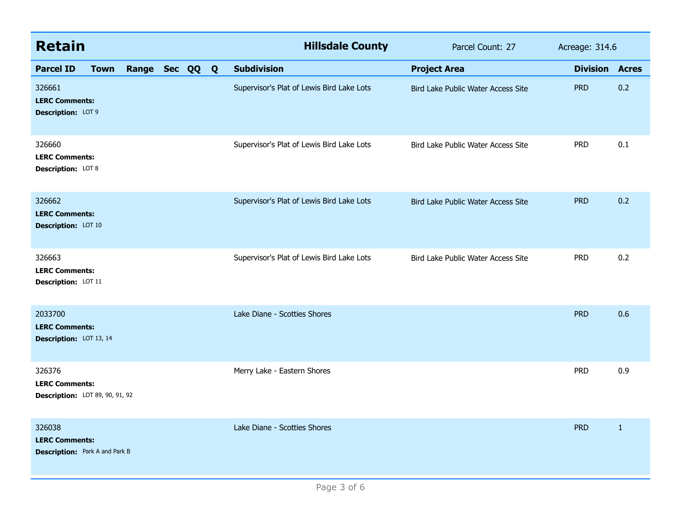| <b>Retain</b>                                                            |             |                |  | <b>Hillsdale County</b>                   | Parcel Count: 27                   | Acreage: 314.6  |              |
|--------------------------------------------------------------------------|-------------|----------------|--|-------------------------------------------|------------------------------------|-----------------|--------------|
| <b>Parcel ID</b>                                                         | <b>Town</b> | Range Sec QQ Q |  | <b>Subdivision</b>                        | <b>Project Area</b>                | <b>Division</b> | <b>Acres</b> |
| 326661<br><b>LERC Comments:</b><br>Description: LOT 9                    |             |                |  | Supervisor's Plat of Lewis Bird Lake Lots | Bird Lake Public Water Access Site | <b>PRD</b>      | 0.2          |
| 326660<br><b>LERC Comments:</b><br><b>Description: LOT 8</b>             |             |                |  | Supervisor's Plat of Lewis Bird Lake Lots | Bird Lake Public Water Access Site | <b>PRD</b>      | 0.1          |
| 326662<br><b>LERC Comments:</b><br><b>Description: LOT 10</b>            |             |                |  | Supervisor's Plat of Lewis Bird Lake Lots | Bird Lake Public Water Access Site | <b>PRD</b>      | 0.2          |
| 326663<br><b>LERC Comments:</b><br>Description: LOT 11                   |             |                |  | Supervisor's Plat of Lewis Bird Lake Lots | Bird Lake Public Water Access Site | <b>PRD</b>      | 0.2          |
| 2033700<br><b>LERC Comments:</b><br>Description: LOT 13, 14              |             |                |  | Lake Diane - Scotties Shores              |                                    | <b>PRD</b>      | 0.6          |
| 326376<br><b>LERC Comments:</b><br>Description: LOT 89, 90, 91, 92       |             |                |  | Merry Lake - Eastern Shores               |                                    | <b>PRD</b>      | 0.9          |
| 326038<br><b>LERC Comments:</b><br><b>Description:</b> Park A and Park B |             |                |  | Lake Diane - Scotties Shores              |                                    | <b>PRD</b>      | $\mathbf{1}$ |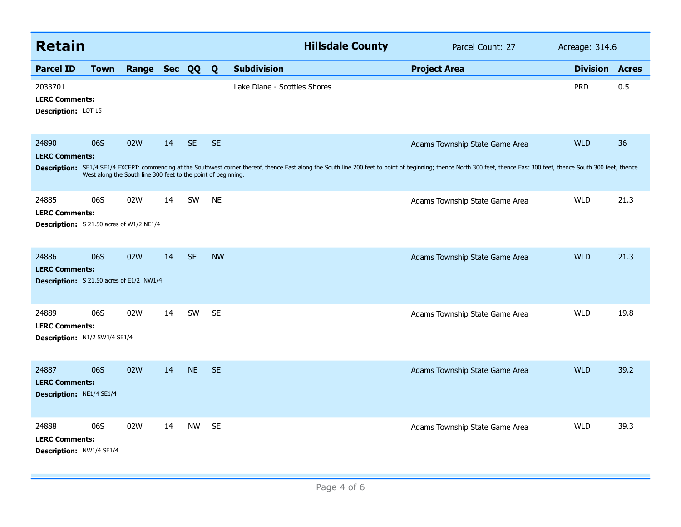| <b>Retain</b>                                                                     |                                                                      |              |    |           |              | <b>Hillsdale County</b>                                                                                                                                                                                                       | Parcel Count: 27               | Acreage: 314.6  |              |
|-----------------------------------------------------------------------------------|----------------------------------------------------------------------|--------------|----|-----------|--------------|-------------------------------------------------------------------------------------------------------------------------------------------------------------------------------------------------------------------------------|--------------------------------|-----------------|--------------|
| <b>Parcel ID</b>                                                                  | <b>Town</b>                                                          | Range Sec QQ |    |           | $\mathbf{Q}$ | <b>Subdivision</b>                                                                                                                                                                                                            | <b>Project Area</b>            | <b>Division</b> | <b>Acres</b> |
| 2033701<br><b>LERC Comments:</b><br>Description: LOT 15                           |                                                                      |              |    |           |              | Lake Diane - Scotties Shores                                                                                                                                                                                                  |                                | <b>PRD</b>      | 0.5          |
| 24890<br><b>LERC Comments:</b>                                                    | 06S<br>West along the South line 300 feet to the point of beginning. | 02W          | 14 | <b>SE</b> | <b>SE</b>    | Description: SE1/4 SE1/4 EXCEPT: commencing at the Southwest corner thereof, thence East along the South line 200 feet to point of beginning; thence North 300 feet, thence East 300 feet, thence South 300 feet; thence Cast | Adams Township State Game Area | <b>WLD</b>      | 36           |
| 24885<br><b>LERC Comments:</b><br><b>Description:</b> S 21.50 acres of W1/2 NE1/4 | 06S                                                                  | 02W          | 14 | SW        | <b>NE</b>    |                                                                                                                                                                                                                               | Adams Township State Game Area | <b>WLD</b>      | 21.3         |
| 24886<br><b>LERC Comments:</b><br><b>Description:</b> S 21.50 acres of E1/2 NW1/4 | 06S                                                                  | 02W          | 14 | <b>SE</b> | <b>NW</b>    |                                                                                                                                                                                                                               | Adams Township State Game Area | <b>WLD</b>      | 21.3         |
| 24889<br><b>LERC Comments:</b><br>Description: N1/2 SW1/4 SE1/4                   | 06S                                                                  | 02W          | 14 | SW        | <b>SE</b>    |                                                                                                                                                                                                                               | Adams Township State Game Area | <b>WLD</b>      | 19.8         |
| 24887<br><b>LERC Comments:</b><br>Description: NE1/4 SE1/4                        | 06S                                                                  | 02W          | 14 | <b>NE</b> | <b>SE</b>    |                                                                                                                                                                                                                               | Adams Township State Game Area | <b>WLD</b>      | 39.2         |
| 24888<br><b>LERC Comments:</b><br>Description: NW1/4 SE1/4                        | 06S                                                                  | 02W          | 14 | <b>NW</b> | <b>SE</b>    |                                                                                                                                                                                                                               | Adams Township State Game Area | <b>WLD</b>      | 39.3         |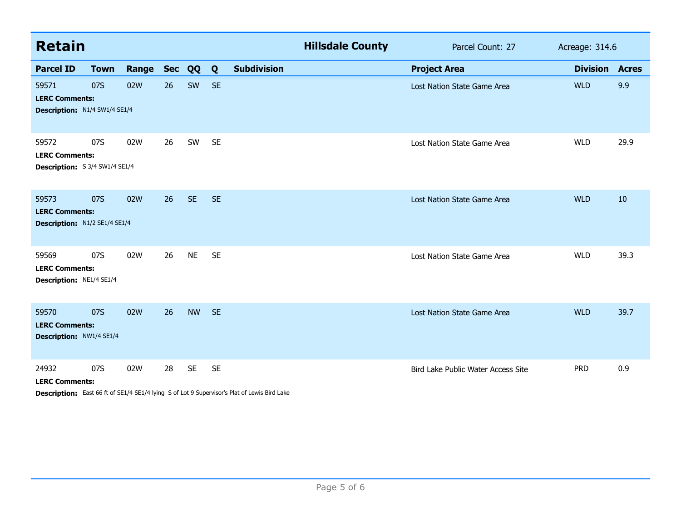| <b>Retain</b>                                                    |             |                  |    |           |           |                                                                                                     | <b>Hillsdale County</b> | Parcel Count: 27                   | Acreage: 314.6        |      |
|------------------------------------------------------------------|-------------|------------------|----|-----------|-----------|-----------------------------------------------------------------------------------------------------|-------------------------|------------------------------------|-----------------------|------|
| <b>Parcel ID</b>                                                 | <b>Town</b> | <b>Range Sec</b> |    | QQ        | Q         | <b>Subdivision</b>                                                                                  |                         | <b>Project Area</b>                | <b>Division Acres</b> |      |
| 59571<br><b>LERC Comments:</b><br>Description: N1/4 SW1/4 SE1/4  | 07S         | 02W              | 26 | SW        | <b>SE</b> |                                                                                                     |                         | Lost Nation State Game Area        | <b>WLD</b>            | 9.9  |
| 59572<br><b>LERC Comments:</b><br>Description: S 3/4 SW1/4 SE1/4 | 07S         | 02W              | 26 | SW        | <b>SE</b> |                                                                                                     |                         | Lost Nation State Game Area        | <b>WLD</b>            | 29.9 |
| 59573<br><b>LERC Comments:</b><br>Description: N1/2 SE1/4 SE1/4  | 07S         | 02W              | 26 | <b>SE</b> | <b>SE</b> |                                                                                                     |                         | Lost Nation State Game Area        | <b>WLD</b>            | 10   |
| 59569<br><b>LERC Comments:</b><br>Description: NE1/4 SE1/4       | 07S         | 02W              | 26 | <b>NE</b> | <b>SE</b> |                                                                                                     |                         | Lost Nation State Game Area        | <b>WLD</b>            | 39.3 |
| 59570<br><b>LERC Comments:</b><br>Description: NW1/4 SE1/4       | 07S         | 02W              | 26 | <b>NW</b> | <b>SE</b> |                                                                                                     |                         | Lost Nation State Game Area        | <b>WLD</b>            | 39.7 |
| 24932<br><b>LERC Comments:</b>                                   | 07S         | 02W              | 28 | <b>SE</b> | <b>SE</b> | $E_{\text{out}}$ CC. B. - CCE4 (4 CE4 (4 Line of - CL-+ O.C.) . The shall black of Line Block Lines |                         | Bird Lake Public Water Access Site | <b>PRD</b>            | 0.9  |

**Description:** East 66 ft of SE1/4 SE1/4 lying S of Lot 9 Supervisor's Plat of Lewis Bird Lake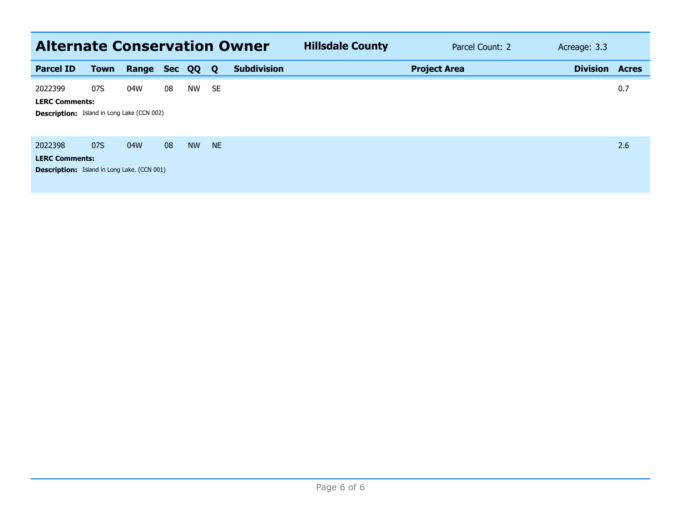| <b>Alternate Conservation Owner</b>                                                    |             |       |            |           |           |                    | <b>Hillsdale County</b> | Parcel Count: 2 | Acreage: 3.3    |              |
|----------------------------------------------------------------------------------------|-------------|-------|------------|-----------|-----------|--------------------|-------------------------|-----------------|-----------------|--------------|
| <b>Parcel ID</b>                                                                       | <b>Town</b> | Range | <b>Sec</b> | QQ        | Q         | <b>Subdivision</b> | <b>Project Area</b>     |                 | <b>Division</b> | <b>Acres</b> |
| 2022399<br><b>LERC Comments:</b><br><b>Description:</b> Island in Long Lake (CCN 002)  | 07S         | 04W   | 08         | <b>NW</b> | <b>SE</b> |                    |                         |                 |                 | 0.7          |
| 2022398<br><b>LERC Comments:</b><br><b>Description:</b> Island in Long Lake. (CCN 001) | 07S         | 04W   | 08         | <b>NW</b> | <b>NE</b> |                    |                         |                 |                 | 2.6          |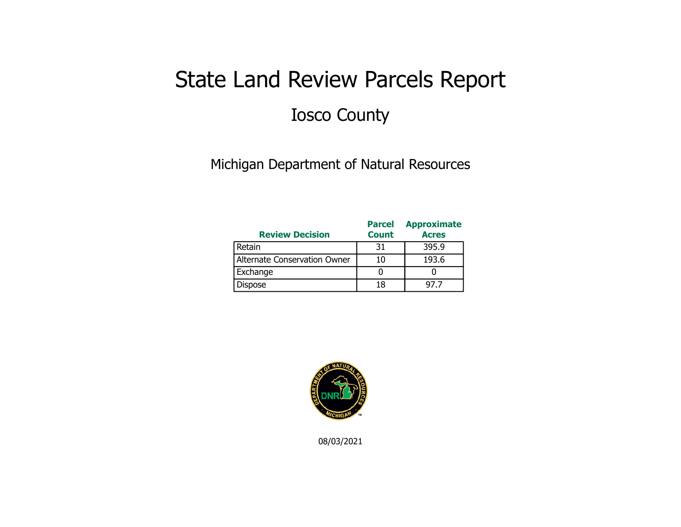## State Land Review Parcels Report Iosco County

Michigan Department of Natural Resources

| <b>Review Decision</b>       | <b>Parcel</b><br><b>Count</b> | <b>Approximate</b><br><b>Acres</b> |
|------------------------------|-------------------------------|------------------------------------|
| Retain                       | 31                            | 395.9                              |
| Alternate Conservation Owner | 10                            | 193.6                              |
| Exchange                     |                               |                                    |
| Dispose                      | 18                            | 97.7                               |



08/03/2021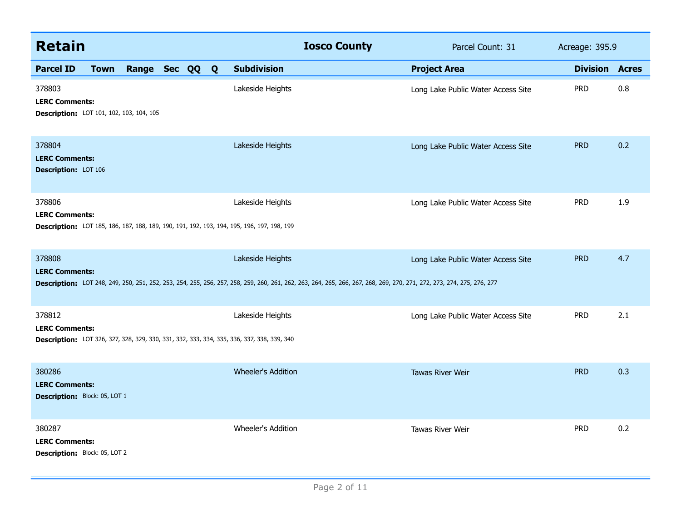| <b>Retain</b>                                                               |             |              |  |  |   |                                                                                                                       | <b>Iosco County</b>                                                                                                                                                   | Parcel Count: 31                   | Acreage: 395.9  |              |
|-----------------------------------------------------------------------------|-------------|--------------|--|--|---|-----------------------------------------------------------------------------------------------------------------------|-----------------------------------------------------------------------------------------------------------------------------------------------------------------------|------------------------------------|-----------------|--------------|
| <b>Parcel ID</b>                                                            | <b>Town</b> | Range Sec QQ |  |  | Q | <b>Subdivision</b>                                                                                                    |                                                                                                                                                                       | <b>Project Area</b>                | <b>Division</b> | <b>Acres</b> |
| 378803<br><b>LERC Comments:</b><br>Description: LOT 101, 102, 103, 104, 105 |             |              |  |  |   | Lakeside Heights                                                                                                      |                                                                                                                                                                       | Long Lake Public Water Access Site | <b>PRD</b>      | 0.8          |
| 378804<br><b>LERC Comments:</b><br>Description: LOT 106                     |             |              |  |  |   | Lakeside Heights                                                                                                      |                                                                                                                                                                       | Long Lake Public Water Access Site | <b>PRD</b>      | 0.2          |
| 378806<br><b>LERC Comments:</b>                                             |             |              |  |  |   | Lakeside Heights<br><b>Description:</b> LOT 185, 186, 187, 188, 189, 190, 191, 192, 193, 194, 195, 196, 197, 198, 199 |                                                                                                                                                                       | Long Lake Public Water Access Site | <b>PRD</b>      | 1.9          |
| 378808<br><b>LERC Comments:</b>                                             |             |              |  |  |   | Lakeside Heights                                                                                                      | Description: LOT 248, 249, 250, 251, 252, 253, 254, 255, 256, 257, 258, 259, 260, 261, 262, 263, 264, 265, 266, 267, 268, 269, 270, 271, 272, 273, 274, 275, 276, 277 | Long Lake Public Water Access Site | <b>PRD</b>      | 4.7          |
| 378812<br><b>LERC Comments:</b>                                             |             |              |  |  |   | Lakeside Heights<br><b>Description:</b> LOT 326, 327, 328, 329, 330, 331, 332, 333, 334, 335, 336, 337, 338, 339, 340 |                                                                                                                                                                       | Long Lake Public Water Access Site | <b>PRD</b>      | 2.1          |
| 380286<br><b>LERC Comments:</b><br>Description: Block: 05, LOT 1            |             |              |  |  |   | <b>Wheeler's Addition</b>                                                                                             |                                                                                                                                                                       | <b>Tawas River Weir</b>            | <b>PRD</b>      | 0.3          |
| 380287<br><b>LERC Comments:</b><br>Description: Block: 05, LOT 2            |             |              |  |  |   | Wheeler's Addition                                                                                                    |                                                                                                                                                                       | <b>Tawas River Weir</b>            | <b>PRD</b>      | 0.2          |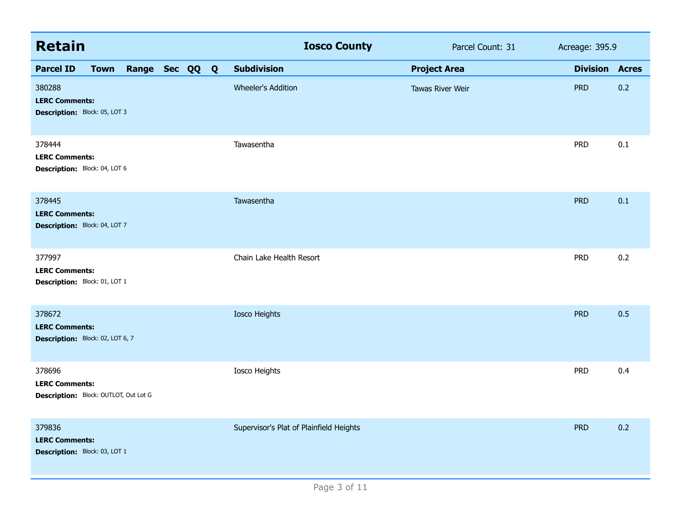| <b>Retain</b>                                                            |             |                |  | <b>Iosco County</b>                     | Parcel Count: 31    | Acreage: 395.9  |              |
|--------------------------------------------------------------------------|-------------|----------------|--|-----------------------------------------|---------------------|-----------------|--------------|
| <b>Parcel ID</b>                                                         | <b>Town</b> | Range Sec QQ Q |  | <b>Subdivision</b>                      | <b>Project Area</b> | <b>Division</b> | <b>Acres</b> |
| 380288<br><b>LERC Comments:</b><br>Description: Block: 05, LOT 3         |             |                |  | <b>Wheeler's Addition</b>               | Tawas River Weir    | <b>PRD</b>      | 0.2          |
| 378444<br><b>LERC Comments:</b><br>Description: Block: 04, LOT 6         |             |                |  | Tawasentha                              |                     | <b>PRD</b>      | 0.1          |
| 378445<br><b>LERC Comments:</b><br>Description: Block: 04, LOT 7         |             |                |  | Tawasentha                              |                     | <b>PRD</b>      | 0.1          |
| 377997<br><b>LERC Comments:</b><br>Description: Block: 01, LOT 1         |             |                |  | Chain Lake Health Resort                |                     | <b>PRD</b>      | 0.2          |
| 378672<br><b>LERC Comments:</b><br>Description: Block: 02, LOT 6, 7      |             |                |  | <b>Iosco Heights</b>                    |                     | <b>PRD</b>      | 0.5          |
| 378696<br><b>LERC Comments:</b><br>Description: Block: OUTLOT, Out Lot G |             |                |  | Iosco Heights                           |                     | <b>PRD</b>      | 0.4          |
| 379836<br><b>LERC Comments:</b><br>Description: Block: 03, LOT 1         |             |                |  | Supervisor's Plat of Plainfield Heights |                     | <b>PRD</b>      | 0.2          |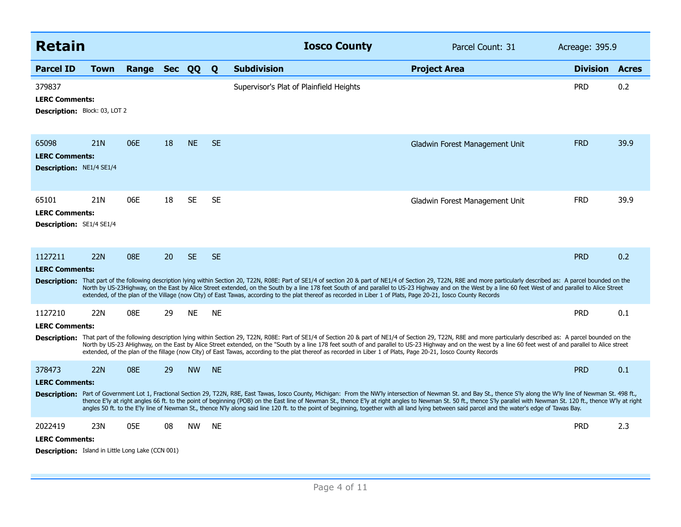| <b>Retain</b>                                                              |                 |              | <b>Iosco County</b><br>Parcel Count: 31 |           | Acreage: 395.9 |                                                                                                                                                                                                                                                                                                                                                                                                                                                                                                                                                                                                                                                           |                                |                 |              |
|----------------------------------------------------------------------------|-----------------|--------------|-----------------------------------------|-----------|----------------|-----------------------------------------------------------------------------------------------------------------------------------------------------------------------------------------------------------------------------------------------------------------------------------------------------------------------------------------------------------------------------------------------------------------------------------------------------------------------------------------------------------------------------------------------------------------------------------------------------------------------------------------------------------|--------------------------------|-----------------|--------------|
| <b>Parcel ID</b>                                                           | <b>Town</b>     | Range Sec QQ |                                         |           | Q              | <b>Subdivision</b>                                                                                                                                                                                                                                                                                                                                                                                                                                                                                                                                                                                                                                        | <b>Project Area</b>            | <b>Division</b> | <b>Acres</b> |
| 379837<br><b>LERC Comments:</b><br>Description: Block: 03, LOT 2           |                 |              |                                         |           |                | Supervisor's Plat of Plainfield Heights                                                                                                                                                                                                                                                                                                                                                                                                                                                                                                                                                                                                                   |                                | <b>PRD</b>      | 0.2          |
| 65098<br><b>LERC Comments:</b><br><b>Description: NE1/4 SE1/4</b>          | 21 <sub>N</sub> | 06E          | 18                                      | <b>NE</b> | <b>SE</b>      |                                                                                                                                                                                                                                                                                                                                                                                                                                                                                                                                                                                                                                                           | Gladwin Forest Management Unit | <b>FRD</b>      | 39.9         |
| 65101<br><b>LERC Comments:</b><br>Description: SE1/4 SE1/4                 | 21N             | 06E          | 18                                      | <b>SE</b> | <b>SE</b>      |                                                                                                                                                                                                                                                                                                                                                                                                                                                                                                                                                                                                                                                           | Gladwin Forest Management Unit | <b>FRD</b>      | 39.9         |
| 1127211                                                                    | <b>22N</b>      | 08E          | 20                                      | <b>SE</b> | <b>SE</b>      |                                                                                                                                                                                                                                                                                                                                                                                                                                                                                                                                                                                                                                                           |                                | <b>PRD</b>      | 0.2          |
| <b>LERC Comments:</b>                                                      |                 |              |                                         |           |                | Description: That part of the following description lying within Section 20, T22N, R08E: Part of SE1/4 of section 20 & part of NE1/4 of Section 29, T22N, R8E and more particularly described as: A parcel bounded on the<br>North by US-23Highway, on the East by Alice Street extended, on the South by a line 178 feet South of and parallel to US-23 Highway and on the West by a line 60 feet West of and parallel to Alice Street<br>extended, of the plan of the Village (now City) of East Tawas, according to the plat thereof as recorded in Liber 1 of Plats, Page 20-21, Iosco County Records                                                 |                                |                 |              |
| 1127210                                                                    | 22N             | 08E          | 29                                      | <b>NE</b> | <b>NE</b>      |                                                                                                                                                                                                                                                                                                                                                                                                                                                                                                                                                                                                                                                           |                                | <b>PRD</b>      | 0.1          |
| <b>LERC Comments:</b>                                                      |                 |              |                                         |           |                | Description: That part of the following description lying within Section 29, T22N, R08E: Part of SE1/4 of Section 20 & part of NE1/4 of Section 29, T22N, R88 and more particularly described as: A parcel bounded on the<br>North by US-23 AHighway, on the East by Alice Street extended, on the "South by a line 178 feet south of and parallel to US-23 Highway and on the west by a line 60 feet west of and parallel to Alice street<br>extended, of the plan of the fillage (now City) of East Tawas, according to the plat thereof as recorded in Liber 1 of Plats, Page 20-21, Iosco County Records                                              |                                |                 |              |
| 378473                                                                     | <b>22N</b>      | 08E          | 29                                      | <b>NW</b> | <b>NE</b>      |                                                                                                                                                                                                                                                                                                                                                                                                                                                                                                                                                                                                                                                           |                                | <b>PRD</b>      | 0.1          |
| <b>LERC Comments:</b>                                                      |                 |              |                                         |           |                |                                                                                                                                                                                                                                                                                                                                                                                                                                                                                                                                                                                                                                                           |                                |                 |              |
|                                                                            |                 |              |                                         |           |                | Description: Part of Government Lot 1, Fractional Section 29, T22N, R8E, East Tawas, Iosco County, Michigan: From the NW'ly intersection of Newman St. and Bay St., thence S'ly along the W'ly line of Newman St. 498 ft.,<br>thence E'ly at right angles 66 ft. to the point of beginning (POB) on the East line of Newman St., thence E'ly at right angles to Newman St. 50 ft., thence S'ly parallel with Newman St. 120 ft., thence W'ly at right<br>angles 50 ft. to the E'ly line of Newman St., thence N'ly along said line 120 ft. to the point of beginning, together with all land lying between said parcel and the water's edge of Tawas Bay. |                                |                 |              |
| 2022419                                                                    | 23N             | 05E          | 08                                      | <b>NW</b> | <b>NE</b>      |                                                                                                                                                                                                                                                                                                                                                                                                                                                                                                                                                                                                                                                           |                                | <b>PRD</b>      | 2.3          |
| <b>LERC Comments:</b><br>Description: Island in Little Long Lake (CCN 001) |                 |              |                                         |           |                |                                                                                                                                                                                                                                                                                                                                                                                                                                                                                                                                                                                                                                                           |                                |                 |              |
|                                                                            |                 |              |                                         |           |                |                                                                                                                                                                                                                                                                                                                                                                                                                                                                                                                                                                                                                                                           |                                |                 |              |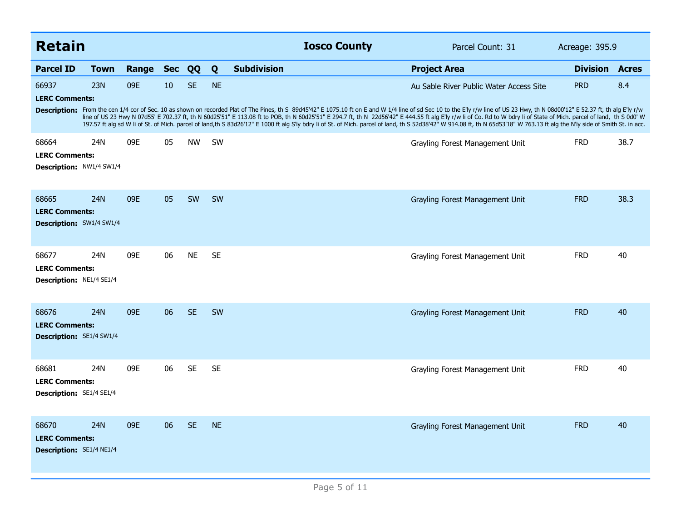| <b>Retain</b>                                                     |             |       |            |           |           | <b>Iosco County</b>                                                                                                                                                                                                                                                                                                                                                                                                                                                                                                                                                                                                                                                                     | Parcel Count: 31                        | Acreage: 395.9        |      |
|-------------------------------------------------------------------|-------------|-------|------------|-----------|-----------|-----------------------------------------------------------------------------------------------------------------------------------------------------------------------------------------------------------------------------------------------------------------------------------------------------------------------------------------------------------------------------------------------------------------------------------------------------------------------------------------------------------------------------------------------------------------------------------------------------------------------------------------------------------------------------------------|-----------------------------------------|-----------------------|------|
| <b>Parcel ID</b>                                                  | <b>Town</b> | Range | <b>Sec</b> | QQ        | Q         | <b>Subdivision</b>                                                                                                                                                                                                                                                                                                                                                                                                                                                                                                                                                                                                                                                                      | <b>Project Area</b>                     | <b>Division Acres</b> |      |
| 66937<br><b>LERC Comments:</b>                                    | 23N         | 09E   | 10         | <b>SE</b> | <b>NE</b> | Description: From the cen 1/4 cor of Sec. 10 as shown on recorded Plat of The Pines, th S 89d45'42" E 1075.10 ft on E and W 1/4 line of sd Sec 10 to the E'ly r/w line of US 23 Hwy, th N 08d00'12" E 52.37 ft, th alg E'ly r/<br>line of US 23 Hwy N 07d55' E 702.37 ft, th N 60d25'51" E 113.08 ft to POB, th N 60d25'51" E 294.7 ft, th N 22d56'42" E 444.55 ft alg E'ly r/w li of Co. Rd to W bdry li of State of Mich. parcel of land, th S 0d0' W<br>197.57 ft alg sd W li of St. of Mich. parcel of land,th S 83d26'12" E 1000 ft alg S'ly bdry li of St. of Mich. parcel of land, th S 52d38'42" W 914.08 ft, th N 65d53'18" W 763.13 ft alg the N'ly side of Smith St. in acc. | Au Sable River Public Water Access Site | <b>PRD</b>            | 8.4  |
| 68664<br><b>LERC Comments:</b><br>Description: NW1/4 SW1/4        | 24N         | 09E   | 05         | <b>NW</b> | SW        |                                                                                                                                                                                                                                                                                                                                                                                                                                                                                                                                                                                                                                                                                         | Grayling Forest Management Unit         | <b>FRD</b>            | 38.7 |
| 68665<br><b>LERC Comments:</b><br><b>Description:</b> SW1/4 SW1/4 | 24N         | 09E   | 05         | SW        | <b>SW</b> |                                                                                                                                                                                                                                                                                                                                                                                                                                                                                                                                                                                                                                                                                         | Grayling Forest Management Unit         | <b>FRD</b>            | 38.3 |
| 68677<br><b>LERC Comments:</b><br>Description: NE1/4 SE1/4        | 24N         | 09E   | 06         | <b>NE</b> | <b>SE</b> |                                                                                                                                                                                                                                                                                                                                                                                                                                                                                                                                                                                                                                                                                         | Grayling Forest Management Unit         | <b>FRD</b>            | 40   |
| 68676<br><b>LERC Comments:</b><br><b>Description: SE1/4 SW1/4</b> | <b>24N</b>  | 09E   | 06         | <b>SE</b> | SW        |                                                                                                                                                                                                                                                                                                                                                                                                                                                                                                                                                                                                                                                                                         | Grayling Forest Management Unit         | <b>FRD</b>            | 40   |
| 68681<br><b>LERC Comments:</b><br><b>Description: SE1/4 SE1/4</b> | 24N         | 09E   | 06         | <b>SE</b> | <b>SE</b> |                                                                                                                                                                                                                                                                                                                                                                                                                                                                                                                                                                                                                                                                                         | Grayling Forest Management Unit         | <b>FRD</b>            | 40   |
| 68670<br><b>LERC Comments:</b><br>Description: SE1/4 NE1/4        | <b>24N</b>  | 09E   | 06         | <b>SE</b> | <b>NE</b> |                                                                                                                                                                                                                                                                                                                                                                                                                                                                                                                                                                                                                                                                                         | Grayling Forest Management Unit         | <b>FRD</b>            | 40   |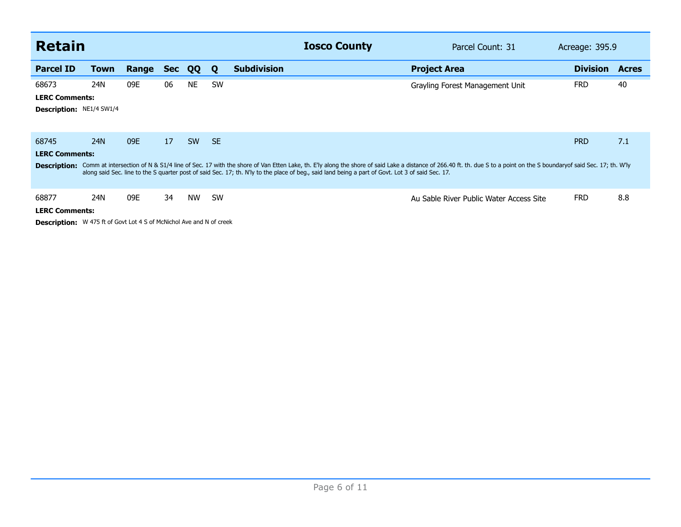| <b>Retain</b>                                                               |      |       |            |           |           | <b>Iosco County</b>                                                                                                                                                                                                                                                                                                                                                                 | Parcel Count: 31                        | Acreage: 395.9  |              |
|-----------------------------------------------------------------------------|------|-------|------------|-----------|-----------|-------------------------------------------------------------------------------------------------------------------------------------------------------------------------------------------------------------------------------------------------------------------------------------------------------------------------------------------------------------------------------------|-----------------------------------------|-----------------|--------------|
| <b>Parcel ID</b>                                                            | Town | Range | <b>Sec</b> | QQ        | Q         | <b>Subdivision</b>                                                                                                                                                                                                                                                                                                                                                                  | <b>Project Area</b>                     | <b>Division</b> | <b>Acres</b> |
| 68673                                                                       | 24N  | 09E   | 06         | <b>NE</b> | <b>SW</b> |                                                                                                                                                                                                                                                                                                                                                                                     | Grayling Forest Management Unit         | <b>FRD</b>      | 40           |
| <b>LERC Comments:</b>                                                       |      |       |            |           |           |                                                                                                                                                                                                                                                                                                                                                                                     |                                         |                 |              |
| <b>Description: NE1/4 SW1/4</b>                                             |      |       |            |           |           |                                                                                                                                                                                                                                                                                                                                                                                     |                                         |                 |              |
|                                                                             |      |       |            |           |           |                                                                                                                                                                                                                                                                                                                                                                                     |                                         |                 |              |
| 68745                                                                       | 24N  | 09E   | 17         | <b>SW</b> | <b>SE</b> |                                                                                                                                                                                                                                                                                                                                                                                     |                                         | <b>PRD</b>      | 7.1          |
| <b>LERC Comments:</b>                                                       |      |       |            |           |           |                                                                                                                                                                                                                                                                                                                                                                                     |                                         |                 |              |
|                                                                             |      |       |            |           |           | Description: Comm at intersection of N & S1/4 line of Sec. 17 with the shore of Van Etten Lake, th. E'ly along the shore of said Lake a distance of 266.40 ft. th. due S to a point on the S boundaryof said Sec. 17; th. W'ly<br>along said Sec. line to the S quarter post of said Sec. 17; th. N'ly to the place of beg., said land being a part of Govt. Lot 3 of said Sec. 17. |                                         |                 |              |
| 68877                                                                       | 24N  | 09E   | 34         | <b>NW</b> | <b>SW</b> |                                                                                                                                                                                                                                                                                                                                                                                     | Au Sable River Public Water Access Site | <b>FRD</b>      | 8.8          |
| <b>LERC Comments:</b>                                                       |      |       |            |           |           |                                                                                                                                                                                                                                                                                                                                                                                     |                                         |                 |              |
| <b>Description:</b> W 475 ft of Govt Lot 4 S of McNichol Ave and N of creek |      |       |            |           |           |                                                                                                                                                                                                                                                                                                                                                                                     |                                         |                 |              |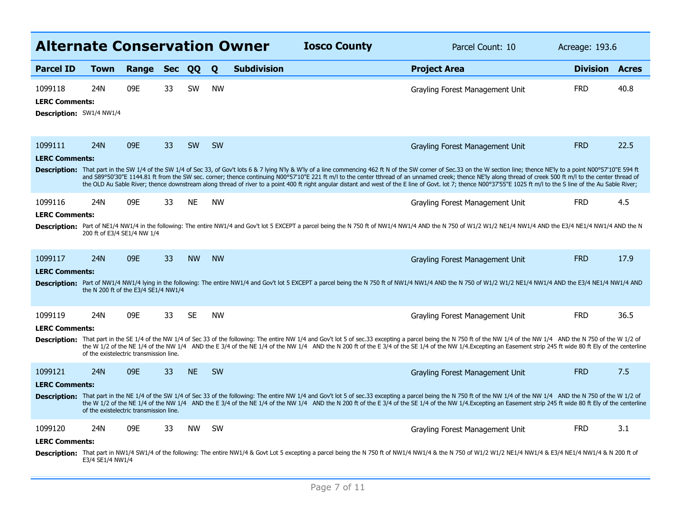| <b>Alternate Conservation Owner</b>                          |                                                    |       |            |           |           |                    | <b>Iosco County</b> | Parcel Count: 10                                                                                                                                                                                                                                                                                                                                                                                                                                                                                                                                                                                                                                                                                         |                       | Acreage: 193.6 |  |
|--------------------------------------------------------------|----------------------------------------------------|-------|------------|-----------|-----------|--------------------|---------------------|----------------------------------------------------------------------------------------------------------------------------------------------------------------------------------------------------------------------------------------------------------------------------------------------------------------------------------------------------------------------------------------------------------------------------------------------------------------------------------------------------------------------------------------------------------------------------------------------------------------------------------------------------------------------------------------------------------|-----------------------|----------------|--|
| <b>Parcel ID</b>                                             | <b>Town</b>                                        | Range | <b>Sec</b> | QQ        | Q         | <b>Subdivision</b> |                     | <b>Project Area</b>                                                                                                                                                                                                                                                                                                                                                                                                                                                                                                                                                                                                                                                                                      | <b>Division Acres</b> |                |  |
| 1099118<br><b>LERC Comments:</b><br>Description: SW1/4 NW1/4 | 24N                                                | 09E   | 33         | SW        | <b>NW</b> |                    |                     | Grayling Forest Management Unit                                                                                                                                                                                                                                                                                                                                                                                                                                                                                                                                                                                                                                                                          | <b>FRD</b>            | 40.8           |  |
| 1099111<br><b>LERC Comments:</b>                             | 24N                                                | 09E   | 33         | <b>SW</b> | <b>SW</b> |                    |                     | Grayling Forest Management Unit<br>Description: That part in the SW 1/4 of the SW 1/4 of Sec 33, of Gov't lots 6 & 7 lying N'ly & W'ly of a line commencing 462 ft N of the SW corner of Sec.33 on the W section line; thence NE'ly to a point N00°57'10"E 594 ft<br>and S89°50'30"E 1144.81 ft from the SW sec. corner; thence continuing N00°57'10"E 221 ft m/l to the center tthread of an unnamed creek; thence NE'ly along thread of creek 500 ft m/l to the center thread of<br>the OLD Au Sable River; thence downstream along thread of river to a point 400 ft right angular distant and west of the E line of Govt. lot 7; thence N00°37'55"E 1025 ft m/l to the S line of the Au Sable River; | <b>FRD</b>            | 22.5           |  |
| 1099116<br><b>LERC Comments:</b>                             | 24N<br>200 ft of E3/4 SE1/4 NW 1/4                 | 09E   | 33         | <b>NE</b> | <b>NW</b> |                    |                     | Grayling Forest Management Unit<br>Description: Part of NE1/4 NW1/4 in the following: The entire NW1/4 and Gov't lot 5 EXCEPT a parcel being the N 750 ft of NW1/4 NW1/4 AND the N 750 of W1/2 W1/2 NE1/4 NW1/4 AND the E3/4 NE1/4 NW1/4 AND the N                                                                                                                                                                                                                                                                                                                                                                                                                                                       | <b>FRD</b>            | 4.5            |  |
| 1099117<br><b>LERC Comments:</b>                             | <b>24N</b><br>the N 200 ft of the E3/4 SE1/4 NW1/4 | 09E   | 33         | <b>NW</b> | <b>NW</b> |                    |                     | Grayling Forest Management Unit<br>Description: Part of NW1/4 NW1/4 lying in the following: The entire NW1/4 and Gov't lot 5 EXCEPT a parcel being the N 750 ft of NW1/4 NW1/4 AND the N 750 of W1/2 NE1/2 NW1/4 AND the E3/4 NE1/4 NW1/4 AND the E3/4 NE1/4 NW1/                                                                                                                                                                                                                                                                                                                                                                                                                                        | <b>FRD</b>            | 17.9           |  |
| 1099119<br><b>LERC Comments:</b>                             | 24N<br>of the existelectric transmission line.     | 09E   | 33         | <b>SE</b> | <b>NW</b> |                    |                     | Grayling Forest Management Unit<br>Description: That part in the SE 1/4 of the NW 1/4 of Sec 33 of the following: The entire NW 1/4 and Gov't lot 5 of sec.33 excepting a parcel being the N 750 ft of the NW 1/4 of the NW 1/4 AND the N 750 of the W 1/2 of<br>the W 1/2 of the NE 1/4 of the NW 1/4 AND the E 3/4 of the NE 1/4 of the NW 1/4 AND the N 200 ft of the E 3/4 of the SE 1/4 of the NW 1/4. Excepting an Easement strip 245 ft wide 80 ft Ely of the centerline                                                                                                                                                                                                                          | <b>FRD</b>            | 36.5           |  |
| 1099121<br><b>LERC Comments:</b>                             | 24N<br>of the existelectric transmission line.     | 09E   | 33         | <b>NE</b> | <b>SW</b> |                    |                     | Grayling Forest Management Unit<br>Description: That part in the NE 1/4 of the SW 1/4 of Sec 33 of the following: The entire NW 1/4 and Gov't lot 5 of sec.33 excepting a parcel being the N 750 ft of the NW 1/4 of the NW 1/4 AND the N 750 of the W 1/2 of<br>the W 1/2 of the NE 1/4 of the NW 1/4 AND the E 3/4 of the NE 1/4 of the NW 1/4 AND the N 200 ft of the E 3/4 of the SE 1/4 of the NW 1/4. Excepting an Easement strip 245 ft wide 80 ft Ely of the centerline                                                                                                                                                                                                                          | <b>FRD</b>            | 7.5            |  |
| 1099120<br><b>LERC Comments:</b>                             | 24N<br>E3/4 SE1/4 NW1/4                            | 09E   | 33         | <b>NW</b> | <b>SW</b> |                    |                     | Grayling Forest Management Unit<br>Description: That part in NW1/4 SW1/4 of the following: The entire NW1/4 & Govt Lot 5 excepting a parcel being the N 750 ft of NW1/4 NW1/4 & the N 750 of W1/2 W1/2 NE1/4 NW1/4 & E3/4 NE1/4 NW1/4 & N 200 ft of                                                                                                                                                                                                                                                                                                                                                                                                                                                      | <b>FRD</b>            | 3.1            |  |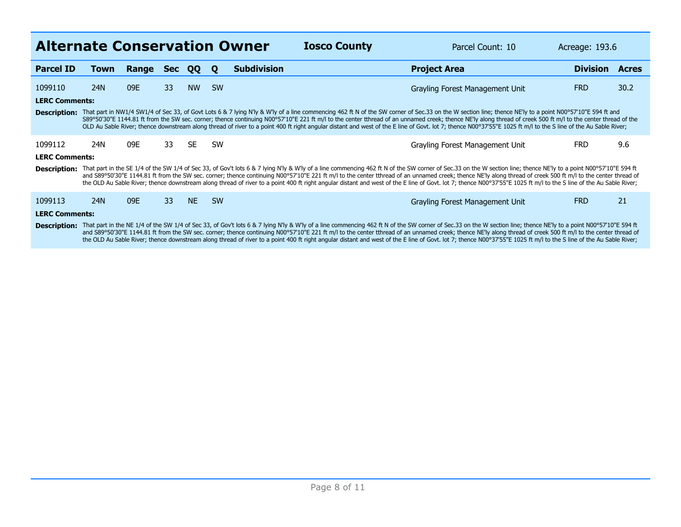| <b>Alternate Conservation Owner</b><br><b>Iosco County</b><br>Parcel Count: 10<br>Acreage: 193.6 |                                                                                                                                                                                                                                                                                                                                                                                                                                                                                                                                                                                                                                                                      |       |            |           |             |                    |  |                                                                                                                                                                                                                                                                                                                                                                                                                                                                                                                                                                                                                                                                      |                 |              |
|--------------------------------------------------------------------------------------------------|----------------------------------------------------------------------------------------------------------------------------------------------------------------------------------------------------------------------------------------------------------------------------------------------------------------------------------------------------------------------------------------------------------------------------------------------------------------------------------------------------------------------------------------------------------------------------------------------------------------------------------------------------------------------|-------|------------|-----------|-------------|--------------------|--|----------------------------------------------------------------------------------------------------------------------------------------------------------------------------------------------------------------------------------------------------------------------------------------------------------------------------------------------------------------------------------------------------------------------------------------------------------------------------------------------------------------------------------------------------------------------------------------------------------------------------------------------------------------------|-----------------|--------------|
| <b>Parcel ID</b>                                                                                 | Town                                                                                                                                                                                                                                                                                                                                                                                                                                                                                                                                                                                                                                                                 | Range | <b>Sec</b> | <b>OO</b> | $\mathbf 0$ | <b>Subdivision</b> |  | <b>Project Area</b>                                                                                                                                                                                                                                                                                                                                                                                                                                                                                                                                                                                                                                                  | <b>Division</b> | <b>Acres</b> |
| 1099110                                                                                          | 24N                                                                                                                                                                                                                                                                                                                                                                                                                                                                                                                                                                                                                                                                  | 09E   | 33         | <b>NW</b> | <b>SW</b>   |                    |  | Grayling Forest Management Unit                                                                                                                                                                                                                                                                                                                                                                                                                                                                                                                                                                                                                                      | <b>FRD</b>      | 30.2         |
| <b>LERC Comments:</b>                                                                            |                                                                                                                                                                                                                                                                                                                                                                                                                                                                                                                                                                                                                                                                      |       |            |           |             |                    |  |                                                                                                                                                                                                                                                                                                                                                                                                                                                                                                                                                                                                                                                                      |                 |              |
|                                                                                                  |                                                                                                                                                                                                                                                                                                                                                                                                                                                                                                                                                                                                                                                                      |       |            |           |             |                    |  | Description: That part in NW1/4 SW1/4 of Sec 33, of Govt Lots 6 & 7 lying N'ly & W'ly of a line commencing 462 ft N of the SW corner of Sec.33 on the W section line; thence NE'ly to a point N00°57'10"E 594 ft and<br>S89°50'30"E 1144.81 ft from the SW sec. corner; thence continuing N00°57'10"E 221 ft m/l to the center tthread of an unnamed creek; thence NE'ly along thread of creek 500 ft m/l to the center thread of the<br>OLD Au Sable River; thence downstream along thread of river to a point 400 ft right angular distant and west of the E line of Govt. lot 7; thence N00°37'55"E 1025 ft m/l to the S line of the Au Sable River;              |                 |              |
| 1099112                                                                                          | 24N                                                                                                                                                                                                                                                                                                                                                                                                                                                                                                                                                                                                                                                                  | 09E   | 33         | <b>SE</b> | <b>SW</b>   |                    |  | Grayling Forest Management Unit                                                                                                                                                                                                                                                                                                                                                                                                                                                                                                                                                                                                                                      | <b>FRD</b>      | 9.6          |
| <b>LERC Comments:</b>                                                                            |                                                                                                                                                                                                                                                                                                                                                                                                                                                                                                                                                                                                                                                                      |       |            |           |             |                    |  |                                                                                                                                                                                                                                                                                                                                                                                                                                                                                                                                                                                                                                                                      |                 |              |
|                                                                                                  |                                                                                                                                                                                                                                                                                                                                                                                                                                                                                                                                                                                                                                                                      |       |            |           |             |                    |  | Description: That part in the SE 1/4 of the SW 1/4 of Sec 33, of Gov't lots 6 & 7 lying N'ly & W'ly of a line commencing 462 ft N of the SW corner of Sec.33 on the W section line; thence NE'ly to a point N00°57'10"E 594 ft<br>and S89°50'30"E 1144.81 ft from the SW sec. corner; thence continuing N00°57'10"E 221 ft m/l to the center thread of an unnamed creek; thence NE'ly along thread of creek 500 ft m/l to the center thread of<br>the OLD Au Sable River; thence downstream along thread of river to a point 400 ft right angular distant and west of the E line of Govt. lot 7; thence N00°37'55"E 1025 ft m/l to the S line of the Au Sable River; |                 |              |
| 1099113                                                                                          | 24N                                                                                                                                                                                                                                                                                                                                                                                                                                                                                                                                                                                                                                                                  | 09E   | 33         | <b>NE</b> | <b>SW</b>   |                    |  | Grayling Forest Management Unit                                                                                                                                                                                                                                                                                                                                                                                                                                                                                                                                                                                                                                      | <b>FRD</b>      | 21           |
| <b>LERC Comments:</b>                                                                            |                                                                                                                                                                                                                                                                                                                                                                                                                                                                                                                                                                                                                                                                      |       |            |           |             |                    |  |                                                                                                                                                                                                                                                                                                                                                                                                                                                                                                                                                                                                                                                                      |                 |              |
|                                                                                                  | Description: That part in the NE 1/4 of the SW 1/4 of Sec 33, of Gov't lots 6 & 7 lying N'ly & W'ly of a line commencing 462 ft N of the SW corner of Sec.33 on the W section line; thence NE'ly to a point N00°57'10"E 594 ft<br>and S89°50'30"E 1144.81 ft from the SW sec. corner; thence continuing N00°57'10"E 221 ft m/l to the center thread of an unnamed creek; thence NE'ly along thread of creek 500 ft m/l to the center thread of<br>the OLD Au Sable River; thence downstream along thread of river to a point 400 ft right angular distant and west of the E line of Govt. lot 7; thence N00°37'55"E 1025 ft m/l to the S line of the Au Sable River; |       |            |           |             |                    |  |                                                                                                                                                                                                                                                                                                                                                                                                                                                                                                                                                                                                                                                                      |                 |              |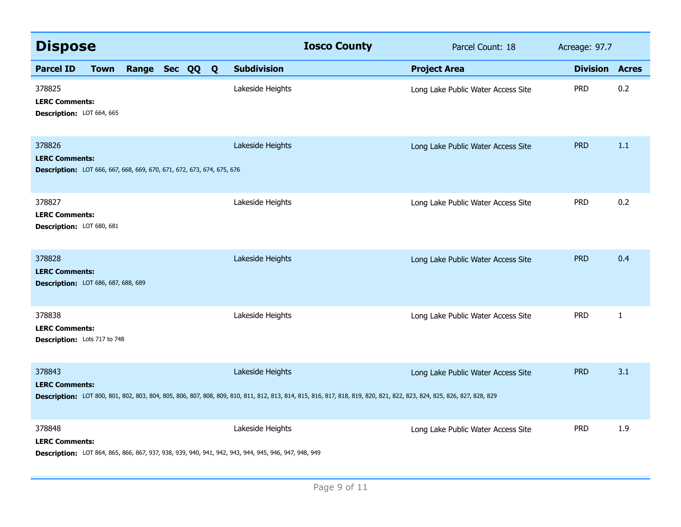| <b>Dispose</b>                                                                                            |             |                |  |                                                                                                                          | <b>Iosco County</b>                                                                                                                                                        | Parcel Count: 18                   | Acreage: 97.7   |              |
|-----------------------------------------------------------------------------------------------------------|-------------|----------------|--|--------------------------------------------------------------------------------------------------------------------------|----------------------------------------------------------------------------------------------------------------------------------------------------------------------------|------------------------------------|-----------------|--------------|
| <b>Parcel ID</b>                                                                                          | <b>Town</b> | Range Sec QQ Q |  | <b>Subdivision</b>                                                                                                       |                                                                                                                                                                            | <b>Project Area</b>                | <b>Division</b> | <b>Acres</b> |
| 378825<br><b>LERC Comments:</b><br>Description: LOT 664, 665                                              |             |                |  | Lakeside Heights                                                                                                         |                                                                                                                                                                            | Long Lake Public Water Access Site | <b>PRD</b>      | 0.2          |
| 378826<br><b>LERC Comments:</b><br>Description: LOT 666, 667, 668, 669, 670, 671, 672, 673, 674, 675, 676 |             |                |  | Lakeside Heights                                                                                                         |                                                                                                                                                                            | Long Lake Public Water Access Site | <b>PRD</b>      | 1.1          |
| 378827<br><b>LERC Comments:</b><br>Description: LOT 680, 681                                              |             |                |  | Lakeside Heights                                                                                                         |                                                                                                                                                                            | Long Lake Public Water Access Site | <b>PRD</b>      | 0.2          |
| 378828<br><b>LERC Comments:</b><br><b>Description:</b> LOT 686, 687, 688, 689                             |             |                |  | Lakeside Heights                                                                                                         |                                                                                                                                                                            | Long Lake Public Water Access Site | <b>PRD</b>      | 0.4          |
| 378838<br><b>LERC Comments:</b><br>Description: Lots 717 to 748                                           |             |                |  | Lakeside Heights                                                                                                         |                                                                                                                                                                            | Long Lake Public Water Access Site | <b>PRD</b>      | $\mathbf{1}$ |
| 378843<br><b>LERC Comments:</b>                                                                           |             |                |  | Lakeside Heights                                                                                                         | Description: LOT 800, 801, 802, 803, 804, 805, 806, 807, 808, 809, 810, 811, 812, 813, 814, 815, 816, 817, 818, 819, 820, 821, 822, 823, 823, 824, 825, 826, 827, 828, 829 | Long Lake Public Water Access Site | <b>PRD</b>      | 3.1          |
| 378848<br><b>LERC Comments:</b>                                                                           |             |                |  | Lakeside Heights<br>Description: LOT 864, 865, 866, 867, 937, 938, 939, 940, 941, 942, 943, 944, 945, 946, 947, 948, 949 |                                                                                                                                                                            | Long Lake Public Water Access Site | <b>PRD</b>      | 1.9          |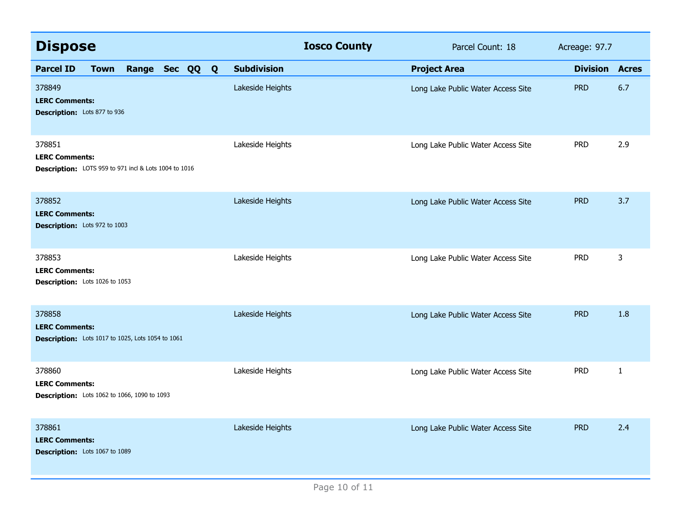| <b>Dispose</b>                                                                           |                    | <b>Iosco County</b> | Parcel Count: 18                   | Acreage: 97.7   |              |
|------------------------------------------------------------------------------------------|--------------------|---------------------|------------------------------------|-----------------|--------------|
| <b>Parcel ID</b><br>Range Sec QQ Q<br><b>Town</b>                                        | <b>Subdivision</b> | <b>Project Area</b> |                                    | <b>Division</b> | <b>Acres</b> |
| 378849<br><b>LERC Comments:</b><br>Description: Lots 877 to 936                          | Lakeside Heights   |                     | Long Lake Public Water Access Site | <b>PRD</b>      | 6.7          |
| 378851<br><b>LERC Comments:</b><br>Description: LOTS 959 to 971 incl & Lots 1004 to 1016 | Lakeside Heights   |                     | Long Lake Public Water Access Site | <b>PRD</b>      | 2.9          |
| 378852<br><b>LERC Comments:</b><br>Description: Lots 972 to 1003                         | Lakeside Heights   |                     | Long Lake Public Water Access Site | <b>PRD</b>      | 3.7          |
| 378853<br><b>LERC Comments:</b><br>Description: Lots 1026 to 1053                        | Lakeside Heights   |                     | Long Lake Public Water Access Site | <b>PRD</b>      | 3            |
| 378858<br><b>LERC Comments:</b><br>Description: Lots 1017 to 1025, Lots 1054 to 1061     | Lakeside Heights   |                     | Long Lake Public Water Access Site | <b>PRD</b>      | 1.8          |
| 378860<br><b>LERC Comments:</b><br><b>Description:</b> Lots 1062 to 1066, 1090 to 1093   | Lakeside Heights   |                     | Long Lake Public Water Access Site | <b>PRD</b>      | $\mathbf{1}$ |
| 378861<br><b>LERC Comments:</b><br>Description: Lots 1067 to 1089                        | Lakeside Heights   |                     | Long Lake Public Water Access Site | <b>PRD</b>      | 2.4          |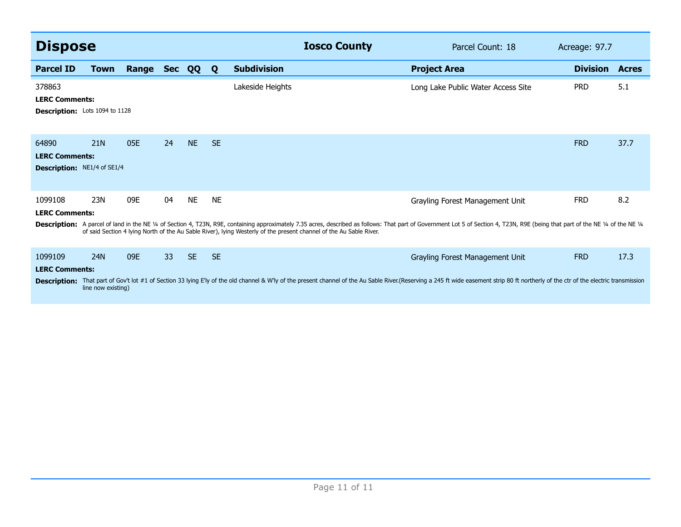| <b>Dispose</b>                                                           |                                  |       |    |           |           | <b>Iosco County</b>                                                                                                                                                                                                                                                                                                                                  | Parcel Count: 18                   | Acreage: 97.7   |              |
|--------------------------------------------------------------------------|----------------------------------|-------|----|-----------|-----------|------------------------------------------------------------------------------------------------------------------------------------------------------------------------------------------------------------------------------------------------------------------------------------------------------------------------------------------------------|------------------------------------|-----------------|--------------|
| <b>Parcel ID</b>                                                         | <b>Town</b>                      | Range |    | Sec QQ    | Q         | <b>Subdivision</b>                                                                                                                                                                                                                                                                                                                                   | <b>Project Area</b>                | <b>Division</b> | <b>Acres</b> |
| 378863<br><b>LERC Comments:</b><br><b>Description:</b> Lots 1094 to 1128 |                                  |       |    |           |           | Lakeside Heights                                                                                                                                                                                                                                                                                                                                     | Long Lake Public Water Access Site | <b>PRD</b>      | 5.1          |
| 64890<br><b>LERC Comments:</b><br><b>Description:</b> NE1/4 of SE1/4     | <b>21N</b>                       | 05E   | 24 | <b>NE</b> | <b>SE</b> |                                                                                                                                                                                                                                                                                                                                                      |                                    | <b>FRD</b>      | 37.7         |
| 1099108<br><b>LERC Comments:</b>                                         | 23N                              | 09E   | 04 | <b>NE</b> | <b>NE</b> | Description: A parcel of land in the NE 1/4 of Section 4, T23N, R9E, containing approximately 7.35 acres, described as follows: That part of Government Lot 5 of Section 4, T23N, R9E (being that part of the NE 1/4 of the NE<br>of said Section 4 lying North of the Au Sable River), lying Westerly of the present channel of the Au Sable River. | Grayling Forest Management Unit    | <b>FRD</b>      | 8.2          |
| 1099109<br><b>LERC Comments:</b><br><b>Description:</b>                  | <b>24N</b><br>line now existing) | 09E   | 33 | <b>SE</b> | <b>SE</b> | That part of Gov't lot #1 of Section 33 lying E'ly of the old channel & W'ly of the present channel of the Au Sable River.(Reserving a 245 ft wide easement strip 80 ft northerly of the ctr of the electric transmission                                                                                                                            | Grayling Forest Management Unit    | <b>FRD</b>      | 17.3         |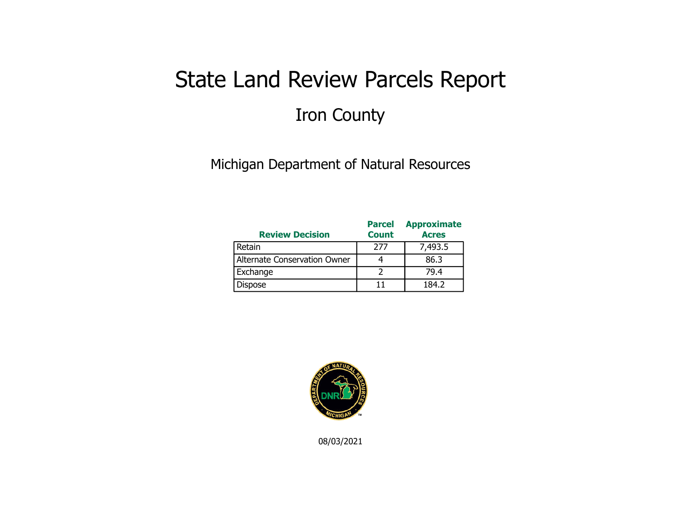## State Land Review Parcels Report Iron County

Michigan Department of Natural Resources

| <b>Review Decision</b>       | <b>Parcel</b><br><b>Count</b> | <b>Approximate</b><br><b>Acres</b> |
|------------------------------|-------------------------------|------------------------------------|
| Retain                       | 277                           | 7,493.5                            |
| Alternate Conservation Owner |                               | 86.3                               |
| Exchange                     |                               | 79.4                               |
| <b>Dispose</b>               |                               | 184.2                              |



08/03/2021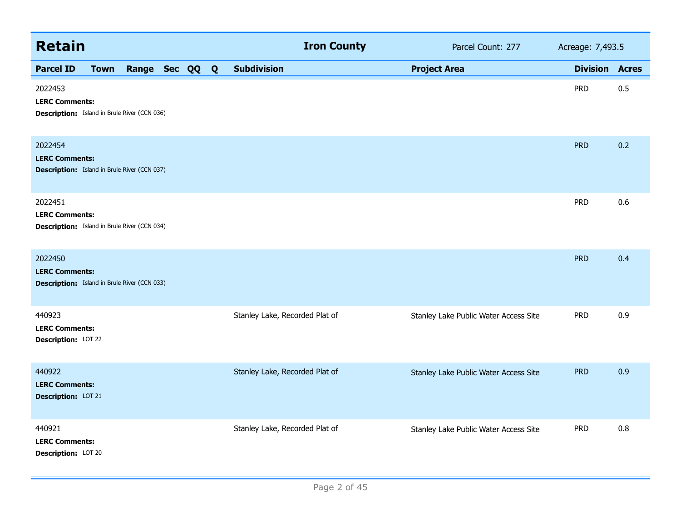| <b>Retain</b>                                                                           |             |                |  |  |  |                                | <b>Iron County</b> |                     | Parcel Count: 277                     | Acreage: 7,493.5      |     |
|-----------------------------------------------------------------------------------------|-------------|----------------|--|--|--|--------------------------------|--------------------|---------------------|---------------------------------------|-----------------------|-----|
| <b>Parcel ID</b>                                                                        | <b>Town</b> | Range Sec QQ Q |  |  |  | <b>Subdivision</b>             |                    | <b>Project Area</b> |                                       | <b>Division Acres</b> |     |
| 2022453<br><b>LERC Comments:</b><br><b>Description:</b> Island in Brule River (CCN 036) |             |                |  |  |  |                                |                    |                     |                                       | <b>PRD</b>            | 0.5 |
| 2022454<br><b>LERC Comments:</b><br><b>Description:</b> Island in Brule River (CCN 037) |             |                |  |  |  |                                |                    |                     |                                       | <b>PRD</b>            | 0.2 |
| 2022451<br><b>LERC Comments:</b><br><b>Description:</b> Island in Brule River (CCN 034) |             |                |  |  |  |                                |                    |                     |                                       | <b>PRD</b>            | 0.6 |
| 2022450<br><b>LERC Comments:</b><br><b>Description:</b> Island in Brule River (CCN 033) |             |                |  |  |  |                                |                    |                     |                                       | <b>PRD</b>            | 0.4 |
| 440923<br><b>LERC Comments:</b><br>Description: LOT 22                                  |             |                |  |  |  | Stanley Lake, Recorded Plat of |                    |                     | Stanley Lake Public Water Access Site | <b>PRD</b>            | 0.9 |
| 440922<br><b>LERC Comments:</b><br>Description: LOT 21                                  |             |                |  |  |  | Stanley Lake, Recorded Plat of |                    |                     | Stanley Lake Public Water Access Site | <b>PRD</b>            | 0.9 |
| 440921<br><b>LERC Comments:</b><br>Description: LOT 20                                  |             |                |  |  |  | Stanley Lake, Recorded Plat of |                    |                     | Stanley Lake Public Water Access Site | <b>PRD</b>            | 0.8 |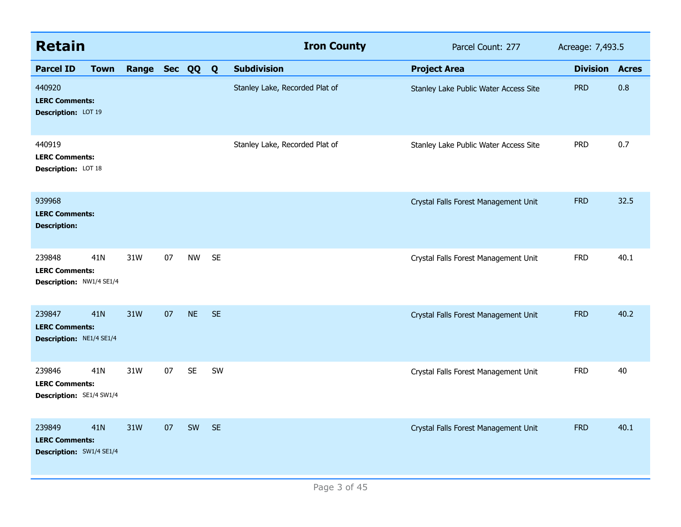| <b>Retain</b>                                                      |             |                |    |           |           | <b>Iron County</b>             | Parcel Count: 277                     | Acreage: 7,493.5      |      |
|--------------------------------------------------------------------|-------------|----------------|----|-----------|-----------|--------------------------------|---------------------------------------|-----------------------|------|
| <b>Parcel ID</b>                                                   | <b>Town</b> | Range Sec QQ Q |    |           |           | <b>Subdivision</b>             | <b>Project Area</b>                   | <b>Division Acres</b> |      |
| 440920<br><b>LERC Comments:</b><br>Description: LOT 19             |             |                |    |           |           | Stanley Lake, Recorded Plat of | Stanley Lake Public Water Access Site | <b>PRD</b>            | 0.8  |
| 440919<br><b>LERC Comments:</b><br>Description: LOT 18             |             |                |    |           |           | Stanley Lake, Recorded Plat of | Stanley Lake Public Water Access Site | <b>PRD</b>            | 0.7  |
| 939968<br><b>LERC Comments:</b><br><b>Description:</b>             |             |                |    |           |           |                                | Crystal Falls Forest Management Unit  | <b>FRD</b>            | 32.5 |
| 239848<br><b>LERC Comments:</b><br>Description: NW1/4 SE1/4        | 41N         | 31W            | 07 | <b>NW</b> | <b>SE</b> |                                | Crystal Falls Forest Management Unit  | <b>FRD</b>            | 40.1 |
| 239847<br><b>LERC Comments:</b><br>Description: NE1/4 SE1/4        | <b>41N</b>  | 31W            | 07 | <b>NE</b> | <b>SE</b> |                                | Crystal Falls Forest Management Unit  | <b>FRD</b>            | 40.2 |
| 239846<br><b>LERC Comments:</b><br>Description: SE1/4 SW1/4        | 41N         | 31W            | 07 | <b>SE</b> | SW        |                                | Crystal Falls Forest Management Unit  | <b>FRD</b>            | 40   |
| 239849<br><b>LERC Comments:</b><br><b>Description: SW1/4 SE1/4</b> | 41N         | 31W            | 07 | SW        | <b>SE</b> |                                | Crystal Falls Forest Management Unit  | <b>FRD</b>            | 40.1 |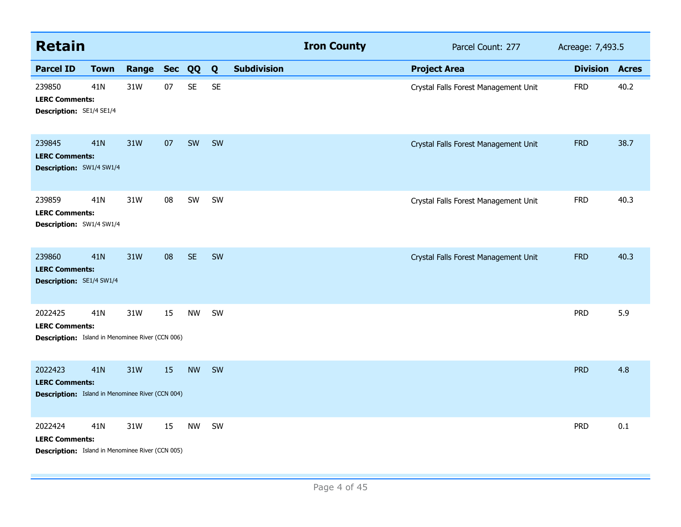| <b>Retain</b>                                                                               |             |       |            |           |           |                    | <b>Iron County</b> | Parcel Count: 277                    | Acreage: 7,493.5 |              |
|---------------------------------------------------------------------------------------------|-------------|-------|------------|-----------|-----------|--------------------|--------------------|--------------------------------------|------------------|--------------|
| <b>Parcel ID</b>                                                                            | <b>Town</b> | Range | <b>Sec</b> | QQ        | Q         | <b>Subdivision</b> |                    | <b>Project Area</b>                  | <b>Division</b>  | <b>Acres</b> |
| 239850<br><b>LERC Comments:</b><br>Description: SE1/4 SE1/4                                 | 41N         | 31W   | 07         | <b>SE</b> | <b>SE</b> |                    |                    | Crystal Falls Forest Management Unit | <b>FRD</b>       | 40.2         |
| 239845<br><b>LERC Comments:</b><br>Description: SW1/4 SW1/4                                 | 41N         | 31W   | 07         | SW        | SW        |                    |                    | Crystal Falls Forest Management Unit | <b>FRD</b>       | 38.7         |
| 239859<br><b>LERC Comments:</b><br>Description: SW1/4 SW1/4                                 | 41N         | 31W   | 08         | SW        | SW        |                    |                    | Crystal Falls Forest Management Unit | <b>FRD</b>       | 40.3         |
| 239860<br><b>LERC Comments:</b><br>Description: SE1/4 SW1/4                                 | 41N         | 31W   | 08         | <b>SE</b> | SW        |                    |                    | Crystal Falls Forest Management Unit | <b>FRD</b>       | 40.3         |
| 2022425<br><b>LERC Comments:</b><br><b>Description:</b> Island in Menominee River (CCN 006) | 41N         | 31W   | 15         | <b>NW</b> | SW        |                    |                    |                                      | <b>PRD</b>       | 5.9          |
| 2022423<br><b>LERC Comments:</b><br><b>Description:</b> Island in Menominee River (CCN 004) | 41N         | 31W   | 15         | <b>NW</b> | SW        |                    |                    |                                      | <b>PRD</b>       | 4.8          |
| 2022424<br><b>LERC Comments:</b><br><b>Description:</b> Island in Menominee River (CCN 005) | 41N         | 31W   | 15         | <b>NW</b> | SW        |                    |                    |                                      | <b>PRD</b>       | 0.1          |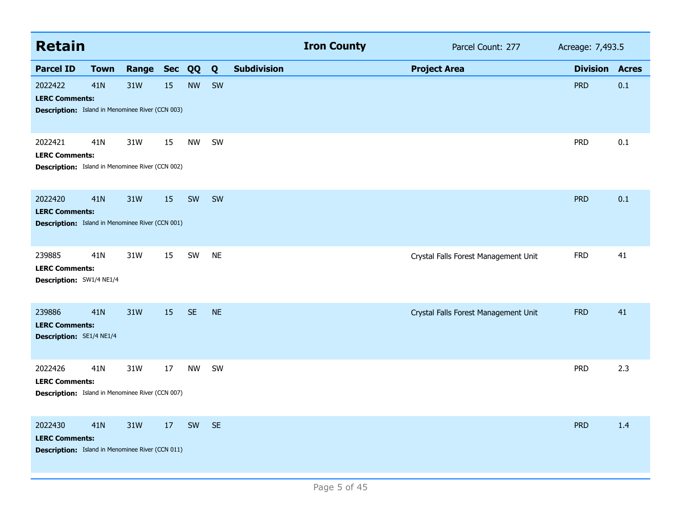| <b>Retain</b>                                                                               |                 |           |    |           |           |                    | <b>Iron County</b> | Parcel Count: 277                    | Acreage: 7,493.5 |              |
|---------------------------------------------------------------------------------------------|-----------------|-----------|----|-----------|-----------|--------------------|--------------------|--------------------------------------|------------------|--------------|
| <b>Parcel ID</b>                                                                            | <b>Town</b>     | Range Sec |    | QQ        | Q         | <b>Subdivision</b> |                    | <b>Project Area</b>                  | <b>Division</b>  | <b>Acres</b> |
| 2022422<br><b>LERC Comments:</b><br><b>Description:</b> Island in Menominee River (CCN 003) | 41 <sub>N</sub> | 31W       | 15 | <b>NW</b> | SW        |                    |                    |                                      | <b>PRD</b>       | 0.1          |
| 2022421<br><b>LERC Comments:</b><br><b>Description:</b> Island in Menominee River (CCN 002) | 41N             | 31W       | 15 | <b>NW</b> | SW        |                    |                    |                                      | <b>PRD</b>       | 0.1          |
| 2022420<br><b>LERC Comments:</b><br><b>Description:</b> Island in Menominee River (CCN 001) | 41N             | 31W       | 15 | SW        | SW        |                    |                    |                                      | <b>PRD</b>       | 0.1          |
| 239885<br><b>LERC Comments:</b><br>Description: SW1/4 NE1/4                                 | 41N             | 31W       | 15 | SW        | <b>NE</b> |                    |                    | Crystal Falls Forest Management Unit | <b>FRD</b>       | 41           |
| 239886<br><b>LERC Comments:</b><br><b>Description:</b> SE1/4 NE1/4                          | <b>41N</b>      | 31W       | 15 | <b>SE</b> | <b>NE</b> |                    |                    | Crystal Falls Forest Management Unit | <b>FRD</b>       | 41           |
| 2022426<br><b>LERC Comments:</b><br><b>Description:</b> Island in Menominee River (CCN 007) | 41 <sub>N</sub> | 31W       | 17 | <b>NW</b> | SW        |                    |                    |                                      | <b>PRD</b>       | 2.3          |
| 2022430<br><b>LERC Comments:</b><br><b>Description:</b> Island in Menominee River (CCN 011) | 41N             | 31W       | 17 | SW        | <b>SE</b> |                    |                    |                                      | <b>PRD</b>       | 1.4          |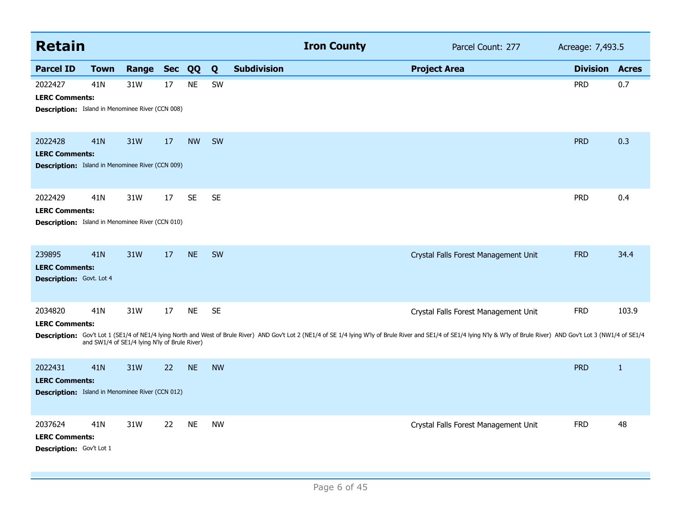| <b>Retain</b>                                                                               |                                                                  |       |            |           |           | <b>Iron County</b> | Parcel Count: 277 | Acreage: 7,493.5                                                                                                                                                                                                                                                      |                 |              |
|---------------------------------------------------------------------------------------------|------------------------------------------------------------------|-------|------------|-----------|-----------|--------------------|-------------------|-----------------------------------------------------------------------------------------------------------------------------------------------------------------------------------------------------------------------------------------------------------------------|-----------------|--------------|
| <b>Parcel ID</b>                                                                            | <b>Town</b>                                                      | Range | <b>Sec</b> | QQ        | Q         | <b>Subdivision</b> |                   | <b>Project Area</b>                                                                                                                                                                                                                                                   | <b>Division</b> | <b>Acres</b> |
| 2022427<br><b>LERC Comments:</b><br><b>Description:</b> Island in Menominee River (CCN 008) | 41 <sub>N</sub>                                                  | 31W   | 17         | <b>NE</b> | SW        |                    |                   |                                                                                                                                                                                                                                                                       | <b>PRD</b>      | 0.7          |
| 2022428<br><b>LERC Comments:</b><br><b>Description:</b> Island in Menominee River (CCN 009) | 41N                                                              | 31W   | 17         | <b>NW</b> | <b>SW</b> |                    |                   |                                                                                                                                                                                                                                                                       | <b>PRD</b>      | 0.3          |
| 2022429<br><b>LERC Comments:</b><br><b>Description:</b> Island in Menominee River (CCN 010) | 41 <sub>N</sub>                                                  | 31W   | 17         | <b>SE</b> | <b>SE</b> |                    |                   |                                                                                                                                                                                                                                                                       | <b>PRD</b>      | 0.4          |
| 239895<br><b>LERC Comments:</b><br><b>Description:</b> Govt. Lot 4                          | 41N                                                              | 31W   | 17         | <b>NE</b> | <b>SW</b> |                    |                   | Crystal Falls Forest Management Unit                                                                                                                                                                                                                                  | <b>FRD</b>      | 34.4         |
| 2034820<br><b>LERC Comments:</b>                                                            | 41 <sub>N</sub><br>and SW1/4 of SE1/4 lying N'ly of Brule River) | 31W   | 17         | <b>NE</b> | <b>SE</b> |                    |                   | Crystal Falls Forest Management Unit<br>Description: Gov't Lot 1 (SE1/4 of NE1/4 lying North and West of Brule River) AND Gov't Lot 2 (NE1/4 of SE 1/4 lying W'ly of Brule River and SE1/4 of SE1/4 lying N'ly & W'ly of Brule River) AND Gov't Lot 3 (NW1/4 of SE1/4 | <b>FRD</b>      | 103.9        |
| 2022431<br><b>LERC Comments:</b><br><b>Description:</b> Island in Menominee River (CCN 012) | 41N                                                              | 31W   | 22         | <b>NE</b> | <b>NW</b> |                    |                   |                                                                                                                                                                                                                                                                       | <b>PRD</b>      | $\mathbf{1}$ |
| 2037624<br><b>LERC Comments:</b><br>Description: Gov't Lot 1                                | 41 <sub>N</sub>                                                  | 31W   | 22         | <b>NE</b> | <b>NW</b> |                    |                   | Crystal Falls Forest Management Unit                                                                                                                                                                                                                                  | <b>FRD</b>      | 48           |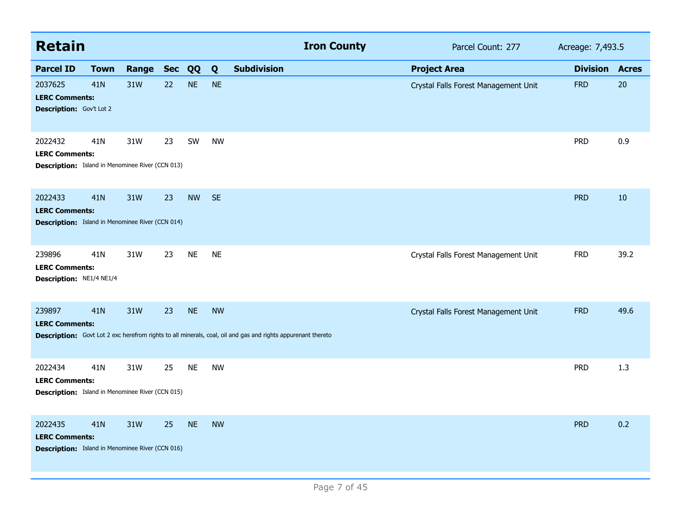| <b>Retain</b>                                                                               |             |           |    |           |           | <b>Iron County</b>                                                                                           | Parcel Count: 277                    | Acreage: 7,493.5 |              |
|---------------------------------------------------------------------------------------------|-------------|-----------|----|-----------|-----------|--------------------------------------------------------------------------------------------------------------|--------------------------------------|------------------|--------------|
| <b>Parcel ID</b>                                                                            | <b>Town</b> | Range Sec |    | QQ        | Q         | <b>Subdivision</b>                                                                                           | <b>Project Area</b>                  | <b>Division</b>  | <b>Acres</b> |
| 2037625<br><b>LERC Comments:</b><br>Description: Gov't Lot 2                                | 41N         | 31W       | 22 | <b>NE</b> | <b>NE</b> |                                                                                                              | Crystal Falls Forest Management Unit | <b>FRD</b>       | 20           |
| 2022432<br><b>LERC Comments:</b><br><b>Description:</b> Island in Menominee River (CCN 013) | 41N         | 31W       | 23 | SW        | <b>NW</b> |                                                                                                              |                                      | <b>PRD</b>       | 0.9          |
| 2022433<br><b>LERC Comments:</b><br><b>Description:</b> Island in Menominee River (CCN 014) | 41N         | 31W       | 23 | <b>NW</b> | <b>SE</b> |                                                                                                              |                                      | <b>PRD</b>       | 10           |
| 239896<br><b>LERC Comments:</b><br>Description: NE1/4 NE1/4                                 | 41N         | 31W       | 23 | <b>NE</b> | <b>NE</b> |                                                                                                              | Crystal Falls Forest Management Unit | <b>FRD</b>       | 39.2         |
| 239897<br><b>LERC Comments:</b>                                                             | 41N         | 31W       | 23 | <b>NE</b> | <b>NW</b> | Description: Govt Lot 2 exc herefrom rights to all minerals, coal, oil and gas and rights appurenant thereto | Crystal Falls Forest Management Unit | <b>FRD</b>       | 49.6         |
| 2022434<br><b>LERC Comments:</b><br><b>Description:</b> Island in Menominee River (CCN 015) | 41N         | 31W       | 25 | <b>NE</b> | <b>NW</b> |                                                                                                              |                                      | <b>PRD</b>       | 1.3          |
| 2022435<br><b>LERC Comments:</b><br><b>Description:</b> Island in Menominee River (CCN 016) | 41N         | 31W       | 25 | <b>NE</b> | <b>NW</b> |                                                                                                              |                                      | <b>PRD</b>       | 0.2          |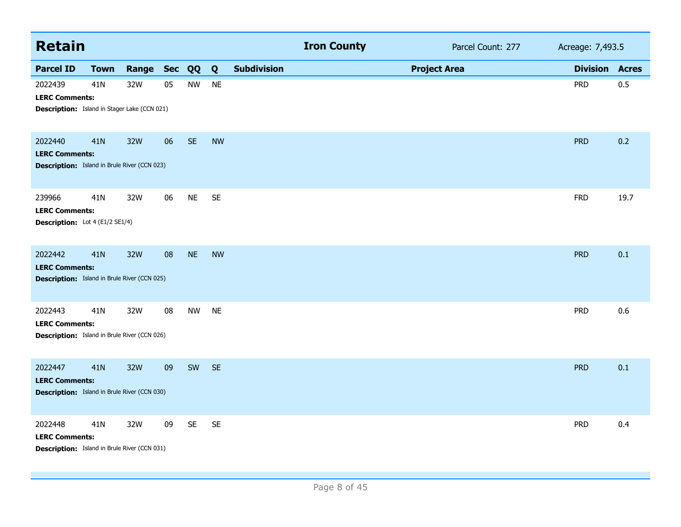| <b>Retain</b>                                                                           |             |       |            |           |           |                    | <b>Iron County</b> |                     | Parcel Count: 277 | Acreage: 7,493.5 |              |
|-----------------------------------------------------------------------------------------|-------------|-------|------------|-----------|-----------|--------------------|--------------------|---------------------|-------------------|------------------|--------------|
| <b>Parcel ID</b>                                                                        | <b>Town</b> | Range | <b>Sec</b> | QQ        | Q         | <b>Subdivision</b> |                    | <b>Project Area</b> |                   | <b>Division</b>  | <b>Acres</b> |
| 2022439<br><b>LERC Comments:</b><br><b>Description:</b> Island in Stager Lake (CCN 021) | 41N         | 32W   | 05         | <b>NW</b> | <b>NE</b> |                    |                    |                     |                   | <b>PRD</b>       | 0.5          |
| 2022440<br><b>LERC Comments:</b><br><b>Description:</b> Island in Brule River (CCN 023) | 41N         | 32W   | 06         | <b>SE</b> | <b>NW</b> |                    |                    |                     |                   | <b>PRD</b>       | 0.2          |
| 239966<br><b>LERC Comments:</b><br>Description: Lot 4 (E1/2 SE1/4)                      | 41N         | 32W   | 06         | <b>NE</b> | <b>SE</b> |                    |                    |                     |                   | <b>FRD</b>       | 19.7         |
| 2022442<br><b>LERC Comments:</b><br><b>Description:</b> Island in Brule River (CCN 025) | 41N         | 32W   | 08         | <b>NE</b> | <b>NW</b> |                    |                    |                     |                   | <b>PRD</b>       | 0.1          |
| 2022443<br><b>LERC Comments:</b><br><b>Description:</b> Island in Brule River (CCN 026) | 41N         | 32W   | 08         | <b>NW</b> | <b>NE</b> |                    |                    |                     |                   | <b>PRD</b>       | 0.6          |
| 2022447<br><b>LERC Comments:</b><br><b>Description:</b> Island in Brule River (CCN 030) | 41N         | 32W   | 09         | SW        | <b>SE</b> |                    |                    |                     |                   | <b>PRD</b>       | 0.1          |
| 2022448<br><b>LERC Comments:</b><br><b>Description:</b> Island in Brule River (CCN 031) | 41N         | 32W   | 09         | <b>SE</b> | <b>SE</b> |                    |                    |                     |                   | <b>PRD</b>       | 0.4          |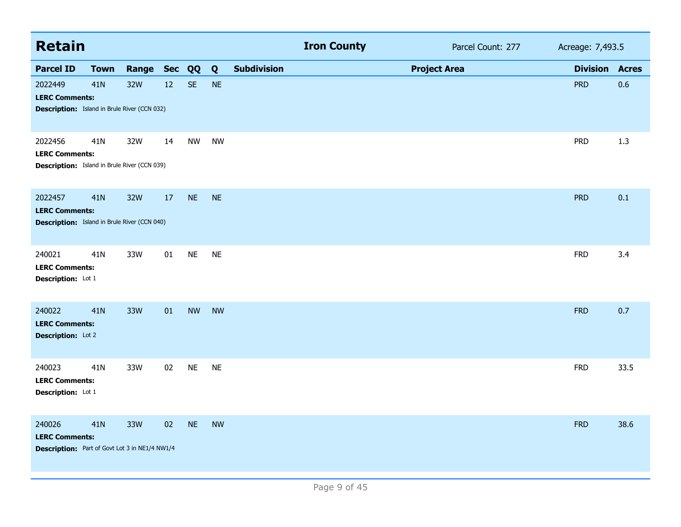| <b>Retain</b>                                                                            |             |           |    |           |           |                    | <b>Iron County</b> | Parcel Count: 277   | Acreage: 7,493.5 |              |
|------------------------------------------------------------------------------------------|-------------|-----------|----|-----------|-----------|--------------------|--------------------|---------------------|------------------|--------------|
| <b>Parcel ID</b>                                                                         | <b>Town</b> | Range Sec |    | QQ        | Q         | <b>Subdivision</b> |                    | <b>Project Area</b> | <b>Division</b>  | <b>Acres</b> |
| 2022449<br><b>LERC Comments:</b><br><b>Description:</b> Island in Brule River (CCN 032)  | 41N         | 32W       | 12 | <b>SE</b> | <b>NE</b> |                    |                    |                     | <b>PRD</b>       | 0.6          |
| 2022456<br><b>LERC Comments:</b><br><b>Description:</b> Island in Brule River (CCN 039)  | 41N         | 32W       | 14 | NW        | <b>NW</b> |                    |                    |                     | <b>PRD</b>       | 1.3          |
| 2022457<br><b>LERC Comments:</b><br><b>Description:</b> Island in Brule River (CCN 040)  | 41N         | 32W       | 17 | <b>NE</b> | <b>NE</b> |                    |                    |                     | <b>PRD</b>       | 0.1          |
| 240021<br><b>LERC Comments:</b><br>Description: Lot 1                                    | 41N         | 33W       | 01 | <b>NE</b> | <b>NE</b> |                    |                    |                     | <b>FRD</b>       | 3.4          |
| 240022<br><b>LERC Comments:</b><br>Description: Lot 2                                    | 41N         | 33W       | 01 | <b>NW</b> | <b>NW</b> |                    |                    |                     | <b>FRD</b>       | 0.7          |
| 240023<br><b>LERC Comments:</b><br>Description: Lot 1                                    | 41N         | 33W       | 02 | <b>NE</b> | <b>NE</b> |                    |                    |                     | <b>FRD</b>       | 33.5         |
| 240026<br><b>LERC Comments:</b><br><b>Description:</b> Part of Govt Lot 3 in NE1/4 NW1/4 | 41N         | 33W       | 02 | <b>NE</b> | <b>NW</b> |                    |                    |                     | <b>FRD</b>       | 38.6         |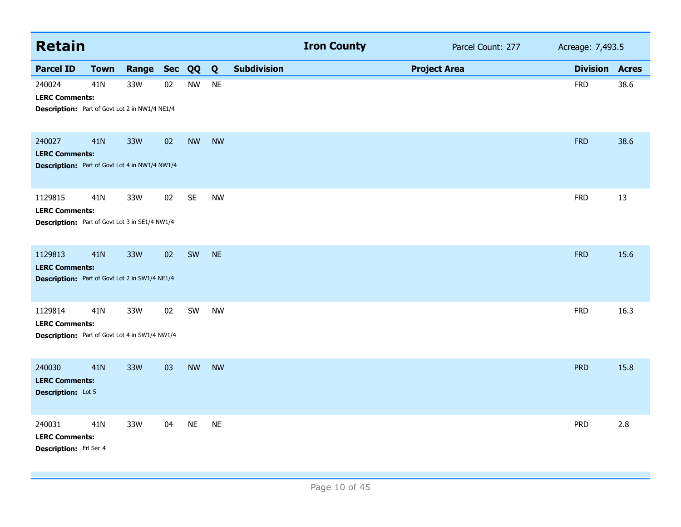| <b>Retain</b>                                                                             |             |           |    |           |           |                    | <b>Iron County</b> |                     | Parcel Count: 277 | Acreage: 7,493.5 |              |
|-------------------------------------------------------------------------------------------|-------------|-----------|----|-----------|-----------|--------------------|--------------------|---------------------|-------------------|------------------|--------------|
| <b>Parcel ID</b>                                                                          | <b>Town</b> | Range Sec |    | QQ        | Q         | <b>Subdivision</b> |                    | <b>Project Area</b> |                   | <b>Division</b>  | <b>Acres</b> |
| 240024<br><b>LERC Comments:</b><br><b>Description:</b> Part of Govt Lot 2 in NW1/4 NE1/4  | 41N         | 33W       | 02 | <b>NW</b> | <b>NE</b> |                    |                    |                     |                   | <b>FRD</b>       | 38.6         |
| 240027<br><b>LERC Comments:</b><br><b>Description:</b> Part of Govt Lot 4 in NW1/4 NW1/4  | 41N         | 33W       | 02 | <b>NW</b> | <b>NW</b> |                    |                    |                     |                   | <b>FRD</b>       | 38.6         |
| 1129815<br><b>LERC Comments:</b><br>Description: Part of Govt Lot 3 in SE1/4 NW1/4        | 41N         | 33W       | 02 | <b>SE</b> | <b>NW</b> |                    |                    |                     |                   | <b>FRD</b>       | 13           |
| 1129813<br><b>LERC Comments:</b><br><b>Description:</b> Part of Govt Lot 2 in SW1/4 NE1/4 | 41N         | 33W       | 02 | SW        | <b>NE</b> |                    |                    |                     |                   | <b>FRD</b>       | 15.6         |
| 1129814<br><b>LERC Comments:</b><br>Description: Part of Govt Lot 4 in SW1/4 NW1/4        | 41N         | 33W       | 02 | SW        | <b>NW</b> |                    |                    |                     |                   | <b>FRD</b>       | 16.3         |
| 240030<br><b>LERC Comments:</b><br><b>Description:</b> Lot 5                              | 41N         | 33W       | 03 | <b>NW</b> | <b>NW</b> |                    |                    |                     |                   | <b>PRD</b>       | 15.8         |
| 240031<br><b>LERC Comments:</b><br><b>Description:</b> Frl Sec 4                          | 41N         | 33W       | 04 | <b>NE</b> | <b>NE</b> |                    |                    |                     |                   | <b>PRD</b>       | 2.8          |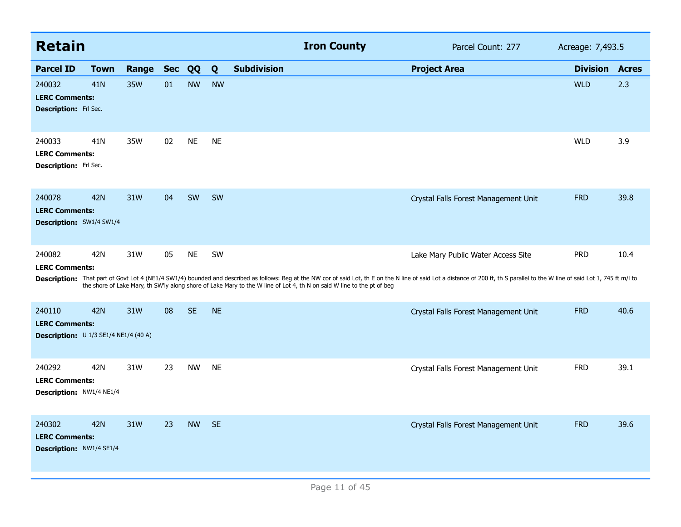| <b>Retain</b>                                                                                   |             |       |            |           |           |                    | <b>Iron County</b>                                                                                                     | Parcel Count: 277                                                                                                                                                                                                              | Acreage: 7,493.5 |              |
|-------------------------------------------------------------------------------------------------|-------------|-------|------------|-----------|-----------|--------------------|------------------------------------------------------------------------------------------------------------------------|--------------------------------------------------------------------------------------------------------------------------------------------------------------------------------------------------------------------------------|------------------|--------------|
| <b>Parcel ID</b>                                                                                | <b>Town</b> | Range | <b>Sec</b> | QQ        | Q         | <b>Subdivision</b> |                                                                                                                        | <b>Project Area</b>                                                                                                                                                                                                            | <b>Division</b>  | <b>Acres</b> |
| 240032<br>41N<br><b>LERC Comments:</b><br><b>Description:</b> Frl Sec.                          |             | 35W   | 01         | <b>NW</b> | <b>NW</b> |                    |                                                                                                                        |                                                                                                                                                                                                                                | <b>WLD</b>       | 2.3          |
| 240033<br>41N<br><b>LERC Comments:</b><br><b>Description:</b> Frl Sec.                          |             | 35W   | 02         | <b>NE</b> | <b>NE</b> |                    |                                                                                                                        |                                                                                                                                                                                                                                | <b>WLD</b>       | 3.9          |
| 240078<br>42N<br><b>LERC Comments:</b><br><b>Description: SW1/4 SW1/4</b>                       |             | 31W   | 04         | SW        | <b>SW</b> |                    |                                                                                                                        | Crystal Falls Forest Management Unit                                                                                                                                                                                           | <b>FRD</b>       | 39.8         |
| 240082<br>42N<br><b>LERC Comments:</b>                                                          |             | 31W   | 05         | <b>NE</b> | SW        |                    |                                                                                                                        | Lake Mary Public Water Access Site                                                                                                                                                                                             | <b>PRD</b>       | 10.4         |
|                                                                                                 |             |       |            |           |           |                    | the shore of Lake Mary, th SW'ly along shore of Lake Mary to the W line of Lot 4, th N on said W line to the pt of beg | Description: That part of Govt Lot 4 (NE1/4 SW1/4) bounded and described as follows: Beg at the NW cor of said Lot, th E on the N line of said Lot a distance of 200 ft, th S parallel to the W line of said Lot 1, 745 ft m/l |                  |              |
| <b>42N</b><br>240110<br><b>LERC Comments:</b><br><b>Description:</b> $U$ 1/3 SE1/4 NE1/4 (40 A) |             | 31W   | 08         | <b>SE</b> | <b>NE</b> |                    |                                                                                                                        | Crystal Falls Forest Management Unit                                                                                                                                                                                           | <b>FRD</b>       | 40.6         |
| 240292<br>42N<br><b>LERC Comments:</b><br>Description: NW1/4 NE1/4                              |             | 31W   | 23         | <b>NW</b> | <b>NE</b> |                    |                                                                                                                        | Crystal Falls Forest Management Unit                                                                                                                                                                                           | <b>FRD</b>       | 39.1         |
| 240302<br>42N<br><b>LERC Comments:</b><br>Description: NW1/4 SE1/4                              |             | 31W   | 23         | <b>NW</b> | <b>SE</b> |                    |                                                                                                                        | Crystal Falls Forest Management Unit                                                                                                                                                                                           | <b>FRD</b>       | 39.6         |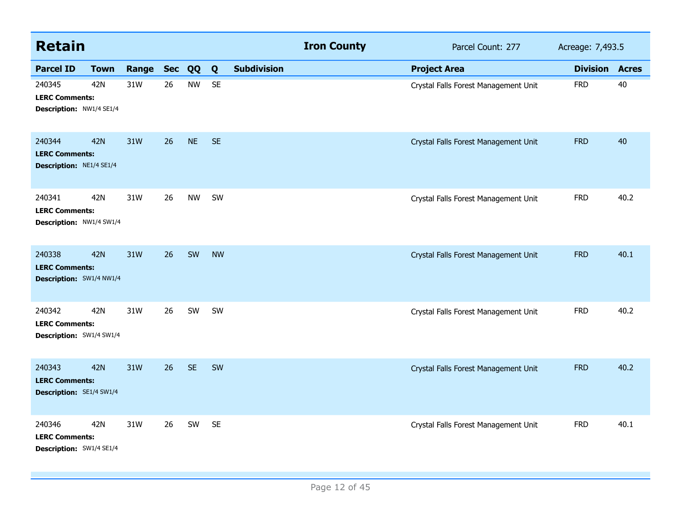| <b>Retain</b>                                               |             |       |            |           |           |                    | <b>Iron County</b> | Parcel Count: 277                    | Acreage: 7,493.5 |              |
|-------------------------------------------------------------|-------------|-------|------------|-----------|-----------|--------------------|--------------------|--------------------------------------|------------------|--------------|
| <b>Parcel ID</b>                                            | <b>Town</b> | Range | <b>Sec</b> | QQ        | Q         | <b>Subdivision</b> |                    | <b>Project Area</b>                  | <b>Division</b>  | <b>Acres</b> |
| 240345<br><b>LERC Comments:</b><br>Description: NW1/4 SE1/4 | 42N         | 31W   | 26         | <b>NW</b> | <b>SE</b> |                    |                    | Crystal Falls Forest Management Unit | <b>FRD</b>       | 40           |
| 240344<br><b>LERC Comments:</b><br>Description: NE1/4 SE1/4 | <b>42N</b>  | 31W   | 26         | <b>NE</b> | <b>SE</b> |                    |                    | Crystal Falls Forest Management Unit | <b>FRD</b>       | 40           |
| 240341<br><b>LERC Comments:</b><br>Description: NW1/4 SW1/4 | 42N         | 31W   | 26         | <b>NW</b> | SW        |                    |                    | Crystal Falls Forest Management Unit | <b>FRD</b>       | 40.2         |
| 240338<br><b>LERC Comments:</b><br>Description: SW1/4 NW1/4 | <b>42N</b>  | 31W   | 26         | SW        | <b>NW</b> |                    |                    | Crystal Falls Forest Management Unit | <b>FRD</b>       | 40.1         |
| 240342<br><b>LERC Comments:</b><br>Description: SW1/4 SW1/4 | 42N         | 31W   | 26         | SW        | SW        |                    |                    | Crystal Falls Forest Management Unit | <b>FRD</b>       | 40.2         |
| 240343<br><b>LERC Comments:</b><br>Description: SE1/4 SW1/4 | <b>42N</b>  | 31W   | 26         | <b>SE</b> | SW        |                    |                    | Crystal Falls Forest Management Unit | <b>FRD</b>       | 40.2         |
| 240346<br><b>LERC Comments:</b><br>Description: SW1/4 SE1/4 | 42N         | 31W   | 26         | SW        | <b>SE</b> |                    |                    | Crystal Falls Forest Management Unit | <b>FRD</b>       | 40.1         |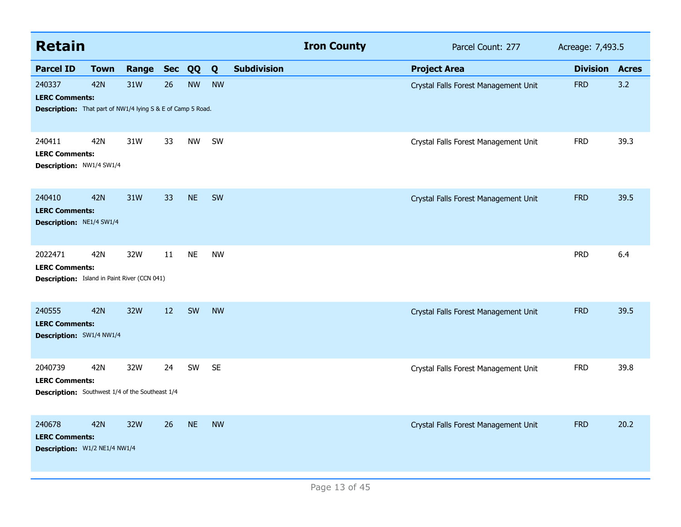| <b>Retain</b>                                                                                         |             |       |            |           |           |                    | <b>Iron County</b> | Parcel Count: 277                    | Acreage: 7,493.5 |              |
|-------------------------------------------------------------------------------------------------------|-------------|-------|------------|-----------|-----------|--------------------|--------------------|--------------------------------------|------------------|--------------|
| <b>Parcel ID</b>                                                                                      | <b>Town</b> | Range | <b>Sec</b> | QQ        | Q         | <b>Subdivision</b> |                    | <b>Project Area</b>                  | <b>Division</b>  | <b>Acres</b> |
| 240337<br><b>LERC Comments:</b><br><b>Description:</b> That part of NW1/4 lying S & E of Camp 5 Road. | 42N         | 31W   | 26         | <b>NW</b> | <b>NW</b> |                    |                    | Crystal Falls Forest Management Unit | <b>FRD</b>       | 3.2          |
| 240411<br><b>LERC Comments:</b><br>Description: NW1/4 SW1/4                                           | 42N         | 31W   | 33         | <b>NW</b> | SW        |                    |                    | Crystal Falls Forest Management Unit | <b>FRD</b>       | 39.3         |
| 240410<br><b>LERC Comments:</b><br>Description: NE1/4 SW1/4                                           | <b>42N</b>  | 31W   | 33         | <b>NE</b> | SW        |                    |                    | Crystal Falls Forest Management Unit | <b>FRD</b>       | 39.5         |
| 2022471<br><b>LERC Comments:</b><br><b>Description:</b> Island in Paint River (CCN 041)               | 42N         | 32W   | 11         | <b>NE</b> | <b>NW</b> |                    |                    |                                      | <b>PRD</b>       | 6.4          |
| 240555<br><b>LERC Comments:</b><br>Description: SW1/4 NW1/4                                           | <b>42N</b>  | 32W   | 12         | SW        | <b>NW</b> |                    |                    | Crystal Falls Forest Management Unit | <b>FRD</b>       | 39.5         |
| 2040739<br><b>LERC Comments:</b><br><b>Description:</b> Southwest 1/4 of the Southeast 1/4            | 42N         | 32W   | 24         | SW        | <b>SE</b> |                    |                    | Crystal Falls Forest Management Unit | <b>FRD</b>       | 39.8         |
| 240678<br><b>LERC Comments:</b><br>Description: W1/2 NE1/4 NW1/4                                      | 42N         | 32W   | 26         | <b>NE</b> | <b>NW</b> |                    |                    | Crystal Falls Forest Management Unit | <b>FRD</b>       | 20.2         |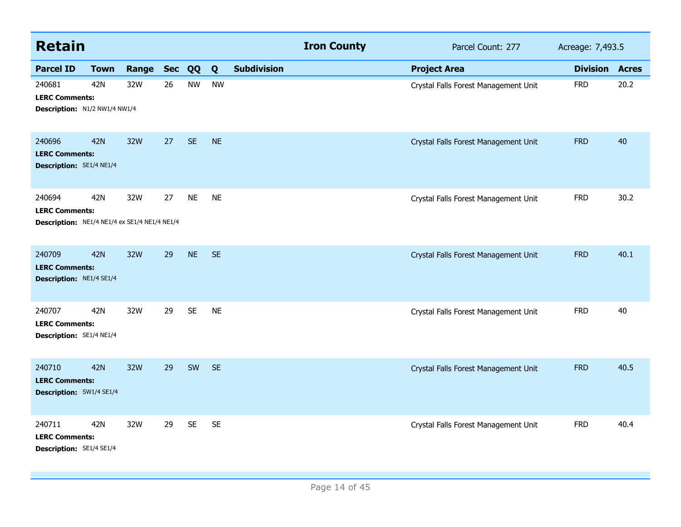| <b>Retain</b>                                                                    |             |       |            |           |           |                    | <b>Iron County</b> | Parcel Count: 277                    | Acreage: 7,493.5 |              |
|----------------------------------------------------------------------------------|-------------|-------|------------|-----------|-----------|--------------------|--------------------|--------------------------------------|------------------|--------------|
| <b>Parcel ID</b>                                                                 | <b>Town</b> | Range | <b>Sec</b> | QQ        | Q         | <b>Subdivision</b> |                    | <b>Project Area</b>                  | <b>Division</b>  | <b>Acres</b> |
| 240681<br><b>LERC Comments:</b><br>Description: N1/2 NW1/4 NW1/4                 | 42N         | 32W   | 26         | <b>NW</b> | <b>NW</b> |                    |                    | Crystal Falls Forest Management Unit | <b>FRD</b>       | 20.2         |
| 240696<br><b>LERC Comments:</b><br><b>Description:</b> SE1/4 NE1/4               | <b>42N</b>  | 32W   | 27         | <b>SE</b> | <b>NE</b> |                    |                    | Crystal Falls Forest Management Unit | <b>FRD</b>       | 40           |
| 240694<br><b>LERC Comments:</b><br>Description: NE1/4 NE1/4 ex SE1/4 NE1/4 NE1/4 | 42N         | 32W   | 27         | <b>NE</b> | <b>NE</b> |                    |                    | Crystal Falls Forest Management Unit | <b>FRD</b>       | 30.2         |
| 240709<br><b>LERC Comments:</b><br>Description: NE1/4 SE1/4                      | <b>42N</b>  | 32W   | 29         | <b>NE</b> | <b>SE</b> |                    |                    | Crystal Falls Forest Management Unit | <b>FRD</b>       | 40.1         |
| 240707<br><b>LERC Comments:</b><br>Description: SE1/4 NE1/4                      | 42N         | 32W   | 29         | <b>SE</b> | <b>NE</b> |                    |                    | Crystal Falls Forest Management Unit | <b>FRD</b>       | 40           |
| 240710<br><b>LERC Comments:</b><br>Description: SW1/4 SE1/4                      | 42N         | 32W   | 29         | SW        | <b>SE</b> |                    |                    | Crystal Falls Forest Management Unit | <b>FRD</b>       | 40.5         |
| 240711<br><b>LERC Comments:</b><br>Description: SE1/4 SE1/4                      | 42N         | 32W   | 29         | <b>SE</b> | <b>SE</b> |                    |                    | Crystal Falls Forest Management Unit | <b>FRD</b>       | 40.4         |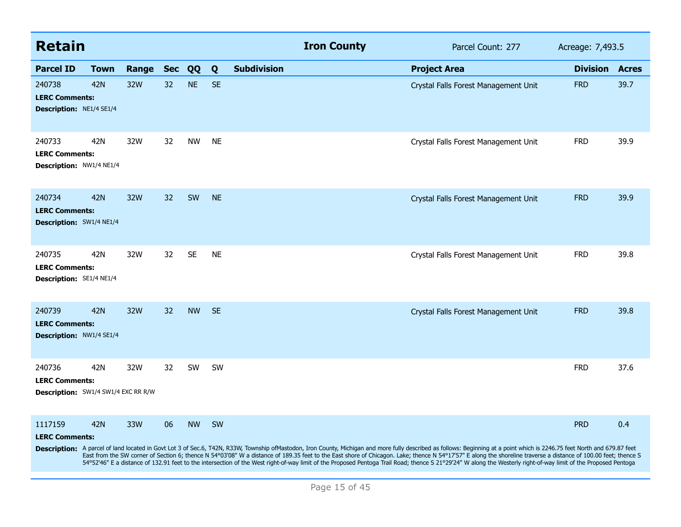| <b>Retain</b>                                                          |             |       |            |           |           |                    | <b>Iron County</b> | Parcel Count: 277                                                                                                                                                                                                                                                                                                                                                                                                                                                                                                                                                                                                                                                | Acreage: 7,493.5 |              |
|------------------------------------------------------------------------|-------------|-------|------------|-----------|-----------|--------------------|--------------------|------------------------------------------------------------------------------------------------------------------------------------------------------------------------------------------------------------------------------------------------------------------------------------------------------------------------------------------------------------------------------------------------------------------------------------------------------------------------------------------------------------------------------------------------------------------------------------------------------------------------------------------------------------------|------------------|--------------|
| <b>Parcel ID</b>                                                       | <b>Town</b> | Range | <b>Sec</b> | QQ        | Q         | <b>Subdivision</b> |                    | <b>Project Area</b>                                                                                                                                                                                                                                                                                                                                                                                                                                                                                                                                                                                                                                              | <b>Division</b>  | <b>Acres</b> |
| 240738<br><b>LERC Comments:</b><br><b>Description: NE1/4 SE1/4</b>     | <b>42N</b>  | 32W   | 32         | <b>NE</b> | <b>SE</b> |                    |                    | Crystal Falls Forest Management Unit                                                                                                                                                                                                                                                                                                                                                                                                                                                                                                                                                                                                                             | <b>FRD</b>       | 39.7         |
| 240733<br><b>LERC Comments:</b><br>Description: NW1/4 NE1/4            | 42N         | 32W   | 32         | <b>NW</b> | <b>NE</b> |                    |                    | Crystal Falls Forest Management Unit                                                                                                                                                                                                                                                                                                                                                                                                                                                                                                                                                                                                                             | <b>FRD</b>       | 39.9         |
| 240734<br><b>LERC Comments:</b><br><b>Description:</b> SW1/4 NE1/4     | <b>42N</b>  | 32W   | 32         | SW        | <b>NE</b> |                    |                    | Crystal Falls Forest Management Unit                                                                                                                                                                                                                                                                                                                                                                                                                                                                                                                                                                                                                             | <b>FRD</b>       | 39.9         |
| 240735<br><b>LERC Comments:</b><br><b>Description:</b> SE1/4 NE1/4     | 42N         | 32W   | 32         | <b>SE</b> | <b>NE</b> |                    |                    | Crystal Falls Forest Management Unit                                                                                                                                                                                                                                                                                                                                                                                                                                                                                                                                                                                                                             | <b>FRD</b>       | 39.8         |
| 240739<br><b>LERC Comments:</b><br><b>Description: NW1/4 SE1/4</b>     | <b>42N</b>  | 32W   | 32         | <b>NW</b> | <b>SE</b> |                    |                    | Crystal Falls Forest Management Unit                                                                                                                                                                                                                                                                                                                                                                                                                                                                                                                                                                                                                             | <b>FRD</b>       | 39.8         |
| 240736<br><b>LERC Comments:</b><br>Description: SW1/4 SW1/4 EXC RR R/W | 42N         | 32W   | 32         | <b>SW</b> | <b>SW</b> |                    |                    |                                                                                                                                                                                                                                                                                                                                                                                                                                                                                                                                                                                                                                                                  | <b>FRD</b>       | 37.6         |
| 1117159<br><b>LERC Comments:</b>                                       | <b>42N</b>  | 33W   | 06         | <b>NW</b> | SW        |                    |                    | Description: A parcel of land located in Govt Lot 3 of Sec.6, T42N, R33W, Township ofMastodon, Iron County, Michigan and more fully described as follows: Beginning at a point which is 2246.75 feet North and 679.87 feet<br>East from the SW corner of Section 6; thence N 54°03'08" W a distance of 189.35 feet to the East shore of Chicagon. Lake; thence N 54°17'57" E along the shoreline traverse a distance of 100.00 feet; thence S<br>54°52'46" E a distance of 132.91 feet to the intersection of the West right-of-way limit of the Proposed Pentoga Trail Road; thence S 21°29'24" W along the Westerly right-of-way limit of the Proposed Pentoga | <b>PRD</b>       | 0.4          |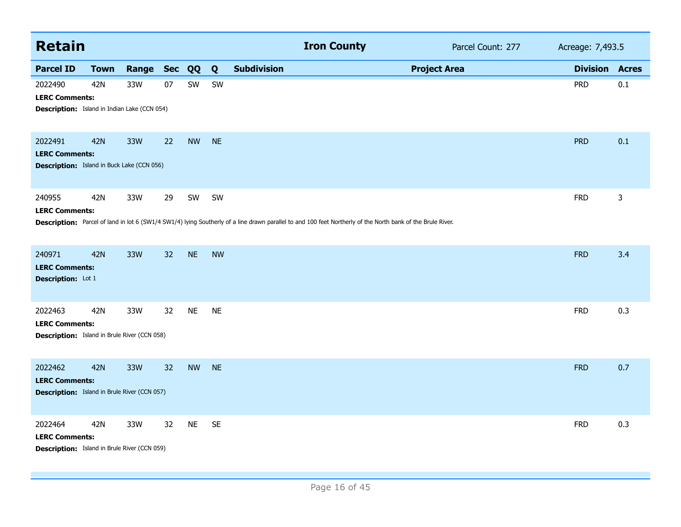| <b>Retain</b>                                                                           |             |       |            |           |           |                    | <b>Iron County</b>                                                                                                                                          | Parcel Count: 277   | Acreage: 7,493.5 |              |
|-----------------------------------------------------------------------------------------|-------------|-------|------------|-----------|-----------|--------------------|-------------------------------------------------------------------------------------------------------------------------------------------------------------|---------------------|------------------|--------------|
| <b>Parcel ID</b>                                                                        | <b>Town</b> | Range | <b>Sec</b> | QQ        | Q         | <b>Subdivision</b> |                                                                                                                                                             | <b>Project Area</b> | <b>Division</b>  | <b>Acres</b> |
| 2022490<br><b>LERC Comments:</b><br><b>Description:</b> Island in Indian Lake (CCN 054) | 42N         | 33W   | 07         | SW        | SW        |                    |                                                                                                                                                             |                     | <b>PRD</b>       | 0.1          |
| 2022491<br><b>LERC Comments:</b><br><b>Description:</b> Island in Buck Lake (CCN 056)   | <b>42N</b>  | 33W   | 22         | <b>NW</b> | <b>NE</b> |                    |                                                                                                                                                             |                     | <b>PRD</b>       | 0.1          |
| 240955<br><b>LERC Comments:</b>                                                         | 42N         | 33W   | 29         | SW        | SW        |                    | Description: Parcel of land in lot 6 (SW1/4 SW1/4) lying Southerly of a line drawn parallel to and 100 feet Northerly of the North bank of the Brule River. |                     | <b>FRD</b>       | 3            |
| 240971<br><b>LERC Comments:</b><br>Description: Lot 1                                   | <b>42N</b>  | 33W   | 32         | <b>NE</b> | <b>NW</b> |                    |                                                                                                                                                             |                     | <b>FRD</b>       | 3.4          |
| 2022463<br><b>LERC Comments:</b><br><b>Description:</b> Island in Brule River (CCN 058) | 42N         | 33W   | 32         | <b>NE</b> | <b>NE</b> |                    |                                                                                                                                                             |                     | <b>FRD</b>       | 0.3          |
| 2022462<br><b>LERC Comments:</b><br><b>Description:</b> Island in Brule River (CCN 057) | <b>42N</b>  | 33W   | 32         | <b>NW</b> | <b>NE</b> |                    |                                                                                                                                                             |                     | <b>FRD</b>       | 0.7          |
| 2022464<br><b>LERC Comments:</b><br><b>Description:</b> Island in Brule River (CCN 059) | 42N         | 33W   | 32         | <b>NE</b> | <b>SE</b> |                    |                                                                                                                                                             |                     | <b>FRD</b>       | 0.3          |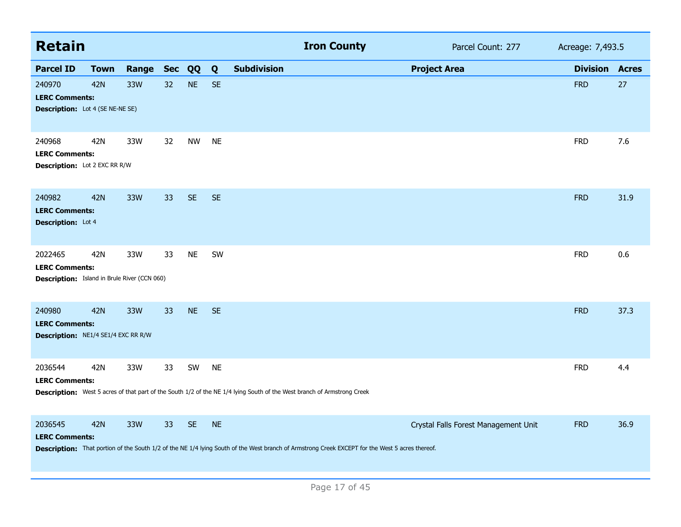| <b>Retain</b>                                                                           |             |       |            |           |           |                    | <b>Iron County</b>                                                                                                                              |                     | Parcel Count: 277                    | Acreage: 7,493.5 |              |
|-----------------------------------------------------------------------------------------|-------------|-------|------------|-----------|-----------|--------------------|-------------------------------------------------------------------------------------------------------------------------------------------------|---------------------|--------------------------------------|------------------|--------------|
| <b>Parcel ID</b>                                                                        | <b>Town</b> | Range | <b>Sec</b> | <b>QQ</b> | Q         | <b>Subdivision</b> |                                                                                                                                                 | <b>Project Area</b> |                                      | <b>Division</b>  | <b>Acres</b> |
| 240970<br><b>LERC Comments:</b><br><b>Description:</b> Lot 4 (SE NE-NE SE)              | <b>42N</b>  | 33W   | 32         | <b>NE</b> | <b>SE</b> |                    |                                                                                                                                                 |                     |                                      | <b>FRD</b>       | 27           |
| 240968<br><b>LERC Comments:</b><br>Description: Lot 2 EXC RR R/W                        | 42N         | 33W   | 32         | <b>NW</b> | <b>NE</b> |                    |                                                                                                                                                 |                     |                                      | <b>FRD</b>       | 7.6          |
| 240982<br><b>LERC Comments:</b><br><b>Description:</b> Lot 4                            | 42N         | 33W   | 33         | <b>SE</b> | <b>SE</b> |                    |                                                                                                                                                 |                     |                                      | <b>FRD</b>       | 31.9         |
| 2022465<br><b>LERC Comments:</b><br><b>Description:</b> Island in Brule River (CCN 060) | 42N         | 33W   | 33         | <b>NE</b> | SW        |                    |                                                                                                                                                 |                     |                                      | <b>FRD</b>       | 0.6          |
| 240980<br><b>LERC Comments:</b><br>Description: NE1/4 SE1/4 EXC RR R/W                  | <b>42N</b>  | 33W   | 33         | <b>NE</b> | <b>SE</b> |                    |                                                                                                                                                 |                     |                                      | <b>FRD</b>       | 37.3         |
| 2036544<br><b>LERC Comments:</b>                                                        | 42N         | 33W   | 33         | SW        | <b>NE</b> |                    | Description: West 5 acres of that part of the South 1/2 of the NE 1/4 lying South of the West branch of Armstrong Creek                         |                     |                                      | <b>FRD</b>       | 4.4          |
| 2036545<br><b>LERC Comments:</b>                                                        | <b>42N</b>  | 33W   | 33         | <b>SE</b> | <b>NE</b> |                    | Description: That portion of the South 1/2 of the NE 1/4 lying South of the West branch of Armstrong Creek EXCEPT for the West 5 acres thereof. |                     | Crystal Falls Forest Management Unit | <b>FRD</b>       | 36.9         |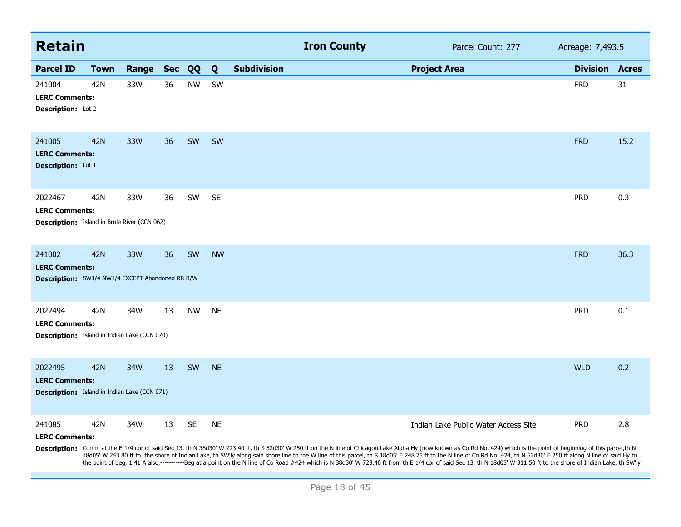| <b>Retain</b>                                                                              |             |       |            |           |           |                    | <b>Iron County</b>                                                                                                                                                                                                                                                                                                                                                                                                                                |                     | Parcel Count: 277                    | Acreage: 7,493.5 |              |
|--------------------------------------------------------------------------------------------|-------------|-------|------------|-----------|-----------|--------------------|---------------------------------------------------------------------------------------------------------------------------------------------------------------------------------------------------------------------------------------------------------------------------------------------------------------------------------------------------------------------------------------------------------------------------------------------------|---------------------|--------------------------------------|------------------|--------------|
| <b>Parcel ID</b>                                                                           | <b>Town</b> | Range | <b>Sec</b> | QQ        | Q         | <b>Subdivision</b> |                                                                                                                                                                                                                                                                                                                                                                                                                                                   | <b>Project Area</b> |                                      | <b>Division</b>  | <b>Acres</b> |
| 241004<br><b>LERC Comments:</b><br>Description: Lot 2                                      | 42N         | 33W   | 36         | <b>NW</b> | SW        |                    |                                                                                                                                                                                                                                                                                                                                                                                                                                                   |                     |                                      | <b>FRD</b>       | 31           |
| 241005<br><b>LERC Comments:</b><br>Description: Lot 1                                      | 42N         | 33W   | 36         | SW        | SW        |                    |                                                                                                                                                                                                                                                                                                                                                                                                                                                   |                     |                                      | <b>FRD</b>       | 15.2         |
| 2022467<br><b>LERC Comments:</b><br><b>Description:</b> Island in Brule River (CCN 062)    | 42N         | 33W   | 36         | SW        | <b>SE</b> |                    |                                                                                                                                                                                                                                                                                                                                                                                                                                                   |                     |                                      | <b>PRD</b>       | 0.3          |
| 241002<br><b>LERC Comments:</b><br><b>Description:</b> SW1/4 NW1/4 EXCEPT Abandoned RR R/W | <b>42N</b>  | 33W   | 36         | SW        | <b>NW</b> |                    |                                                                                                                                                                                                                                                                                                                                                                                                                                                   |                     |                                      | <b>FRD</b>       | 36.3         |
| 2022494<br><b>LERC Comments:</b><br><b>Description:</b> Island in Indian Lake (CCN 070)    | 42N         | 34W   | 13         | <b>NW</b> | <b>NE</b> |                    |                                                                                                                                                                                                                                                                                                                                                                                                                                                   |                     |                                      | <b>PRD</b>       | 0.1          |
| 2022495<br><b>LERC Comments:</b><br><b>Description:</b> Island in Indian Lake (CCN 071)    | 42N         | 34W   | 13         | SW        | <b>NE</b> |                    |                                                                                                                                                                                                                                                                                                                                                                                                                                                   |                     |                                      | <b>WLD</b>       | 0.2          |
| 241085<br><b>LERC Comments:</b>                                                            | 42N         | 34W   | 13         | <b>SE</b> | <b>NE</b> |                    | Description: Comm at the E 1/4 cor of said Sec 13, th N 38d30' W 723.40 ft, th S 52d30' W 250 ft on the N line of Chicagon Lake Alpha Hy (now known as Co Rd No. 424) which is the point of beginning of this parcel,th N<br>18d05' W 243.80 ft to the shore of Indian Lake, th SW'ly along said shore line to the W line of this parcel, th S 18d05' E 248.75 ft to the N line of Co Rd No. 424, th N 52d30' E 250 ft along N line of said Hy to |                     | Indian Lake Public Water Access Site | <b>PRD</b>       | 2.8          |

the point of beg, 1.41 A also,-----------Beg at a point on the N line of Co Road #424 which is N 38d30' W 723.40 ft from th E 1/4 cor of said Sec 13, th N 18d05' W 311.50 ft to the shore of Indian Lake, th SW'ly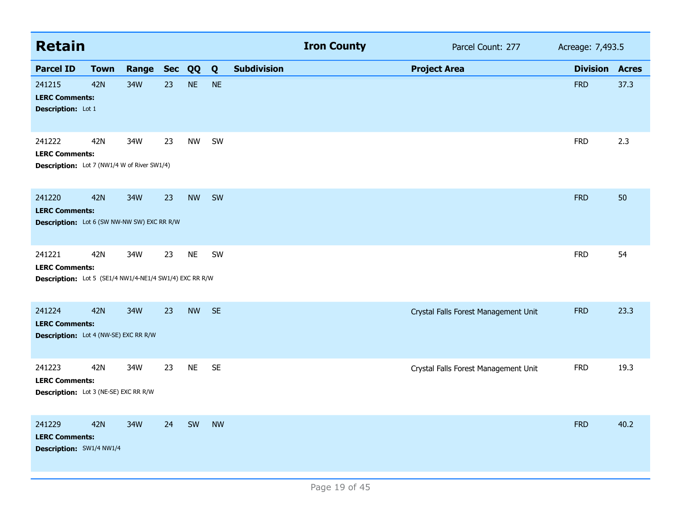| <b>Retain</b>                                                                              |             |           |    |           |           |                    | <b>Iron County</b> |                                      | Parcel Count: 277 | Acreage: 7,493.5 |              |
|--------------------------------------------------------------------------------------------|-------------|-----------|----|-----------|-----------|--------------------|--------------------|--------------------------------------|-------------------|------------------|--------------|
| <b>Parcel ID</b>                                                                           | <b>Town</b> | Range Sec |    | QQ        | Q         | <b>Subdivision</b> |                    | <b>Project Area</b>                  |                   | <b>Division</b>  | <b>Acres</b> |
| 241215<br><b>LERC Comments:</b><br>Description: Lot 1                                      | <b>42N</b>  | 34W       | 23 | <b>NE</b> | <b>NE</b> |                    |                    |                                      |                   | <b>FRD</b>       | 37.3         |
| 241222<br><b>LERC Comments:</b><br><b>Description:</b> Lot 7 (NW1/4 W of River SW1/4)      | 42N         | 34W       | 23 | <b>NW</b> | SW        |                    |                    |                                      |                   | <b>FRD</b>       | 2.3          |
| 241220<br><b>LERC Comments:</b><br>Description: Lot 6 (SW NW-NW SW) EXC RR R/W             | <b>42N</b>  | 34W       | 23 | <b>NW</b> | SW        |                    |                    |                                      |                   | <b>FRD</b>       | 50           |
| 241221<br><b>LERC Comments:</b><br>Description: Lot 5 (SE1/4 NW1/4-NE1/4 SW1/4) EXC RR R/W | 42N         | 34W       | 23 | <b>NE</b> | SW        |                    |                    |                                      |                   | <b>FRD</b>       | 54           |
| 241224<br><b>LERC Comments:</b><br>Description: Lot 4 (NW-SE) EXC RR R/W                   | <b>42N</b>  | 34W       | 23 | <b>NW</b> | SE        |                    |                    | Crystal Falls Forest Management Unit |                   | <b>FRD</b>       | 23.3         |
| 241223<br><b>LERC Comments:</b><br>Description: Lot 3 (NE-SE) EXC RR R/W                   | 42N         | 34W       | 23 | <b>NE</b> | <b>SE</b> |                    |                    | Crystal Falls Forest Management Unit |                   | <b>FRD</b>       | 19.3         |
| 241229<br><b>LERC Comments:</b><br>Description: SW1/4 NW1/4                                | <b>42N</b>  | 34W       | 24 | SW        | <b>NW</b> |                    |                    |                                      |                   | <b>FRD</b>       | 40.2         |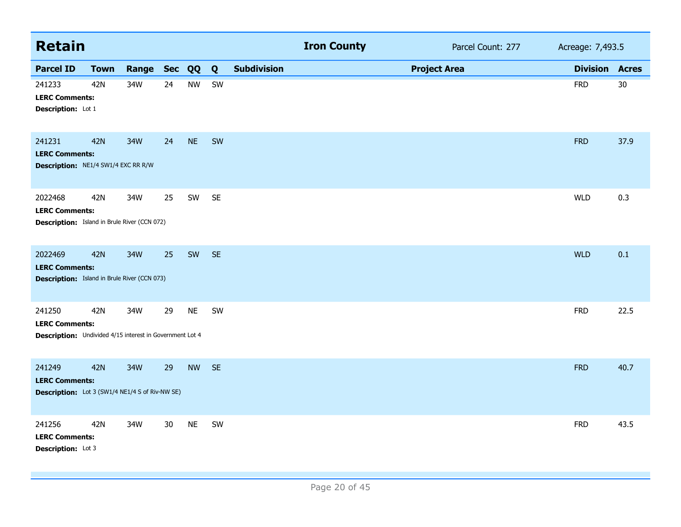| <b>Retain</b>                                                                                      |             |       |            |           |           |                    | <b>Iron County</b> |                     | Parcel Count: 277 | Acreage: 7,493.5 |              |
|----------------------------------------------------------------------------------------------------|-------------|-------|------------|-----------|-----------|--------------------|--------------------|---------------------|-------------------|------------------|--------------|
| <b>Parcel ID</b>                                                                                   | <b>Town</b> | Range | <b>Sec</b> | QQ        | Q         | <b>Subdivision</b> |                    | <b>Project Area</b> |                   | <b>Division</b>  | <b>Acres</b> |
| 241233<br><b>LERC Comments:</b><br>Description: Lot 1                                              | 42N         | 34W   | 24         | <b>NW</b> | SW        |                    |                    |                     |                   | <b>FRD</b>       | 30           |
| 241231<br><b>LERC Comments:</b><br>Description: NE1/4 SW1/4 EXC RR R/W                             | <b>42N</b>  | 34W   | 24         | <b>NE</b> | SW        |                    |                    |                     |                   | <b>FRD</b>       | 37.9         |
| 2022468<br><b>LERC Comments:</b><br><b>Description:</b> Island in Brule River (CCN 072)            | 42N         | 34W   | 25         | SW        | <b>SE</b> |                    |                    |                     |                   | <b>WLD</b>       | 0.3          |
| 2022469<br><b>LERC Comments:</b><br><b>Description:</b> Island in Brule River (CCN 073)            | <b>42N</b>  | 34W   | 25         | SW        | <b>SE</b> |                    |                    |                     |                   | <b>WLD</b>       | 0.1          |
| 241250<br><b>LERC Comments:</b><br><b>Description:</b> Undivided 4/15 interest in Government Lot 4 | 42N         | 34W   | 29         | <b>NE</b> | SW        |                    |                    |                     |                   | <b>FRD</b>       | 22.5         |
| 241249<br><b>LERC Comments:</b><br>Description: Lot 3 (SW1/4 NE1/4 S of Riv-NW SE)                 | <b>42N</b>  | 34W   | 29         | <b>NW</b> | <b>SE</b> |                    |                    |                     |                   | <b>FRD</b>       | 40.7         |
| 241256<br><b>LERC Comments:</b><br>Description: Lot 3                                              | 42N         | 34W   | 30         | <b>NE</b> | SW        |                    |                    |                     |                   | <b>FRD</b>       | 43.5         |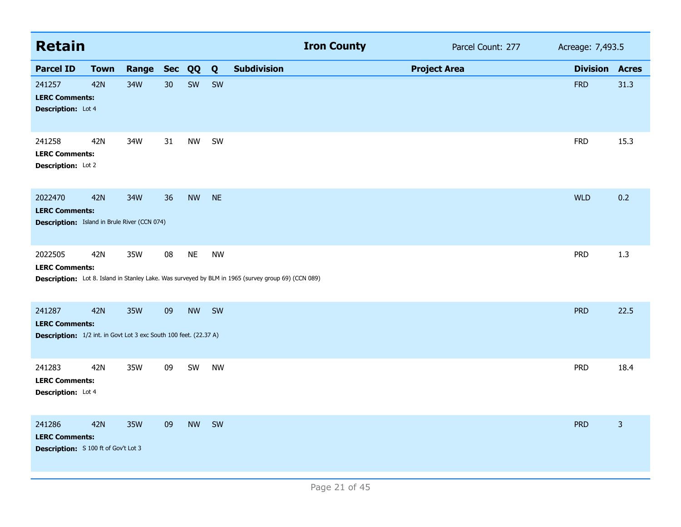| <b>Retain</b>                                                                                               |             |       |            |           |           | <b>Iron County</b><br>Parcel Count: 277                                                             | Acreage: 7,493.5 |                |
|-------------------------------------------------------------------------------------------------------------|-------------|-------|------------|-----------|-----------|-----------------------------------------------------------------------------------------------------|------------------|----------------|
| <b>Parcel ID</b>                                                                                            | <b>Town</b> | Range | <b>Sec</b> | QQ        | Q         | <b>Subdivision</b><br><b>Project Area</b>                                                           | <b>Division</b>  | <b>Acres</b>   |
| 241257<br><b>LERC Comments:</b><br><b>Description:</b> Lot 4                                                | <b>42N</b>  | 34W   | 30         | SW        | SW        |                                                                                                     | <b>FRD</b>       | 31.3           |
| 241258<br><b>LERC Comments:</b><br>Description: Lot 2                                                       | 42N         | 34W   | 31         | <b>NW</b> | SW        |                                                                                                     | <b>FRD</b>       | 15.3           |
| 2022470<br><b>LERC Comments:</b><br><b>Description:</b> Island in Brule River (CCN 074)                     | <b>42N</b>  | 34W   | 36         | <b>NW</b> | <b>NE</b> |                                                                                                     | <b>WLD</b>       | 0.2            |
| 2022505<br><b>LERC Comments:</b>                                                                            | 42N         | 35W   | $08\,$     | <b>NE</b> | <b>NW</b> | Description: Lot 8. Island in Stanley Lake. Was surveyed by BLM in 1965 (survey group 69) (CCN 089) | <b>PRD</b>       | 1.3            |
| 241287<br><b>LERC Comments:</b><br><b>Description:</b> 1/2 int. in Govt Lot 3 exc South 100 feet. (22.37 A) | <b>42N</b>  | 35W   | 09         | <b>NW</b> | SW        |                                                                                                     | <b>PRD</b>       | 22.5           |
| 241283<br><b>LERC Comments:</b><br><b>Description:</b> Lot 4                                                | 42N         | 35W   | 09         | SW        | <b>NW</b> |                                                                                                     | <b>PRD</b>       | 18.4           |
| 241286<br><b>LERC Comments:</b><br><b>Description:</b> S 100 ft of Gov't Lot 3                              | <b>42N</b>  | 35W   | 09         | <b>NW</b> | SW        |                                                                                                     | <b>PRD</b>       | $\overline{3}$ |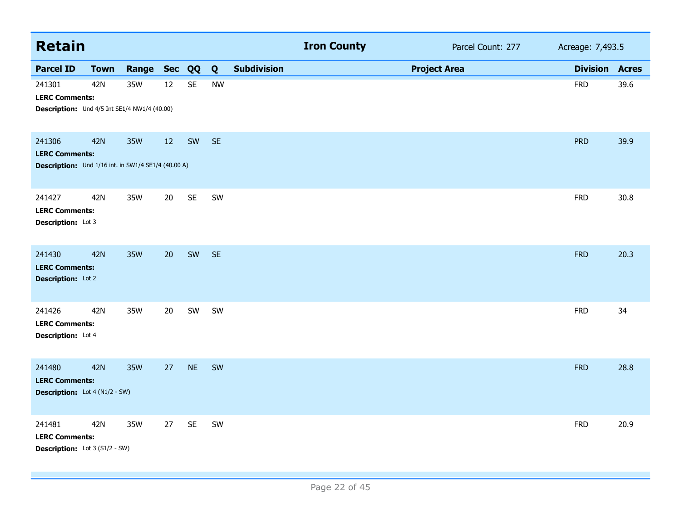| <b>Retain</b>                                                                          |             |            |    |                      |           |                    | <b>Iron County</b> |                     | Parcel Count: 277 | Acreage: 7,493.5 |              |
|----------------------------------------------------------------------------------------|-------------|------------|----|----------------------|-----------|--------------------|--------------------|---------------------|-------------------|------------------|--------------|
| <b>Parcel ID</b>                                                                       | <b>Town</b> | Range Sec  |    | QQ                   | Q         | <b>Subdivision</b> |                    | <b>Project Area</b> |                   | <b>Division</b>  | <b>Acres</b> |
| 241301<br><b>LERC Comments:</b><br>Description: Und 4/5 Int SE1/4 NW1/4 (40.00)        | 42N         | 35W        | 12 | $\mathsf{SE}\xspace$ | <b>NW</b> |                    |                    |                     |                   | <b>FRD</b>       | 39.6         |
| 241306<br><b>LERC Comments:</b><br>Description: Und 1/16 int. in SW1/4 SE1/4 (40.00 A) | <b>42N</b>  | 35W        | 12 | SW                   | <b>SE</b> |                    |                    |                     |                   | <b>PRD</b>       | 39.9         |
| 241427<br><b>LERC Comments:</b><br>Description: Lot 3                                  | 42N         | 35W        | 20 | <b>SE</b>            | SW        |                    |                    |                     |                   | <b>FRD</b>       | 30.8         |
| 241430<br><b>LERC Comments:</b><br>Description: Lot 2                                  | <b>42N</b>  | <b>35W</b> | 20 | SW                   | <b>SE</b> |                    |                    |                     |                   | <b>FRD</b>       | 20.3         |
| 241426<br><b>LERC Comments:</b><br><b>Description:</b> Lot 4                           | 42N         | 35W        | 20 | SW                   | SW        |                    |                    |                     |                   | <b>FRD</b>       | 34           |
| 241480<br><b>LERC Comments:</b><br><b>Description:</b> Lot 4 (N1/2 - SW)               | <b>42N</b>  | <b>35W</b> | 27 | <b>NE</b>            | SW        |                    |                    |                     |                   | <b>FRD</b>       | 28.8         |
| 241481<br><b>LERC Comments:</b><br><b>Description:</b> Lot 3 (S1/2 - SW)               | 42N         | 35W        | 27 | <b>SE</b>            | SW        |                    |                    |                     |                   | <b>FRD</b>       | 20.9         |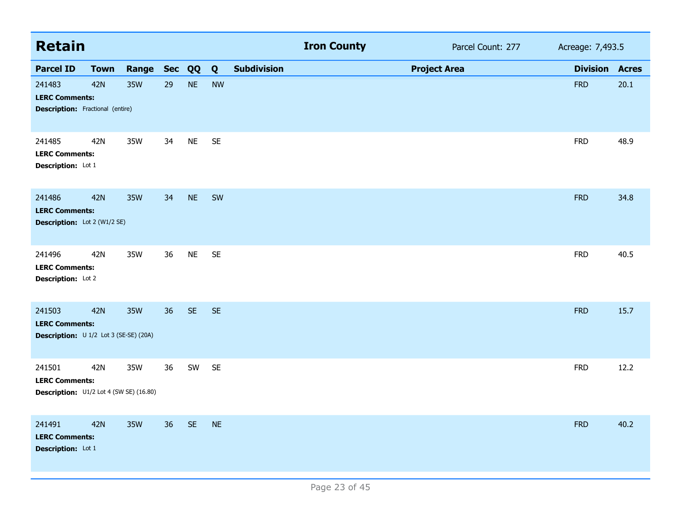| <b>Retain</b>                                                              |             |       |            |           |           |                    | <b>Iron County</b> | Parcel Count: 277   | Acreage: 7,493.5 |              |
|----------------------------------------------------------------------------|-------------|-------|------------|-----------|-----------|--------------------|--------------------|---------------------|------------------|--------------|
| <b>Parcel ID</b>                                                           | <b>Town</b> | Range | <b>Sec</b> | QQ        | Q         | <b>Subdivision</b> |                    | <b>Project Area</b> | <b>Division</b>  | <b>Acres</b> |
| 241483<br><b>LERC Comments:</b><br><b>Description:</b> Fractional (entire) | <b>42N</b>  | 35W   | 29         | <b>NE</b> | <b>NW</b> |                    |                    |                     | <b>FRD</b>       | 20.1         |
| 241485<br><b>LERC Comments:</b><br>Description: Lot 1                      | 42N         | 35W   | 34         | <b>NE</b> | <b>SE</b> |                    |                    |                     | <b>FRD</b>       | 48.9         |
| 241486<br><b>LERC Comments:</b><br>Description: Lot 2 (W1/2 SE)            | <b>42N</b>  | 35W   | 34         | <b>NE</b> | SW        |                    |                    |                     | <b>FRD</b>       | 34.8         |
| 241496<br><b>LERC Comments:</b><br>Description: Lot 2                      | 42N         | 35W   | 36         | <b>NE</b> | <b>SE</b> |                    |                    |                     | <b>FRD</b>       | 40.5         |
| 241503<br><b>LERC Comments:</b><br>Description: U 1/2 Lot 3 (SE-SE) (20A)  | <b>42N</b>  | 35W   | 36         | <b>SE</b> | <b>SE</b> |                    |                    |                     | <b>FRD</b>       | 15.7         |
| 241501<br><b>LERC Comments:</b><br>Description: U1/2 Lot 4 (SW SE) (16.80) | 42N         | 35W   | 36         | SW        | <b>SE</b> |                    |                    |                     | <b>FRD</b>       | 12.2         |
| 241491<br><b>LERC Comments:</b><br>Description: Lot 1                      | 42N         | 35W   | 36         | <b>SE</b> | <b>NE</b> |                    |                    |                     | <b>FRD</b>       | 40.2         |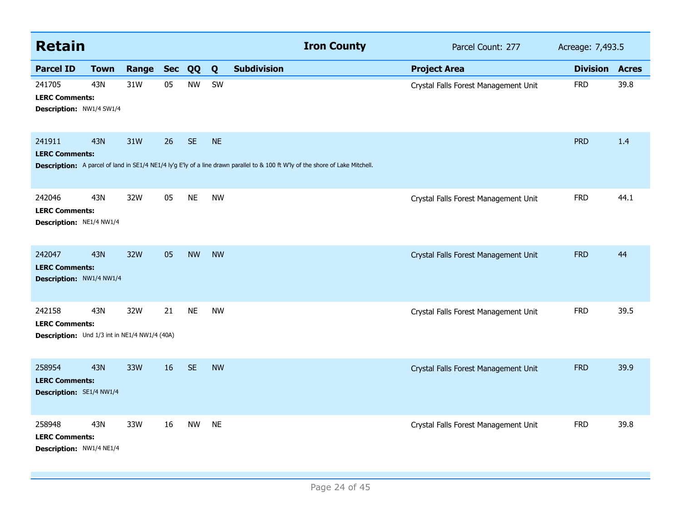| <b>Retain</b>                                                                    |             |       |            |           |           | <b>Iron County</b>                                                                                                              | Parcel Count: 277                    | Acreage: 7,493.5 |              |
|----------------------------------------------------------------------------------|-------------|-------|------------|-----------|-----------|---------------------------------------------------------------------------------------------------------------------------------|--------------------------------------|------------------|--------------|
| <b>Parcel ID</b>                                                                 | <b>Town</b> | Range | <b>Sec</b> | QQ        | Q         | <b>Subdivision</b>                                                                                                              | <b>Project Area</b>                  | <b>Division</b>  | <b>Acres</b> |
| 241705<br><b>LERC Comments:</b><br>Description: NW1/4 SW1/4                      | 43N         | 31W   | 05         | <b>NW</b> | SW        |                                                                                                                                 | Crystal Falls Forest Management Unit | <b>FRD</b>       | 39.8         |
| 241911<br><b>LERC Comments:</b>                                                  | <b>43N</b>  | 31W   | 26         | <b>SE</b> | <b>NE</b> | Description: A parcel of land in SE1/4 NE1/4 ly'g E'ly of a line drawn parallel to & 100 ft W'ly of the shore of Lake Mitchell. |                                      | <b>PRD</b>       | 1.4          |
| 242046<br><b>LERC Comments:</b><br>Description: NE1/4 NW1/4                      | 43N         | 32W   | 05         | <b>NE</b> | <b>NW</b> |                                                                                                                                 | Crystal Falls Forest Management Unit | <b>FRD</b>       | 44.1         |
| 242047<br><b>LERC Comments:</b><br>Description: NW1/4 NW1/4                      | <b>43N</b>  | 32W   | 05         | <b>NW</b> | <b>NW</b> |                                                                                                                                 | Crystal Falls Forest Management Unit | <b>FRD</b>       | 44           |
| 242158<br><b>LERC Comments:</b><br>Description: Und 1/3 int in NE1/4 NW1/4 (40A) | 43N         | 32W   | 21         | <b>NE</b> | <b>NW</b> |                                                                                                                                 | Crystal Falls Forest Management Unit | <b>FRD</b>       | 39.5         |
| 258954<br><b>LERC Comments:</b><br>Description: SE1/4 NW1/4                      | <b>43N</b>  | 33W   | 16         | <b>SE</b> | <b>NW</b> |                                                                                                                                 | Crystal Falls Forest Management Unit | <b>FRD</b>       | 39.9         |
| 258948<br><b>LERC Comments:</b><br>Description: NW1/4 NE1/4                      | 43N         | 33W   | 16         | <b>NW</b> | <b>NE</b> |                                                                                                                                 | Crystal Falls Forest Management Unit | <b>FRD</b>       | 39.8         |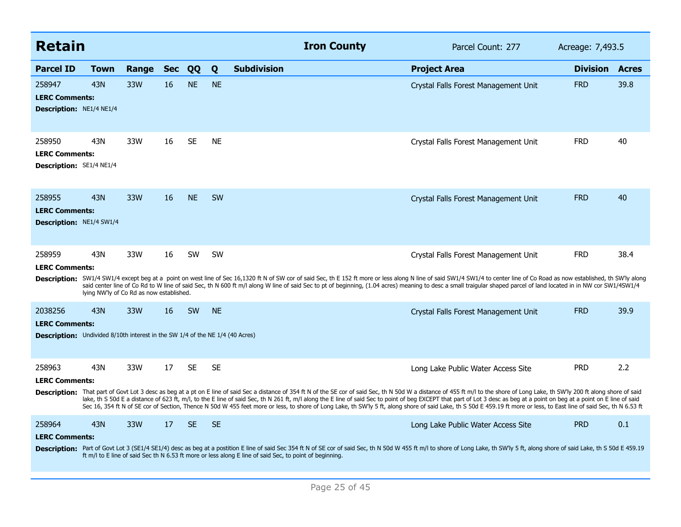| <b>Retain</b>                                                                                                            |                                                 |       |            |           |           | <b>Iron County</b>                                                                                                                                                                                                                                                                                                                                                                                                                                                                                                                                                                                                                                                                    | Parcel Count: 277                    | Acreage: 7,493.5      |      |
|--------------------------------------------------------------------------------------------------------------------------|-------------------------------------------------|-------|------------|-----------|-----------|---------------------------------------------------------------------------------------------------------------------------------------------------------------------------------------------------------------------------------------------------------------------------------------------------------------------------------------------------------------------------------------------------------------------------------------------------------------------------------------------------------------------------------------------------------------------------------------------------------------------------------------------------------------------------------------|--------------------------------------|-----------------------|------|
| <b>Parcel ID</b>                                                                                                         | <b>Town</b>                                     | Range | <b>Sec</b> | QQ        | Q         | <b>Subdivision</b>                                                                                                                                                                                                                                                                                                                                                                                                                                                                                                                                                                                                                                                                    | <b>Project Area</b>                  | <b>Division Acres</b> |      |
| 258947<br><b>LERC Comments:</b><br><b>Description: NE1/4 NE1/4</b>                                                       | 43N                                             | 33W   | 16         | <b>NE</b> | <b>NE</b> |                                                                                                                                                                                                                                                                                                                                                                                                                                                                                                                                                                                                                                                                                       | Crystal Falls Forest Management Unit | <b>FRD</b>            | 39.8 |
| 258950<br><b>LERC Comments:</b><br><b>Description: SE1/4 NE1/4</b>                                                       | 43N                                             | 33W   | 16         | <b>SE</b> | <b>NE</b> |                                                                                                                                                                                                                                                                                                                                                                                                                                                                                                                                                                                                                                                                                       | Crystal Falls Forest Management Unit | <b>FRD</b>            | 40   |
| 258955<br><b>LERC Comments:</b><br><b>Description: NE1/4 SW1/4</b>                                                       | 43N                                             | 33W   | 16         | <b>NE</b> | <b>SW</b> |                                                                                                                                                                                                                                                                                                                                                                                                                                                                                                                                                                                                                                                                                       | Crystal Falls Forest Management Unit | <b>FRD</b>            | 40   |
| 258959<br><b>LERC Comments:</b>                                                                                          | 43N<br>lying NW'ly of Co Rd as now established. | 33W   | 16         | <b>SW</b> | <b>SW</b> | Description: SW1/4 SW1/4 except beg at a point on west line of Sec 16,1320 ft N of SW cor of said Sec, th E 152 ft more or less along N line of said SW1/4 SW1/4 to center line of Co Road as now established, th SW'ly along<br>said center line of Co Rd to W line of said Sec, th N 600 ft m/l along W line of said Sec to pt of beginning, (1.04 acres) meaning to desc a small traigular shaped parcel of land located in in NW cor SW1/4SW1/4                                                                                                                                                                                                                                   | Crystal Falls Forest Management Unit | <b>FRD</b>            | 38.4 |
| 2038256<br><b>LERC Comments:</b><br><b>Description:</b> Undivided 8/10th interest in the SW 1/4 of the NE 1/4 (40 Acres) | 43N                                             | 33W   | 16         | <b>SW</b> | <b>NE</b> |                                                                                                                                                                                                                                                                                                                                                                                                                                                                                                                                                                                                                                                                                       | Crystal Falls Forest Management Unit | <b>FRD</b>            | 39.9 |
| 258963<br><b>LERC Comments:</b>                                                                                          | 43N                                             | 33W   | 17         | <b>SE</b> | <b>SE</b> | Description: That part of Govt Lot 3 desc as beg at a pt on E line of said Sec a distance of 354 ft N of the SE cor of said Sec, th N 50d W a distance of 455 ft m/l to the shore of Long Lake, th SW'ly 200 ft along shore of<br>lake, th S 50d E a distance of 623 ft, m/l, to the E line of said Sec, th N 261 ft, m/l along the E line of said Sec to point of beg EXCEPT that part of Lot 3 desc as beg at a point on beg at a point on E line of said<br>Sec 16, 354 ft N of SE cor of Section, Thence N 50d W 455 feet more or less, to shore of Long Lake, th SW'ly 5 ft, along shore of said Lake, th S 50d E 459.19 ft more or less, to East line of said Sec, th N 6.53 ft | Long Lake Public Water Access Site   | <b>PRD</b>            | 2.2  |
| 258964<br><b>LERC Comments:</b>                                                                                          | 43N                                             | 33W   | 17         | <b>SE</b> | SE.       | Description: Part of Govt Lot 3 (SE1/4 SE1/4) desc as beg at a postition E line of said Sec 354 ft N of SE cor of said Sec, th N 50d W 455 ft m/l to shore of Long Lake, th SW'ly 5 ft, along shore of said Lake, th S 50d E 4<br>ft m/l to E line of said Sec th N 6.53 ft more or less along E line of said Sec, to point of beginning.                                                                                                                                                                                                                                                                                                                                             | Long Lake Public Water Access Site   | <b>PRD</b>            | 0.1  |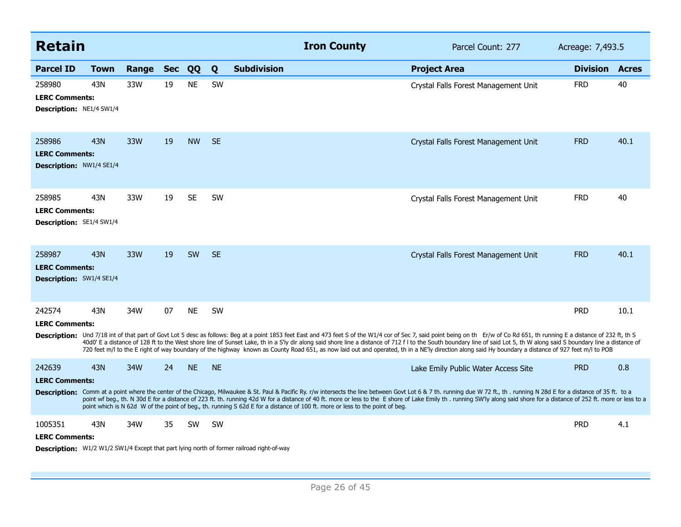| Retain                                                             |      |       |            |           |           | <b>Iron County</b>                                                                                                                                                                                                                                                                                                                                                                                                                                                                                                                                                                                                                                                | Parcel Count: 277                    | Acreage: 7,493.5 |              |
|--------------------------------------------------------------------|------|-------|------------|-----------|-----------|-------------------------------------------------------------------------------------------------------------------------------------------------------------------------------------------------------------------------------------------------------------------------------------------------------------------------------------------------------------------------------------------------------------------------------------------------------------------------------------------------------------------------------------------------------------------------------------------------------------------------------------------------------------------|--------------------------------------|------------------|--------------|
| <b>Parcel ID</b>                                                   | Town | Range | <b>Sec</b> | QQ        | Q         | <b>Subdivision</b>                                                                                                                                                                                                                                                                                                                                                                                                                                                                                                                                                                                                                                                | <b>Project Area</b>                  | <b>Division</b>  | <b>Acres</b> |
| 258980<br><b>LERC Comments:</b><br><b>Description: NE1/4 SW1/4</b> | 43N  | 33W   | 19         | <b>NE</b> | <b>SW</b> |                                                                                                                                                                                                                                                                                                                                                                                                                                                                                                                                                                                                                                                                   | Crystal Falls Forest Management Unit | <b>FRD</b>       | 40           |
| 258986<br><b>LERC Comments:</b><br><b>Description: NW1/4 SE1/4</b> | 43N  | 33W   | 19         | <b>NW</b> | <b>SE</b> |                                                                                                                                                                                                                                                                                                                                                                                                                                                                                                                                                                                                                                                                   | Crystal Falls Forest Management Unit | <b>FRD</b>       | 40.1         |
| 258985<br><b>LERC Comments:</b><br><b>Description: SE1/4 SW1/4</b> | 43N  | 33W   | 19         | <b>SE</b> | <b>SW</b> |                                                                                                                                                                                                                                                                                                                                                                                                                                                                                                                                                                                                                                                                   | Crystal Falls Forest Management Unit | <b>FRD</b>       | 40           |
| 258987<br><b>LERC Comments:</b><br>Description: SW1/4 SE1/4        | 43N  | 33W   | 19         | <b>SW</b> | <b>SE</b> |                                                                                                                                                                                                                                                                                                                                                                                                                                                                                                                                                                                                                                                                   | Crystal Falls Forest Management Unit | <b>FRD</b>       | 40.1         |
| 242574<br><b>LERC Comments:</b>                                    | 43N  | 34W   | 07         | <b>NE</b> | <b>SW</b> | Description: Und 7/18 int of that part of Govt Lot 5 desc as follows: Beg at a point 1853 feet East and 473 feet S of the W1/4 cor of Sec 7, said point being on th Er/w of Co Rd 651, th running E a distance of 232 ft, th S<br>40d0' E a distance of 128 ft to the West shore line of Sunset Lake, th in a S'ly dir along said shore line a distance of 712 f I to the South boundary line of said Lot 5, th W along said S boundary line a distance of<br>720 feet m/l to the E right of way boundary of the highway known as County Road 651, as now laid out and operated, th in a NE'ly direction along said Hy boundary a distance of 927 feet m/l to POB |                                      | <b>PRD</b>       | 10.1         |
| 242639<br><b>LERC Comments:</b>                                    | 43N  | 34W   | 24         | <b>NE</b> | <b>NE</b> | Description: Comm at a point where the center of the Chicago, Milwaukee & St. Paul & Pacific Ry. r/w intersects the line between Govt Lot 6 & 7 th. running due W 72 ft., th. running N 28d E for a distance of 35 ft. to a<br>point wf beg., th. N 30d E for a distance of 223 ft. th. running 42d W for a distance of 40 ft. more or less to the E shore of Lake Emily th. running SW'ly along said shore for a distance of 252 ft. more or less to a<br>point which is N 62d W of the point of beg., th. running S 62d E for a distance of 100 ft. more or less to the point of beg.                                                                           | Lake Emily Public Water Access Site  | <b>PRD</b>       | 0.8          |
| 1005351<br><b>LERC Comments:</b>                                   | 43N  | 34W   | 35         | <b>SW</b> | <b>SW</b> | Description: W1/2 W1/2 SW1/4 Except that part lying north of former railroad right-of-way                                                                                                                                                                                                                                                                                                                                                                                                                                                                                                                                                                         |                                      | <b>PRD</b>       | 4.1          |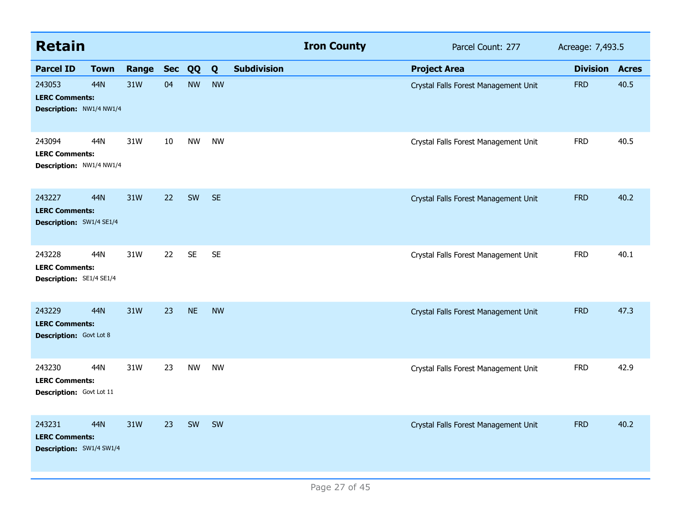| <b>Retain</b>                                                      |             |           |    |           |           |                    | <b>Iron County</b> | Parcel Count: 277                    | Acreage: 7,493.5 |              |
|--------------------------------------------------------------------|-------------|-----------|----|-----------|-----------|--------------------|--------------------|--------------------------------------|------------------|--------------|
| <b>Parcel ID</b>                                                   | <b>Town</b> | Range Sec |    | QQ        | Q         | <b>Subdivision</b> |                    | <b>Project Area</b>                  | <b>Division</b>  | <b>Acres</b> |
| 243053<br><b>LERC Comments:</b><br>Description: NW1/4 NW1/4        | 44N         | 31W       | 04 | <b>NW</b> | <b>NW</b> |                    |                    | Crystal Falls Forest Management Unit | <b>FRD</b>       | 40.5         |
| 243094<br><b>LERC Comments:</b><br>Description: NW1/4 NW1/4        | 44N         | 31W       | 10 | <b>NW</b> | <b>NW</b> |                    |                    | Crystal Falls Forest Management Unit | <b>FRD</b>       | 40.5         |
| 243227<br><b>LERC Comments:</b><br>Description: SW1/4 SE1/4        | 44N         | 31W       | 22 | SW        | <b>SE</b> |                    |                    | Crystal Falls Forest Management Unit | <b>FRD</b>       | 40.2         |
| 243228<br><b>LERC Comments:</b><br>Description: SE1/4 SE1/4        | 44N         | 31W       | 22 | <b>SE</b> | <b>SE</b> |                    |                    | Crystal Falls Forest Management Unit | <b>FRD</b>       | 40.1         |
| 243229<br><b>LERC Comments:</b><br><b>Description:</b> Govt Lot 8  | <b>44N</b>  | 31W       | 23 | <b>NE</b> | <b>NW</b> |                    |                    | Crystal Falls Forest Management Unit | <b>FRD</b>       | 47.3         |
| 243230<br><b>LERC Comments:</b><br>Description: Govt Lot 11        | 44N         | 31W       | 23 | <b>NW</b> | <b>NW</b> |                    |                    | Crystal Falls Forest Management Unit | <b>FRD</b>       | 42.9         |
| 243231<br><b>LERC Comments:</b><br><b>Description: SW1/4 SW1/4</b> | <b>44N</b>  | 31W       | 23 | SW        | SW        |                    |                    | Crystal Falls Forest Management Unit | <b>FRD</b>       | 40.2         |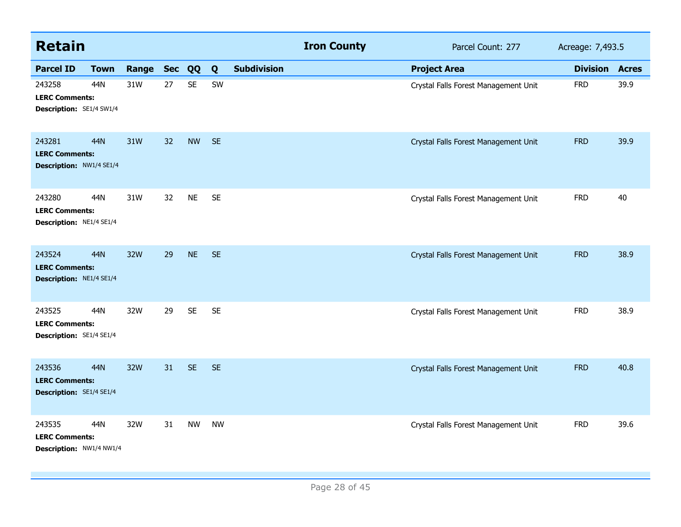| <b>Retain</b>                                               |             |       |            |           |           |                    | <b>Iron County</b> | Parcel Count: 277                    | Acreage: 7,493.5 |              |
|-------------------------------------------------------------|-------------|-------|------------|-----------|-----------|--------------------|--------------------|--------------------------------------|------------------|--------------|
| <b>Parcel ID</b>                                            | <b>Town</b> | Range | <b>Sec</b> | QQ        | Q         | <b>Subdivision</b> |                    | <b>Project Area</b>                  | <b>Division</b>  | <b>Acres</b> |
| 243258<br><b>LERC Comments:</b><br>Description: SE1/4 SW1/4 | 44N         | 31W   | 27         | <b>SE</b> | SW        |                    |                    | Crystal Falls Forest Management Unit | <b>FRD</b>       | 39.9         |
| 243281<br><b>LERC Comments:</b><br>Description: NW1/4 SE1/4 | 44N         | 31W   | 32         | <b>NW</b> | <b>SE</b> |                    |                    | Crystal Falls Forest Management Unit | <b>FRD</b>       | 39.9         |
| 243280<br><b>LERC Comments:</b><br>Description: NE1/4 SE1/4 | 44N         | 31W   | 32         | <b>NE</b> | <b>SE</b> |                    |                    | Crystal Falls Forest Management Unit | <b>FRD</b>       | 40           |
| 243524<br><b>LERC Comments:</b><br>Description: NE1/4 SE1/4 | 44N         | 32W   | 29         | <b>NE</b> | <b>SE</b> |                    |                    | Crystal Falls Forest Management Unit | <b>FRD</b>       | 38.9         |
| 243525<br><b>LERC Comments:</b><br>Description: SE1/4 SE1/4 | 44N         | 32W   | 29         | <b>SE</b> | <b>SE</b> |                    |                    | Crystal Falls Forest Management Unit | <b>FRD</b>       | 38.9         |
| 243536<br><b>LERC Comments:</b><br>Description: SE1/4 SE1/4 | 44N         | 32W   | 31         | <b>SE</b> | <b>SE</b> |                    |                    | Crystal Falls Forest Management Unit | <b>FRD</b>       | 40.8         |
| 243535<br><b>LERC Comments:</b><br>Description: NW1/4 NW1/4 | 44N         | 32W   | 31         | <b>NW</b> | <b>NW</b> |                    |                    | Crystal Falls Forest Management Unit | <b>FRD</b>       | 39.6         |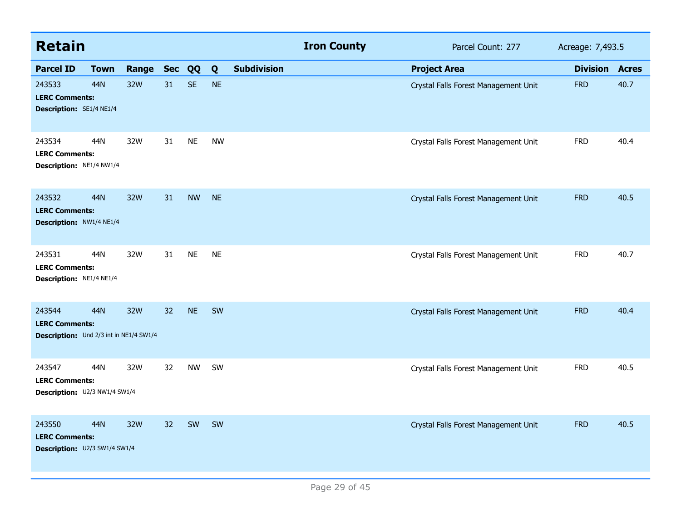| <b>Retain</b>                                                              |             |           |    |           |           |                    | <b>Iron County</b> | Parcel Count: 277                    | Acreage: 7,493.5 |              |
|----------------------------------------------------------------------------|-------------|-----------|----|-----------|-----------|--------------------|--------------------|--------------------------------------|------------------|--------------|
| <b>Parcel ID</b>                                                           | <b>Town</b> | Range Sec |    | QQ        | Q         | <b>Subdivision</b> |                    | <b>Project Area</b>                  | <b>Division</b>  | <b>Acres</b> |
| 243533<br><b>LERC Comments:</b><br>Description: SE1/4 NE1/4                | 44N         | 32W       | 31 | <b>SE</b> | <b>NE</b> |                    |                    | Crystal Falls Forest Management Unit | <b>FRD</b>       | 40.7         |
| 243534<br><b>LERC Comments:</b><br>Description: NE1/4 NW1/4                | 44N         | 32W       | 31 | <b>NE</b> | <b>NW</b> |                    |                    | Crystal Falls Forest Management Unit | <b>FRD</b>       | 40.4         |
| 243532<br><b>LERC Comments:</b><br>Description: NW1/4 NE1/4                | 44N         | 32W       | 31 | <b>NW</b> | <b>NE</b> |                    |                    | Crystal Falls Forest Management Unit | <b>FRD</b>       | 40.5         |
| 243531<br><b>LERC Comments:</b><br>Description: NE1/4 NE1/4                | 44N         | 32W       | 31 | <b>NE</b> | <b>NE</b> |                    |                    | Crystal Falls Forest Management Unit | <b>FRD</b>       | 40.7         |
| 243544<br><b>LERC Comments:</b><br>Description: Und 2/3 int in NE1/4 SW1/4 | 44N         | 32W       | 32 | <b>NE</b> | SW        |                    |                    | Crystal Falls Forest Management Unit | <b>FRD</b>       | 40.4         |
| 243547<br><b>LERC Comments:</b><br>Description: U2/3 NW1/4 SW1/4           | 44N         | 32W       | 32 | <b>NW</b> | SW        |                    |                    | Crystal Falls Forest Management Unit | <b>FRD</b>       | 40.5         |
| 243550<br><b>LERC Comments:</b><br>Description: U2/3 SW1/4 SW1/4           | 44N         | 32W       | 32 | SW        | SW        |                    |                    | Crystal Falls Forest Management Unit | <b>FRD</b>       | 40.5         |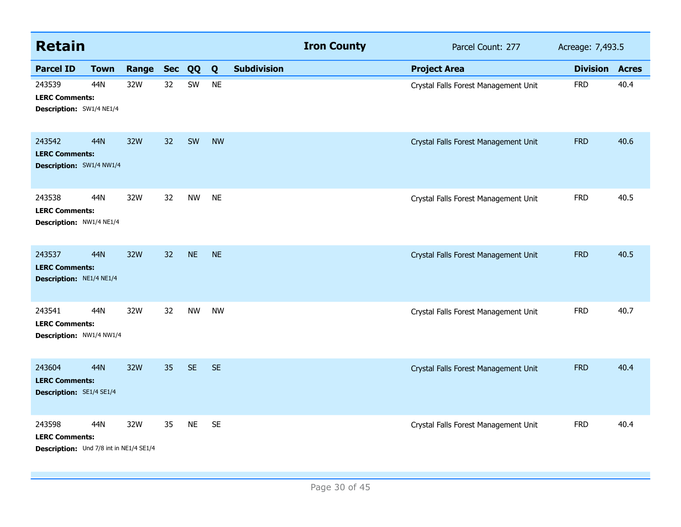| <b>Retain</b>                                                              |             |       |            |           |           |                    | <b>Iron County</b> | Parcel Count: 277                    | Acreage: 7,493.5 |              |
|----------------------------------------------------------------------------|-------------|-------|------------|-----------|-----------|--------------------|--------------------|--------------------------------------|------------------|--------------|
| <b>Parcel ID</b>                                                           | <b>Town</b> | Range | <b>Sec</b> | QQ        | Q         | <b>Subdivision</b> |                    | <b>Project Area</b>                  | <b>Division</b>  | <b>Acres</b> |
| 243539<br><b>LERC Comments:</b><br>Description: SW1/4 NE1/4                | 44N         | 32W   | 32         | SW        | <b>NE</b> |                    |                    | Crystal Falls Forest Management Unit | <b>FRD</b>       | 40.4         |
| 243542<br><b>LERC Comments:</b><br>Description: SW1/4 NW1/4                | 44N         | 32W   | 32         | SW        | <b>NW</b> |                    |                    | Crystal Falls Forest Management Unit | <b>FRD</b>       | 40.6         |
| 243538<br><b>LERC Comments:</b><br>Description: NW1/4 NE1/4                | 44N         | 32W   | 32         | <b>NW</b> | <b>NE</b> |                    |                    | Crystal Falls Forest Management Unit | <b>FRD</b>       | 40.5         |
| 243537<br><b>LERC Comments:</b><br>Description: NE1/4 NE1/4                | 44N         | 32W   | 32         | <b>NE</b> | <b>NE</b> |                    |                    | Crystal Falls Forest Management Unit | <b>FRD</b>       | 40.5         |
| 243541<br><b>LERC Comments:</b><br>Description: NW1/4 NW1/4                | 44N         | 32W   | 32         | <b>NW</b> | <b>NW</b> |                    |                    | Crystal Falls Forest Management Unit | <b>FRD</b>       | 40.7         |
| 243604<br><b>LERC Comments:</b><br><b>Description: SE1/4 SE1/4</b>         | <b>44N</b>  | 32W   | 35         | <b>SE</b> | <b>SE</b> |                    |                    | Crystal Falls Forest Management Unit | <b>FRD</b>       | 40.4         |
| 243598<br><b>LERC Comments:</b><br>Description: Und 7/8 int in NE1/4 SE1/4 | 44N         | 32W   | 35         | <b>NE</b> | <b>SE</b> |                    |                    | Crystal Falls Forest Management Unit | <b>FRD</b>       | 40.4         |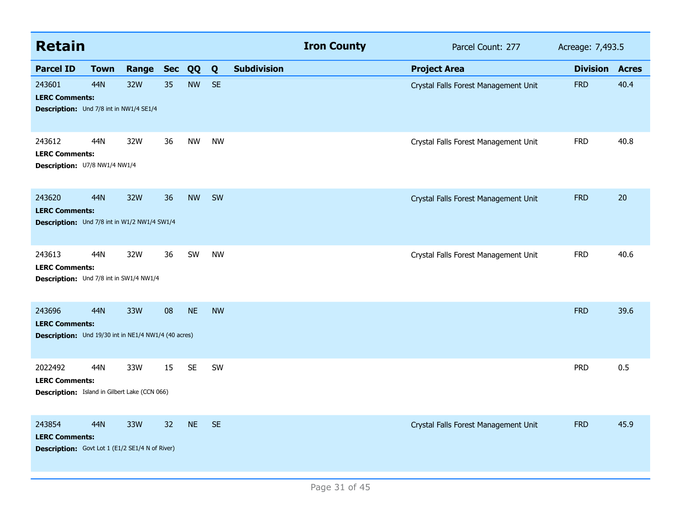| <b>Retain</b>                                                                             |             |       |            |           |           |                    | <b>Iron County</b> | Parcel Count: 277                    | Acreage: 7,493.5 |              |
|-------------------------------------------------------------------------------------------|-------------|-------|------------|-----------|-----------|--------------------|--------------------|--------------------------------------|------------------|--------------|
| <b>Parcel ID</b>                                                                          | <b>Town</b> | Range | <b>Sec</b> | QQ        | Q         | <b>Subdivision</b> |                    | <b>Project Area</b>                  | <b>Division</b>  | <b>Acres</b> |
| 243601<br><b>LERC Comments:</b><br>Description: Und 7/8 int in NW1/4 SE1/4                | 44N         | 32W   | 35         | <b>NW</b> | <b>SE</b> |                    |                    | Crystal Falls Forest Management Unit | <b>FRD</b>       | 40.4         |
| 243612<br><b>LERC Comments:</b><br>Description: U7/8 NW1/4 NW1/4                          | 44N         | 32W   | 36         | <b>NW</b> | <b>NW</b> |                    |                    | Crystal Falls Forest Management Unit | <b>FRD</b>       | 40.8         |
| 243620<br><b>LERC Comments:</b><br><b>Description:</b> Und 7/8 int in W1/2 NW1/4 SW1/4    | 44N         | 32W   | 36         | <b>NW</b> | SW        |                    |                    | Crystal Falls Forest Management Unit | <b>FRD</b>       | 20           |
| 243613<br><b>LERC Comments:</b><br>Description: Und 7/8 int in SW1/4 NW1/4                | 44N         | 32W   | 36         | SW        | <b>NW</b> |                    |                    | Crystal Falls Forest Management Unit | <b>FRD</b>       | 40.6         |
| 243696<br><b>LERC Comments:</b><br>Description: Und 19/30 int in NE1/4 NW1/4 (40 acres)   | 44N         | 33W   | 08         | <b>NE</b> | <b>NW</b> |                    |                    |                                      | <b>FRD</b>       | 39.6         |
| 2022492<br><b>LERC Comments:</b><br><b>Description:</b> Island in Gilbert Lake (CCN 066)  | 44N         | 33W   | 15         | <b>SE</b> | SW        |                    |                    |                                      | <b>PRD</b>       | 0.5          |
| 243854<br><b>LERC Comments:</b><br><b>Description:</b> Govt Lot 1 (E1/2 SE1/4 N of River) | 44N         | 33W   | 32         | <b>NE</b> | <b>SE</b> |                    |                    | Crystal Falls Forest Management Unit | <b>FRD</b>       | 45.9         |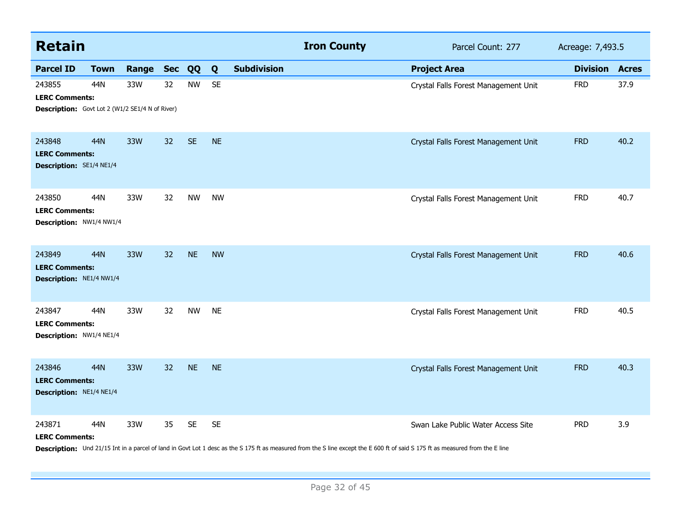| <b>Retain</b>                                                                             |             |       |    |           |           |                    | <b>Iron County</b>                                                                                                                                                             | Parcel Count: 277                    | Acreage: 7,493.5      |      |
|-------------------------------------------------------------------------------------------|-------------|-------|----|-----------|-----------|--------------------|--------------------------------------------------------------------------------------------------------------------------------------------------------------------------------|--------------------------------------|-----------------------|------|
| <b>Parcel ID</b>                                                                          | <b>Town</b> | Range |    | Sec QQ    | Q         | <b>Subdivision</b> |                                                                                                                                                                                | <b>Project Area</b>                  | <b>Division Acres</b> |      |
| 243855<br><b>LERC Comments:</b><br><b>Description:</b> Govt Lot 2 (W1/2 SE1/4 N of River) | 44N         | 33W   | 32 | <b>NW</b> | <b>SE</b> |                    |                                                                                                                                                                                | Crystal Falls Forest Management Unit | <b>FRD</b>            | 37.9 |
| 243848<br><b>LERC Comments:</b><br><b>Description: SE1/4 NE1/4</b>                        | 44N         | 33W   | 32 | <b>SE</b> | <b>NE</b> |                    |                                                                                                                                                                                | Crystal Falls Forest Management Unit | <b>FRD</b>            | 40.2 |
| 243850<br><b>LERC Comments:</b><br>Description: NW1/4 NW1/4                               | 44N         | 33W   | 32 | <b>NW</b> | <b>NW</b> |                    |                                                                                                                                                                                | Crystal Falls Forest Management Unit | <b>FRD</b>            | 40.7 |
| 243849<br><b>LERC Comments:</b><br>Description: NE1/4 NW1/4                               | 44N         | 33W   | 32 | <b>NE</b> | <b>NW</b> |                    |                                                                                                                                                                                | Crystal Falls Forest Management Unit | <b>FRD</b>            | 40.6 |
| 243847<br><b>LERC Comments:</b><br>Description: NW1/4 NE1/4                               | 44N         | 33W   | 32 | <b>NW</b> | <b>NE</b> |                    |                                                                                                                                                                                | Crystal Falls Forest Management Unit | <b>FRD</b>            | 40.5 |
| 243846<br><b>LERC Comments:</b><br>Description: NE1/4 NE1/4                               | 44N         | 33W   | 32 | <b>NE</b> | <b>NE</b> |                    |                                                                                                                                                                                | Crystal Falls Forest Management Unit | <b>FRD</b>            | 40.3 |
| 243871<br><b>LERC Comments:</b>                                                           | 44N         | 33W   | 35 | <b>SE</b> | <b>SE</b> |                    | Description: Und 21/15 Int in a parcel of land in Govt Lot 1 desc as the S 175 ft as measured from the S line except the E 600 ft of said S 175 ft as measured from the E line | Swan Lake Public Water Access Site   | <b>PRD</b>            | 3.9  |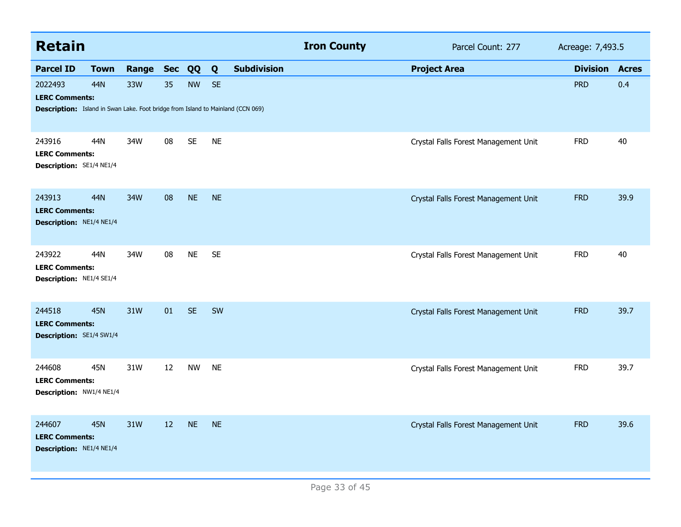| <b>Retain</b>                                                                                                              |             |       |            |           |           |                    | <b>Iron County</b> | Parcel Count: 277                    | Acreage: 7,493.5 |              |
|----------------------------------------------------------------------------------------------------------------------------|-------------|-------|------------|-----------|-----------|--------------------|--------------------|--------------------------------------|------------------|--------------|
| <b>Parcel ID</b>                                                                                                           | <b>Town</b> | Range | <b>Sec</b> | QQ        | Q         | <b>Subdivision</b> |                    | <b>Project Area</b>                  | <b>Division</b>  | <b>Acres</b> |
| 2022493<br><b>LERC Comments:</b><br><b>Description:</b> Island in Swan Lake. Foot bridge from Island to Mainland (CCN 069) | 44N         | 33W   | 35         | <b>NW</b> | <b>SE</b> |                    |                    |                                      | <b>PRD</b>       | 0.4          |
| 243916<br><b>LERC Comments:</b><br>Description: SE1/4 NE1/4                                                                | 44N         | 34W   | 08         | <b>SE</b> | <b>NE</b> |                    |                    | Crystal Falls Forest Management Unit | <b>FRD</b>       | 40           |
| 243913<br><b>LERC Comments:</b><br>Description: NE1/4 NE1/4                                                                | 44N         | 34W   | 08         | <b>NE</b> | <b>NE</b> |                    |                    | Crystal Falls Forest Management Unit | <b>FRD</b>       | 39.9         |
| 243922<br><b>LERC Comments:</b><br>Description: NE1/4 SE1/4                                                                | 44N         | 34W   | 08         | <b>NE</b> | <b>SE</b> |                    |                    | Crystal Falls Forest Management Unit | <b>FRD</b>       | 40           |
| 244518<br><b>LERC Comments:</b><br>Description: SE1/4 SW1/4                                                                | <b>45N</b>  | 31W   | 01         | <b>SE</b> | SW        |                    |                    | Crystal Falls Forest Management Unit | <b>FRD</b>       | 39.7         |
| 244608<br><b>LERC Comments:</b><br>Description: NW1/4 NE1/4                                                                | 45N         | 31W   | 12         | <b>NW</b> | <b>NE</b> |                    |                    | Crystal Falls Forest Management Unit | <b>FRD</b>       | 39.7         |
| 244607<br><b>LERC Comments:</b><br>Description: NE1/4 NE1/4                                                                | <b>45N</b>  | 31W   | 12         | <b>NE</b> | <b>NE</b> |                    |                    | Crystal Falls Forest Management Unit | <b>FRD</b>       | 39.6         |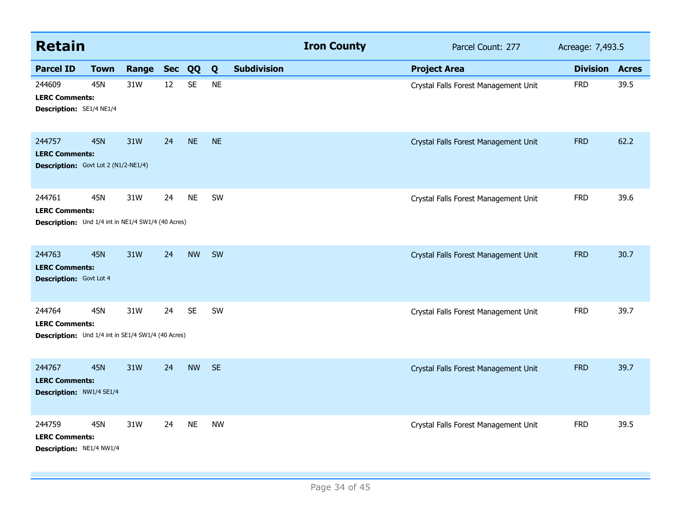| <b>Retain</b>                                                                         |             |       |            |           |           |                    | <b>Iron County</b> | Parcel Count: 277                    | Acreage: 7,493.5 |              |
|---------------------------------------------------------------------------------------|-------------|-------|------------|-----------|-----------|--------------------|--------------------|--------------------------------------|------------------|--------------|
| <b>Parcel ID</b>                                                                      | <b>Town</b> | Range | <b>Sec</b> | QQ        | Q         | <b>Subdivision</b> |                    | <b>Project Area</b>                  | <b>Division</b>  | <b>Acres</b> |
| 244609<br><b>LERC Comments:</b><br>Description: SE1/4 NE1/4                           | <b>45N</b>  | 31W   | 12         | <b>SE</b> | <b>NE</b> |                    |                    | Crystal Falls Forest Management Unit | <b>FRD</b>       | 39.5         |
| 244757<br><b>LERC Comments:</b><br><b>Description:</b> Govt Lot 2 (N1/2-NE1/4)        | <b>45N</b>  | 31W   | 24         | <b>NE</b> | <b>NE</b> |                    |                    | Crystal Falls Forest Management Unit | <b>FRD</b>       | 62.2         |
| 244761<br><b>LERC Comments:</b><br>Description: Und 1/4 int in NE1/4 SW1/4 (40 Acres) | <b>45N</b>  | 31W   | 24         | <b>NE</b> | SW        |                    |                    | Crystal Falls Forest Management Unit | <b>FRD</b>       | 39.6         |
| 244763<br><b>LERC Comments:</b><br><b>Description:</b> Govt Lot 4                     | <b>45N</b>  | 31W   | 24         | <b>NW</b> | SW        |                    |                    | Crystal Falls Forest Management Unit | <b>FRD</b>       | 30.7         |
| 244764<br><b>LERC Comments:</b><br>Description: Und 1/4 int in SE1/4 SW1/4 (40 Acres) | 45N         | 31W   | 24         | <b>SE</b> | SW        |                    |                    | Crystal Falls Forest Management Unit | <b>FRD</b>       | 39.7         |
| 244767<br><b>LERC Comments:</b><br>Description: NW1/4 SE1/4                           | <b>45N</b>  | 31W   | 24         | <b>NW</b> | <b>SE</b> |                    |                    | Crystal Falls Forest Management Unit | <b>FRD</b>       | 39.7         |
| 244759<br><b>LERC Comments:</b><br>Description: NE1/4 NW1/4                           | <b>45N</b>  | 31W   | 24         | <b>NE</b> | <b>NW</b> |                    |                    | Crystal Falls Forest Management Unit | <b>FRD</b>       | 39.5         |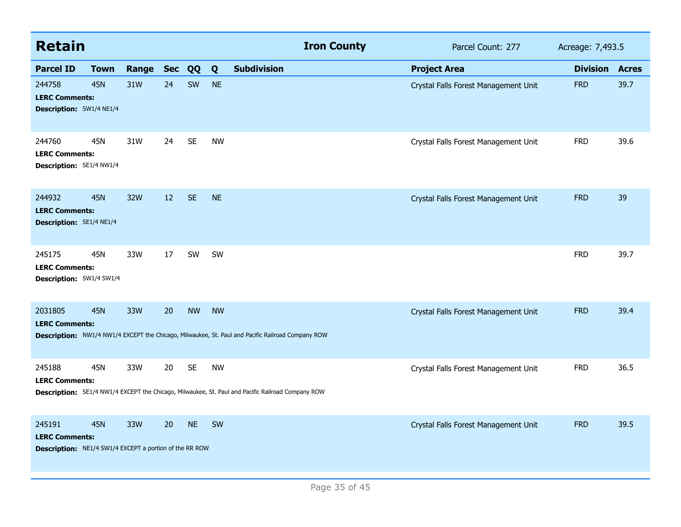| <b>Retain</b>                                                                                     |             |           |    |           |           | <b>Iron County</b>                                                                                | Parcel Count: 277                    | Acreage: 7,493.5 |              |
|---------------------------------------------------------------------------------------------------|-------------|-----------|----|-----------|-----------|---------------------------------------------------------------------------------------------------|--------------------------------------|------------------|--------------|
| <b>Parcel ID</b>                                                                                  | <b>Town</b> | Range Sec |    | QQ        | Q         | <b>Subdivision</b>                                                                                | <b>Project Area</b>                  | <b>Division</b>  | <b>Acres</b> |
| 244758<br><b>LERC Comments:</b><br>Description: SW1/4 NE1/4                                       | <b>45N</b>  | 31W       | 24 | SW        | <b>NE</b> |                                                                                                   | Crystal Falls Forest Management Unit | <b>FRD</b>       | 39.7         |
| 244760<br><b>LERC Comments:</b><br><b>Description: SE1/4 NW1/4</b>                                | 45N         | 31W       | 24 | <b>SE</b> | <b>NW</b> |                                                                                                   | Crystal Falls Forest Management Unit | <b>FRD</b>       | 39.6         |
| 244932<br><b>LERC Comments:</b><br>Description: SE1/4 NE1/4                                       | <b>45N</b>  | 32W       | 12 | <b>SE</b> | <b>NE</b> |                                                                                                   | Crystal Falls Forest Management Unit | <b>FRD</b>       | 39           |
| 245175<br><b>LERC Comments:</b><br>Description: SW1/4 SW1/4                                       | 45N         | 33W       | 17 | SW        | <b>SW</b> |                                                                                                   |                                      | <b>FRD</b>       | 39.7         |
| 2031805<br><b>LERC Comments:</b>                                                                  | <b>45N</b>  | 33W       | 20 | <b>NW</b> | <b>NW</b> | Description: NW1/4 NW1/4 EXCEPT the Chicago, Milwaukee, St. Paul and Pacific Railroad Company ROW | Crystal Falls Forest Management Unit | <b>FRD</b>       | 39.4         |
| 245188<br><b>LERC Comments:</b>                                                                   | 45N         | 33W       | 20 | <b>SE</b> | <b>NW</b> | Description: SE1/4 NW1/4 EXCEPT the Chicago, Milwaukee, St. Paul and Pacific Railroad Company ROW | Crystal Falls Forest Management Unit | <b>FRD</b>       | 36.5         |
| 245191<br><b>LERC Comments:</b><br><b>Description:</b> NE1/4 SW1/4 EXCEPT a portion of the RR ROW | <b>45N</b>  | 33W       | 20 | <b>NE</b> | SW        |                                                                                                   | Crystal Falls Forest Management Unit | <b>FRD</b>       | 39.5         |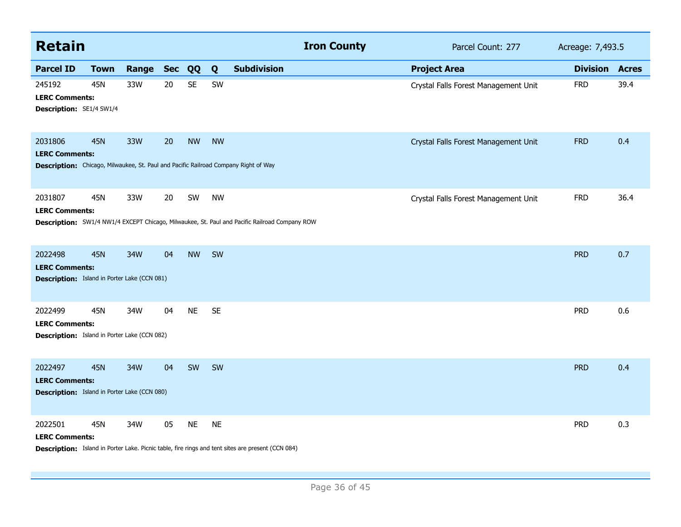| <b>Retain</b>                                                                                                           |             |       |            |           |           | <b>Iron County</b>                                                                                   | Parcel Count: 277                    | Acreage: 7,493.5      |      |
|-------------------------------------------------------------------------------------------------------------------------|-------------|-------|------------|-----------|-----------|------------------------------------------------------------------------------------------------------|--------------------------------------|-----------------------|------|
| <b>Parcel ID</b>                                                                                                        | <b>Town</b> | Range | <b>Sec</b> | QQ        | Q         | <b>Subdivision</b>                                                                                   | <b>Project Area</b>                  | <b>Division Acres</b> |      |
| 245192<br><b>LERC Comments:</b><br>Description: SE1/4 SW1/4                                                             | 45N         | 33W   | 20         | <b>SE</b> | SW        |                                                                                                      | Crystal Falls Forest Management Unit | <b>FRD</b>            | 39.4 |
| 2031806<br><b>LERC Comments:</b><br>Description: Chicago, Milwaukee, St. Paul and Pacific Railroad Company Right of Way | <b>45N</b>  | 33W   | 20         | <b>NW</b> | <b>NW</b> |                                                                                                      | Crystal Falls Forest Management Unit | <b>FRD</b>            | 0.4  |
| 2031807<br><b>LERC Comments:</b>                                                                                        | 45N         | 33W   | 20         | SW        | <b>NW</b> | <b>Description:</b> SW1/4 NW1/4 EXCEPT Chicago, Milwaukee, St. Paul and Pacific Railroad Company ROW | Crystal Falls Forest Management Unit | <b>FRD</b>            | 36.4 |
| 2022498<br><b>LERC Comments:</b><br><b>Description:</b> Island in Porter Lake (CCN 081)                                 | <b>45N</b>  | 34W   | 04         | <b>NW</b> | SW        |                                                                                                      |                                      | <b>PRD</b>            | 0.7  |
| 2022499<br><b>LERC Comments:</b><br><b>Description:</b> Island in Porter Lake (CCN 082)                                 | 45N         | 34W   | 04         | <b>NE</b> | <b>SE</b> |                                                                                                      |                                      | <b>PRD</b>            | 0.6  |
| 2022497<br><b>LERC Comments:</b><br><b>Description:</b> Island in Porter Lake (CCN 080)                                 | <b>45N</b>  | 34W   | 04         | SW        | SW        |                                                                                                      |                                      | <b>PRD</b>            | 0.4  |
| 2022501<br><b>LERC Comments:</b>                                                                                        | 45N         | 34W   | 05         | <b>NE</b> | <b>NE</b> | Description: Island in Porter Lake. Picnic table, fire rings and tent sites are present (CCN 084)    |                                      | <b>PRD</b>            | 0.3  |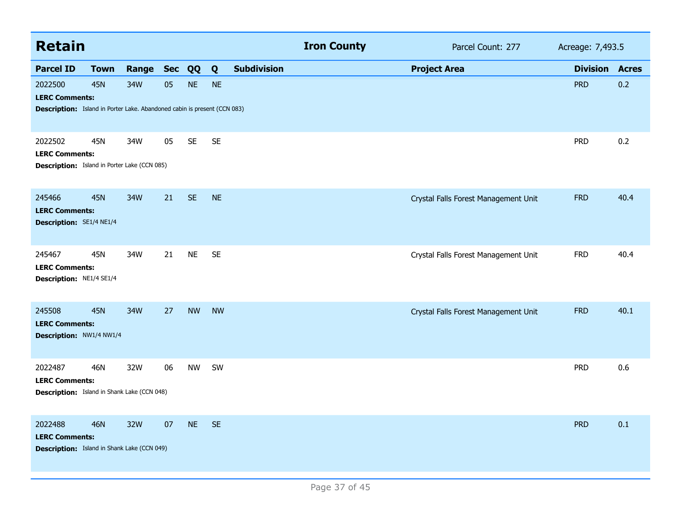| <b>Retain</b>                                                                                                       |             |           |    |           |              |                    | <b>Iron County</b> | Parcel Count: 277                    | Acreage: 7,493.5 |              |
|---------------------------------------------------------------------------------------------------------------------|-------------|-----------|----|-----------|--------------|--------------------|--------------------|--------------------------------------|------------------|--------------|
| <b>Parcel ID</b>                                                                                                    | <b>Town</b> | Range Sec |    | QQ        | $\mathbf{Q}$ | <b>Subdivision</b> |                    | <b>Project Area</b>                  | <b>Division</b>  | <b>Acres</b> |
| 2022500<br><b>LERC Comments:</b><br><b>Description:</b> Island in Porter Lake. Abandoned cabin is present (CCN 083) | <b>45N</b>  | 34W       | 05 | <b>NE</b> | <b>NE</b>    |                    |                    |                                      | <b>PRD</b>       | 0.2          |
| 2022502<br><b>LERC Comments:</b><br><b>Description:</b> Island in Porter Lake (CCN 085)                             | 45N         | 34W       | 05 | <b>SE</b> | <b>SE</b>    |                    |                    |                                      | <b>PRD</b>       | 0.2          |
| 245466<br><b>LERC Comments:</b><br>Description: SE1/4 NE1/4                                                         | <b>45N</b>  | 34W       | 21 | <b>SE</b> | <b>NE</b>    |                    |                    | Crystal Falls Forest Management Unit | <b>FRD</b>       | 40.4         |
| 245467<br><b>LERC Comments:</b><br>Description: NE1/4 SE1/4                                                         | 45N         | 34W       | 21 | <b>NE</b> | <b>SE</b>    |                    |                    | Crystal Falls Forest Management Unit | <b>FRD</b>       | 40.4         |
| 245508<br><b>LERC Comments:</b><br>Description: NW1/4 NW1/4                                                         | <b>45N</b>  | 34W       | 27 | <b>NW</b> | <b>NW</b>    |                    |                    | Crystal Falls Forest Management Unit | <b>FRD</b>       | 40.1         |
| 2022487<br><b>LERC Comments:</b><br><b>Description:</b> Island in Shank Lake (CCN 048)                              | 46N         | 32W       | 06 | <b>NW</b> | SW           |                    |                    |                                      | <b>PRD</b>       | 0.6          |
| 2022488<br><b>LERC Comments:</b><br><b>Description:</b> Island in Shank Lake (CCN 049)                              | <b>46N</b>  | 32W       | 07 | <b>NE</b> | <b>SE</b>    |                    |                    |                                      | <b>PRD</b>       | 0.1          |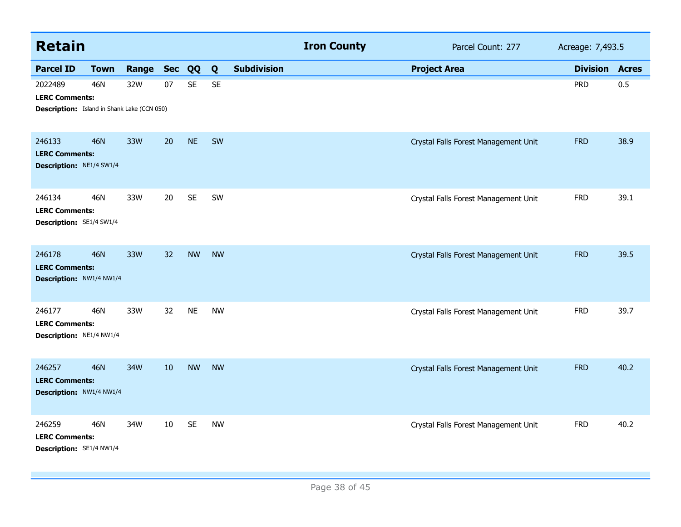| <b>Retain</b>                                               |                                                                                           |       |            |           |           |                    | <b>Iron County</b> | Parcel Count: 277                    | Acreage: 7,493.5 |              |
|-------------------------------------------------------------|-------------------------------------------------------------------------------------------|-------|------------|-----------|-----------|--------------------|--------------------|--------------------------------------|------------------|--------------|
| <b>Parcel ID</b>                                            | <b>Town</b>                                                                               | Range | <b>Sec</b> | QQ        | Q         | <b>Subdivision</b> |                    | <b>Project Area</b>                  | <b>Division</b>  | <b>Acres</b> |
| 2022489<br><b>LERC Comments:</b>                            | 46N<br>07<br><b>SE</b><br><b>SE</b><br>32W<br>Description: Island in Shank Lake (CCN 050) |       | <b>PRD</b> | 0.5       |           |                    |                    |                                      |                  |              |
| 246133<br><b>LERC Comments:</b><br>Description: NE1/4 SW1/4 | <b>46N</b>                                                                                | 33W   | 20         | <b>NE</b> | SW        |                    |                    | Crystal Falls Forest Management Unit | <b>FRD</b>       | 38.9         |
| 246134<br><b>LERC Comments:</b><br>Description: SE1/4 SW1/4 | 46N                                                                                       | 33W   | 20         | <b>SE</b> | SW        |                    |                    | Crystal Falls Forest Management Unit | <b>FRD</b>       | 39.1         |
| 246178<br><b>LERC Comments:</b><br>Description: NW1/4 NW1/4 | <b>46N</b>                                                                                | 33W   | 32         | <b>NW</b> | <b>NW</b> |                    |                    | Crystal Falls Forest Management Unit | <b>FRD</b>       | 39.5         |
| 246177<br><b>LERC Comments:</b><br>Description: NE1/4 NW1/4 | 46N                                                                                       | 33W   | 32         | <b>NE</b> | <b>NW</b> |                    |                    | Crystal Falls Forest Management Unit | <b>FRD</b>       | 39.7         |
| 246257<br><b>LERC Comments:</b><br>Description: NW1/4 NW1/4 | <b>46N</b>                                                                                | 34W   | 10         | <b>NW</b> | <b>NW</b> |                    |                    | Crystal Falls Forest Management Unit | <b>FRD</b>       | 40.2         |
| 246259<br><b>LERC Comments:</b><br>Description: SE1/4 NW1/4 | 46N                                                                                       | 34W   | 10         | <b>SE</b> | <b>NW</b> |                    |                    | Crystal Falls Forest Management Unit | <b>FRD</b>       | 40.2         |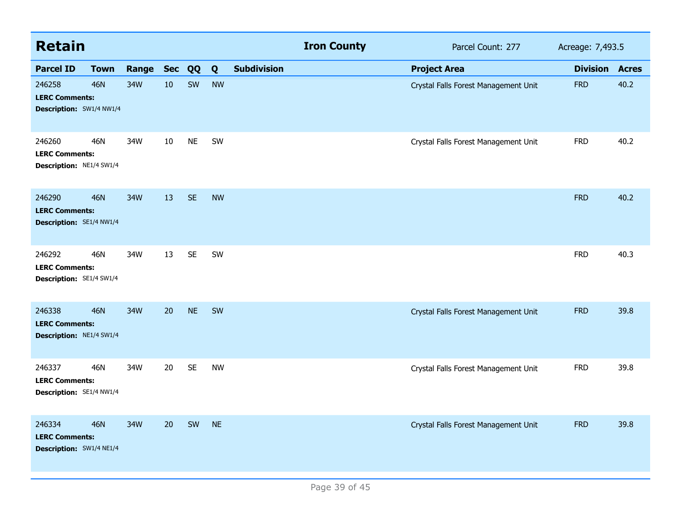| <b>Retain</b>                                                      |             |           |    |           |           |                    | <b>Iron County</b> | Acreage: 7,493.5                     |                 |              |
|--------------------------------------------------------------------|-------------|-----------|----|-----------|-----------|--------------------|--------------------|--------------------------------------|-----------------|--------------|
| <b>Parcel ID</b>                                                   | <b>Town</b> | Range Sec |    | QQ        | Q         | <b>Subdivision</b> |                    | <b>Project Area</b>                  | <b>Division</b> | <b>Acres</b> |
| 246258<br><b>LERC Comments:</b><br>Description: SW1/4 NW1/4        | <b>46N</b>  | 34W       | 10 | SW        | <b>NW</b> |                    |                    | Crystal Falls Forest Management Unit | <b>FRD</b>      | 40.2         |
| 246260<br><b>LERC Comments:</b><br>Description: NE1/4 SW1/4        | 46N         | 34W       | 10 | <b>NE</b> | SW        |                    |                    | Crystal Falls Forest Management Unit | <b>FRD</b>      | 40.2         |
| 246290<br><b>LERC Comments:</b><br>Description: SE1/4 NW1/4        | 46N         | 34W       | 13 | <b>SE</b> | <b>NW</b> |                    |                    |                                      | <b>FRD</b>      | 40.2         |
| 246292<br><b>LERC Comments:</b><br>Description: SE1/4 SW1/4        | 46N         | 34W       | 13 | <b>SE</b> | SW        |                    |                    |                                      | <b>FRD</b>      | 40.3         |
| 246338<br><b>LERC Comments:</b><br>Description: NE1/4 SW1/4        | <b>46N</b>  | 34W       | 20 | <b>NE</b> | SW        |                    |                    | Crystal Falls Forest Management Unit | <b>FRD</b>      | 39.8         |
| 246337<br><b>LERC Comments:</b><br>Description: SE1/4 NW1/4        | 46N         | 34W       | 20 | <b>SE</b> | <b>NW</b> |                    |                    | Crystal Falls Forest Management Unit | <b>FRD</b>      | 39.8         |
| 246334<br><b>LERC Comments:</b><br><b>Description: SW1/4 NE1/4</b> | <b>46N</b>  | 34W       | 20 | SW        | <b>NE</b> |                    |                    | Crystal Falls Forest Management Unit | <b>FRD</b>      | 39.8         |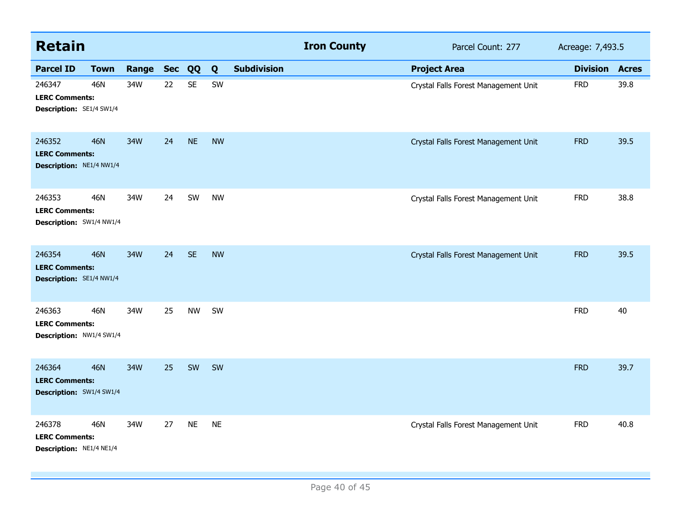| <b>Retain</b>                                               |             |       |            |           |           |                    | <b>Iron County</b> | Parcel Count: 277                    | Acreage: 7,493.5 |              |
|-------------------------------------------------------------|-------------|-------|------------|-----------|-----------|--------------------|--------------------|--------------------------------------|------------------|--------------|
| <b>Parcel ID</b>                                            | <b>Town</b> | Range | <b>Sec</b> | QQ        | Q         | <b>Subdivision</b> |                    | <b>Project Area</b>                  | <b>Division</b>  | <b>Acres</b> |
| 246347<br><b>LERC Comments:</b><br>Description: SE1/4 SW1/4 | <b>46N</b>  | 34W   | 22         | <b>SE</b> | SW        |                    |                    | Crystal Falls Forest Management Unit | <b>FRD</b>       | 39.8         |
| 246352<br><b>LERC Comments:</b><br>Description: NE1/4 NW1/4 | <b>46N</b>  | 34W   | 24         | <b>NE</b> | <b>NW</b> |                    |                    | Crystal Falls Forest Management Unit | <b>FRD</b>       | 39.5         |
| 246353<br><b>LERC Comments:</b><br>Description: SW1/4 NW1/4 | <b>46N</b>  | 34W   | 24         | SW        | <b>NW</b> |                    |                    | Crystal Falls Forest Management Unit | <b>FRD</b>       | 38.8         |
| 246354<br><b>LERC Comments:</b><br>Description: SE1/4 NW1/4 | <b>46N</b>  | 34W   | 24         | <b>SE</b> | <b>NW</b> |                    |                    | Crystal Falls Forest Management Unit | <b>FRD</b>       | 39.5         |
| 246363<br><b>LERC Comments:</b><br>Description: NW1/4 SW1/4 | <b>46N</b>  | 34W   | 25         | <b>NW</b> | SW        |                    |                    |                                      | <b>FRD</b>       | 40           |
| 246364<br><b>LERC Comments:</b><br>Description: SW1/4 SW1/4 | <b>46N</b>  | 34W   | 25         | SW        | SW        |                    |                    |                                      | <b>FRD</b>       | 39.7         |
| 246378<br><b>LERC Comments:</b><br>Description: NE1/4 NE1/4 | <b>46N</b>  | 34W   | 27         | <b>NE</b> | <b>NE</b> |                    |                    | Crystal Falls Forest Management Unit | <b>FRD</b>       | 40.8         |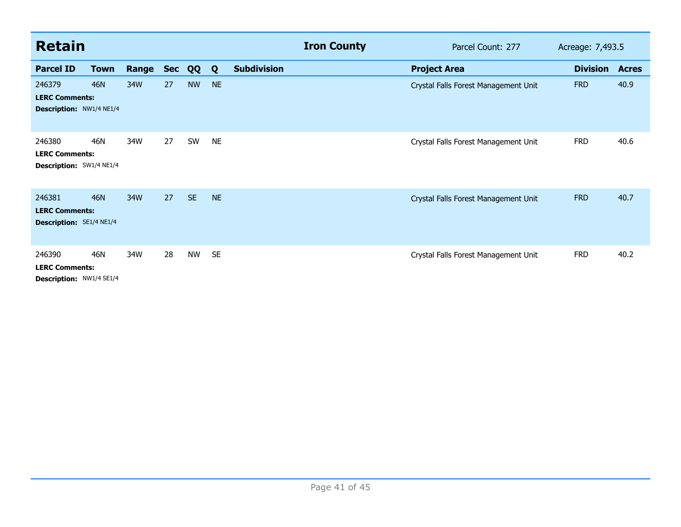| <b>Retain</b>                                               |             |       |            |           |           |                    | <b>Iron County</b> | Parcel Count: 277<br>Acreage: 7,493.5 |                 |              |
|-------------------------------------------------------------|-------------|-------|------------|-----------|-----------|--------------------|--------------------|---------------------------------------|-----------------|--------------|
| <b>Parcel ID</b>                                            | <b>Town</b> | Range | <b>Sec</b> | QQ        | Q         | <b>Subdivision</b> |                    | <b>Project Area</b>                   | <b>Division</b> | <b>Acres</b> |
| 246379<br><b>LERC Comments:</b><br>Description: NW1/4 NE1/4 | <b>46N</b>  | 34W   | 27         | <b>NW</b> | <b>NE</b> |                    |                    | Crystal Falls Forest Management Unit  | <b>FRD</b>      | 40.9         |
| 246380<br><b>LERC Comments:</b><br>Description: SW1/4 NE1/4 | 46N         | 34W   | 27         | SW        | <b>NE</b> |                    |                    | Crystal Falls Forest Management Unit  | <b>FRD</b>      | 40.6         |
| 246381<br><b>LERC Comments:</b><br>Description: SE1/4 NE1/4 | 46N         | 34W   | 27         | <b>SE</b> | <b>NE</b> |                    |                    | Crystal Falls Forest Management Unit  | <b>FRD</b>      | 40.7         |
| 246390<br><b>LERC Comments:</b><br>Description: NW1/4 SE1/4 | 46N         | 34W   | 28         | <b>NW</b> | <b>SE</b> |                    |                    | Crystal Falls Forest Management Unit  | <b>FRD</b>      | 40.2         |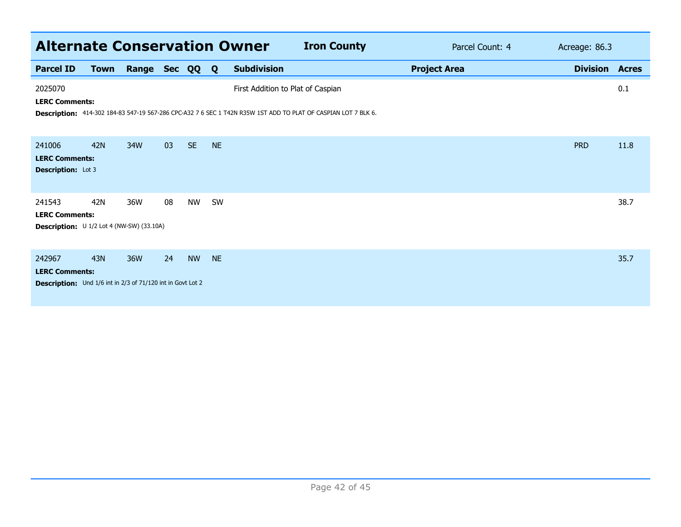|                                                                                                       | <b>Alternate Conservation Owner</b><br><b>Iron County</b><br>Parcel Count: 4<br>Acreage: 86.3 |       |        |           |              |                                   |                                                                                                                |                     |  |                 |              |  |  |
|-------------------------------------------------------------------------------------------------------|-----------------------------------------------------------------------------------------------|-------|--------|-----------|--------------|-----------------------------------|----------------------------------------------------------------------------------------------------------------|---------------------|--|-----------------|--------------|--|--|
| <b>Parcel ID</b>                                                                                      | <b>Town</b>                                                                                   | Range | Sec QQ |           | $\mathbf{Q}$ | <b>Subdivision</b>                |                                                                                                                | <b>Project Area</b> |  | <b>Division</b> | <b>Acres</b> |  |  |
| 2025070<br><b>LERC Comments:</b>                                                                      |                                                                                               |       |        |           |              | First Addition to Plat of Caspian | Description: 414-302 184-83 547-19 567-286 CPC-A32 7 6 SEC 1 T42N R35W 1ST ADD TO PLAT OF CASPIAN LOT 7 BLK 6. |                     |  |                 | 0.1          |  |  |
| 241006<br><b>LERC Comments:</b><br><b>Description:</b> Lot 3                                          | 42N                                                                                           | 34W   | 03     | <b>SE</b> | <b>NE</b>    |                                   |                                                                                                                |                     |  | <b>PRD</b>      | 11.8         |  |  |
| 241543<br><b>LERC Comments:</b><br>Description: U 1/2 Lot 4 (NW-SW) (33.10A)                          | 42N                                                                                           | 36W   | 08     | NW        | SW           |                                   |                                                                                                                |                     |  |                 | 38.7         |  |  |
| 242967<br><b>LERC Comments:</b><br><b>Description:</b> Und 1/6 int in 2/3 of 71/120 int in Govt Lot 2 | 43N                                                                                           | 36W   | 24     | <b>NW</b> | <b>NE</b>    |                                   |                                                                                                                |                     |  |                 | 35.7         |  |  |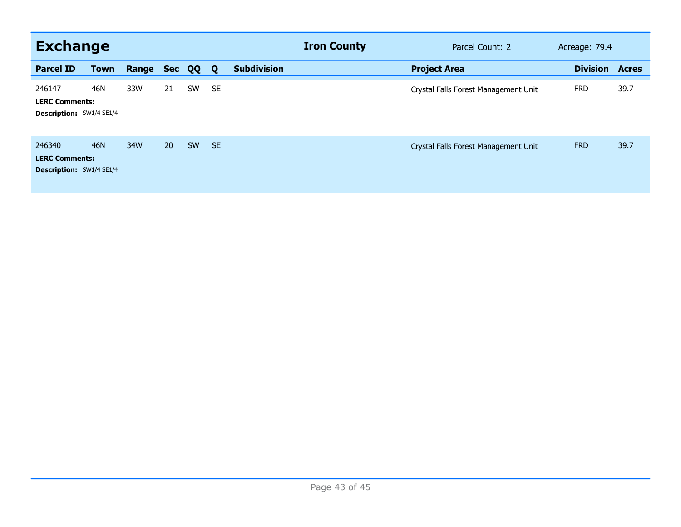| <b>Exchange</b>                                                    |             |       |            |    |           |                    | <b>Iron County</b> | Parcel Count: 2<br>Acreage: 79.4     |  |                 |              |
|--------------------------------------------------------------------|-------------|-------|------------|----|-----------|--------------------|--------------------|--------------------------------------|--|-----------------|--------------|
| <b>Parcel ID</b>                                                   | <b>Town</b> | Range | <b>Sec</b> | QQ | Q         | <b>Subdivision</b> |                    | <b>Project Area</b>                  |  | <b>Division</b> | <b>Acres</b> |
| 246147<br><b>LERC Comments:</b><br><b>Description: SW1/4 SE1/4</b> | 46N         | 33W   | 21         | SW | <b>SE</b> |                    |                    | Crystal Falls Forest Management Unit |  | <b>FRD</b>      | 39.7         |
| 246340<br><b>LERC Comments:</b><br><b>Description: SW1/4 SE1/4</b> | 46N         | 34W   | 20         | SW | <b>SE</b> |                    |                    | Crystal Falls Forest Management Unit |  | <b>FRD</b>      | 39.7         |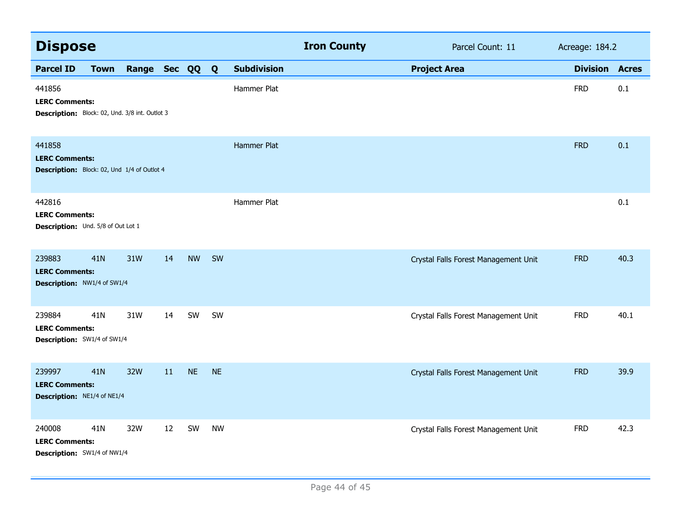| <b>Dispose</b>                                                                    |             |                |    |           |           |                    | <b>Iron County</b> | Parcel Count: 11                     | Acreage: 184.2  |              |
|-----------------------------------------------------------------------------------|-------------|----------------|----|-----------|-----------|--------------------|--------------------|--------------------------------------|-----------------|--------------|
| <b>Parcel ID</b>                                                                  | <b>Town</b> | Range Sec QQ Q |    |           |           | <b>Subdivision</b> |                    | <b>Project Area</b>                  | <b>Division</b> | <b>Acres</b> |
| 441856<br><b>LERC Comments:</b><br>Description: Block: 02, Und. 3/8 int. Outlot 3 |             |                |    |           |           | Hammer Plat        |                    |                                      | <b>FRD</b>      | 0.1          |
| 441858<br><b>LERC Comments:</b><br>Description: Block: 02, Und 1/4 of Outlot 4    |             |                |    |           |           | Hammer Plat        |                    |                                      | <b>FRD</b>      | 0.1          |
| 442816<br><b>LERC Comments:</b><br>Description: Und. 5/8 of Out Lot 1             |             |                |    |           |           | Hammer Plat        |                    |                                      |                 | 0.1          |
| 239883<br><b>LERC Comments:</b><br>Description: NW1/4 of SW1/4                    | 41N         | 31W            | 14 | <b>NW</b> | SW        |                    |                    | Crystal Falls Forest Management Unit | <b>FRD</b>      | 40.3         |
| 239884<br><b>LERC Comments:</b><br>Description: SW1/4 of SW1/4                    | 41N         | 31W            | 14 | SW        | SW        |                    |                    | Crystal Falls Forest Management Unit | <b>FRD</b>      | 40.1         |
| 239997<br><b>LERC Comments:</b><br>Description: NE1/4 of NE1/4                    | 41N         | 32W            | 11 | <b>NE</b> | <b>NE</b> |                    |                    | Crystal Falls Forest Management Unit | <b>FRD</b>      | 39.9         |
| 240008<br><b>LERC Comments:</b><br>Description: SW1/4 of NW1/4                    | 41N         | 32W            | 12 | SW        | <b>NW</b> |                    |                    | Crystal Falls Forest Management Unit | <b>FRD</b>      | 42.3         |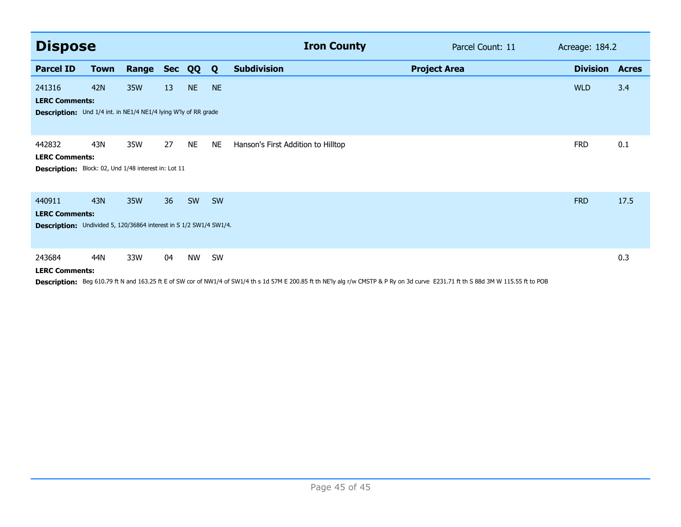| <b>Dispose</b>                                                                                        |             |       |            |           |           | <b>Iron County</b>                 |                     | Parcel Count: 11 | Acreage: 184.2  |              |
|-------------------------------------------------------------------------------------------------------|-------------|-------|------------|-----------|-----------|------------------------------------|---------------------|------------------|-----------------|--------------|
| <b>Parcel ID</b>                                                                                      | <b>Town</b> | Range | <b>Sec</b> | QQ        | Q         | <b>Subdivision</b>                 | <b>Project Area</b> |                  | <b>Division</b> | <b>Acres</b> |
| 241316<br><b>LERC Comments:</b>                                                                       | 42N         | 35W   | 13         | <b>NE</b> | <b>NE</b> |                                    |                     |                  | <b>WLD</b>      | 3.4          |
| Description: Und 1/4 int. in NE1/4 NE1/4 lying W'ly of RR grade                                       |             |       |            |           |           |                                    |                     |                  |                 |              |
| 442832<br><b>LERC Comments:</b><br>Description: Block: 02, Und 1/48 interest in: Lot 11               | 43N         | 35W   | 27         | <b>NE</b> | <b>NE</b> | Hanson's First Addition to Hilltop |                     |                  | <b>FRD</b>      | 0.1          |
| 440911<br><b>LERC Comments:</b><br>Description: Undivided 5, 120/36864 interest in S 1/2 SW1/4 SW1/4. | 43N         | 35W   | 36         | SW        | SW        |                                    |                     |                  | <b>FRD</b>      | 17.5         |
| 243684<br><b>LERC Comments:</b>                                                                       | 44N         | 33W   | 04         | <b>NW</b> | SW        |                                    |                     |                  |                 | 0.3          |

Description: Beg 610.79 ft N and 163.25 ft E of SW cor of NW1/4 of SW1/4 th s 1d 57M E 200.85 ft th NE'ly alg r/w CMSTP & P Ry on 3d curve E231.71 ft th S 88d 3M W 115.55 ft to POB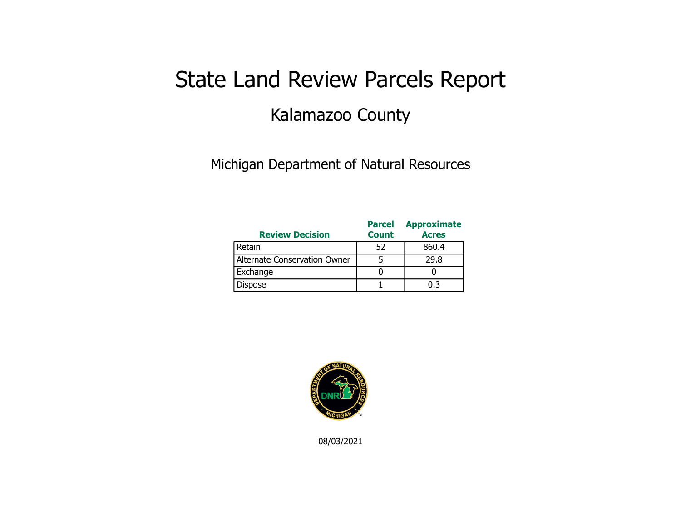## State Land Review Parcels Report Kalamazoo County

Michigan Department of Natural Resources

| <b>Review Decision</b>       | <b>Parcel</b><br><b>Count</b> | <b>Approximate</b><br><b>Acres</b> |
|------------------------------|-------------------------------|------------------------------------|
| Retain                       | 52                            | 860.4                              |
| Alternate Conservation Owner |                               | 29.8                               |
| Exchange                     |                               |                                    |
| <b>Dispose</b>               |                               | በ 3                                |



08/03/2021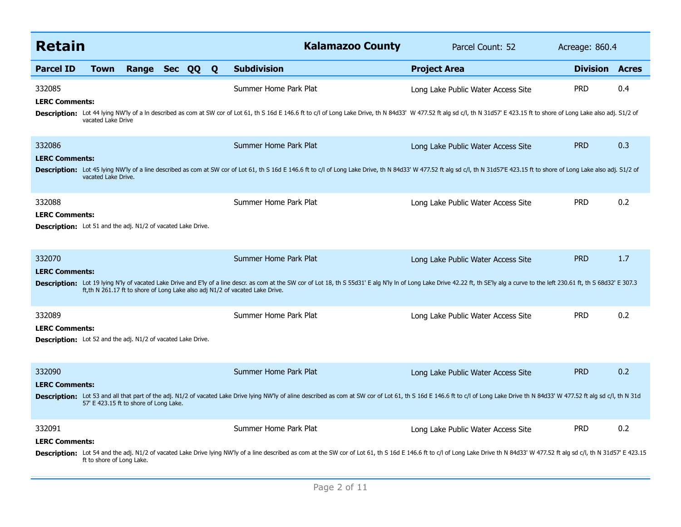| <b>Retain</b>                                                                                          |                                        |              |  |  |   | <b>Kalamazoo County</b><br>Parcel Count: 52                                                                                                                                                                                                                                                                                             |                                    | Acreage: 860.4  |              |
|--------------------------------------------------------------------------------------------------------|----------------------------------------|--------------|--|--|---|-----------------------------------------------------------------------------------------------------------------------------------------------------------------------------------------------------------------------------------------------------------------------------------------------------------------------------------------|------------------------------------|-----------------|--------------|
| <b>Parcel ID</b>                                                                                       | <b>Town</b>                            | Range Sec QQ |  |  | Q | <b>Subdivision</b>                                                                                                                                                                                                                                                                                                                      | <b>Project Area</b>                | <b>Division</b> | <b>Acres</b> |
| 332085<br><b>LERC Comments:</b>                                                                        | vacated Lake Drive                     |              |  |  |   | Summer Home Park Plat<br>Description: Lot 44 lying NW'ly of a In described as com at SW cor of Lot 61, th S 16d E 146.6 ft to c/l of Long Lake Drive, th N 84d33' W 477.52 ft alg sd c/l, th N 31d57' E 423.15 ft to shore of Long Lake also adj. S1/2                                                                                  | Long Lake Public Water Access Site | <b>PRD</b>      | 0.4          |
| 332086<br><b>LERC Comments:</b>                                                                        | vacated Lake Drive.                    |              |  |  |   | Summer Home Park Plat<br>Description: Lot 45 lying NW'ly of a line described as com at SW cor of Lot 61, th S 16d E 146.6 ft to c/l of Long Lake Drive, th N 84d33' W 477.52 ft alg sd c/l, th N 31d57'E 423.15 ft to shore of Long Lake also adj. S1/2                                                                                 | Long Lake Public Water Access Site | <b>PRD</b>      | 0.3          |
| 332088<br><b>LERC Comments:</b><br><b>Description:</b> Lot 51 and the adj. N1/2 of vacated Lake Drive. |                                        |              |  |  |   | Summer Home Park Plat                                                                                                                                                                                                                                                                                                                   | Long Lake Public Water Access Site | <b>PRD</b>      | 0.2          |
| 332070<br><b>LERC Comments:</b>                                                                        |                                        |              |  |  |   | Summer Home Park Plat<br>Description: Lot 19 lying N'ly of vacated Lake Drive and E'ly of a line descr. as com at the SW cor of Lot 18, th S 55d31' E alg N'ly In of Long Lake Drive 42.22 ft, th SE'ly alg a curve to the left 230.61 ft, th S 68d32'<br>ft, th N 261.17 ft to shore of Long Lake also adj N1/2 of vacated Lake Drive. | Long Lake Public Water Access Site | <b>PRD</b>      | 1.7          |
| 332089<br><b>LERC Comments:</b><br><b>Description:</b> Lot 52 and the adj. N1/2 of vacated Lake Drive. |                                        |              |  |  |   | Summer Home Park Plat                                                                                                                                                                                                                                                                                                                   | Long Lake Public Water Access Site | <b>PRD</b>      | 0.2          |
| 332090<br><b>LERC Comments:</b>                                                                        | 57' E 423.15 ft to shore of Long Lake. |              |  |  |   | Summer Home Park Plat<br>Description: Lot 53 and all that part of the adj. N1/2 of vacated Lake Drive lying NW'ly of aline described as com at SW cor of Lot 61, th S 16d E 146.6 ft to c/l of Long Lake Drive th N 84d33' W 477.52 ft alg sd c/l, th N                                                                                 | Long Lake Public Water Access Site | <b>PRD</b>      | 0.2          |
| 332091<br><b>LERC Comments:</b>                                                                        | ft to shore of Long Lake.              |              |  |  |   | Summer Home Park Plat<br>Description: Lot 54 and the adj. N1/2 of vacated Lake Drive lying NW'ly of a line described as com at the SW cor of Lot 61, th S 16d E 146.6 ft to c/l of Long Lake Drive th N 84d33' W 477.52 ft alg sd c/l, th N 31d57' E 42                                                                                 | Long Lake Public Water Access Site | <b>PRD</b>      | 0.2          |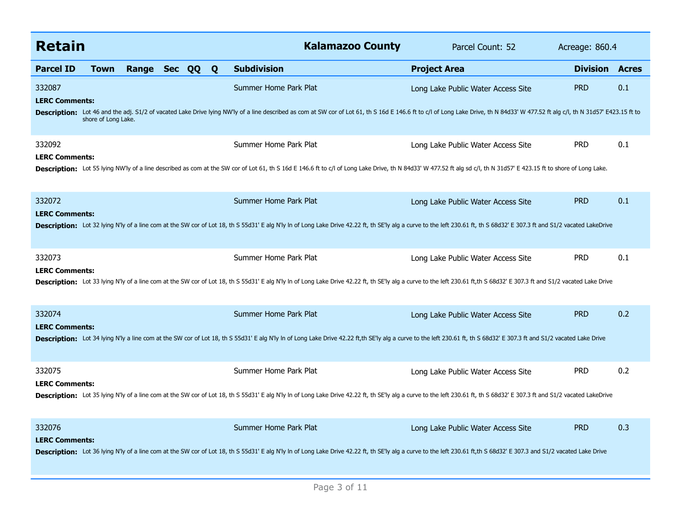| <b>Retain</b>                   |                     |              |  |              | <b>Kalamazoo County</b>                                                                                                                                                                                                                                 | Parcel Count: 52                   | Acreage: 860.4  |              |
|---------------------------------|---------------------|--------------|--|--------------|---------------------------------------------------------------------------------------------------------------------------------------------------------------------------------------------------------------------------------------------------------|------------------------------------|-----------------|--------------|
| <b>Parcel ID</b>                | <b>Town</b>         | Range Sec QQ |  | $\mathbf{Q}$ | <b>Subdivision</b>                                                                                                                                                                                                                                      | <b>Project Area</b>                | <b>Division</b> | <b>Acres</b> |
| 332087<br><b>LERC Comments:</b> |                     |              |  |              | Summer Home Park Plat<br>Description: Lot 46 and the adj. S1/2 of vacated Lake Drive lying NW'ly of a line described as com at SW cor of Lot 61, th S 16d E 146.6 ft to c/l of Long Lake Drive, th N 84d33' W 477.52 ft alg c/l, th N 31d57' E423.15 ft | Long Lake Public Water Access Site | <b>PRD</b>      | 0.1          |
|                                 | shore of Long Lake. |              |  |              |                                                                                                                                                                                                                                                         |                                    |                 |              |
| 332092<br><b>LERC Comments:</b> |                     |              |  |              | Summer Home Park Plat                                                                                                                                                                                                                                   | Long Lake Public Water Access Site | <b>PRD</b>      | 0.1          |
|                                 |                     |              |  |              | Description: Lot 55 lying NW'ly of a line described as com at the SW cor of Lot 61, th S 16d E 146.6 ft to c/l of Long Lake Drive, th N 84d33' W 477.52 ft alg sd c/l, th N 31d57' E 423.15 ft to shore of Long Lake.                                   |                                    |                 |              |
| 332072<br><b>LERC Comments:</b> |                     |              |  |              | Summer Home Park Plat                                                                                                                                                                                                                                   | Long Lake Public Water Access Site | <b>PRD</b>      | 0.1          |
|                                 |                     |              |  |              | Description: Lot 32 lying N'ly of a line com at the SW cor of Lot 18, th S 55d31' E alg N'ly In of Long Lake Drive 42.22 ft, th SE'ly alg a curve to the left 230.61 ft, th S 68d32' E 307.3 ft and S1/2 vacated LakeDrive                              |                                    |                 |              |
| 332073<br><b>LERC Comments:</b> |                     |              |  |              | Summer Home Park Plat                                                                                                                                                                                                                                   | Long Lake Public Water Access Site | <b>PRD</b>      | 0.1          |
|                                 |                     |              |  |              | Description: Lot 33 lying N'ly of a line com at the SW cor of Lot 18, th S 55d31' E alg N'ly In of Long Lake Drive 42.22 ft, th SE'ly alg a curve to the left 230.61 ft,th S 68d32' E 307.3 ft and S1/2 vacated Lake Drive                              |                                    |                 |              |
| 332074<br><b>LERC Comments:</b> |                     |              |  |              | Summer Home Park Plat                                                                                                                                                                                                                                   | Long Lake Public Water Access Site | <b>PRD</b>      | 0.2          |
|                                 |                     |              |  |              | Description: Lot 34 lying N'ly a line com at the SW cor of Lot 18, th S 55d31' E alg N'ly In of Long Lake Drive 42.22 ft, th SE'ly alg a curve to the left 230.61 ft, th S 68d32' E 307.3 ft and S1/2 vacated Lake Drive                                |                                    |                 |              |
| 332075<br><b>LERC Comments:</b> |                     |              |  |              | Summer Home Park Plat                                                                                                                                                                                                                                   | Long Lake Public Water Access Site | <b>PRD</b>      | 0.2          |
|                                 |                     |              |  |              | Description: Lot 35 lying N'ly of a line com at the SW cor of Lot 18, th S 55d31' E alg N'ly In of Long Lake Drive 42.22 ft, th SE'ly alg a curve to the left 230.61 ft, th S 68d32' E 307.3 ft and S1/2 vacated LakeDrive                              |                                    |                 |              |
| 332076                          |                     |              |  |              | Summer Home Park Plat                                                                                                                                                                                                                                   | Long Lake Public Water Access Site | <b>PRD</b>      | 0.3          |
| <b>LERC Comments:</b>           |                     |              |  |              | Description: Lot 36 lying N'ly of a line com at the SW cor of Lot 18, th S 55d31' E alg N'ly In of Long Lake Drive 42.22 ft, th SE'ly alg a curve to the left 230.61 ft,th S 68d32' E 307.3 and S1/2 vacated Lake Drive                                 |                                    |                 |              |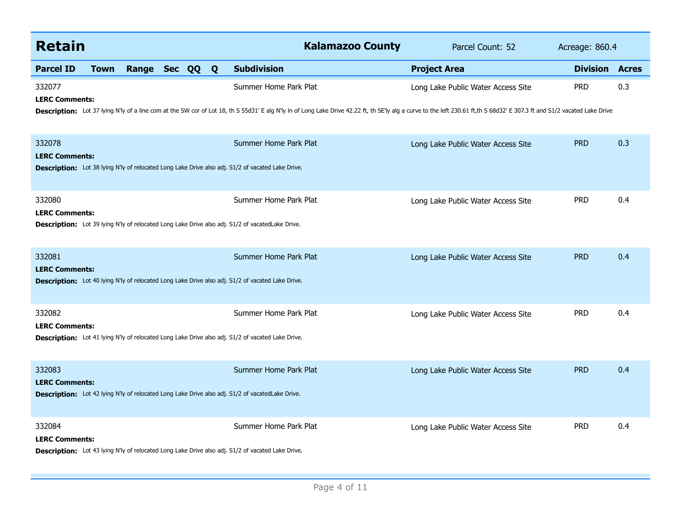| <b>Retain</b>                   |             |              |  |  |   | <b>Kalamazoo County</b>                                                                                                                                                                                                                             | Parcel Count: 52                   | Acreage: 860.4  |              |
|---------------------------------|-------------|--------------|--|--|---|-----------------------------------------------------------------------------------------------------------------------------------------------------------------------------------------------------------------------------------------------------|------------------------------------|-----------------|--------------|
| <b>Parcel ID</b>                | <b>Town</b> | Range Sec QQ |  |  | Q | <b>Subdivision</b>                                                                                                                                                                                                                                  | <b>Project Area</b>                | <b>Division</b> | <b>Acres</b> |
| 332077<br><b>LERC Comments:</b> |             |              |  |  |   | Summer Home Park Plat<br>Description: Lot 37 lying N'ly of a line com at the SW cor of Lot 18, th S 55d31' E alg N'ly In of Long Lake Drive 42.22 ft, th SE'ly alg a curve to the left 230.61 ft,th S 68d32' E 307.3 ft and S1/2 vacated Lake Drive | Long Lake Public Water Access Site | <b>PRD</b>      | 0.3          |
| 332078<br><b>LERC Comments:</b> |             |              |  |  |   | Summer Home Park Plat<br><b>Description:</b> Lot 38 lying N'ly of relocated Long Lake Drive also adj. S1/2 of vacated Lake Drive.                                                                                                                   | Long Lake Public Water Access Site | <b>PRD</b>      | 0.3          |
| 332080<br><b>LERC Comments:</b> |             |              |  |  |   | Summer Home Park Plat<br><b>Description:</b> Lot 39 lying N'ly of relocated Long Lake Drive also adj. S1/2 of vacated Lake Drive.                                                                                                                   | Long Lake Public Water Access Site | <b>PRD</b>      | 0.4          |
| 332081<br><b>LERC Comments:</b> |             |              |  |  |   | Summer Home Park Plat<br><b>Description:</b> Lot 40 lying N'ly of relocated Long Lake Drive also adj. S1/2 of vacated Lake Drive.                                                                                                                   | Long Lake Public Water Access Site | <b>PRD</b>      | 0.4          |
| 332082<br><b>LERC Comments:</b> |             |              |  |  |   | Summer Home Park Plat<br>Description: Lot 41 lying N'ly of relocated Long Lake Drive also adj. S1/2 of vacated Lake Drive.                                                                                                                          | Long Lake Public Water Access Site | <b>PRD</b>      | 0.4          |
| 332083<br><b>LERC Comments:</b> |             |              |  |  |   | Summer Home Park Plat<br><b>Description:</b> Lot 42 lying N'ly of relocated Long Lake Drive also adj. S1/2 of vacated Lake Drive.                                                                                                                   | Long Lake Public Water Access Site | <b>PRD</b>      | 0.4          |
| 332084<br><b>LERC Comments:</b> |             |              |  |  |   | Summer Home Park Plat<br>Description: Lot 43 lying N'ly of relocated Long Lake Drive also adj. S1/2 of vacated Lake Drive.                                                                                                                          | Long Lake Public Water Access Site | <b>PRD</b>      | 0.4          |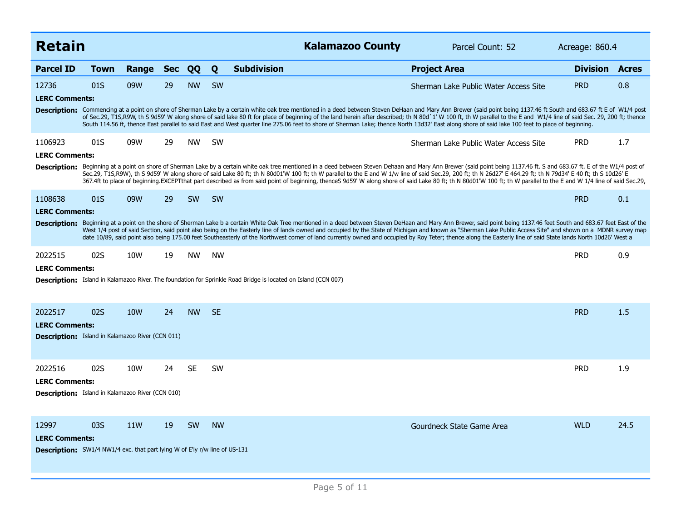| <b>Retain</b>                                                                     |             |       |    |           |           | <b>Kalamazoo County</b>                                                                                                                                                                                                                                                                                                                                                                                                                                                                                                                                                                                                                                           | Parcel Count: 52                      | Acreage: 860.4        |      |
|-----------------------------------------------------------------------------------|-------------|-------|----|-----------|-----------|-------------------------------------------------------------------------------------------------------------------------------------------------------------------------------------------------------------------------------------------------------------------------------------------------------------------------------------------------------------------------------------------------------------------------------------------------------------------------------------------------------------------------------------------------------------------------------------------------------------------------------------------------------------------|---------------------------------------|-----------------------|------|
| <b>Parcel ID</b>                                                                  | <b>Town</b> | Range |    | Sec QQ    | Q         | <b>Subdivision</b>                                                                                                                                                                                                                                                                                                                                                                                                                                                                                                                                                                                                                                                | <b>Project Area</b>                   | <b>Division Acres</b> |      |
| 12736                                                                             | 01S         | 09W   | 29 | <b>NW</b> | <b>SW</b> |                                                                                                                                                                                                                                                                                                                                                                                                                                                                                                                                                                                                                                                                   | Sherman Lake Public Water Access Site | <b>PRD</b>            | 0.8  |
| <b>LERC Comments:</b>                                                             |             |       |    |           |           |                                                                                                                                                                                                                                                                                                                                                                                                                                                                                                                                                                                                                                                                   |                                       |                       |      |
|                                                                                   |             |       |    |           |           | Description: Commencing at a point on shore of Sherman Lake by a certain white oak tree mentioned in a deed between Steven DeHaan and Mary Ann Brewer (said point being 1137.46 ft South and 683.67 ft E of W1/4 post<br>of Sec.29, T1S,R9W, th S 9d59' W along shore of said lake 80 ft for place of beginning of the land herein after described; th N 80d`1' W 100 ft, th W parallel to the E and W1/4 line of said Sec. 29, 200 ft; thence<br>South 114.56 ft, thence East parallel to said East and West quarter line 275.06 feet to shore of Sherman Lake; thence North 13d32' East along shore of said lake 100 feet to place of beginning.                |                                       |                       |      |
| 1106923                                                                           | 01S         | 09W   | 29 | <b>NW</b> | <b>SW</b> |                                                                                                                                                                                                                                                                                                                                                                                                                                                                                                                                                                                                                                                                   | Sherman Lake Public Water Access Site | <b>PRD</b>            | 1.7  |
| <b>LERC Comments:</b>                                                             |             |       |    |           |           |                                                                                                                                                                                                                                                                                                                                                                                                                                                                                                                                                                                                                                                                   |                                       |                       |      |
|                                                                                   |             |       |    |           |           | Description: Beginning at a point on shore of Sherman Lake by a certain white oak tree mentioned in a deed between Steven Dehaan and Mary Ann Brewer (said point being 1137.46 ft. S and 683.67 ft. E of the W1/4 post of<br>Sec.29, T1S,R9W), th S 9d59' W along shore of said Lake 80 ft; th N 80d01'W 100 ft; th W parallel to the E and W 1/w line of said Sec.29, 200 ft; th N 26d27' E 464.29 ft; th N 79d34' E 40 ft; th S 10d26' E<br>367.4ft to place of beginning.EXCEPTthat part described as from said point of beginning, thenceS 9d59' W along shore of said Lake 80 ft; th N 80d01'W 100 ft; th W parallel to the E and W 1/4 line of said Sec.29, |                                       |                       |      |
| 1108638                                                                           | 01S         | 09W   | 29 | <b>SW</b> | SW        |                                                                                                                                                                                                                                                                                                                                                                                                                                                                                                                                                                                                                                                                   |                                       | <b>PRD</b>            | 0.1  |
| <b>LERC Comments:</b>                                                             |             |       |    |           |           |                                                                                                                                                                                                                                                                                                                                                                                                                                                                                                                                                                                                                                                                   |                                       |                       |      |
|                                                                                   |             |       |    |           |           | Description: Beginning at a point on the shore of Sherman Lake b a certain White Oak Tree mentioned in a deed between Steven DeHaan and Mary Ann Brewer, said point being 1137.46 feet South and 683.67 feet East of the<br>West 1/4 post of said Section, said point also being on the Easterly line of lands owned and occupied by the State of Michigan and known as "Sherman Lake Public Access Site" and shown on a MDNR survey map<br>date 10/89, said point also being 175.00 feet Southeasterly of the Northwest corner of land currently owned and occupied by Roy Teter; thence along the Easterly line of said State lands North 10d26' West a         |                                       |                       |      |
| 2022515                                                                           | 02S         | 10W   | 19 | <b>NW</b> | <b>NW</b> |                                                                                                                                                                                                                                                                                                                                                                                                                                                                                                                                                                                                                                                                   |                                       | <b>PRD</b>            | 0.9  |
| <b>LERC Comments:</b>                                                             |             |       |    |           |           |                                                                                                                                                                                                                                                                                                                                                                                                                                                                                                                                                                                                                                                                   |                                       |                       |      |
|                                                                                   |             |       |    |           |           | <b>Description:</b> Island in Kalamazoo River. The foundation for Sprinkle Road Bridge is located on Island (CCN 007)                                                                                                                                                                                                                                                                                                                                                                                                                                                                                                                                             |                                       |                       |      |
| 2022517                                                                           | 02S         | 10W   | 24 | <b>NW</b> | <b>SE</b> |                                                                                                                                                                                                                                                                                                                                                                                                                                                                                                                                                                                                                                                                   |                                       | <b>PRD</b>            | 1.5  |
| <b>LERC Comments:</b>                                                             |             |       |    |           |           |                                                                                                                                                                                                                                                                                                                                                                                                                                                                                                                                                                                                                                                                   |                                       |                       |      |
| <b>Description:</b> Island in Kalamazoo River (CCN 011)                           |             |       |    |           |           |                                                                                                                                                                                                                                                                                                                                                                                                                                                                                                                                                                                                                                                                   |                                       |                       |      |
| 2022516                                                                           | 02S         | 10W   | 24 | <b>SE</b> | <b>SW</b> |                                                                                                                                                                                                                                                                                                                                                                                                                                                                                                                                                                                                                                                                   |                                       | <b>PRD</b>            | 1.9  |
| <b>LERC Comments:</b>                                                             |             |       |    |           |           |                                                                                                                                                                                                                                                                                                                                                                                                                                                                                                                                                                                                                                                                   |                                       |                       |      |
| <b>Description:</b> Island in Kalamazoo River (CCN 010)                           |             |       |    |           |           |                                                                                                                                                                                                                                                                                                                                                                                                                                                                                                                                                                                                                                                                   |                                       |                       |      |
| 12997                                                                             | 03S         | 11W   | 19 | <b>SW</b> | <b>NW</b> |                                                                                                                                                                                                                                                                                                                                                                                                                                                                                                                                                                                                                                                                   | Gourdneck State Game Area             | <b>WLD</b>            | 24.5 |
| <b>LERC Comments:</b>                                                             |             |       |    |           |           |                                                                                                                                                                                                                                                                                                                                                                                                                                                                                                                                                                                                                                                                   |                                       |                       |      |
| <b>Description:</b> SW1/4 NW1/4 exc. that part lying W of E'ly r/w line of US-131 |             |       |    |           |           |                                                                                                                                                                                                                                                                                                                                                                                                                                                                                                                                                                                                                                                                   |                                       |                       |      |
|                                                                                   |             |       |    |           |           |                                                                                                                                                                                                                                                                                                                                                                                                                                                                                                                                                                                                                                                                   |                                       |                       |      |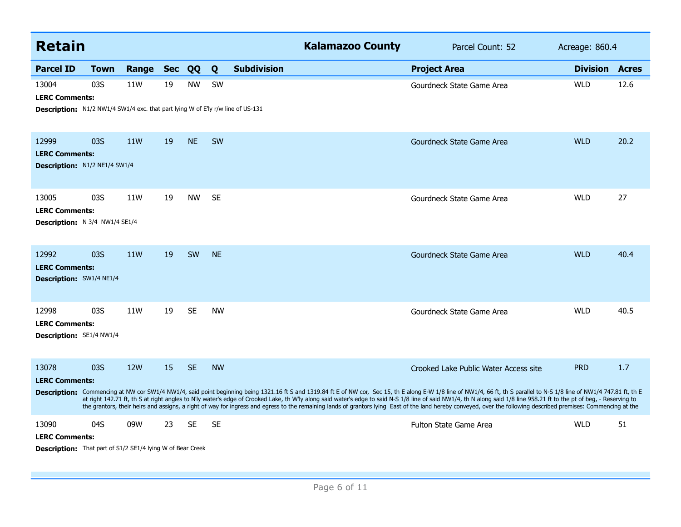| <b>Retain</b>                                                                                                            |      |                 |            |           |           |                    | <b>Kalamazoo County</b> | Parcel Count: 52                                                                                                                                                                                                                                                                                                                                                                                                                                                                                                                                                                                                                                                                                                  | Acreage: 860.4        |      |
|--------------------------------------------------------------------------------------------------------------------------|------|-----------------|------------|-----------|-----------|--------------------|-------------------------|-------------------------------------------------------------------------------------------------------------------------------------------------------------------------------------------------------------------------------------------------------------------------------------------------------------------------------------------------------------------------------------------------------------------------------------------------------------------------------------------------------------------------------------------------------------------------------------------------------------------------------------------------------------------------------------------------------------------|-----------------------|------|
| <b>Parcel ID</b>                                                                                                         | Town | Range           | <b>Sec</b> | QQ        | Q         | <b>Subdivision</b> |                         | <b>Project Area</b>                                                                                                                                                                                                                                                                                                                                                                                                                                                                                                                                                                                                                                                                                               | <b>Division Acres</b> |      |
| 13004<br><b>LERC Comments:</b><br><b>Description:</b> N1/2 NW1/4 SW1/4 exc. that part lying W of E'ly r/w line of US-131 | 03S  | 11W             | 19         | <b>NW</b> | SW        |                    |                         | Gourdneck State Game Area                                                                                                                                                                                                                                                                                                                                                                                                                                                                                                                                                                                                                                                                                         | <b>WLD</b>            | 12.6 |
| 12999<br><b>LERC Comments:</b><br><b>Description:</b> N1/2 NE1/4 SW1/4                                                   | 03S  | 11W             | 19         | <b>NE</b> | SW        |                    |                         | Gourdneck State Game Area                                                                                                                                                                                                                                                                                                                                                                                                                                                                                                                                                                                                                                                                                         | <b>WLD</b>            | 20.2 |
| 13005<br><b>LERC Comments:</b><br><b>Description:</b> N 3/4 NW1/4 SE1/4                                                  | 03S  | 11W             | 19         | <b>NW</b> | <b>SE</b> |                    |                         | Gourdneck State Game Area                                                                                                                                                                                                                                                                                                                                                                                                                                                                                                                                                                                                                                                                                         | <b>WLD</b>            | 27   |
| 12992<br><b>LERC Comments:</b><br>Description: SW1/4 NE1/4                                                               | 03S  | 11 <sub>W</sub> | 19         | SW        | <b>NE</b> |                    |                         | Gourdneck State Game Area                                                                                                                                                                                                                                                                                                                                                                                                                                                                                                                                                                                                                                                                                         | <b>WLD</b>            | 40.4 |
| 12998<br><b>LERC Comments:</b><br><b>Description:</b> SE1/4 NW1/4                                                        | 03S  | 11W             | 19         | <b>SE</b> | <b>NW</b> |                    |                         | Gourdneck State Game Area                                                                                                                                                                                                                                                                                                                                                                                                                                                                                                                                                                                                                                                                                         | <b>WLD</b>            | 40.5 |
| 13078<br><b>LERC Comments:</b>                                                                                           | 03S  | <b>12W</b>      | 15         | <b>SE</b> | <b>NW</b> |                    |                         | Crooked Lake Public Water Access site<br>Description: Commencing at NW cor SW1/4 NW1/4, said point beginning being 1321.16 ft S and 1319.84 ft E of NW cor, Sec 15, th E along E-W 1/8 line of NW1/4, 66 ft, th S parallel to N-S 1/8 line of NW1/4 747.81 ft, th E<br>at right 142.71 ft, th S at right angles to N'ly water's edge of Crooked Lake, th W'ly along said water's edge to said N-S 1/8 line of said NW1/4, th N along said 1/8 line 958.21 ft to the pt of beg, - Reserving to<br>the grantors, their heirs and assigns, a right of way for ingress and egress to the remaining lands of grantors lying East of the land hereby conveyed, over the following described premises: Commencing at the | <b>PRD</b>            | 1.7  |
| 13090<br><b>LERC Comments:</b><br><b>Description:</b> That part of S1/2 SE1/4 lying W of Bear Creek                      | 04S  | 09W             | 23         | <b>SE</b> | <b>SE</b> |                    |                         | <b>Fulton State Game Area</b>                                                                                                                                                                                                                                                                                                                                                                                                                                                                                                                                                                                                                                                                                     | <b>WLD</b>            | 51   |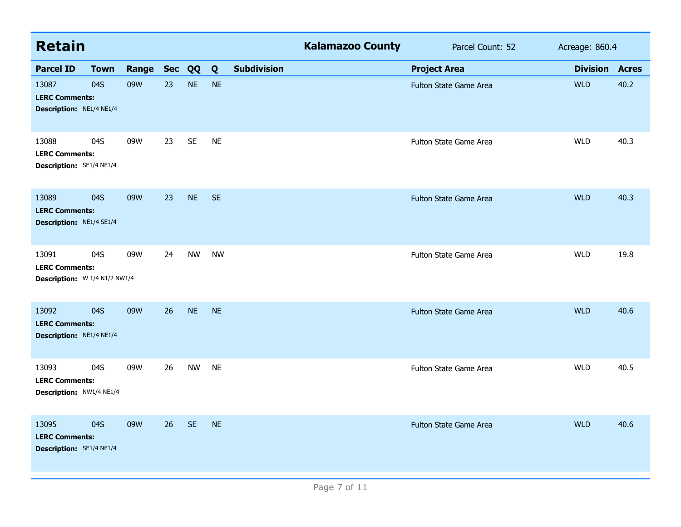| <b>Retain</b>                                                     |             |       |            |           |           |                    | <b>Kalamazoo County</b> | Parcel Count: 52              | Acreage: 860.4  |              |
|-------------------------------------------------------------------|-------------|-------|------------|-----------|-----------|--------------------|-------------------------|-------------------------------|-----------------|--------------|
| <b>Parcel ID</b>                                                  | <b>Town</b> | Range | <b>Sec</b> | QQ        | Q         | <b>Subdivision</b> |                         | <b>Project Area</b>           | <b>Division</b> | <b>Acres</b> |
| 13087<br><b>LERC Comments:</b><br>Description: NE1/4 NE1/4        | 04S         | 09W   | 23         | <b>NE</b> | <b>NE</b> |                    |                         | Fulton State Game Area        | <b>WLD</b>      | 40.2         |
| 13088<br><b>LERC Comments:</b><br>Description: SE1/4 NE1/4        | 04S         | 09W   | 23         | <b>SE</b> | <b>NE</b> |                    |                         | Fulton State Game Area        | <b>WLD</b>      | 40.3         |
| 13089<br><b>LERC Comments:</b><br><b>Description: NE1/4 SE1/4</b> | 04S         | 09W   | 23         | <b>NE</b> | <b>SE</b> |                    |                         | <b>Fulton State Game Area</b> | <b>WLD</b>      | 40.3         |
| 13091<br><b>LERC Comments:</b><br>Description: W 1/4 N1/2 NW1/4   | 04S         | 09W   | 24         | <b>NW</b> | <b>NW</b> |                    |                         | Fulton State Game Area        | <b>WLD</b>      | 19.8         |
| 13092<br><b>LERC Comments:</b><br>Description: NE1/4 NE1/4        | 04S         | 09W   | 26         | <b>NE</b> | <b>NE</b> |                    |                         | Fulton State Game Area        | <b>WLD</b>      | 40.6         |
| 13093<br><b>LERC Comments:</b><br>Description: NW1/4 NE1/4        | 04S         | 09W   | 26         | <b>NW</b> | <b>NE</b> |                    |                         | Fulton State Game Area        | <b>WLD</b>      | 40.5         |
| 13095<br><b>LERC Comments:</b><br><b>Description:</b> SE1/4 NE1/4 | 04S         | 09W   | 26         | <b>SE</b> | <b>NE</b> |                    |                         | Fulton State Game Area        | <b>WLD</b>      | 40.6         |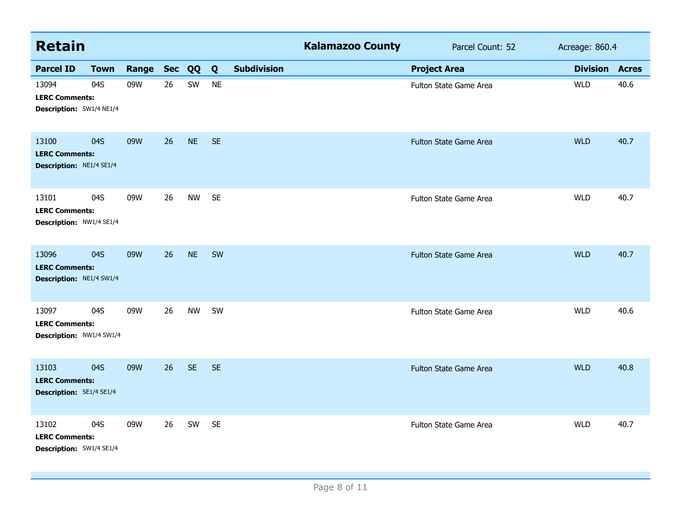| <b>Retain</b>                                                     |             |              |    |           |           |                    | <b>Kalamazoo County</b> | Parcel Count: 52       | Acreage: 860.4  |              |
|-------------------------------------------------------------------|-------------|--------------|----|-----------|-----------|--------------------|-------------------------|------------------------|-----------------|--------------|
| <b>Parcel ID</b>                                                  | <b>Town</b> | Range Sec QQ |    |           | Q         | <b>Subdivision</b> |                         | <b>Project Area</b>    | <b>Division</b> | <b>Acres</b> |
| 13094<br><b>LERC Comments:</b><br>Description: SW1/4 NE1/4        | 04S         | 09W          | 26 | SW        | <b>NE</b> |                    |                         | Fulton State Game Area | <b>WLD</b>      | 40.6         |
| 13100<br><b>LERC Comments:</b><br>Description: NE1/4 SE1/4        | 04S         | 09W          | 26 | <b>NE</b> | <b>SE</b> |                    |                         | Fulton State Game Area | <b>WLD</b>      | 40.7         |
| 13101<br><b>LERC Comments:</b><br>Description: NW1/4 SE1/4        | 04S         | 09W          | 26 | <b>NW</b> | <b>SE</b> |                    |                         | Fulton State Game Area | <b>WLD</b>      | 40.7         |
| 13096<br><b>LERC Comments:</b><br>Description: NE1/4 SW1/4        | 04S         | 09W          | 26 | <b>NE</b> | SW        |                    |                         | Fulton State Game Area | <b>WLD</b>      | 40.7         |
| 13097<br><b>LERC Comments:</b><br>Description: NW1/4 SW1/4        | 04S         | 09W          | 26 | <b>NW</b> | SW        |                    |                         | Fulton State Game Area | <b>WLD</b>      | 40.6         |
| 13103<br><b>LERC Comments:</b><br><b>Description: SE1/4 SE1/4</b> | 04S         | 09W          | 26 | <b>SE</b> | <b>SE</b> |                    |                         | Fulton State Game Area | <b>WLD</b>      | 40.8         |
| 13102<br><b>LERC Comments:</b><br>Description: SW1/4 SE1/4        | 04S         | 09W          | 26 | SW        | <b>SE</b> |                    |                         | Fulton State Game Area | <b>WLD</b>      | 40.7         |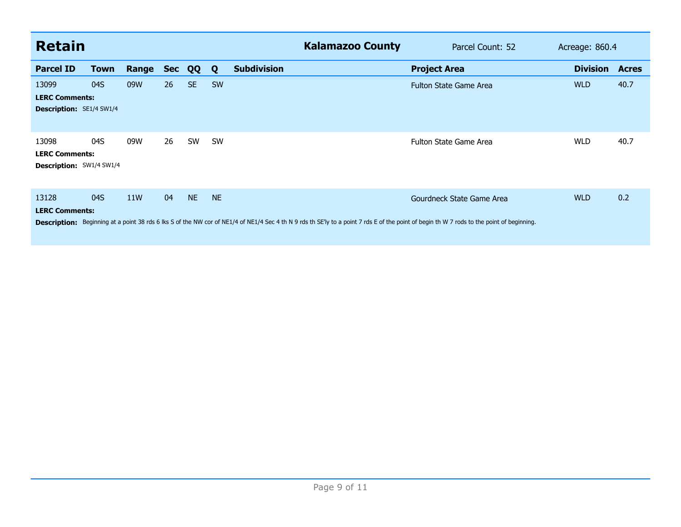| <b>Retain</b>                                                     |             |       |            |           |           |                    | <b>Kalamazoo County</b> | Parcel Count: 52                                                                                                                                                                                                        | Acreage: 860.4  |              |
|-------------------------------------------------------------------|-------------|-------|------------|-----------|-----------|--------------------|-------------------------|-------------------------------------------------------------------------------------------------------------------------------------------------------------------------------------------------------------------------|-----------------|--------------|
| <b>Parcel ID</b>                                                  | <b>Town</b> | Range | <b>Sec</b> | QQ        | Q         | <b>Subdivision</b> |                         | <b>Project Area</b>                                                                                                                                                                                                     | <b>Division</b> | <b>Acres</b> |
| 13099<br><b>LERC Comments:</b><br><b>Description:</b> SE1/4 SW1/4 | 04S         | 09W   | 26         | SE.       | <b>SW</b> |                    |                         | <b>Fulton State Game Area</b>                                                                                                                                                                                           | <b>WLD</b>      | 40.7         |
| 13098<br><b>LERC Comments:</b><br><b>Description: SW1/4 SW1/4</b> | 04S         | 09W   | 26         | SW        | <b>SW</b> |                    |                         | Fulton State Game Area                                                                                                                                                                                                  | <b>WLD</b>      | 40.7         |
| 13128<br><b>LERC Comments:</b>                                    | 04S         | 11W   | 04         | <b>NE</b> | <b>NE</b> |                    |                         | Gourdneck State Game Area<br>Description: Beginning at a point 38 rds 6 lks S of the NW cor of NE1/4 of NE1/4 Sec 4 th N 9 rds th SE'ly to a point 7 rds E of the point of begin th W 7 rods to the point of beginning. | <b>WLD</b>      | 0.2          |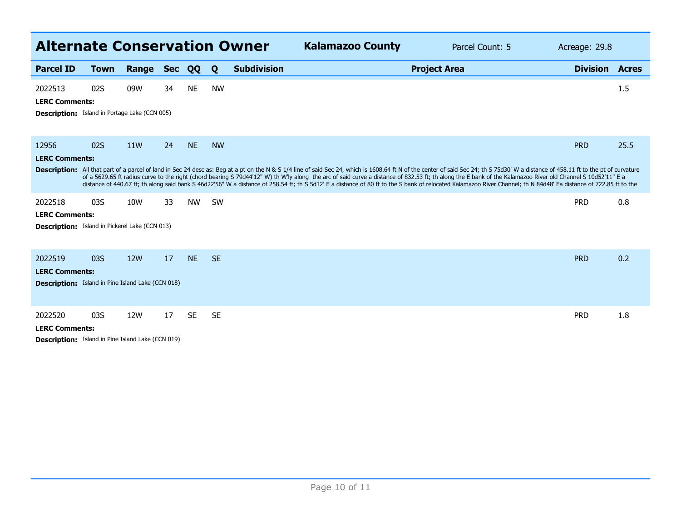| <b>Alternate Conservation Owner</b>                                                          |             |                 |            |           |           |                    | <b>Kalamazoo County</b><br>Parcel Count: 5                                                                                                                                                                                                                                                                                                                                                                                                                                                                                                                                                                                                                         | Acreage: 29.8   |              |
|----------------------------------------------------------------------------------------------|-------------|-----------------|------------|-----------|-----------|--------------------|--------------------------------------------------------------------------------------------------------------------------------------------------------------------------------------------------------------------------------------------------------------------------------------------------------------------------------------------------------------------------------------------------------------------------------------------------------------------------------------------------------------------------------------------------------------------------------------------------------------------------------------------------------------------|-----------------|--------------|
| <b>Parcel ID</b>                                                                             | <b>Town</b> | Range           | <b>Sec</b> | QQ        | Q         | <b>Subdivision</b> | <b>Project Area</b>                                                                                                                                                                                                                                                                                                                                                                                                                                                                                                                                                                                                                                                | <b>Division</b> | <b>Acres</b> |
| 2022513<br><b>LERC Comments:</b><br>Description: Island in Portage Lake (CCN 005)            | 02S         | 09W             | 34         | <b>NE</b> | <b>NW</b> |                    |                                                                                                                                                                                                                                                                                                                                                                                                                                                                                                                                                                                                                                                                    |                 | 1.5          |
| 12956<br><b>LERC Comments:</b>                                                               | 02S         | 11 <sub>W</sub> | 24         | <b>NE</b> | <b>NW</b> |                    | Description: All that part of a parcel of land in Sec 24 desc as: Beg at a pt on the N & S 1/4 line of said Sec 24, which is 1608.64 ft N of the center of said Sec 24; th S 75d30' W a distance of 458.11 ft to the pt of cur<br>of a 5629.65 ft radius curve to the right (chord bearing S 79d44'12" W) th W'ly along the arc of said curve a distance of 832.53 ft; th along the E bank of the Kalamazoo River old Channel S 10d52'11" E a<br>distance of 440.67 ft; th along said bank S 46d22'56" W a distance of 258.54 ft; th S 5d12' E a distance of 80 ft to the S bank of relocated Kalamazoo River Channel; th N 84d48' Ea distance of 722.85 ft to the | <b>PRD</b>      | 25.5         |
| 2022518<br><b>LERC Comments:</b><br><b>Description:</b> Island in Pickerel Lake (CCN 013)    | 03S         | 10W             | 33         | <b>NW</b> | <b>SW</b> |                    |                                                                                                                                                                                                                                                                                                                                                                                                                                                                                                                                                                                                                                                                    | <b>PRD</b>      | 0.8          |
| 2022519<br><b>LERC Comments:</b><br><b>Description:</b> Island in Pine Island Lake (CCN 018) | 03S         | <b>12W</b>      | 17         | <b>NE</b> | <b>SE</b> |                    |                                                                                                                                                                                                                                                                                                                                                                                                                                                                                                                                                                                                                                                                    | <b>PRD</b>      | 0.2          |
| 2022520<br><b>LERC Comments:</b><br><b>Description:</b> Island in Pine Island Lake (CCN 019) | 03S         | 12W             | 17         | <b>SE</b> | <b>SE</b> |                    |                                                                                                                                                                                                                                                                                                                                                                                                                                                                                                                                                                                                                                                                    | <b>PRD</b>      | 1.8          |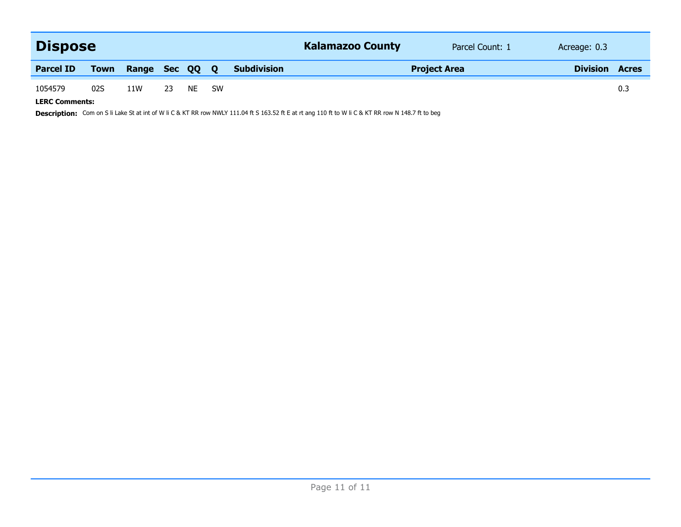| <b>Dispose</b>        |      |                |    |       |  |                    | <b>Kalamazoo County</b> | Parcel Count: 1 | Acreage: 0.3    |              |
|-----------------------|------|----------------|----|-------|--|--------------------|-------------------------|-----------------|-----------------|--------------|
| <b>Parcel ID</b>      | Town | Range Sec QQ Q |    |       |  | <b>Subdivision</b> | <b>Project Area</b>     |                 | <b>Division</b> | <b>Acres</b> |
| 1054579               | 02S  | 11W            | 23 | NE SW |  |                    |                         |                 |                 | 0.3          |
| <b>LERC Comments:</b> |      |                |    |       |  |                    |                         |                 |                 |              |

Description: Com on S li Lake St at int of W li C & KT RR row NWLY 111.04 ft S 163.52 ft E at rt ang 110 ft to W li C & KT RR row N 148.7 ft to beg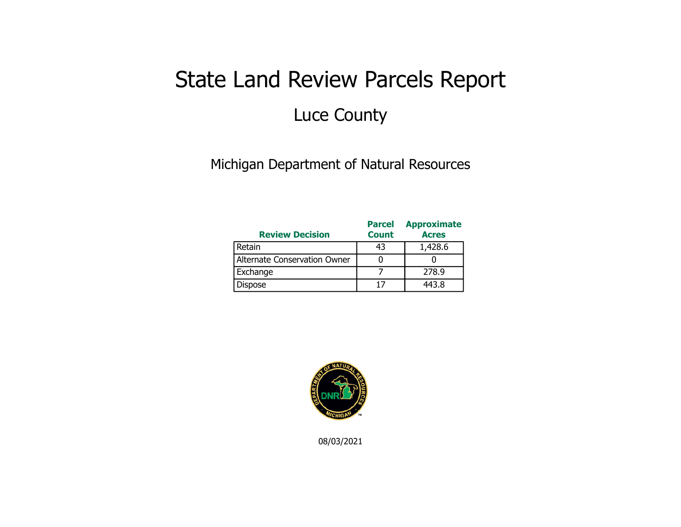## State Land Review Parcels Report Luce County

Michigan Department of Natural Resources

| <b>Review Decision</b>       | <b>Parcel</b><br><b>Count</b> | <b>Approximate</b><br><b>Acres</b> |
|------------------------------|-------------------------------|------------------------------------|
| Retain                       | 43                            | 1,428.6                            |
| Alternate Conservation Owner |                               |                                    |
| Exchange                     |                               | 278.9                              |
| Dispose                      | 17                            | 443.8                              |



08/03/2021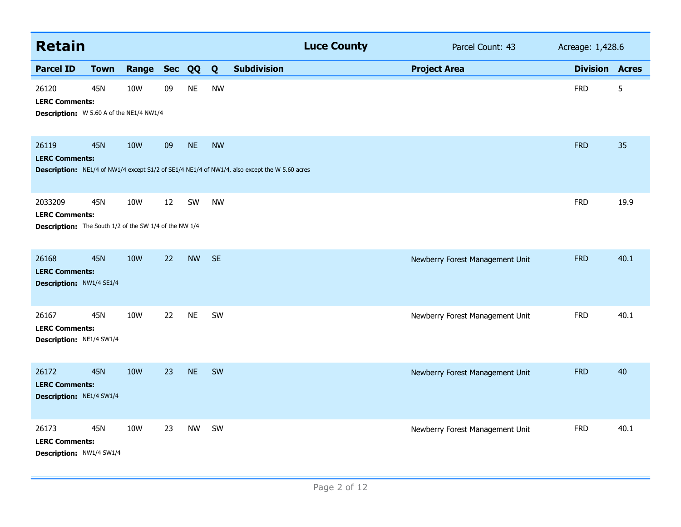| <b>Retain</b>                                                                                     |             |            |        |           |           |                                                                                               | <b>Luce County</b> | Parcel Count: 43                | Acreage: 1,428.6      |      |
|---------------------------------------------------------------------------------------------------|-------------|------------|--------|-----------|-----------|-----------------------------------------------------------------------------------------------|--------------------|---------------------------------|-----------------------|------|
| <b>Parcel ID</b>                                                                                  | <b>Town</b> | Range      | Sec QQ |           | Q         | <b>Subdivision</b>                                                                            |                    | <b>Project Area</b>             | <b>Division Acres</b> |      |
| 26120<br><b>LERC Comments:</b><br><b>Description:</b> W 5.60 A of the NE1/4 NW1/4                 | 45N         | 10W        | 09     | <b>NE</b> | <b>NW</b> |                                                                                               |                    |                                 | <b>FRD</b>            | 5    |
| 26119<br><b>LERC Comments:</b>                                                                    | <b>45N</b>  | <b>10W</b> | 09     | <b>NE</b> | <b>NW</b> | Description: NE1/4 of NW1/4 except S1/2 of SE1/4 NE1/4 of NW1/4, also except the W 5.60 acres |                    |                                 | <b>FRD</b>            | 35   |
| 2033209<br><b>LERC Comments:</b><br><b>Description:</b> The South 1/2 of the SW 1/4 of the NW 1/4 | <b>45N</b>  | 10W        | 12     | SW        | <b>NW</b> |                                                                                               |                    |                                 | <b>FRD</b>            | 19.9 |
| 26168<br><b>LERC Comments:</b><br>Description: NW1/4 SE1/4                                        | <b>45N</b>  | <b>10W</b> | 22     | <b>NW</b> | <b>SE</b> |                                                                                               |                    | Newberry Forest Management Unit | <b>FRD</b>            | 40.1 |
| 26167<br><b>LERC Comments:</b><br>Description: NE1/4 SW1/4                                        | 45N         | <b>10W</b> | 22     | <b>NE</b> | SW        |                                                                                               |                    | Newberry Forest Management Unit | <b>FRD</b>            | 40.1 |
| 26172<br><b>LERC Comments:</b><br>Description: NE1/4 SW1/4                                        | <b>45N</b>  | <b>10W</b> | 23     | <b>NE</b> | SW        |                                                                                               |                    | Newberry Forest Management Unit | <b>FRD</b>            | 40   |
| 26173<br><b>LERC Comments:</b><br>Description: NW1/4 SW1/4                                        | 45N         | <b>10W</b> | 23     | <b>NW</b> | SW        |                                                                                               |                    | Newberry Forest Management Unit | <b>FRD</b>            | 40.1 |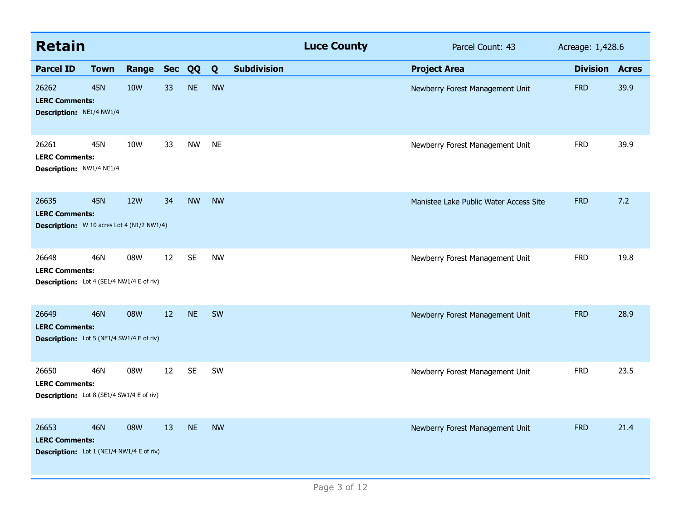| <b>Retain</b>                                                                       |             |              |                   |           |           |                    | <b>Luce County</b> | Parcel Count: 43                       | Acreage: 1,428.6 |              |
|-------------------------------------------------------------------------------------|-------------|--------------|-------------------|-----------|-----------|--------------------|--------------------|----------------------------------------|------------------|--------------|
| <b>Parcel ID</b>                                                                    | <b>Town</b> | Range Sec QQ |                   |           | Q         | <b>Subdivision</b> |                    | <b>Project Area</b>                    | <b>Division</b>  | <b>Acres</b> |
| 26262<br><b>LERC Comments:</b><br>Description: NE1/4 NW1/4                          | <b>45N</b>  | <b>10W</b>   | 33                | <b>NE</b> | <b>NW</b> |                    |                    | Newberry Forest Management Unit        | <b>FRD</b>       | 39.9         |
| 26261<br><b>LERC Comments:</b><br>Description: NW1/4 NE1/4                          | 45N         | 10W          | 33                | <b>NW</b> | <b>NE</b> |                    |                    | Newberry Forest Management Unit        | <b>FRD</b>       | 39.9         |
| 26635<br><b>LERC Comments:</b><br><b>Description:</b> W 10 acres Lot 4 (N1/2 NW1/4) | <b>45N</b>  | <b>12W</b>   | 34                | <b>NW</b> | <b>NW</b> |                    |                    | Manistee Lake Public Water Access Site | <b>FRD</b>       | 7.2          |
| 26648<br><b>LERC Comments:</b><br>Description: Lot 4 (SE1/4 NW1/4 E of riv)         | 46N         | 08W          | 12                | <b>SE</b> | <b>NW</b> |                    |                    | Newberry Forest Management Unit        | <b>FRD</b>       | 19.8         |
| 26649<br><b>LERC Comments:</b><br><b>Description:</b> Lot 5 (NE1/4 SW1/4 E of riv)  | <b>46N</b>  | 08W          | 12                | <b>NE</b> | <b>SW</b> |                    |                    | Newberry Forest Management Unit        | <b>FRD</b>       | 28.9         |
| 26650<br><b>LERC Comments:</b><br><b>Description:</b> Lot 8 (SE1/4 SW1/4 E of riv)  | 46N         | 08W          | $12 \overline{ }$ | <b>SE</b> | SW        |                    |                    | Newberry Forest Management Unit        | <b>FRD</b>       | 23.5         |
| 26653<br><b>LERC Comments:</b><br><b>Description:</b> Lot 1 (NE1/4 NW1/4 E of riv)  | <b>46N</b>  | 08W          | 13                | <b>NE</b> | <b>NW</b> |                    |                    | Newberry Forest Management Unit        | <b>FRD</b>       | 21.4         |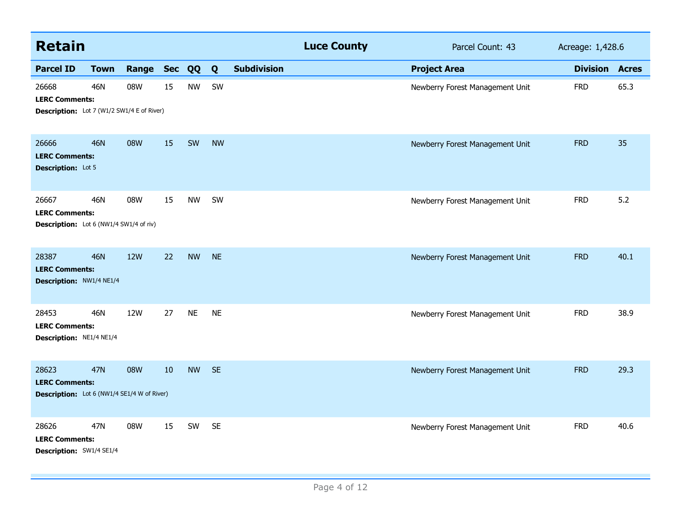| <b>Retain</b>                                                                                                              |             |            |                                 |            |           |                    | <b>Luce County</b> | Parcel Count: 43                | Acreage: 1,428.6      |      |
|----------------------------------------------------------------------------------------------------------------------------|-------------|------------|---------------------------------|------------|-----------|--------------------|--------------------|---------------------------------|-----------------------|------|
| <b>Parcel ID</b>                                                                                                           | <b>Town</b> | Range      | Sec QQ                          |            | Q         | <b>Subdivision</b> |                    | <b>Project Area</b>             | <b>Division Acres</b> |      |
| 46N<br>08W<br>15<br><b>NW</b><br>SW<br>26668<br><b>LERC Comments:</b><br><b>Description:</b> Lot 7 (W1/2 SW1/4 E of River) |             |            | Newberry Forest Management Unit | <b>FRD</b> | 65.3      |                    |                    |                                 |                       |      |
| 26666<br><b>LERC Comments:</b><br><b>Description:</b> Lot 5                                                                | <b>46N</b>  | 08W        | 15                              | SW         | <b>NW</b> |                    |                    | Newberry Forest Management Unit | <b>FRD</b>            | 35   |
| 26667<br><b>LERC Comments:</b><br>Description: Lot 6 (NW1/4 SW1/4 of riv)                                                  | 46N         | 08W        | 15                              | <b>NW</b>  | SW        |                    |                    | Newberry Forest Management Unit | <b>FRD</b>            | 5.2  |
| 28387<br><b>LERC Comments:</b><br>Description: NW1/4 NE1/4                                                                 | <b>46N</b>  | <b>12W</b> | 22                              | <b>NW</b>  | <b>NE</b> |                    |                    | Newberry Forest Management Unit | <b>FRD</b>            | 40.1 |
| 28453<br><b>LERC Comments:</b><br>Description: NE1/4 NE1/4                                                                 | 46N         | <b>12W</b> | 27                              | <b>NE</b>  | <b>NE</b> |                    |                    | Newberry Forest Management Unit | <b>FRD</b>            | 38.9 |
| 28623<br><b>LERC Comments:</b><br><b>Description:</b> Lot 6 (NW1/4 SE1/4 W of River)                                       | <b>47N</b>  | 08W        | 10                              | <b>NW</b>  | <b>SE</b> |                    |                    | Newberry Forest Management Unit | <b>FRD</b>            | 29.3 |
| 28626<br><b>LERC Comments:</b><br>Description: SW1/4 SE1/4                                                                 | 47N         | 08W        | 15                              | SW         | <b>SE</b> |                    |                    | Newberry Forest Management Unit | <b>FRD</b>            | 40.6 |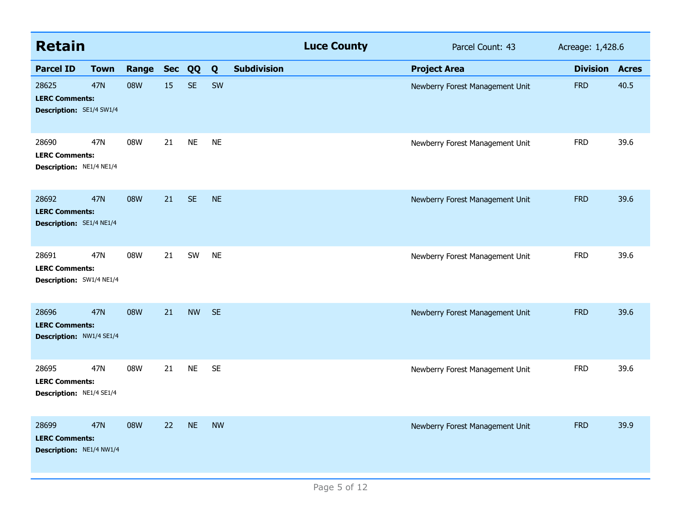| <b>Retain</b>                                                     |             |           |    |           |           |                    | <b>Luce County</b> | Parcel Count: 43                | Acreage: 1,428.6 |              |
|-------------------------------------------------------------------|-------------|-----------|----|-----------|-----------|--------------------|--------------------|---------------------------------|------------------|--------------|
| <b>Parcel ID</b>                                                  | <b>Town</b> | Range Sec |    | QQ        | Q         | <b>Subdivision</b> |                    | <b>Project Area</b>             | <b>Division</b>  | <b>Acres</b> |
| 28625<br><b>LERC Comments:</b><br><b>Description:</b> SE1/4 SW1/4 | <b>47N</b>  | 08W       | 15 | <b>SE</b> | SW        |                    |                    | Newberry Forest Management Unit | <b>FRD</b>       | 40.5         |
| 28690<br><b>LERC Comments:</b><br>Description: NE1/4 NE1/4        | 47N         | 08W       | 21 | <b>NE</b> | <b>NE</b> |                    |                    | Newberry Forest Management Unit | <b>FRD</b>       | 39.6         |
| 28692<br><b>LERC Comments:</b><br>Description: SE1/4 NE1/4        | <b>47N</b>  | 08W       | 21 | <b>SE</b> | <b>NE</b> |                    |                    | Newberry Forest Management Unit | <b>FRD</b>       | 39.6         |
| 28691<br><b>LERC Comments:</b><br>Description: SW1/4 NE1/4        | 47N         | 08W       | 21 | SW        | <b>NE</b> |                    |                    | Newberry Forest Management Unit | <b>FRD</b>       | 39.6         |
| 28696<br><b>LERC Comments:</b><br>Description: NW1/4 SE1/4        | <b>47N</b>  | 08W       | 21 | <b>NW</b> | <b>SE</b> |                    |                    | Newberry Forest Management Unit | <b>FRD</b>       | 39.6         |
| 28695<br><b>LERC Comments:</b><br>Description: NE1/4 SE1/4        | 47N         | 08W       | 21 | <b>NE</b> | <b>SE</b> |                    |                    | Newberry Forest Management Unit | <b>FRD</b>       | 39.6         |
| 28699<br><b>LERC Comments:</b><br>Description: NE1/4 NW1/4        | <b>47N</b>  | 08W       | 22 | <b>NE</b> | <b>NW</b> |                    |                    | Newberry Forest Management Unit | <b>FRD</b>       | 39.9         |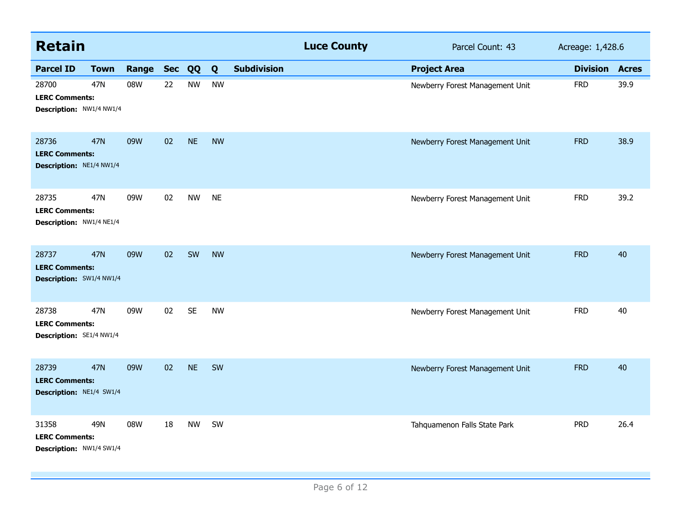| <b>Retain</b>                                              |             |       |                 |           |           |                    | <b>Luce County</b> | Parcel Count: 43                | Acreage: 1,428.6 |              |
|------------------------------------------------------------|-------------|-------|-----------------|-----------|-----------|--------------------|--------------------|---------------------------------|------------------|--------------|
| <b>Parcel ID</b>                                           | <b>Town</b> | Range | <b>Sec</b>      | QQ        | Q         | <b>Subdivision</b> |                    | <b>Project Area</b>             | <b>Division</b>  | <b>Acres</b> |
| 28700<br><b>LERC Comments:</b><br>Description: NW1/4 NW1/4 | 47N         | 08W   | 22              | <b>NW</b> | <b>NW</b> |                    |                    | Newberry Forest Management Unit | <b>FRD</b>       | 39.9         |
| 28736<br><b>LERC Comments:</b><br>Description: NE1/4 NW1/4 | 47N         | 09W   | 02              | <b>NE</b> | <b>NW</b> |                    |                    | Newberry Forest Management Unit | <b>FRD</b>       | 38.9         |
| 28735<br><b>LERC Comments:</b><br>Description: NW1/4 NE1/4 | 47N         | 09W   | 02              | <b>NW</b> | <b>NE</b> |                    |                    | Newberry Forest Management Unit | <b>FRD</b>       | 39.2         |
| 28737<br><b>LERC Comments:</b><br>Description: SW1/4 NW1/4 | <b>47N</b>  | 09W   | 02              | SW        | <b>NW</b> |                    |                    | Newberry Forest Management Unit | <b>FRD</b>       | 40           |
| 28738<br><b>LERC Comments:</b><br>Description: SE1/4 NW1/4 | 47N         | 09W   | 02 <sub>2</sub> | <b>SE</b> | <b>NW</b> |                    |                    | Newberry Forest Management Unit | <b>FRD</b>       | 40           |
| 28739<br><b>LERC Comments:</b><br>Description: NE1/4 SW1/4 | <b>47N</b>  | 09W   | 02              | <b>NE</b> | SW        |                    |                    | Newberry Forest Management Unit | <b>FRD</b>       | 40           |
| 31358<br><b>LERC Comments:</b><br>Description: NW1/4 SW1/4 | 49N         | 08W   | 18              | <b>NW</b> | SW        |                    |                    | Tahquamenon Falls State Park    | <b>PRD</b>       | 26.4         |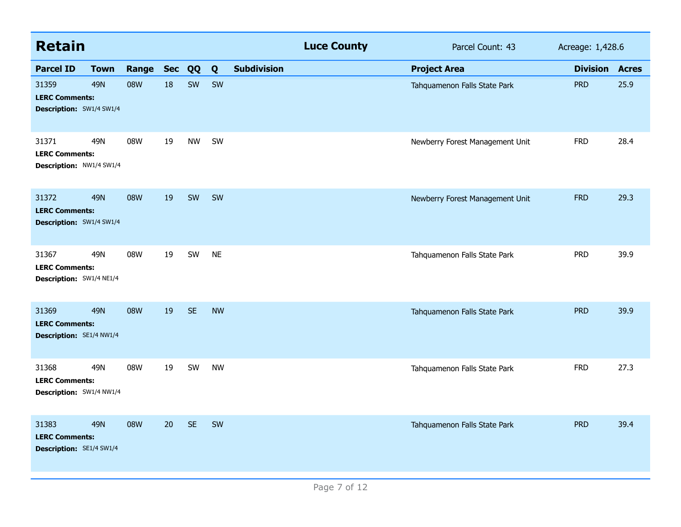| <b>Retain</b>                                                     |             |           |    |           |           |                    | <b>Luce County</b> | Parcel Count: 43                | Acreage: 1,428.6 |              |
|-------------------------------------------------------------------|-------------|-----------|----|-----------|-----------|--------------------|--------------------|---------------------------------|------------------|--------------|
| <b>Parcel ID</b>                                                  | <b>Town</b> | Range Sec |    | QQ        | Q         | <b>Subdivision</b> |                    | <b>Project Area</b>             | <b>Division</b>  | <b>Acres</b> |
| 31359<br><b>LERC Comments:</b><br><b>Description: SW1/4 SW1/4</b> | <b>49N</b>  | 08W       | 18 | SW        | SW        |                    |                    | Tahquamenon Falls State Park    | <b>PRD</b>       | 25.9         |
| 31371<br><b>LERC Comments:</b><br>Description: NW1/4 SW1/4        | 49N         | 08W       | 19 | <b>NW</b> | SW        |                    |                    | Newberry Forest Management Unit | <b>FRD</b>       | 28.4         |
| 31372<br><b>LERC Comments:</b><br><b>Description:</b> SW1/4 SW1/4 | <b>49N</b>  | 08W       | 19 | SW        | SW        |                    |                    | Newberry Forest Management Unit | <b>FRD</b>       | 29.3         |
| 31367<br><b>LERC Comments:</b><br>Description: SW1/4 NE1/4        | 49N         | 08W       | 19 | SW        | <b>NE</b> |                    |                    | Tahquamenon Falls State Park    | <b>PRD</b>       | 39.9         |
| 31369<br><b>LERC Comments:</b><br>Description: SE1/4 NW1/4        | <b>49N</b>  | 08W       | 19 | <b>SE</b> | <b>NW</b> |                    |                    | Tahquamenon Falls State Park    | <b>PRD</b>       | 39.9         |
| 31368<br><b>LERC Comments:</b><br>Description: SW1/4 NW1/4        | 49N         | 08W       | 19 | SW        | <b>NW</b> |                    |                    | Tahquamenon Falls State Park    | <b>FRD</b>       | 27.3         |
| 31383<br><b>LERC Comments:</b><br><b>Description: SE1/4 SW1/4</b> | <b>49N</b>  | 08W       | 20 | <b>SE</b> | SW        |                    |                    | Tahquamenon Falls State Park    | <b>PRD</b>       | 39.4         |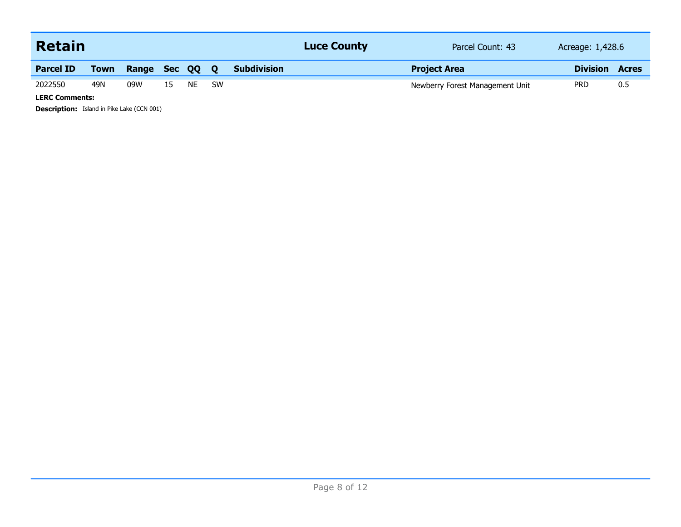| <b>Retain</b>         |             |              |    |     |     |                    | <b>Luce County</b> | Parcel Count: 43                | Acreage: 1,428.6 |              |
|-----------------------|-------------|--------------|----|-----|-----|--------------------|--------------------|---------------------------------|------------------|--------------|
| <b>Parcel ID</b>      | <b>Town</b> | Range Sec QQ |    |     | 0   | <b>Subdivision</b> |                    | <b>Project Area</b>             | <b>Division</b>  | <b>Acres</b> |
| 2022550               | 49N         | 09W          | 15 | NE. | .SW |                    |                    | Newberry Forest Management Unit | <b>PRD</b>       | 0.5          |
| <b>LERC Comments:</b> |             |              |    |     |     |                    |                    |                                 |                  |              |

**Description:** Island in Pike Lake (CCN 001)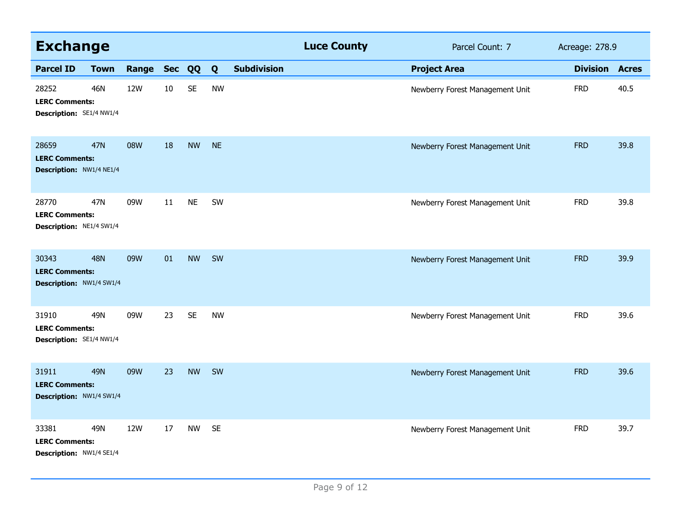| <b>Exchange</b>                                                   |             |              |    |           |           |                    | <b>Luce County</b> | Parcel Count: 7                 | Acreage: 278.9  |              |
|-------------------------------------------------------------------|-------------|--------------|----|-----------|-----------|--------------------|--------------------|---------------------------------|-----------------|--------------|
| <b>Parcel ID</b>                                                  | <b>Town</b> | Range Sec QQ |    |           | Q         | <b>Subdivision</b> |                    | <b>Project Area</b>             | <b>Division</b> | <b>Acres</b> |
| 28252<br><b>LERC Comments:</b><br>Description: SE1/4 NW1/4        | 46N         | 12W          | 10 | <b>SE</b> | <b>NW</b> |                    |                    | Newberry Forest Management Unit | <b>FRD</b>      | 40.5         |
| 28659<br><b>LERC Comments:</b><br>Description: NW1/4 NE1/4        | <b>47N</b>  | 08W          | 18 | <b>NW</b> | <b>NE</b> |                    |                    | Newberry Forest Management Unit | <b>FRD</b>      | 39.8         |
| 28770<br><b>LERC Comments:</b><br><b>Description: NE1/4 SW1/4</b> | 47N         | 09W          | 11 | <b>NE</b> | SW        |                    |                    | Newberry Forest Management Unit | <b>FRD</b>      | 39.8         |
| 30343<br><b>LERC Comments:</b><br>Description: NW1/4 SW1/4        | <b>48N</b>  | 09W          | 01 | <b>NW</b> | SW        |                    |                    | Newberry Forest Management Unit | <b>FRD</b>      | 39.9         |
| 31910<br><b>LERC Comments:</b><br>Description: SE1/4 NW1/4        | 49N         | 09W          | 23 | <b>SE</b> | <b>NW</b> |                    |                    | Newberry Forest Management Unit | <b>FRD</b>      | 39.6         |
| 31911<br><b>LERC Comments:</b><br>Description: NW1/4 SW1/4        | <b>49N</b>  | 09W          | 23 | <b>NW</b> | SW        |                    |                    | Newberry Forest Management Unit | <b>FRD</b>      | 39.6         |
| 33381<br><b>LERC Comments:</b><br>Description: NW1/4 SE1/4        | 49N         | 12W          | 17 | <b>NW</b> | <b>SE</b> |                    |                    | Newberry Forest Management Unit | <b>FRD</b>      | 39.7         |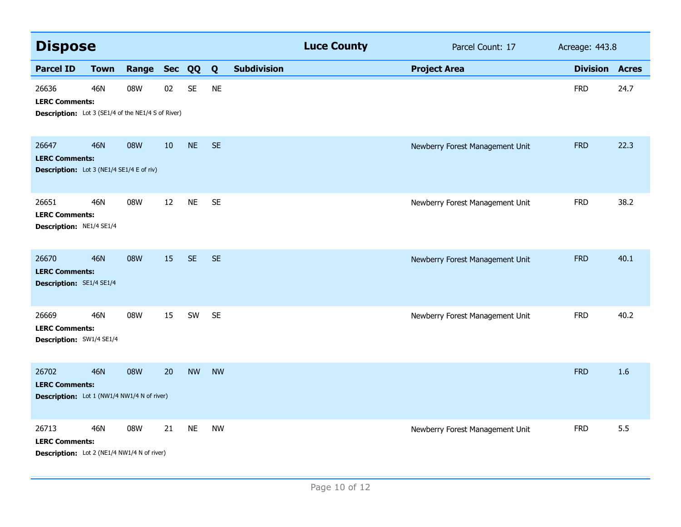| <b>Dispose</b>                                                                              |             |              |    |           |           |                    | <b>Luce County</b> | Parcel Count: 17                | Acreage: 443.8        |      |
|---------------------------------------------------------------------------------------------|-------------|--------------|----|-----------|-----------|--------------------|--------------------|---------------------------------|-----------------------|------|
| <b>Parcel ID</b>                                                                            | <b>Town</b> | Range Sec QQ |    |           | Q         | <b>Subdivision</b> |                    | <b>Project Area</b>             | <b>Division Acres</b> |      |
| 26636<br><b>LERC Comments:</b><br><b>Description:</b> Lot 3 (SE1/4 of the NE1/4 S of River) | <b>46N</b>  | 08W          | 02 | <b>SE</b> | <b>NE</b> |                    |                    |                                 | <b>FRD</b>            | 24.7 |
| 26647<br><b>LERC Comments:</b><br><b>Description:</b> Lot 3 (NE1/4 SE1/4 E of riv)          | <b>46N</b>  | 08W          | 10 | <b>NE</b> | <b>SE</b> |                    |                    | Newberry Forest Management Unit | <b>FRD</b>            | 22.3 |
| 26651<br><b>LERC Comments:</b><br>Description: NE1/4 SE1/4                                  | <b>46N</b>  | 08W          | 12 | <b>NE</b> | <b>SE</b> |                    |                    | Newberry Forest Management Unit | <b>FRD</b>            | 38.2 |
| 26670<br><b>LERC Comments:</b><br><b>Description: SE1/4 SE1/4</b>                           | 46N         | 08W          | 15 | <b>SE</b> | <b>SE</b> |                    |                    | Newberry Forest Management Unit | <b>FRD</b>            | 40.1 |
| 26669<br><b>LERC Comments:</b><br>Description: SW1/4 SE1/4                                  | 46N         | 08W          | 15 | SW        | <b>SE</b> |                    |                    | Newberry Forest Management Unit | <b>FRD</b>            | 40.2 |
| 26702<br><b>LERC Comments:</b><br><b>Description:</b> Lot 1 (NW1/4 NW1/4 N of river)        | <b>46N</b>  | 08W          | 20 | <b>NW</b> | <b>NW</b> |                    |                    |                                 | <b>FRD</b>            | 1.6  |
| 26713<br><b>LERC Comments:</b><br><b>Description:</b> Lot 2 (NE1/4 NW1/4 N of river)        | <b>46N</b>  | 08W          | 21 | <b>NE</b> | <b>NW</b> |                    |                    | Newberry Forest Management Unit | <b>FRD</b>            | 5.5  |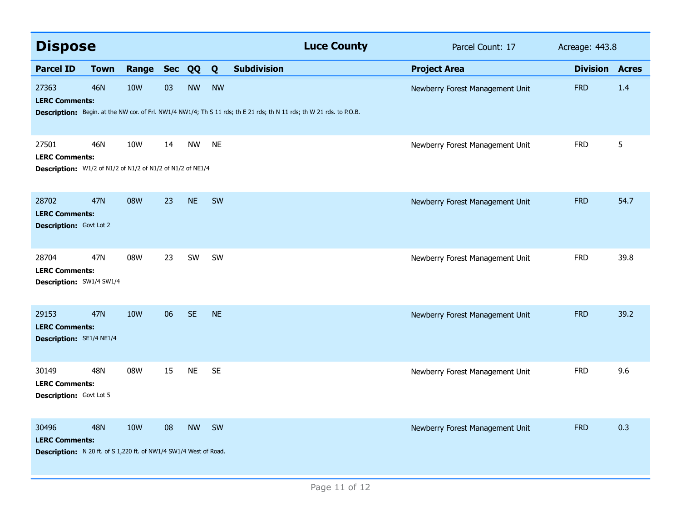| <b>Dispose</b>                                                                                      |             |                 |            |           |           | <b>Luce County</b>                                                                                                    | Parcel Count: 17                | Acreage: 443.8  |              |
|-----------------------------------------------------------------------------------------------------|-------------|-----------------|------------|-----------|-----------|-----------------------------------------------------------------------------------------------------------------------|---------------------------------|-----------------|--------------|
| <b>Parcel ID</b>                                                                                    | <b>Town</b> | Range           | <b>Sec</b> | QQ        | Q         | <b>Subdivision</b>                                                                                                    | <b>Project Area</b>             | <b>Division</b> | <b>Acres</b> |
| 27363<br><b>LERC Comments:</b>                                                                      | <b>46N</b>  | <b>10W</b>      | 03         | <b>NW</b> | <b>NW</b> | Description: Begin. at the NW cor. of Frl. NW1/4 NW1/4; Th S 11 rds; th E 21 rds; th N 11 rds; th W 21 rds. to P.O.B. | Newberry Forest Management Unit | <b>FRD</b>      | 1.4          |
| 27501<br><b>LERC Comments:</b><br>Description: W1/2 of N1/2 of N1/2 of N1/2 of N1/2 of NE1/4        | <b>46N</b>  | 10W             | 14         | <b>NW</b> | <b>NE</b> |                                                                                                                       | Newberry Forest Management Unit | <b>FRD</b>      | 5            |
| 28702<br><b>LERC Comments:</b><br><b>Description:</b> Govt Lot 2                                    | 47N         | 08W             | 23         | <b>NE</b> | SW        |                                                                                                                       | Newberry Forest Management Unit | <b>FRD</b>      | 54.7         |
| 28704<br><b>LERC Comments:</b><br>Description: SW1/4 SW1/4                                          | 47N         | 08W             | 23         | SW        | SW        |                                                                                                                       | Newberry Forest Management Unit | <b>FRD</b>      | 39.8         |
| 29153<br><b>LERC Comments:</b><br>Description: SE1/4 NE1/4                                          | <b>47N</b>  | 10 <sub>W</sub> | 06         | <b>SE</b> | <b>NE</b> |                                                                                                                       | Newberry Forest Management Unit | <b>FRD</b>      | 39.2         |
| 30149<br><b>LERC Comments:</b><br>Description: Govt Lot 5                                           | 48N         | 08W             | 15         | <b>NE</b> | <b>SE</b> |                                                                                                                       | Newberry Forest Management Unit | <b>FRD</b>      | 9.6          |
| 30496<br><b>LERC Comments:</b><br>Description: N 20 ft. of S 1,220 ft. of NW1/4 SW1/4 West of Road. | <b>48N</b>  | <b>10W</b>      | 08         | <b>NW</b> | SW        |                                                                                                                       | Newberry Forest Management Unit | <b>FRD</b>      | 0.3          |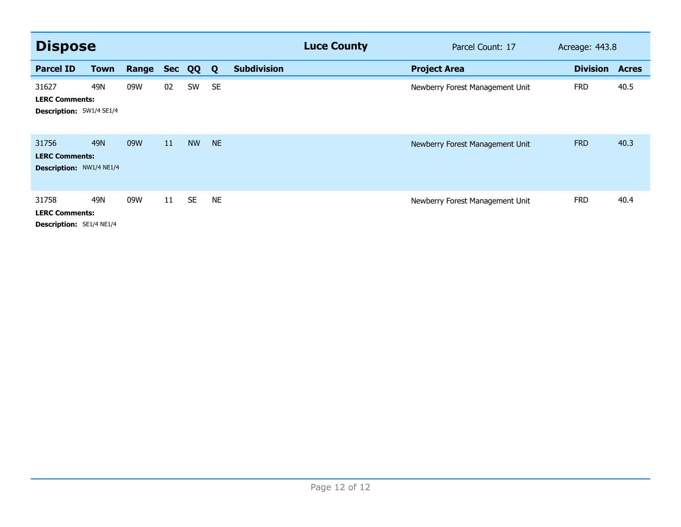| <b>Dispose</b>                                                    |             |       |            |           |              |                    | <b>Luce County</b> | Parcel Count: 17                | Acreage: 443.8  |              |
|-------------------------------------------------------------------|-------------|-------|------------|-----------|--------------|--------------------|--------------------|---------------------------------|-----------------|--------------|
| <b>Parcel ID</b>                                                  | <b>Town</b> | Range | <b>Sec</b> | QQ        | $\mathbf{Q}$ | <b>Subdivision</b> |                    | <b>Project Area</b>             | <b>Division</b> | <b>Acres</b> |
| 31627<br><b>LERC Comments:</b><br>Description: SW1/4 SE1/4        | 49N         | 09W   | 02         | SW        | <b>SE</b>    |                    |                    | Newberry Forest Management Unit | <b>FRD</b>      | 40.5         |
| 31756<br><b>LERC Comments:</b><br><b>Description: NW1/4 NE1/4</b> | 49N         | 09W   | 11         | <b>NW</b> | <b>NE</b>    |                    |                    | Newberry Forest Management Unit | <b>FRD</b>      | 40.3         |
| 31758<br><b>LERC Comments:</b><br>Description: SE1/4 NE1/4        | 49N         | 09W   | 11         | <b>SE</b> | <b>NE</b>    |                    |                    | Newberry Forest Management Unit | <b>FRD</b>      | 40.4         |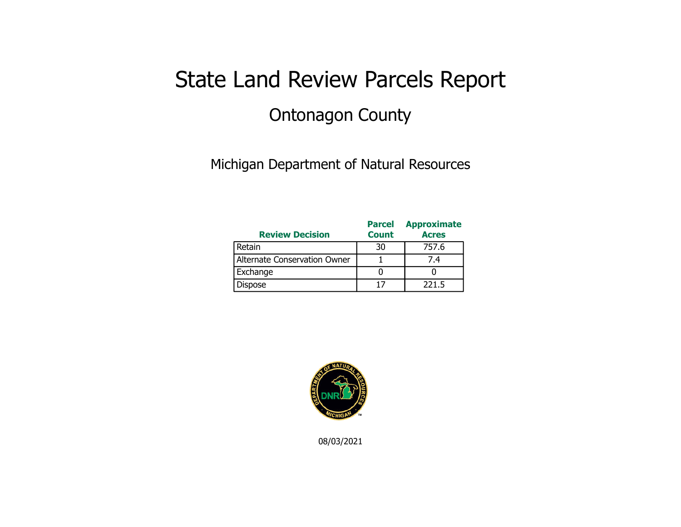## State Land Review Parcels Report Ontonagon County

Michigan Department of Natural Resources

| <b>Review Decision</b>       | <b>Parcel</b><br><b>Count</b> | <b>Approximate</b><br><b>Acres</b> |
|------------------------------|-------------------------------|------------------------------------|
| Retain                       | 30                            | 757.6                              |
| Alternate Conservation Owner |                               | 7.4                                |
| Exchange                     |                               |                                    |
| Dispose                      |                               | 221.5                              |



08/03/2021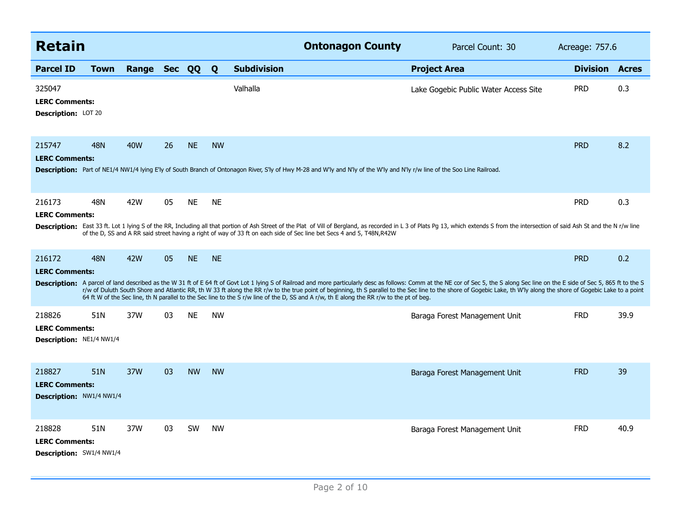| <b>Retain</b>                                                      |             |              |    |           |           | <b>Ontonagon County</b>                                                                                                                                                                                                                                                                                                                                                                                                                                                                                                                                                                             | Parcel Count: 30                      | Acreage: 757.6        |      |
|--------------------------------------------------------------------|-------------|--------------|----|-----------|-----------|-----------------------------------------------------------------------------------------------------------------------------------------------------------------------------------------------------------------------------------------------------------------------------------------------------------------------------------------------------------------------------------------------------------------------------------------------------------------------------------------------------------------------------------------------------------------------------------------------------|---------------------------------------|-----------------------|------|
| <b>Parcel ID</b>                                                   | <b>Town</b> | Range Sec QQ |    |           | Q         | <b>Subdivision</b>                                                                                                                                                                                                                                                                                                                                                                                                                                                                                                                                                                                  | <b>Project Area</b>                   | <b>Division Acres</b> |      |
| 325047<br><b>LERC Comments:</b><br><b>Description: LOT 20</b>      |             |              |    |           |           | Valhalla                                                                                                                                                                                                                                                                                                                                                                                                                                                                                                                                                                                            | Lake Gogebic Public Water Access Site | <b>PRD</b>            | 0.3  |
| 215747<br><b>LERC Comments:</b>                                    | <b>48N</b>  | <b>40W</b>   | 26 | <b>NE</b> | <b>NW</b> | Description: Part of NE1/4 NW1/4 lying E'ly of South Branch of Ontonagon River, S'ly of Hwy M-28 and W'ly and N'ly of the W'ly and N'ly r/w line of the Soo Line Railroad.                                                                                                                                                                                                                                                                                                                                                                                                                          |                                       | <b>PRD</b>            | 8.2  |
| 216173<br><b>LERC Comments:</b>                                    | 48N         | 42W          | 05 | <b>NE</b> | <b>NE</b> | Description: East 33 ft. Lot 1 lying S of the RR, Including all that portion of Ash Street of the Plat of Vill of Bergland, as recorded in L 3 of Plats Pg 13, which extends S from the intersection of said Ash St and the N<br>of the D, SS and A RR said street having a right of way of 33 ft on each side of Sec line bet Secs 4 and 5, T48N,R42W                                                                                                                                                                                                                                              |                                       | <b>PRD</b>            | 0.3  |
| 216172<br><b>LERC Comments:</b>                                    | <b>48N</b>  | 42W          | 05 | <b>NE</b> | <b>NE</b> | Description: A parcel of land described as the W 31 ft of E 64 ft of Govt Lot 1 lying S of Railroad and more particularly desc as follows: Comm at the NE cor of Sec 5, the S along Sec line on the E side of Sec 5, 865 ft to<br>r/w of Duluth South Shore and Atlantic RR, th W 33 ft along the RR r/w to the true point of beginning, th S parallel to the Sec line to the shore of Gogebic Lake, th W'ly along the shore of Gogebic Lake to a point<br>64 ft W of the Sec line, th N parallel to the Sec line to the S r/w line of the D, SS and A r/w, th E along the RR r/w to the pt of beg. |                                       | <b>PRD</b>            | 0.2  |
| 218826<br><b>LERC Comments:</b><br>Description: NE1/4 NW1/4        | 51N         | 37W          | 03 | <b>NE</b> | <b>NW</b> |                                                                                                                                                                                                                                                                                                                                                                                                                                                                                                                                                                                                     | Baraga Forest Management Unit         | <b>FRD</b>            | 39.9 |
| 218827<br><b>LERC Comments:</b><br><b>Description: NW1/4 NW1/4</b> | 51N         | 37W          | 03 | <b>NW</b> | <b>NW</b> |                                                                                                                                                                                                                                                                                                                                                                                                                                                                                                                                                                                                     | Baraga Forest Management Unit         | <b>FRD</b>            | 39   |
| 218828<br><b>LERC Comments:</b><br>Description: SW1/4 NW1/4        | 51N         | 37W          | 03 | <b>SW</b> | <b>NW</b> |                                                                                                                                                                                                                                                                                                                                                                                                                                                                                                                                                                                                     | Baraga Forest Management Unit         | <b>FRD</b>            | 40.9 |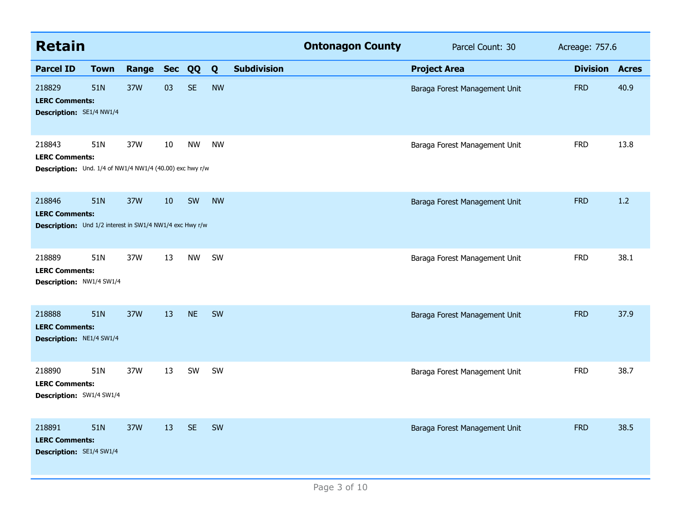| <b>Retain</b>                                                                               |             |           |    |           |           |                    | <b>Ontonagon County</b> | Parcel Count: 30              | Acreage: 757.6  |              |
|---------------------------------------------------------------------------------------------|-------------|-----------|----|-----------|-----------|--------------------|-------------------------|-------------------------------|-----------------|--------------|
| <b>Parcel ID</b>                                                                            | <b>Town</b> | Range Sec |    | QQ        | Q         | <b>Subdivision</b> |                         | <b>Project Area</b>           | <b>Division</b> | <b>Acres</b> |
| 218829<br><b>LERC Comments:</b><br>Description: SE1/4 NW1/4                                 | 51N         | 37W       | 03 | <b>SE</b> | <b>NW</b> |                    |                         | Baraga Forest Management Unit | <b>FRD</b>      | 40.9         |
| 218843<br><b>LERC Comments:</b><br>Description: Und. 1/4 of NW1/4 NW1/4 (40.00) exc hwy r/w | 51N         | 37W       | 10 | <b>NW</b> | <b>NW</b> |                    |                         | Baraga Forest Management Unit | <b>FRD</b>      | 13.8         |
| 218846<br><b>LERC Comments:</b><br>Description: Und 1/2 interest in SW1/4 NW1/4 exc Hwy r/w | 51N         | 37W       | 10 | SW        | <b>NW</b> |                    |                         | Baraga Forest Management Unit | <b>FRD</b>      | 1.2          |
| 218889<br><b>LERC Comments:</b><br>Description: NW1/4 SW1/4                                 | 51N         | 37W       | 13 | <b>NW</b> | SW        |                    |                         | Baraga Forest Management Unit | <b>FRD</b>      | 38.1         |
| 218888<br><b>LERC Comments:</b><br>Description: NE1/4 SW1/4                                 | 51N         | 37W       | 13 | <b>NE</b> | SW        |                    |                         | Baraga Forest Management Unit | <b>FRD</b>      | 37.9         |
| 218890<br><b>LERC Comments:</b><br>Description: SW1/4 SW1/4                                 | 51N         | 37W       | 13 | SW        | <b>SW</b> |                    |                         | Baraga Forest Management Unit | <b>FRD</b>      | 38.7         |
| 218891<br><b>LERC Comments:</b><br><b>Description: SE1/4 SW1/4</b>                          | 51N         | 37W       | 13 | <b>SE</b> | SW        |                    |                         | Baraga Forest Management Unit | <b>FRD</b>      | 38.5         |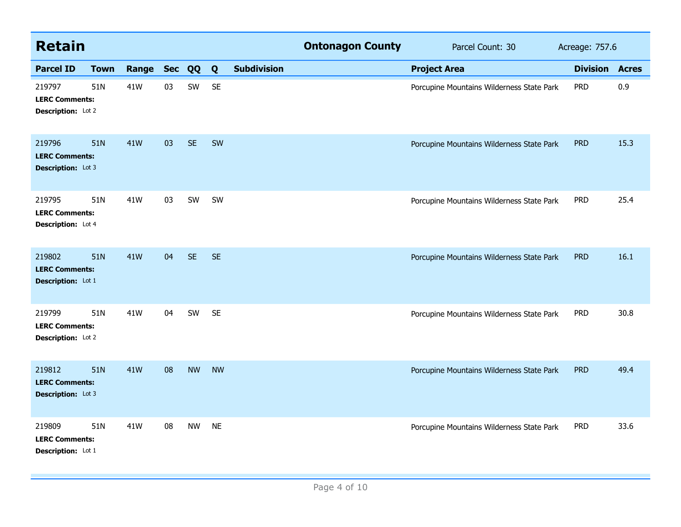| <b>Retain</b>                                                |             |           |    |           |           |                    | <b>Ontonagon County</b> | Parcel Count: 30                          | Acreage: 757.6  |              |
|--------------------------------------------------------------|-------------|-----------|----|-----------|-----------|--------------------|-------------------------|-------------------------------------------|-----------------|--------------|
| <b>Parcel ID</b>                                             | <b>Town</b> | Range Sec |    | QQ        | Q         | <b>Subdivision</b> |                         | <b>Project Area</b>                       | <b>Division</b> | <b>Acres</b> |
| 219797<br><b>LERC Comments:</b><br>Description: Lot 2        | 51N         | 41W       | 03 | SW        | <b>SE</b> |                    |                         | Porcupine Mountains Wilderness State Park | <b>PRD</b>      | 0.9          |
| 219796<br><b>LERC Comments:</b><br><b>Description:</b> Lot 3 | 51N         | 41W       | 03 | <b>SE</b> | SW        |                    |                         | Porcupine Mountains Wilderness State Park | <b>PRD</b>      | 15.3         |
| 219795<br><b>LERC Comments:</b><br>Description: Lot 4        | 51N         | 41W       | 03 | SW        | SW        |                    |                         | Porcupine Mountains Wilderness State Park | <b>PRD</b>      | 25.4         |
| 219802<br><b>LERC Comments:</b><br>Description: Lot 1        | 51N         | 41W       | 04 | <b>SE</b> | <b>SE</b> |                    |                         | Porcupine Mountains Wilderness State Park | <b>PRD</b>      | 16.1         |
| 219799<br><b>LERC Comments:</b><br>Description: Lot 2        | 51N         | 41W       | 04 | SW        | <b>SE</b> |                    |                         | Porcupine Mountains Wilderness State Park | <b>PRD</b>      | 30.8         |
| 219812<br><b>LERC Comments:</b><br>Description: Lot 3        | 51N         | 41W       | 08 | <b>NW</b> | <b>NW</b> |                    |                         | Porcupine Mountains Wilderness State Park | <b>PRD</b>      | 49.4         |
| 219809<br><b>LERC Comments:</b><br>Description: Lot 1        | 51N         | 41W       | 08 | <b>NW</b> | <b>NE</b> |                    |                         | Porcupine Mountains Wilderness State Park | <b>PRD</b>      | 33.6         |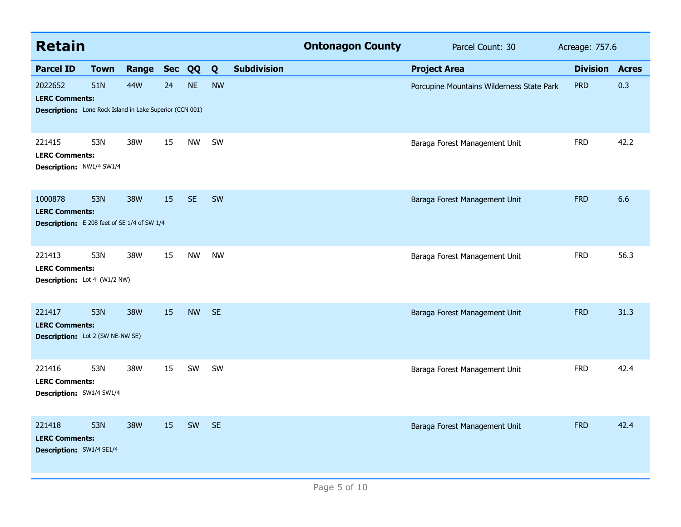| <b>Retain</b>                                                                                       |             |       |            |           |           |                    | <b>Ontonagon County</b> | Parcel Count: 30                          | Acreage: 757.6  |              |
|-----------------------------------------------------------------------------------------------------|-------------|-------|------------|-----------|-----------|--------------------|-------------------------|-------------------------------------------|-----------------|--------------|
| <b>Parcel ID</b>                                                                                    | <b>Town</b> | Range | <b>Sec</b> | QQ        | Q         | <b>Subdivision</b> |                         | <b>Project Area</b>                       | <b>Division</b> | <b>Acres</b> |
| 2022652<br><b>LERC Comments:</b><br><b>Description:</b> Lone Rock Island in Lake Superior (CCN 001) | 51N         | 44W   | 24         | <b>NE</b> | <b>NW</b> |                    |                         | Porcupine Mountains Wilderness State Park | <b>PRD</b>      | 0.3          |
| 221415<br><b>LERC Comments:</b><br>Description: NW1/4 SW1/4                                         | 53N         | 38W   | 15         | <b>NW</b> | SW        |                    |                         | Baraga Forest Management Unit             | <b>FRD</b>      | 42.2         |
| 1000878<br><b>LERC Comments:</b><br><b>Description:</b> E 208 feet of SE 1/4 of SW 1/4              | 53N         | 38W   | 15         | <b>SE</b> | <b>SW</b> |                    |                         | Baraga Forest Management Unit             | <b>FRD</b>      | 6.6          |
| 221413<br><b>LERC Comments:</b><br>Description: Lot 4 (W1/2 NW)                                     | 53N         | 38W   | 15         | <b>NW</b> | <b>NW</b> |                    |                         | Baraga Forest Management Unit             | <b>FRD</b>      | 56.3         |
| 221417<br><b>LERC Comments:</b><br><b>Description:</b> Lot 2 (SW NE-NW SE)                          | 53N         | 38W   | 15         | <b>NW</b> | <b>SE</b> |                    |                         | Baraga Forest Management Unit             | <b>FRD</b>      | 31.3         |
| 221416<br><b>LERC Comments:</b><br>Description: SW1/4 SW1/4                                         | 53N         | 38W   | 15         | SW        | SW        |                    |                         | Baraga Forest Management Unit             | <b>FRD</b>      | 42.4         |
| 221418<br><b>LERC Comments:</b><br><b>Description:</b> SW1/4 SE1/4                                  | 53N         | 38W   | 15         | SW        | <b>SE</b> |                    |                         | Baraga Forest Management Unit             | <b>FRD</b>      | 42.4         |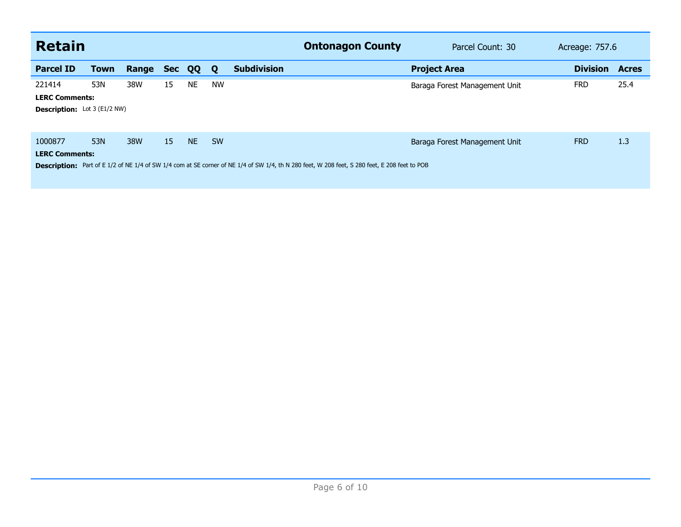| <b>Retain</b>                       |             |       |            |           |           | <b>Ontonagon County</b>                                                                                                                       | Parcel Count: 30              | Acreage: 757.6  |              |
|-------------------------------------|-------------|-------|------------|-----------|-----------|-----------------------------------------------------------------------------------------------------------------------------------------------|-------------------------------|-----------------|--------------|
| <b>Parcel ID</b>                    | <b>Town</b> | Range | <b>Sec</b> | QQ        | Q         | <b>Subdivision</b>                                                                                                                            | <b>Project Area</b>           | <b>Division</b> | <b>Acres</b> |
| 221414                              | 53N         | 38W   | 15         | <b>NE</b> | <b>NW</b> |                                                                                                                                               | Baraga Forest Management Unit | <b>FRD</b>      | 25.4         |
| <b>LERC Comments:</b>               |             |       |            |           |           |                                                                                                                                               |                               |                 |              |
| <b>Description:</b> Lot 3 (E1/2 NW) |             |       |            |           |           |                                                                                                                                               |                               |                 |              |
| 1000877                             | 53N         | 38W   | 15         | NE.       | <b>SW</b> |                                                                                                                                               | Baraga Forest Management Unit | <b>FRD</b>      | 1.3          |
| <b>LERC Comments:</b>               |             |       |            |           |           |                                                                                                                                               |                               |                 |              |
|                                     |             |       |            |           |           | Description: Part of E 1/2 of NE 1/4 of SW 1/4 com at SE corner of NE 1/4 of SW 1/4, th N 280 feet, W 208 feet, S 280 feet, E 208 feet to POB |                               |                 |              |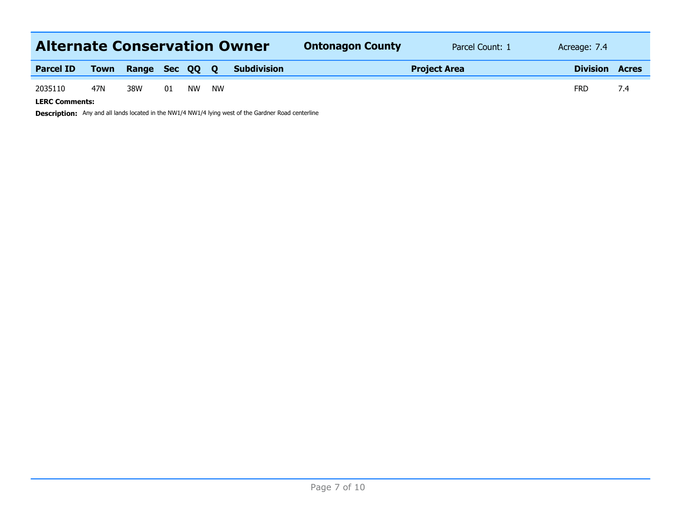| <b>Alternate Conservation Owner</b> |      |              |    |    |          |                    | <b>Ontonagon County</b> | Parcel Count: 1 | Acreage: 7.4 |     |
|-------------------------------------|------|--------------|----|----|----------|--------------------|-------------------------|-----------------|--------------|-----|
| <b>Parcel ID</b>                    | Town | Range Sec QQ |    |    | <b>O</b> | <b>Subdivision</b> | <b>Project Area</b>     | <b>Division</b> | <b>Acres</b> |     |
| 2035110<br><b>LERC Comments:</b>    | 47N  | 38W          | 01 | NW | NW       |                    |                         |                 | <b>FRD</b>   | 7.4 |

**Description:** Any and all lands located in the NW1/4 NW1/4 lying west of the Gardner Road centerline

Page 7 of 10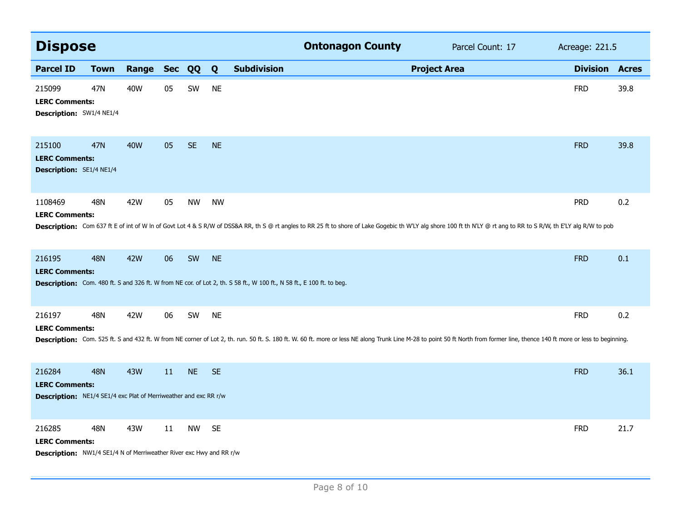| <b>Dispose</b>                                                                                                |             |            |        |           |           |                                                                                                                       | <b>Ontonagon County</b> | Parcel Count: 17                                                                                                                                                                                                              | Acreage: 221.5  |              |
|---------------------------------------------------------------------------------------------------------------|-------------|------------|--------|-----------|-----------|-----------------------------------------------------------------------------------------------------------------------|-------------------------|-------------------------------------------------------------------------------------------------------------------------------------------------------------------------------------------------------------------------------|-----------------|--------------|
| <b>Parcel ID</b>                                                                                              | <b>Town</b> | Range      | Sec QQ |           | Q         | <b>Subdivision</b>                                                                                                    |                         | <b>Project Area</b>                                                                                                                                                                                                           | <b>Division</b> | <b>Acres</b> |
| 215099<br><b>LERC Comments:</b><br>Description: SW1/4 NE1/4                                                   | 47N         | 40W        | 05     | SW        | <b>NE</b> |                                                                                                                       |                         |                                                                                                                                                                                                                               | <b>FRD</b>      | 39.8         |
| 215100<br><b>LERC Comments:</b><br>Description: SE1/4 NE1/4                                                   | 47N         | <b>40W</b> | 05     | <b>SE</b> | <b>NE</b> |                                                                                                                       |                         |                                                                                                                                                                                                                               | <b>FRD</b>      | 39.8         |
| 1108469<br><b>LERC Comments:</b>                                                                              | <b>48N</b>  | 42W        | 05     | <b>NW</b> | <b>NW</b> |                                                                                                                       |                         | Description: Com 637 ft E of int of W In of Govt Lot 4 & S R/W of DSS&A RR, th S @ rt angles to RR 25 ft to shore of Lake Gogebic th W'LY alg shore 100 ft th N'LY @ rt ang to RR to S R/W, th E'LY alg R/W to pob            | <b>PRD</b>      | 0.2          |
| 216195<br><b>LERC Comments:</b>                                                                               | <b>48N</b>  | <b>42W</b> | 06     | SW        | <b>NE</b> | Description: Com. 480 ft. S and 326 ft. W from NE cor. of Lot 2, th. S 58 ft., W 100 ft., N 58 ft., E 100 ft. to beg. |                         |                                                                                                                                                                                                                               | <b>FRD</b>      | 0.1          |
| 216197<br><b>LERC Comments:</b>                                                                               | 48N         | 42W        | 06     | SW        | <b>NE</b> |                                                                                                                       |                         | Description: Com. 525 ft. S and 432 ft. W from NE corner of Lot 2, th. run. 50 ft. S. 180 ft. W. 60 ft. more or less NE along Trunk Line M-28 to point 50 ft North from former line, thence 140 ft more or less to beginning. | <b>FRD</b>      | 0.2          |
| 216284<br><b>LERC Comments:</b><br><b>Description:</b> NE1/4 SE1/4 exc Plat of Merriweather and exc RR r/w    | <b>48N</b>  | <b>43W</b> | 11     | <b>NE</b> | <b>SE</b> |                                                                                                                       |                         |                                                                                                                                                                                                                               | <b>FRD</b>      | 36.1         |
| 216285<br><b>LERC Comments:</b><br><b>Description:</b> NW1/4 SE1/4 N of Merriweather River exc Hwy and RR r/w | <b>48N</b>  | 43W        | 11     | <b>NW</b> | <b>SE</b> |                                                                                                                       |                         |                                                                                                                                                                                                                               | <b>FRD</b>      | 21.7         |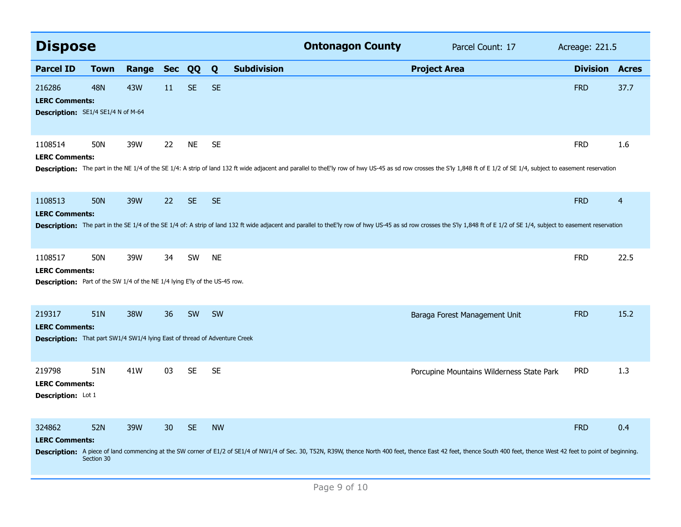| <b>Dispose</b>                                                                                                        |                          |              |    |           |           |                    |                                                                                                                                                                                                                                | <b>Ontonagon County</b><br>Parcel Count: 17 |                                           |                       | Acreage: 221.5 |  |
|-----------------------------------------------------------------------------------------------------------------------|--------------------------|--------------|----|-----------|-----------|--------------------|--------------------------------------------------------------------------------------------------------------------------------------------------------------------------------------------------------------------------------|---------------------------------------------|-------------------------------------------|-----------------------|----------------|--|
| <b>Parcel ID</b>                                                                                                      | Town                     | Range Sec QQ |    |           | Q         | <b>Subdivision</b> |                                                                                                                                                                                                                                | <b>Project Area</b>                         |                                           | <b>Division Acres</b> |                |  |
| 216286<br><b>LERC Comments:</b><br>Description: SE1/4 SE1/4 N of M-64                                                 | <b>48N</b>               | 43W          | 11 | <b>SE</b> | <b>SE</b> |                    |                                                                                                                                                                                                                                |                                             |                                           | <b>FRD</b>            | 37.7           |  |
| 1108514<br><b>LERC Comments:</b>                                                                                      | 50N                      | 39W          | 22 | <b>NE</b> | <b>SE</b> |                    | Description: The part in the NE 1/4 of the SE 1/4: A strip of land 132 ft wide adjacent and parallel to theE'ly row of hwy US-45 as sd row crosses the S'ly 1,848 ft of E 1/2 of SE 1/4, subject to easement reservation       |                                             |                                           | <b>FRD</b>            | 1.6            |  |
| 1108513<br><b>LERC Comments:</b>                                                                                      | <b>50N</b>               | 39W          | 22 | <b>SE</b> | <b>SE</b> |                    | Description: The part in the SE 1/4 of the SE 1/4 of: A strip of land 132 ft wide adjacent and parallel to the Elly row of hwy US-45 as sd row crosses the S'ly 1,848 ft of E 1/2 of SE 1/4, subject to easement reservation   |                                             |                                           | <b>FRD</b>            | $\overline{4}$ |  |
| 1108517<br><b>LERC Comments:</b><br><b>Description:</b> Part of the SW 1/4 of the NE 1/4 lying E'ly of the US-45 row. | 50N                      | 39W          | 34 | <b>SW</b> | <b>NE</b> |                    |                                                                                                                                                                                                                                |                                             |                                           | <b>FRD</b>            | 22.5           |  |
| 219317<br><b>LERC Comments:</b><br><b>Description:</b> That part SW1/4 SW1/4 lying East of thread of Adventure Creek  | 51N                      | <b>38W</b>   | 36 | SW        | SW        |                    |                                                                                                                                                                                                                                |                                             | Baraga Forest Management Unit             | <b>FRD</b>            | 15.2           |  |
| 219798<br><b>LERC Comments:</b><br>Description: Lot 1                                                                 | 51N                      | 41W          | 03 | <b>SE</b> | <b>SE</b> |                    |                                                                                                                                                                                                                                |                                             | Porcupine Mountains Wilderness State Park | <b>PRD</b>            | 1.3            |  |
| 324862<br><b>LERC Comments:</b>                                                                                       | <b>52N</b><br>Section 30 | 39W          | 30 | <b>SE</b> | <b>NW</b> |                    | Description: A piece of land commencing at the SW corner of E1/2 of SE1/4 of NW1/4 of Sec. 30, T52N, R39W, thence North 400 feet, thence East 42 feet, thence South 400 feet, thence South 400 feet, thence West 42 feet to po |                                             |                                           | <b>FRD</b>            | 0.4            |  |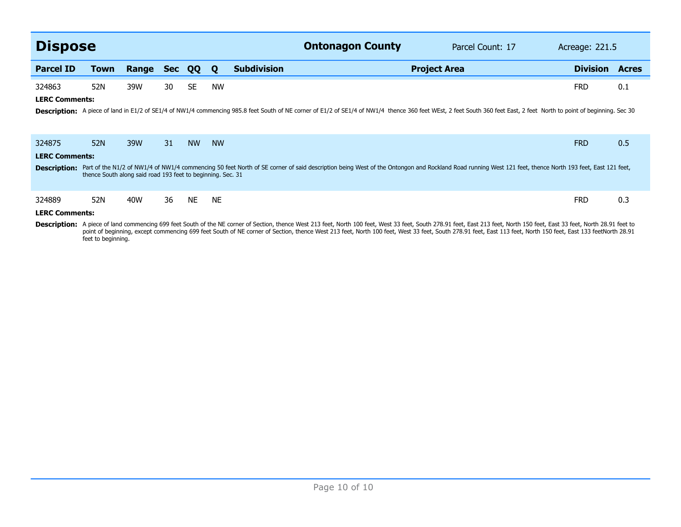| <b>Dispose</b>        |                                                             |       |            |           |           | <b>Ontonagon County</b><br>Parcel Count: 17                                                                                                                                                                                                                                                                                                                                                                                                    | Acreage: 221.5  |              |
|-----------------------|-------------------------------------------------------------|-------|------------|-----------|-----------|------------------------------------------------------------------------------------------------------------------------------------------------------------------------------------------------------------------------------------------------------------------------------------------------------------------------------------------------------------------------------------------------------------------------------------------------|-----------------|--------------|
| <b>Parcel ID</b>      | Town                                                        | Range | <b>Sec</b> | QQ        | Q         | <b>Subdivision</b><br><b>Project Area</b>                                                                                                                                                                                                                                                                                                                                                                                                      | <b>Division</b> | <b>Acres</b> |
| 324863                | 52N                                                         | 39W   | 30         | <b>SE</b> | <b>NW</b> |                                                                                                                                                                                                                                                                                                                                                                                                                                                | <b>FRD</b>      | 0.1          |
| <b>LERC Comments:</b> |                                                             |       |            |           |           |                                                                                                                                                                                                                                                                                                                                                                                                                                                |                 |              |
|                       |                                                             |       |            |           |           | Description: A piece of land in E1/2 of SE1/4 of NW1/4 commencing 985.8 feet South of NE corner of E1/2 of SE1/4 of NW1/4 thence 360 feet WEst, 2 feet South 360 feet East, 2 feet North to point of beginning. Sec 30                                                                                                                                                                                                                         |                 |              |
| 324875                | 52N                                                         | 39W   | 31         | <b>NW</b> | <b>NW</b> |                                                                                                                                                                                                                                                                                                                                                                                                                                                | <b>FRD</b>      | 0.5          |
| <b>LERC Comments:</b> |                                                             |       |            |           |           |                                                                                                                                                                                                                                                                                                                                                                                                                                                |                 |              |
| <b>Description:</b>   | thence South along said road 193 feet to beginning. Sec. 31 |       |            |           |           | Part of the N1/2 of NW1/4 of NW1/4 commencing 50 feet North of SE corner of said description being West of the Ontongon and Rockland Road running West 121 feet, thence North 193 feet, East 121 feet,                                                                                                                                                                                                                                         |                 |              |
| 324889                | 52N                                                         | 40W   | 36         | <b>NE</b> | <b>NE</b> |                                                                                                                                                                                                                                                                                                                                                                                                                                                | <b>FRD</b>      | 0.3          |
| <b>LERC Comments:</b> |                                                             |       |            |           |           |                                                                                                                                                                                                                                                                                                                                                                                                                                                |                 |              |
|                       |                                                             |       |            |           |           | Description: A piece of land commencing 699 feet South of the NE corner of Section, thence West 213 feet, North 100 feet, West 33 feet, South 278.91 feet, East 213 feet, North 150 feet, East 33 feet, North 28.91 feet to<br>$\mathcal{L} = \mathcal{L} \mathcal{L}$ , and the state $\mathcal{L} = \mathcal{L} \mathcal{L}$ , and the state $\mathcal{L} = \mathcal{L} \mathcal{L}$ , and the state $\mathcal{L} = \mathcal{L} \mathcal{L}$ |                 |              |

Description: A piece of land commencing 699 feet South of the NE corner of Section, thence West 213 feet, North 100 feet, West 33 feet, South 278.91 feet, East 213 feet, North 150 feet, East 33 feet, North 28.91 feet to<br>12 feet to beginning.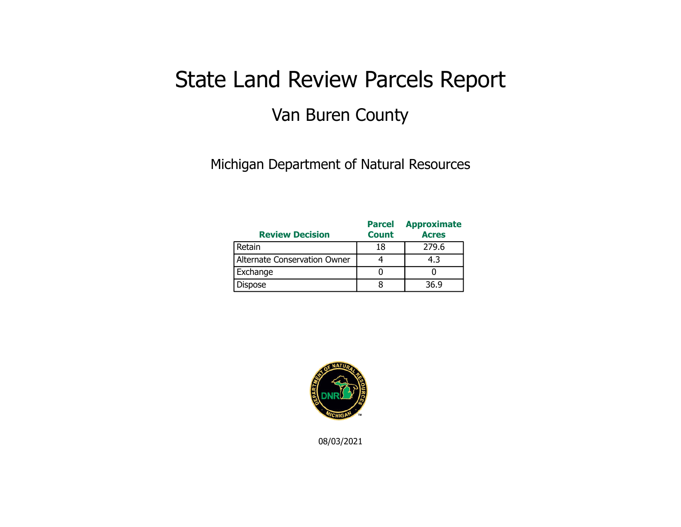## State Land Review Parcels Report Van Buren County

Michigan Department of Natural Resources

| <b>Review Decision</b>       | <b>Parcel</b><br><b>Count</b> | <b>Approximate</b><br><b>Acres</b> |
|------------------------------|-------------------------------|------------------------------------|
| Retain                       | 18                            | 279.6                              |
| Alternate Conservation Owner |                               | 4.3                                |
| Exchange                     |                               |                                    |
| <b>Dispose</b>               |                               | 36.9                               |



08/03/2021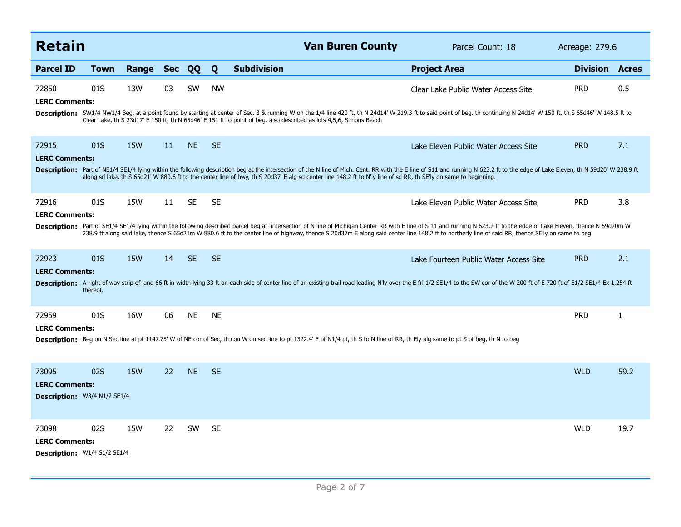| <b>Retain</b>                                                         |          |            |            |           |           | <b>Van Buren County</b>                                                                                                                                                              | Parcel Count: 18                                                                                                                                                                                                                                                                                                                                                                                                             | Acreage: 279.6  |              |
|-----------------------------------------------------------------------|----------|------------|------------|-----------|-----------|--------------------------------------------------------------------------------------------------------------------------------------------------------------------------------------|------------------------------------------------------------------------------------------------------------------------------------------------------------------------------------------------------------------------------------------------------------------------------------------------------------------------------------------------------------------------------------------------------------------------------|-----------------|--------------|
| <b>Parcel ID</b>                                                      | Town     | Range      | <b>Sec</b> | QQ        | Q         | <b>Subdivision</b>                                                                                                                                                                   | <b>Project Area</b>                                                                                                                                                                                                                                                                                                                                                                                                          | <b>Division</b> | <b>Acres</b> |
| 72850<br><b>LERC Comments:</b>                                        | 01S      | 13W        | 03         | <b>SW</b> | <b>NW</b> |                                                                                                                                                                                      | Clear Lake Public Water Access Site                                                                                                                                                                                                                                                                                                                                                                                          | <b>PRD</b>      | 0.5          |
|                                                                       |          |            |            |           |           | Clear Lake, th S 23d17' E 150 ft, th N 65d46' E 151 ft to point of beg, also described as lots 4,5,6, Simons Beach                                                                   | Description: SW1/4 NW1/4 Beg. at a point found by starting at center of Sec. 3 & running W on the 1/4 line 420 ft, th N 24d14' W 219.3 ft to said point of beg. th continuing N 24d14' W 150 ft, th S 65d46' W 148.5 ft to                                                                                                                                                                                                   |                 |              |
| 72915<br><b>LERC Comments:</b>                                        | 01S      | <b>15W</b> | 11         | <b>NE</b> | <b>SE</b> |                                                                                                                                                                                      | Lake Eleven Public Water Access Site                                                                                                                                                                                                                                                                                                                                                                                         | <b>PRD</b>      | 7.1          |
|                                                                       |          |            |            |           |           | along sd lake, th S 65d21' W 880.6 ft to the center line of hwy, th S 20d37' E alg sd center line 148.2 ft to N'ly line of sd RR, th SE'ly on same to beginning.                     | Description: Part of NE1/4 SE1/4 lying within the following description beg at the intersection of the N line of Mich. Cent. RR with the E line of S11 and running N 623.2 ft to the edge of Lake Eleven, th N 59d20' W 238.9                                                                                                                                                                                                |                 |              |
| 72916<br><b>LERC Comments:</b>                                        | 01S      | <b>15W</b> | 11         | <b>SE</b> | <b>SE</b> |                                                                                                                                                                                      | Lake Eleven Public Water Access Site                                                                                                                                                                                                                                                                                                                                                                                         | <b>PRD</b>      | 3.8          |
|                                                                       |          |            |            |           |           |                                                                                                                                                                                      | Description: Part of SE1/4 SE1/4 lying within the following described parcel beg at intersection of N line of Michigan Center RR with E line of S 11 and running N 623.2 ft to the edge of Lake Eleven, thence N 59d20m W<br>238.9 ft along said lake, thence S 65d21m W 880.6 ft to the center line of highway, thence S 20d37m E along said center line 148.2 ft to northerly line of said RR, thence SE'ly on same to beg |                 |              |
| 72923                                                                 | 01S      | <b>15W</b> | 14         | <b>SE</b> | <b>SE</b> |                                                                                                                                                                                      | Lake Fourteen Public Water Access Site                                                                                                                                                                                                                                                                                                                                                                                       | <b>PRD</b>      | 2.1          |
| <b>LERC Comments:</b>                                                 | thereof. |            |            |           |           |                                                                                                                                                                                      | Description: A right of way strip of land 66 ft in width lying 33 ft on each side of center line of an existing trail road leading N'ly over the E frl 1/2 SE1/4 to the SW cor of the W 200 ft of E 720 ft of E1/2 SE1/4 Ex 1,                                                                                                                                                                                               |                 |              |
| 72959                                                                 | 01S      | 16W        | 06         | <b>NE</b> | <b>NE</b> |                                                                                                                                                                                      |                                                                                                                                                                                                                                                                                                                                                                                                                              | <b>PRD</b>      | $\mathbf{1}$ |
| <b>LERC Comments:</b>                                                 |          |            |            |           |           | Description: Beg on N Sec line at pt 1147.75' W of NE cor of Sec, th con W on sec line to pt 1322.4' E of N1/4 pt, th S to N line of RR, th Ely alg same to pt S of beg, th N to beg |                                                                                                                                                                                                                                                                                                                                                                                                                              |                 |              |
| 73095<br><b>LERC Comments:</b>                                        | 02S      | <b>15W</b> | 22         | <b>NE</b> | <b>SE</b> |                                                                                                                                                                                      |                                                                                                                                                                                                                                                                                                                                                                                                                              | <b>WLD</b>      | 59.2         |
| Description: W3/4 N1/2 SE1/4                                          |          |            |            |           |           |                                                                                                                                                                                      |                                                                                                                                                                                                                                                                                                                                                                                                                              |                 |              |
| 73098<br><b>LERC Comments:</b><br><b>Description:</b> W1/4 S1/2 SE1/4 | 02S      | 15W        | 22         | <b>SW</b> | <b>SE</b> |                                                                                                                                                                                      |                                                                                                                                                                                                                                                                                                                                                                                                                              | <b>WLD</b>      | 19.7         |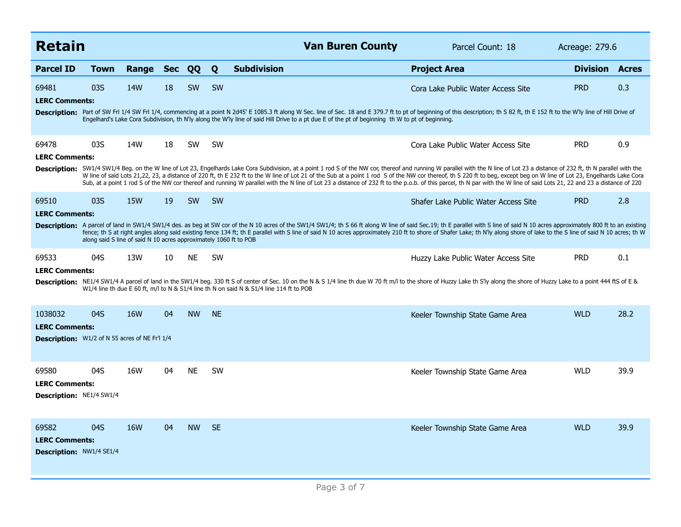| <b>Retain</b><br><b>Van Buren County</b><br>Parcel Count: 18                              |                                                                   |            |            |           |           |                                                                                                                                                                                                                                                                                                                                                                                                                                                                                                                                                                                                                                                                                     | Acreage: 279.6                       |                 |              |
|-------------------------------------------------------------------------------------------|-------------------------------------------------------------------|------------|------------|-----------|-----------|-------------------------------------------------------------------------------------------------------------------------------------------------------------------------------------------------------------------------------------------------------------------------------------------------------------------------------------------------------------------------------------------------------------------------------------------------------------------------------------------------------------------------------------------------------------------------------------------------------------------------------------------------------------------------------------|--------------------------------------|-----------------|--------------|
| <b>Parcel ID</b>                                                                          | Town                                                              | Range      | <b>Sec</b> | QQ        | Q         | <b>Subdivision</b>                                                                                                                                                                                                                                                                                                                                                                                                                                                                                                                                                                                                                                                                  | <b>Project Area</b>                  | <b>Division</b> | <b>Acres</b> |
| 69481<br><b>LERC Comments:</b>                                                            | 03S                                                               | <b>14W</b> | 18         | <b>SW</b> | <b>SW</b> |                                                                                                                                                                                                                                                                                                                                                                                                                                                                                                                                                                                                                                                                                     | Cora Lake Public Water Access Site   | <b>PRD</b>      | 0.3          |
|                                                                                           |                                                                   |            |            |           |           | Description: Part of SW FrI 1/4 SW FrI 1/4, commencing at a point N 2d45' E 1085.3 ft along W Sec. line of Sec. 18 and E 379.7 ft to pt of beginning of this description; th S 82 ft, th E 152 ft to the W'ly line of Hill Dri<br>Engelhard's Lake Cora Subdivision, th N'ly along the W'ly line of said Hill Drive to a pt due E of the pt of beginning th W to pt of beginning.                                                                                                                                                                                                                                                                                                   |                                      |                 |              |
| 69478<br><b>LERC Comments:</b>                                                            | 03S                                                               | 14W        | 18         | <b>SW</b> | <b>SW</b> |                                                                                                                                                                                                                                                                                                                                                                                                                                                                                                                                                                                                                                                                                     | Cora Lake Public Water Access Site   | <b>PRD</b>      | 0.9          |
|                                                                                           |                                                                   |            |            |           |           | Description: SW1/4 SW1/4 Beg. on the W line of Lot 23, Engelhards Lake Cora Subdivision, at a point 1 rod S of the NW cor, thereof and running W parallel with the N line of Lot 23 a distance of 232 ft, th N parallel with t<br>W line of said Lots 21,22, 23, a distance of 220 ft, th E 232 ft to the W line of Lot 21 of the Sub at a point 1 rod S of the NW cor thereof, th S 220 ft to beg, except beg on W line of Lot 23, Engelhards Lake Cora<br>Sub, at a point 1 rod S of the NW cor thereof and running W parallel with the N line of Lot 23 a distance of 232 ft to the p.o.b. of this parcel, th N par with the W line of said Lots 21, 22 and 23 a distance of 220 |                                      |                 |              |
| 69510                                                                                     | 03S                                                               | <b>15W</b> | 19         | <b>SW</b> | <b>SW</b> |                                                                                                                                                                                                                                                                                                                                                                                                                                                                                                                                                                                                                                                                                     | Shafer Lake Public Water Access Site | <b>PRD</b>      | 2.8          |
| <b>LERC Comments:</b>                                                                     | along said S line of said N 10 acres approximately 1060 ft to POB |            |            |           |           | Description: A parcel of land in SW1/4 SW1/4 des. as beg at SW cor of the N 10 acres of the SW1/4 SW1/4; th S 66 ft along W line of said Sec.19; th E parallel with S line of said N 10 acres approximately 800 ft to an exist<br>fence; th S at right angles along said existing fence 134 ft; th E parallel with S line of said N 10 acres approximately 210 ft to shore of Shafer Lake; th N'ly along shore of lake to the S line of said N 10 acres; th W                                                                                                                                                                                                                       |                                      |                 |              |
| 69533                                                                                     | 04S                                                               | 13W        | 10         | <b>NE</b> | <b>SW</b> |                                                                                                                                                                                                                                                                                                                                                                                                                                                                                                                                                                                                                                                                                     | Huzzy Lake Public Water Access Site  | <b>PRD</b>      | 0.1          |
| <b>LERC Comments:</b>                                                                     |                                                                   |            |            |           |           | Description: NE1/4 SW1/4 A parcel of land in the SW1/4 beg. 330 ft S of center of Sec. 10 on the N & S 1/4 line th due W 70 ft m/l to the shore of Huzzy Lake th S'ly along the shore of Huzzy Lake to a point 444 ftS of E &<br>W1/4 line th due E 60 ft, m/l to N & S1/4 line th N on said N & S1/4 line 114 ft to POB                                                                                                                                                                                                                                                                                                                                                            |                                      |                 |              |
| 1038032<br><b>LERC Comments:</b><br><b>Description:</b> W1/2 of N 55 acres of NE Fr'l 1/4 | 04S                                                               | 16W        | 04         | <b>NW</b> | <b>NE</b> |                                                                                                                                                                                                                                                                                                                                                                                                                                                                                                                                                                                                                                                                                     | Keeler Township State Game Area      | <b>WLD</b>      | 28.2         |
| 69580<br><b>LERC Comments:</b><br><b>Description: NE1/4 SW1/4</b>                         | 04S                                                               | 16W        | 04         | <b>NE</b> | <b>SW</b> |                                                                                                                                                                                                                                                                                                                                                                                                                                                                                                                                                                                                                                                                                     | Keeler Township State Game Area      | <b>WLD</b>      | 39.9         |
| 69582<br><b>LERC Comments:</b><br><b>Description: NW1/4 SE1/4</b>                         | 04S                                                               | <b>16W</b> | 04         | <b>NW</b> | <b>SE</b> |                                                                                                                                                                                                                                                                                                                                                                                                                                                                                                                                                                                                                                                                                     | Keeler Township State Game Area      | <b>WLD</b>      | 39.9         |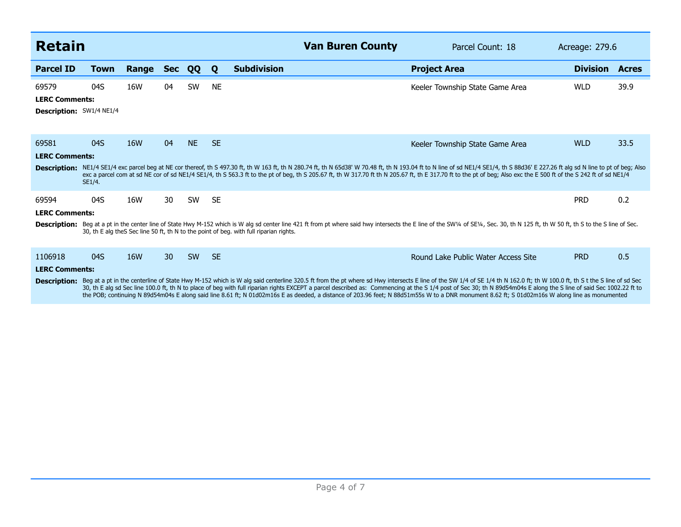| <b>Retain</b>                                              |               |            |            |           |           | <b>Van Buren County</b>                                                                                                                                                                                                                                                                                                                                                                                                                                                                                                                                                                                                                        | Parcel Count: 18                    | Acreage: 279.6  |              |
|------------------------------------------------------------|---------------|------------|------------|-----------|-----------|------------------------------------------------------------------------------------------------------------------------------------------------------------------------------------------------------------------------------------------------------------------------------------------------------------------------------------------------------------------------------------------------------------------------------------------------------------------------------------------------------------------------------------------------------------------------------------------------------------------------------------------------|-------------------------------------|-----------------|--------------|
| <b>Parcel ID</b>                                           | <b>Town</b>   | Range      | <b>Sec</b> | QQ        | Q         | <b>Subdivision</b>                                                                                                                                                                                                                                                                                                                                                                                                                                                                                                                                                                                                                             | <b>Project Area</b>                 | <b>Division</b> | <b>Acres</b> |
| 69579<br><b>LERC Comments:</b><br>Description: SW1/4 NE1/4 | 04S           | 16W        | 04         | SW        | <b>NE</b> |                                                                                                                                                                                                                                                                                                                                                                                                                                                                                                                                                                                                                                                | Keeler Township State Game Area     | <b>WLD</b>      | 39.9         |
| 69581<br><b>LERC Comments:</b>                             | 04S<br>SE1/4. | 16W        | 04         | <b>NE</b> | <b>SE</b> | Description: NE1/4 SE1/4 exc parcel beg at NE cor thereof, th S 497.30 ft, th W 163 ft, th N 280.74 ft, th N 65d38' W 70.48 ft, th N 193.04 ft to N line of sd NE1/4 SE1/4, th S 88d36' E 227.26 ft alg sd N line to pt of beg<br>exc a parcel com at sd NE cor of sd NE1/4 SE1/4, th S 563.3 ft to the pt of beg, th S 205.67 ft, th W 317.70 ft th N 205.67 ft, th E 317.70 ft to the pt of beg; Also exc the E 500 ft of the S 242 ft of sd NE1/4                                                                                                                                                                                           | Keeler Township State Game Area     | <b>WLD</b>      | 33.5         |
| 69594<br><b>LERC Comments:</b>                             | 04S           | 16W        | 30         | SW        | <b>SE</b> | Description: Beg at a pt in the center line of State Hwy M-152 which is W alg sd center line 421 ft from pt where said hwy intersects the E line of the SW1/4 of SE1/4, Sec. 30, th N 125 ft, th W 50 ft, th S to the S line o<br>30, th E alg the S Sec line 50 ft, th N to the point of beg. with full riparian rights.                                                                                                                                                                                                                                                                                                                      |                                     | <b>PRD</b>      | 0.2          |
| 1106918<br><b>LERC Comments:</b><br><b>Description:</b>    | 04S           | <b>16W</b> | 30         | <b>SW</b> | <b>SE</b> | Beg at a pt in the centerline of State Hwy M-152 which is W alg said centerline 320.5 ft from the pt where sd Hwy intersects E line of the SW 1/4 of SE 1/4 th N 162.0 ft; th W 100.0 ft; th S t the S line of sd Sec<br>30, th E alg sd Sec line 100.0 ft, th N to place of beg with full riparian rights EXCEPT a parcel described as: Commencing at the S 1/4 post of Sec 30; th N 89d54m04s E along the S line of said Sec 1002.22 ft to<br>the POB; continuing N 89d54m04s E along said line 8.61 ft; N 01d02m16s E as deeded, a distance of 203.96 feet; N 88d51m55s W to a DNR monument 8.62 ft; S 01d02m16s W along line as monumented | Round Lake Public Water Access Site | <b>PRD</b>      | 0.5          |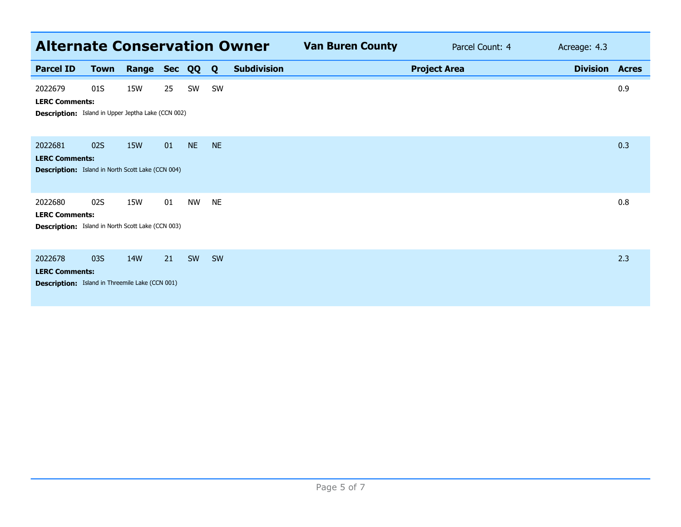| <b>Alternate Conservation Owner</b>                                                           |             |            |    |           |              |                    | <b>Van Buren County</b> |                     | Parcel Count: 4 | Acreage: 4.3          |     |
|-----------------------------------------------------------------------------------------------|-------------|------------|----|-----------|--------------|--------------------|-------------------------|---------------------|-----------------|-----------------------|-----|
| <b>Parcel ID</b>                                                                              | <b>Town</b> | Range Sec  |    | QQ        | $\mathbf{Q}$ | <b>Subdivision</b> |                         | <b>Project Area</b> |                 | <b>Division Acres</b> |     |
| 2022679<br><b>LERC Comments:</b><br><b>Description:</b> Island in Upper Jeptha Lake (CCN 002) | 01S         | 15W        | 25 | SW        | <b>SW</b>    |                    |                         |                     |                 |                       | 0.9 |
| 2022681<br><b>LERC Comments:</b><br><b>Description:</b> Island in North Scott Lake (CCN 004)  | 02S         | <b>15W</b> | 01 | <b>NE</b> | <b>NE</b>    |                    |                         |                     |                 |                       | 0.3 |
| 2022680<br><b>LERC Comments:</b><br><b>Description:</b> Island in North Scott Lake (CCN 003)  | 02S         | 15W        | 01 | <b>NW</b> | <b>NE</b>    |                    |                         |                     |                 |                       | 0.8 |
| 2022678<br><b>LERC Comments:</b><br><b>Description:</b> Island in Threemile Lake (CCN 001)    | 03S         | 14W        | 21 | <b>SW</b> | SW           |                    |                         |                     |                 |                       | 2.3 |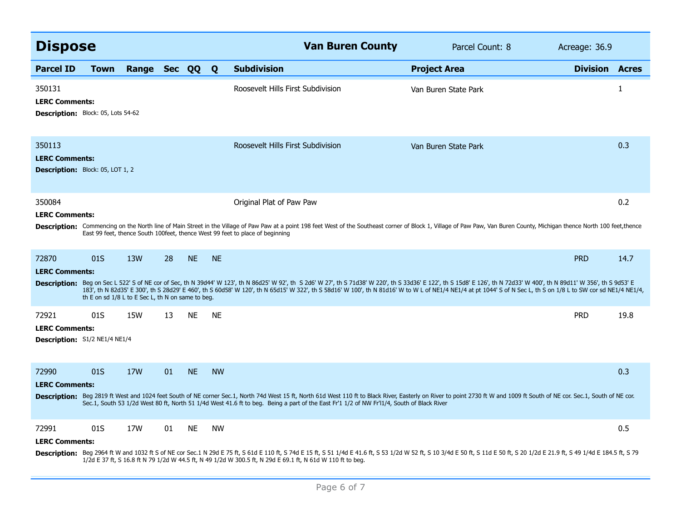| <b>Dispose</b>                                                                                                                                                                                                                                                                                                                                                                                                                                                  |                                                          |                |    |           |           | <b>Van Buren County</b>                                                                                                                                                                                                                                                                                                                                                                                                                       | Parcel Count: 8      | Acreage: 36.9         |              |  |
|-----------------------------------------------------------------------------------------------------------------------------------------------------------------------------------------------------------------------------------------------------------------------------------------------------------------------------------------------------------------------------------------------------------------------------------------------------------------|----------------------------------------------------------|----------------|----|-----------|-----------|-----------------------------------------------------------------------------------------------------------------------------------------------------------------------------------------------------------------------------------------------------------------------------------------------------------------------------------------------------------------------------------------------------------------------------------------------|----------------------|-----------------------|--------------|--|
| <b>Parcel ID</b>                                                                                                                                                                                                                                                                                                                                                                                                                                                | <b>Town</b>                                              | Range Sec QQ Q |    |           |           | <b>Subdivision</b>                                                                                                                                                                                                                                                                                                                                                                                                                            | <b>Project Area</b>  | <b>Division Acres</b> |              |  |
| 350131<br><b>LERC Comments:</b><br><b>Description:</b> Block: 05, Lots 54-62                                                                                                                                                                                                                                                                                                                                                                                    |                                                          |                |    |           |           | Roosevelt Hills First Subdivision                                                                                                                                                                                                                                                                                                                                                                                                             | Van Buren State Park |                       | $\mathbf{1}$ |  |
| 350113<br><b>LERC Comments:</b><br><b>Description:</b> Block: 05, LOT 1, 2                                                                                                                                                                                                                                                                                                                                                                                      |                                                          |                |    |           |           | Roosevelt Hills First Subdivision                                                                                                                                                                                                                                                                                                                                                                                                             | Van Buren State Park |                       | 0.3          |  |
| 350084<br>0.2<br>Original Plat of Paw Paw<br><b>LERC Comments:</b><br>Description: Commencing on the North line of Main Street in the Village of Paw Paw at a point 198 feet West of the Southeast corner of Block 1, Village of Paw Paw, Van Buren County, Michigan thence North 100 feet, thence<br>East 99 feet, thence South 100feet, thence West 99 feet to place of beginning                                                                             |                                                          |                |    |           |           |                                                                                                                                                                                                                                                                                                                                                                                                                                               |                      |                       |              |  |
| 72870<br><b>LERC Comments:</b>                                                                                                                                                                                                                                                                                                                                                                                                                                  | 01S<br>th E on sd 1/8 L to E Sec L, th N on same to beg. | 13W            | 28 | <b>NE</b> | <b>NE</b> | Description: Beg on Sec L 522' S of NE cor of Sec, th N 39d44' W 123', th N 86d25' W 92', th S 2d6' W 27', th S 71d38' W 220', th S 33d36' E 122', th S 15d8' E 126', th N 72d33' W 400', th N 89d11' W 356', th S 9d53' E<br>183', th N 82d35' E 300', th S 28d29' E 460', th S 60d58' W 120', th N 65d15' W 322', th S 58d16' W 100', th N 81d16' W to W L of NE1/4 NE1/4 at pt 1044' S of N Sec L, th S on 1/8 L to SW cor sd NE1/4 NE1/4, |                      | <b>PRD</b>            | 14.7         |  |
| 72921<br><b>LERC Comments:</b><br>Description: S1/2 NE1/4 NE1/4                                                                                                                                                                                                                                                                                                                                                                                                 | 01S                                                      | 15W            | 13 | <b>NE</b> | <b>NE</b> |                                                                                                                                                                                                                                                                                                                                                                                                                                               |                      | <b>PRD</b>            | 19.8         |  |
| <b>NE</b><br>72990<br>01S<br>17W<br>01<br><b>NW</b><br>0.3<br><b>LERC Comments:</b><br>Description: Beg 2819 ft West and 1024 feet South of NE corner Sec.1, North 74d West 15 ft, North 61d West 110 ft to Black River, Easterly on River to point 2730 ft W and 1009 ft South of NE cor. Sec.1, South of NE cor.<br>Sec.1, South 53 1/2d West 80 ft, North 51 1/4d West 41.6 ft to beg. Being a part of the East Fr'1 1/2 of NW Fr'l1/4, South of Black River |                                                          |                |    |           |           |                                                                                                                                                                                                                                                                                                                                                                                                                                               |                      |                       |              |  |
| 72991<br><b>LERC Comments:</b>                                                                                                                                                                                                                                                                                                                                                                                                                                  | 01S                                                      | 17W            | 01 | <b>NE</b> | <b>NW</b> | Description: Beg 2964 ft W and 1032 ft S of NE cor Sec.1 N 29d E 75 ft, S 61d E 110 ft, S 74d E 15 ft, S 51 1/4d E 41.6 ft, S 53 1/2d W 52 ft, S 10 3/4d E 50 ft, S 10 ft, S 10 ft, S 20 1/2d E 21.9 ft, S 49 1/4d E 184.5 ft,<br>1/2d E 37 ft, S 16.8 ft N 79 1/2d W 44.5 ft, N 49 1/2d W 300.5 ft, N 29d E 69.1 ft, N 61d W 110 ft to beg.                                                                                                  |                      |                       | 0.5          |  |